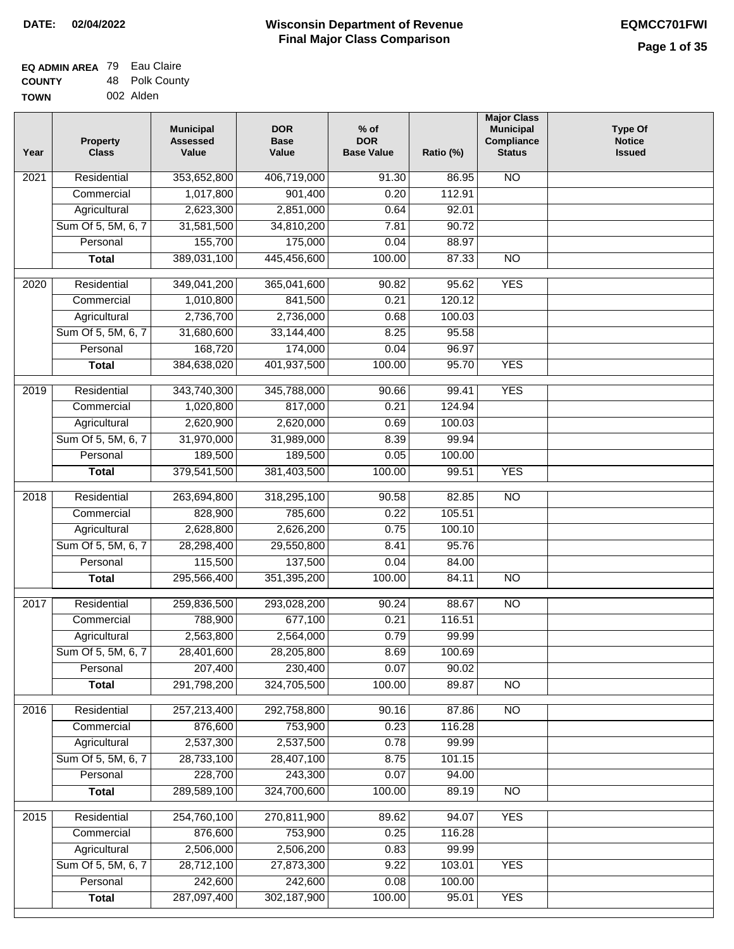| <b>EQ ADMIN AREA</b> 79 Eau Claire |                |
|------------------------------------|----------------|
| <b>COUNTY</b>                      | 48 Polk County |
| <b>TOWN</b>                        | 002 Alden      |

| Year              | <b>Property</b><br><b>Class</b> | <b>Municipal</b><br><b>Assessed</b><br>Value | <b>DOR</b><br><b>Base</b><br>Value | $%$ of<br><b>DOR</b><br><b>Base Value</b> | Ratio (%) | <b>Major Class</b><br><b>Municipal</b><br>Compliance<br><b>Status</b> | <b>Type Of</b><br><b>Notice</b><br><b>Issued</b> |
|-------------------|---------------------------------|----------------------------------------------|------------------------------------|-------------------------------------------|-----------|-----------------------------------------------------------------------|--------------------------------------------------|
| 2021              | Residential                     | 353,652,800                                  | 406,719,000                        | 91.30                                     | 86.95     | <b>NO</b>                                                             |                                                  |
|                   | Commercial                      | 1,017,800                                    | 901,400                            | 0.20                                      | 112.91    |                                                                       |                                                  |
|                   | Agricultural                    | 2,623,300                                    | 2,851,000                          | 0.64                                      | 92.01     |                                                                       |                                                  |
|                   | Sum Of 5, 5M, 6, 7              | 31,581,500                                   | 34,810,200                         | 7.81                                      | 90.72     |                                                                       |                                                  |
|                   | Personal                        | 155,700                                      | 175,000                            | 0.04                                      | 88.97     |                                                                       |                                                  |
|                   | <b>Total</b>                    | 389,031,100                                  | 445,456,600                        | 100.00                                    | 87.33     | $\overline{NO}$                                                       |                                                  |
| $\overline{2020}$ | Residential                     | 349,041,200                                  | 365,041,600                        | 90.82                                     | 95.62     | <b>YES</b>                                                            |                                                  |
|                   | Commercial                      | 1,010,800                                    | 841,500                            | 0.21                                      | 120.12    |                                                                       |                                                  |
|                   | Agricultural                    | 2,736,700                                    | 2,736,000                          | 0.68                                      | 100.03    |                                                                       |                                                  |
|                   | Sum Of 5, 5M, 6, 7              | 31,680,600                                   | 33,144,400                         | 8.25                                      | 95.58     |                                                                       |                                                  |
|                   | Personal                        | 168,720                                      | 174,000                            | 0.04                                      | 96.97     |                                                                       |                                                  |
|                   | <b>Total</b>                    | 384,638,020                                  | 401,937,500                        | 100.00                                    | 95.70     | <b>YES</b>                                                            |                                                  |
| 2019              | Residential                     | 343,740,300                                  | 345,788,000                        | 90.66                                     | 99.41     | <b>YES</b>                                                            |                                                  |
|                   | Commercial                      | 1,020,800                                    | 817,000                            | 0.21                                      | 124.94    |                                                                       |                                                  |
|                   | Agricultural                    | 2,620,900                                    | 2,620,000                          | 0.69                                      | 100.03    |                                                                       |                                                  |
|                   | Sum Of 5, 5M, 6, 7              | 31,970,000                                   | 31,989,000                         | 8.39                                      | 99.94     |                                                                       |                                                  |
|                   | Personal                        | 189,500                                      | 189,500                            | 0.05                                      | 100.00    |                                                                       |                                                  |
|                   | <b>Total</b>                    | 379,541,500                                  | 381,403,500                        | 100.00                                    | 99.51     | <b>YES</b>                                                            |                                                  |
| 2018              | Residential                     | 263,694,800                                  | 318,295,100                        | 90.58                                     | 82.85     | $\overline{NO}$                                                       |                                                  |
|                   | Commercial                      | 828,900                                      | 785,600                            | 0.22                                      | 105.51    |                                                                       |                                                  |
|                   | Agricultural                    | 2,628,800                                    | 2,626,200                          | 0.75                                      | 100.10    |                                                                       |                                                  |
|                   | Sum Of 5, 5M, 6, 7              | 28,298,400                                   | 29,550,800                         | 8.41                                      | 95.76     |                                                                       |                                                  |
|                   | Personal                        | 115,500                                      | 137,500                            | 0.04                                      | 84.00     |                                                                       |                                                  |
|                   | <b>Total</b>                    | 295,566,400                                  | 351,395,200                        | 100.00                                    | 84.11     | <b>NO</b>                                                             |                                                  |
| $\overline{2017}$ | Residential                     | 259,836,500                                  | 293,028,200                        | 90.24                                     | 88.67     | <b>NO</b>                                                             |                                                  |
|                   | Commercial                      | 788,900                                      | 677,100                            | 0.21                                      | 116.51    |                                                                       |                                                  |
|                   | Agricultural                    | 2,563,800                                    | 2,564,000                          | 0.79                                      | 99.99     |                                                                       |                                                  |
|                   | Sum Of 5, 5M, 6, 7              | 28,401,600                                   | 28,205,800                         | 8.69                                      | 100.69    |                                                                       |                                                  |
|                   | Personal                        | 207,400                                      | 230,400                            | 0.07                                      | 90.02     |                                                                       |                                                  |
|                   | <b>Total</b>                    | 291,798,200                                  | 324,705,500                        | 100.00                                    | 89.87     | <b>NO</b>                                                             |                                                  |
| 2016              | Residential                     | 257,213,400                                  | 292,758,800                        | 90.16                                     | 87.86     | $\overline{NO}$                                                       |                                                  |
|                   | Commercial                      | 876,600                                      | 753,900                            | 0.23                                      | 116.28    |                                                                       |                                                  |
|                   | Agricultural                    | 2,537,300                                    | 2,537,500                          | 0.78                                      | 99.99     |                                                                       |                                                  |
|                   | Sum Of 5, 5M, 6, 7              | 28,733,100                                   | 28,407,100                         | 8.75                                      | 101.15    |                                                                       |                                                  |
|                   | Personal                        | 228,700                                      | 243,300                            | 0.07                                      | 94.00     |                                                                       |                                                  |
|                   | <b>Total</b>                    | 289,589,100                                  | 324,700,600                        | 100.00                                    | 89.19     | N <sub>O</sub>                                                        |                                                  |
| 2015              | Residential                     | 254,760,100                                  | 270,811,900                        | 89.62                                     | 94.07     | <b>YES</b>                                                            |                                                  |
|                   | Commercial                      | 876,600                                      | 753,900                            | 0.25                                      | 116.28    |                                                                       |                                                  |
|                   | Agricultural                    | 2,506,000                                    | 2,506,200                          | 0.83                                      | 99.99     |                                                                       |                                                  |
|                   | Sum Of 5, 5M, 6, 7              | 28,712,100                                   | 27,873,300                         | 9.22                                      | 103.01    | <b>YES</b>                                                            |                                                  |
|                   | Personal                        | 242,600                                      | 242,600                            | 0.08                                      | 100.00    |                                                                       |                                                  |
|                   | <b>Total</b>                    | 287,097,400                                  | 302,187,900                        | 100.00                                    | 95.01     | <b>YES</b>                                                            |                                                  |
|                   |                                 |                                              |                                    |                                           |           |                                                                       |                                                  |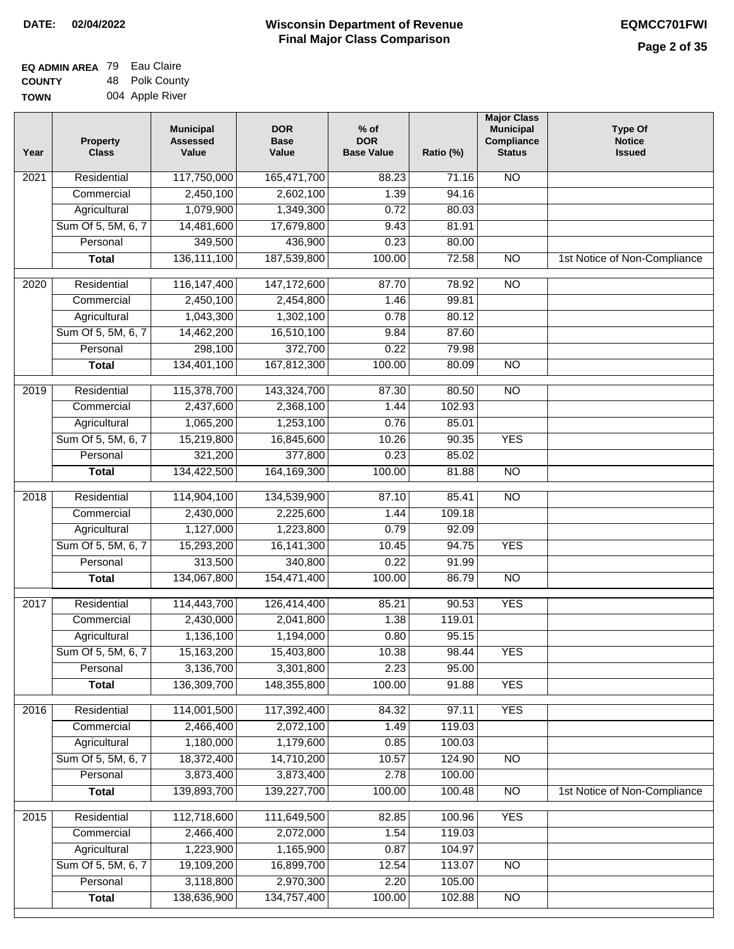| EQ ADMIN AREA 79 | Eau Claire      |
|------------------|-----------------|
| <b>COUNTY</b>    | 48 Polk County  |
| <b>TOWN</b>      | 004 Apple River |

| Year | <b>Property</b><br><b>Class</b> | <b>Municipal</b><br><b>Assessed</b><br>Value | <b>DOR</b><br><b>Base</b><br>Value | $%$ of<br><b>DOR</b><br><b>Base Value</b> | Ratio (%) | <b>Major Class</b><br><b>Municipal</b><br>Compliance<br><b>Status</b> | <b>Type Of</b><br><b>Notice</b><br><b>Issued</b> |
|------|---------------------------------|----------------------------------------------|------------------------------------|-------------------------------------------|-----------|-----------------------------------------------------------------------|--------------------------------------------------|
| 2021 | Residential                     | 117,750,000                                  | 165,471,700                        | 88.23                                     | 71.16     | <b>NO</b>                                                             |                                                  |
|      | Commercial                      | 2,450,100                                    | 2,602,100                          | 1.39                                      | 94.16     |                                                                       |                                                  |
|      | Agricultural                    | 1,079,900                                    | 1,349,300                          | 0.72                                      | 80.03     |                                                                       |                                                  |
|      | Sum Of 5, 5M, 6, 7              | 14,481,600                                   | 17,679,800                         | 9.43                                      | 81.91     |                                                                       |                                                  |
|      | Personal                        | 349,500                                      | 436,900                            | 0.23                                      | 80.00     |                                                                       |                                                  |
|      | <b>Total</b>                    | 136, 111, 100                                | 187,539,800                        | 100.00                                    | 72.58     | $\overline{NO}$                                                       | 1st Notice of Non-Compliance                     |
| 2020 | Residential                     | 116, 147, 400                                | 147, 172, 600                      | 87.70                                     | 78.92     | $\overline{NO}$                                                       |                                                  |
|      | Commercial                      | 2,450,100                                    | 2,454,800                          | 1.46                                      | 99.81     |                                                                       |                                                  |
|      | Agricultural                    | 1,043,300                                    | 1,302,100                          | 0.78                                      | 80.12     |                                                                       |                                                  |
|      | Sum Of 5, 5M, 6, 7              | 14,462,200                                   | 16,510,100                         | 9.84                                      | 87.60     |                                                                       |                                                  |
|      | Personal                        | 298,100                                      | 372,700                            | 0.22                                      | 79.98     |                                                                       |                                                  |
|      | <b>Total</b>                    | 134,401,100                                  | 167,812,300                        | 100.00                                    | 80.09     | $\overline{NO}$                                                       |                                                  |
| 2019 | Residential                     | 115,378,700                                  | 143,324,700                        | 87.30                                     | 80.50     | $\overline{NO}$                                                       |                                                  |
|      | Commercial                      | 2,437,600                                    | 2,368,100                          | 1.44                                      | 102.93    |                                                                       |                                                  |
|      | Agricultural                    | 1,065,200                                    | 1,253,100                          | 0.76                                      | 85.01     |                                                                       |                                                  |
|      | Sum Of 5, 5M, 6, 7              | 15,219,800                                   | 16,845,600                         | 10.26                                     | 90.35     | <b>YES</b>                                                            |                                                  |
|      | Personal                        | 321,200                                      | 377,800                            | 0.23                                      | 85.02     |                                                                       |                                                  |
|      | <b>Total</b>                    | 134,422,500                                  | 164, 169, 300                      | 100.00                                    | 81.88     | $\overline{NO}$                                                       |                                                  |
| 2018 | Residential                     | 114,904,100                                  | 134,539,900                        | 87.10                                     | 85.41     | $\overline{NO}$                                                       |                                                  |
|      | Commercial                      | 2,430,000                                    | 2,225,600                          | 1.44                                      | 109.18    |                                                                       |                                                  |
|      | Agricultural                    | 1,127,000                                    | 1,223,800                          | 0.79                                      | 92.09     |                                                                       |                                                  |
|      | Sum Of 5, 5M, 6, 7              | 15,293,200                                   | 16, 141, 300                       | 10.45                                     | 94.75     | <b>YES</b>                                                            |                                                  |
|      | Personal                        | 313,500                                      | 340,800                            | 0.22                                      | 91.99     |                                                                       |                                                  |
|      | <b>Total</b>                    | 134,067,800                                  | 154,471,400                        | 100.00                                    | 86.79     | <b>NO</b>                                                             |                                                  |
| 2017 | Residential                     | 114,443,700                                  | 126,414,400                        | 85.21                                     | 90.53     | <b>YES</b>                                                            |                                                  |
|      | Commercial                      | 2,430,000                                    | 2,041,800                          | 1.38                                      | 119.01    |                                                                       |                                                  |
|      | Agricultural                    | 1,136,100                                    | 1,194,000                          | 0.80                                      | 95.15     |                                                                       |                                                  |
|      | Sum Of 5, 5M, 6, 7              | 15,163,200                                   | 15,403,800                         | 10.38                                     | 98.44     | <b>YES</b>                                                            |                                                  |
|      | Personal                        | 3,136,700                                    | 3,301,800                          | 2.23                                      | 95.00     |                                                                       |                                                  |
|      | <b>Total</b>                    | 136,309,700                                  | 148,355,800                        | 100.00                                    | 91.88     | <b>YES</b>                                                            |                                                  |
| 2016 | Residential                     | 114,001,500                                  | 117,392,400                        | 84.32                                     | 97.11     | <b>YES</b>                                                            |                                                  |
|      | Commercial                      | 2,466,400                                    | 2,072,100                          | 1.49                                      | 119.03    |                                                                       |                                                  |
|      | Agricultural                    | 1,180,000                                    | 1,179,600                          | 0.85                                      | 100.03    |                                                                       |                                                  |
|      | Sum Of 5, 5M, 6, 7              | 18,372,400                                   | 14,710,200                         | 10.57                                     | 124.90    | $\overline{NO}$                                                       |                                                  |
|      | Personal                        | 3,873,400                                    | 3,873,400                          | 2.78                                      | 100.00    |                                                                       |                                                  |
|      | <b>Total</b>                    | 139,893,700                                  | 139,227,700                        | 100.00                                    | 100.48    | $\overline{NO}$                                                       | 1st Notice of Non-Compliance                     |
| 2015 | Residential                     | 112,718,600                                  | 111,649,500                        | 82.85                                     | 100.96    | <b>YES</b>                                                            |                                                  |
|      | Commercial                      | 2,466,400                                    | 2,072,000                          | 1.54                                      | 119.03    |                                                                       |                                                  |
|      | Agricultural                    | 1,223,900                                    | 1,165,900                          | 0.87                                      | 104.97    |                                                                       |                                                  |
|      | Sum Of 5, 5M, 6, 7              | 19,109,200                                   | 16,899,700                         | 12.54                                     | 113.07    | <b>NO</b>                                                             |                                                  |
|      | Personal                        | 3,118,800                                    | 2,970,300                          | 2.20                                      | 105.00    |                                                                       |                                                  |
|      | <b>Total</b>                    | 138,636,900                                  | 134,757,400                        | 100.00                                    | 102.88    | NO                                                                    |                                                  |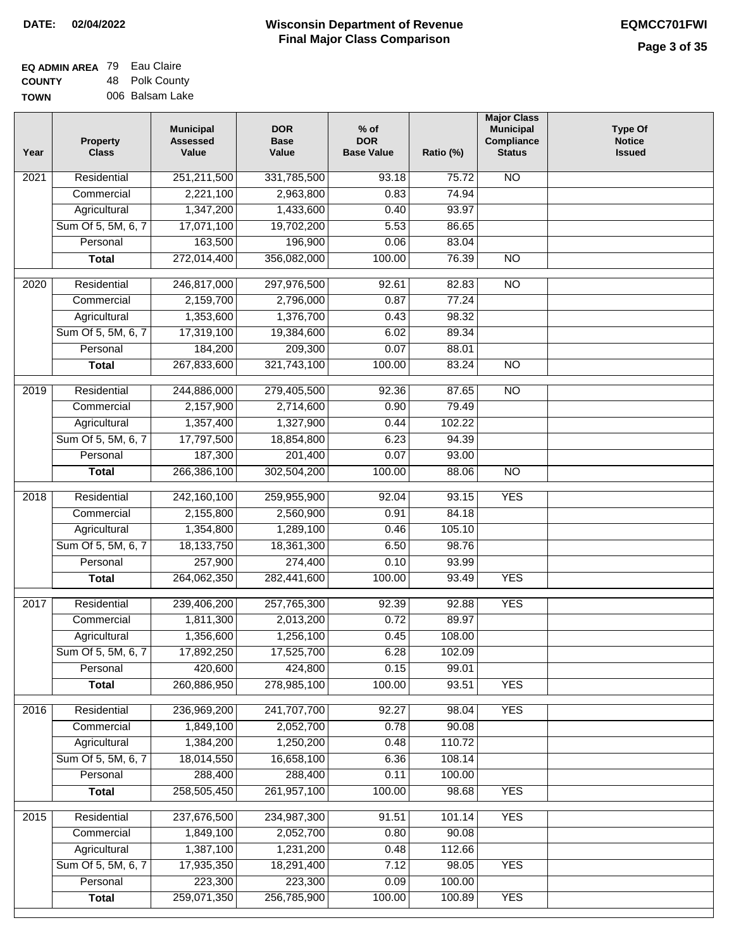| <b>EQ ADMIN AREA</b> 79 Eau Claire |                 |
|------------------------------------|-----------------|
| <b>COUNTY</b>                      | 48 Polk County  |
| <b>TOWN</b>                        | 006 Balsam Lake |

| Year | <b>Property</b><br><b>Class</b> | <b>Municipal</b><br><b>Assessed</b><br>Value | <b>DOR</b><br><b>Base</b><br>Value | $%$ of<br><b>DOR</b><br><b>Base Value</b> | Ratio (%)       | <b>Major Class</b><br><b>Municipal</b><br>Compliance<br><b>Status</b> | <b>Type Of</b><br><b>Notice</b><br><b>Issued</b> |
|------|---------------------------------|----------------------------------------------|------------------------------------|-------------------------------------------|-----------------|-----------------------------------------------------------------------|--------------------------------------------------|
| 2021 | Residential                     | 251,211,500                                  | 331,785,500                        | 93.18                                     | 75.72           | N <sub>O</sub>                                                        |                                                  |
|      | Commercial                      | 2,221,100                                    | 2,963,800                          | 0.83                                      | 74.94           |                                                                       |                                                  |
|      | Agricultural                    | 1,347,200                                    | 1,433,600                          | 0.40                                      | 93.97           |                                                                       |                                                  |
|      | Sum Of 5, 5M, 6, 7              | 17,071,100                                   | 19,702,200                         | 5.53                                      | 86.65           |                                                                       |                                                  |
|      | Personal                        | 163,500                                      | 196,900                            | 0.06                                      | 83.04           |                                                                       |                                                  |
|      | <b>Total</b>                    | 272,014,400                                  | 356,082,000                        | 100.00                                    | 76.39           | $\overline{NO}$                                                       |                                                  |
| 2020 | Residential                     | 246,817,000                                  | 297,976,500                        | 92.61                                     | 82.83           | $\overline{NO}$                                                       |                                                  |
|      | Commercial                      | 2,159,700                                    | 2,796,000                          | 0.87                                      | 77.24           |                                                                       |                                                  |
|      | Agricultural                    | 1,353,600                                    | 1,376,700                          | 0.43                                      | 98.32           |                                                                       |                                                  |
|      | Sum Of 5, 5M, 6, 7              | 17,319,100                                   | 19,384,600                         | 6.02                                      | 89.34           |                                                                       |                                                  |
|      | Personal                        | 184,200                                      | 209,300                            | 0.07                                      | 88.01           |                                                                       |                                                  |
|      | <b>Total</b>                    | 267,833,600                                  | 321,743,100                        | 100.00                                    | 83.24           | <b>NO</b>                                                             |                                                  |
|      |                                 |                                              |                                    |                                           |                 |                                                                       |                                                  |
| 2019 | Residential                     | 244,886,000                                  | 279,405,500                        | $\frac{1}{92.36}$                         | 87.65           | $\overline{NO}$                                                       |                                                  |
|      | Commercial                      | 2,157,900                                    | 2,714,600                          | 0.90                                      | 79.49           |                                                                       |                                                  |
|      | Agricultural                    | 1,357,400                                    | 1,327,900                          | 0.44                                      | 102.22          |                                                                       |                                                  |
|      | Sum Of 5, 5M, 6, 7              | 17,797,500                                   | 18,854,800                         | 6.23                                      | 94.39           |                                                                       |                                                  |
|      | Personal                        | 187,300                                      | 201,400                            | 0.07                                      | 93.00           |                                                                       |                                                  |
|      | <b>Total</b>                    | 266,386,100                                  | 302,504,200                        | 100.00                                    | 88.06           | $\overline{NO}$                                                       |                                                  |
| 2018 | Residential                     | 242,160,100                                  | 259,955,900                        | 92.04                                     | 93.15           | <b>YES</b>                                                            |                                                  |
|      | Commercial                      | 2,155,800                                    | 2,560,900                          | 0.91                                      | 84.18           |                                                                       |                                                  |
|      | Agricultural                    | 1,354,800                                    | 1,289,100                          | 0.46                                      | 105.10          |                                                                       |                                                  |
|      | Sum Of 5, 5M, 6, 7              | 18,133,750                                   | 18,361,300                         | 6.50                                      | 98.76           |                                                                       |                                                  |
|      | Personal                        | 257,900                                      | 274,400                            | 0.10                                      | 93.99           |                                                                       |                                                  |
|      | <b>Total</b>                    | 264,062,350                                  | 282,441,600                        | 100.00                                    | 93.49           | <b>YES</b>                                                            |                                                  |
| 2017 | Residential                     | 239,406,200                                  | 257,765,300                        | 92.39                                     | 92.88           | <b>YES</b>                                                            |                                                  |
|      | Commercial                      | 1,811,300                                    | 2,013,200                          | 0.72                                      | 89.97           |                                                                       |                                                  |
|      | Agricultural                    | 1,356,600                                    | 1,256,100                          | 0.45                                      | 108.00          |                                                                       |                                                  |
|      | Sum Of 5, 5M, 6, 7              | 17,892,250                                   | 17,525,700                         | 6.28                                      | 102.09          |                                                                       |                                                  |
|      | Personal                        | 420,600                                      | 424,800                            | 0.15                                      | 99.01           |                                                                       |                                                  |
|      | <b>Total</b>                    | 260,886,950                                  | 278,985,100                        | 100.00                                    | 93.51           | <b>YES</b>                                                            |                                                  |
|      |                                 |                                              |                                    |                                           |                 |                                                                       |                                                  |
| 2016 | Residential                     | 236,969,200                                  | 241,707,700                        | 92.27                                     | 98.04           | <b>YES</b>                                                            |                                                  |
|      | Commercial                      | 1,849,100<br>1,384,200                       | 2,052,700<br>1,250,200             | 0.78                                      | 90.08<br>110.72 |                                                                       |                                                  |
|      | Agricultural                    |                                              |                                    | 0.48                                      | 108.14          |                                                                       |                                                  |
|      | Sum Of 5, 5M, 6, 7<br>Personal  | 18,014,550                                   | 16,658,100                         | 6.36                                      |                 |                                                                       |                                                  |
|      | <b>Total</b>                    | 288,400<br>258,505,450                       | 288,400<br>261,957,100             | 0.11<br>100.00                            | 100.00<br>98.68 | <b>YES</b>                                                            |                                                  |
|      |                                 |                                              |                                    |                                           |                 |                                                                       |                                                  |
| 2015 | Residential                     | 237,676,500                                  | 234,987,300                        | 91.51                                     | 101.14          | <b>YES</b>                                                            |                                                  |
|      | Commercial                      | 1,849,100                                    | 2,052,700                          | 0.80                                      | 90.08           |                                                                       |                                                  |
|      | Agricultural                    | 1,387,100                                    | 1,231,200                          | 0.48                                      | 112.66          |                                                                       |                                                  |
|      | Sum Of 5, 5M, 6, 7              | 17,935,350                                   | 18,291,400                         | 7.12                                      | 98.05           | <b>YES</b>                                                            |                                                  |
|      | Personal                        | 223,300                                      | 223,300                            | 0.09                                      | 100.00          |                                                                       |                                                  |
|      | <b>Total</b>                    | 259,071,350                                  | 256,785,900                        | 100.00                                    | 100.89          | <b>YES</b>                                                            |                                                  |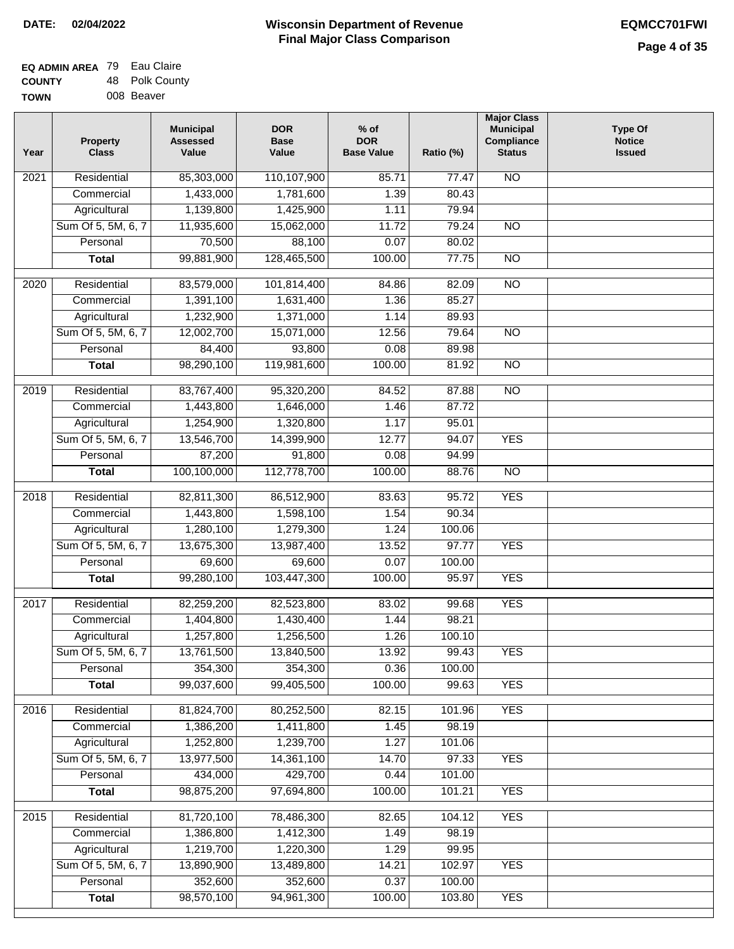| <b>EQ ADMIN AREA 79 Eau Claire</b> |                |
|------------------------------------|----------------|
| <b>COUNTY</b>                      | 48 Polk County |
| <b>TOWN</b>                        | 008 Beaver     |

| Year              | <b>Property</b><br><b>Class</b> | <b>Municipal</b><br><b>Assessed</b><br>Value | <b>DOR</b><br><b>Base</b><br>Value | % of<br><b>DOR</b><br><b>Base Value</b> | Ratio (%) | <b>Major Class</b><br><b>Municipal</b><br>Compliance<br><b>Status</b> | <b>Type Of</b><br><b>Notice</b><br><b>Issued</b> |
|-------------------|---------------------------------|----------------------------------------------|------------------------------------|-----------------------------------------|-----------|-----------------------------------------------------------------------|--------------------------------------------------|
| $\overline{202}1$ | Residential                     | 85,303,000                                   | 110,107,900                        | 85.71                                   | 77.47     | <b>NO</b>                                                             |                                                  |
|                   | Commercial                      | 1,433,000                                    | 1,781,600                          | 1.39                                    | 80.43     |                                                                       |                                                  |
|                   | Agricultural                    | 1,139,800                                    | 1,425,900                          | 1.11                                    | 79.94     |                                                                       |                                                  |
|                   | Sum Of 5, 5M, 6, 7              | 11,935,600                                   | 15,062,000                         | 11.72                                   | 79.24     | $\overline{NO}$                                                       |                                                  |
|                   | Personal                        | 70,500                                       | 88,100                             | 0.07                                    | 80.02     |                                                                       |                                                  |
|                   | <b>Total</b>                    | 99,881,900                                   | 128,465,500                        | 100.00                                  | 77.75     | $\overline{NO}$                                                       |                                                  |
| $\overline{2020}$ | Residential                     | 83,579,000                                   | 101,814,400                        | 84.86                                   | 82.09     | $\overline{NO}$                                                       |                                                  |
|                   | Commercial                      | 1,391,100                                    | 1,631,400                          | 1.36                                    | 85.27     |                                                                       |                                                  |
|                   | Agricultural                    | 1,232,900                                    | 1,371,000                          | 1.14                                    | 89.93     |                                                                       |                                                  |
|                   | Sum Of 5, 5M, 6, 7              | 12,002,700                                   | 15,071,000                         | 12.56                                   | 79.64     | $\overline{NO}$                                                       |                                                  |
|                   | Personal                        | 84,400                                       | 93,800                             | 0.08                                    | 89.98     |                                                                       |                                                  |
|                   | <b>Total</b>                    | 98,290,100                                   | 119,981,600                        | 100.00                                  | 81.92     | $\overline{NO}$                                                       |                                                  |
| $\frac{2019}{ }$  | Residential                     | 83,767,400                                   | 95,320,200                         | 84.52                                   | 87.88     | $\overline{3}$                                                        |                                                  |
|                   | Commercial                      | 1,443,800                                    | 1,646,000                          | 1.46                                    | 87.72     |                                                                       |                                                  |
|                   | Agricultural                    | 1,254,900                                    | 1,320,800                          | 1.17                                    | 95.01     |                                                                       |                                                  |
|                   | Sum Of 5, 5M, 6, 7              | 13,546,700                                   | 14,399,900                         | 12.77                                   | 94.07     | <b>YES</b>                                                            |                                                  |
|                   | Personal                        | 87,200                                       | 91,800                             | 0.08                                    | 94.99     |                                                                       |                                                  |
|                   | <b>Total</b>                    | 100,100,000                                  | 112,778,700                        | 100.00                                  | 88.76     | $\overline{NO}$                                                       |                                                  |
| 2018              | Residential                     | 82,811,300                                   | 86,512,900                         | 83.63                                   | 95.72     | <b>YES</b>                                                            |                                                  |
|                   | Commercial                      | 1,443,800                                    | 1,598,100                          | 1.54                                    | 90.34     |                                                                       |                                                  |
|                   | Agricultural                    | 1,280,100                                    | 1,279,300                          | 1.24                                    | 100.06    |                                                                       |                                                  |
|                   | Sum Of 5, 5M, 6, 7              | 13,675,300                                   | 13,987,400                         | 13.52                                   | 97.77     | <b>YES</b>                                                            |                                                  |
|                   | Personal                        | 69,600                                       | 69,600                             | 0.07                                    | 100.00    |                                                                       |                                                  |
|                   | <b>Total</b>                    | 99,280,100                                   | 103,447,300                        | 100.00                                  | 95.97     | <b>YES</b>                                                            |                                                  |
| 2017              | Residential                     | 82,259,200                                   | 82,523,800                         | 83.02                                   | 99.68     | <b>YES</b>                                                            |                                                  |
|                   | Commercial                      | 1,404,800                                    | 1,430,400                          | 1.44                                    | 98.21     |                                                                       |                                                  |
|                   | Agricultural                    | 1,257,800                                    | 1,256,500                          | 1.26                                    | 100.10    |                                                                       |                                                  |
|                   | Sum Of 5, 5M, 6, 7              | 13,761,500                                   | 13,840,500                         | 13.92                                   | 99.43     | <b>YES</b>                                                            |                                                  |
|                   | Personal                        | 354,300                                      | 354,300                            | 0.36                                    | 100.00    |                                                                       |                                                  |
|                   | <b>Total</b>                    | 99,037,600                                   | 99,405,500                         | 100.00                                  | 99.63     | <b>YES</b>                                                            |                                                  |
| 2016              | Residential                     | 81,824,700                                   | 80,252,500                         | 82.15                                   | 101.96    | <b>YES</b>                                                            |                                                  |
|                   | Commercial                      | 1,386,200                                    | 1,411,800                          | 1.45                                    | 98.19     |                                                                       |                                                  |
|                   | Agricultural                    | 1,252,800                                    | 1,239,700                          | 1.27                                    | 101.06    |                                                                       |                                                  |
|                   | Sum Of 5, 5M, 6, 7              | 13,977,500                                   | 14,361,100                         | 14.70                                   | 97.33     | <b>YES</b>                                                            |                                                  |
|                   | Personal                        | 434,000                                      | 429,700                            | 0.44                                    | 101.00    |                                                                       |                                                  |
|                   | <b>Total</b>                    | 98,875,200                                   | 97,694,800                         | 100.00                                  | 101.21    | <b>YES</b>                                                            |                                                  |
| 2015              | Residential                     | 81,720,100                                   | 78,486,300                         | 82.65                                   | 104.12    | <b>YES</b>                                                            |                                                  |
|                   | Commercial                      | 1,386,800                                    | 1,412,300                          | 1.49                                    | 98.19     |                                                                       |                                                  |
|                   | Agricultural                    | 1,219,700                                    | 1,220,300                          | 1.29                                    | 99.95     |                                                                       |                                                  |
|                   | Sum Of 5, 5M, 6, 7              | 13,890,900                                   | 13,489,800                         | 14.21                                   | 102.97    | <b>YES</b>                                                            |                                                  |
|                   | Personal                        | 352,600                                      | 352,600                            | 0.37                                    | 100.00    |                                                                       |                                                  |
|                   | <b>Total</b>                    | 98,570,100                                   | 94,961,300                         | 100.00                                  | 103.80    | <b>YES</b>                                                            |                                                  |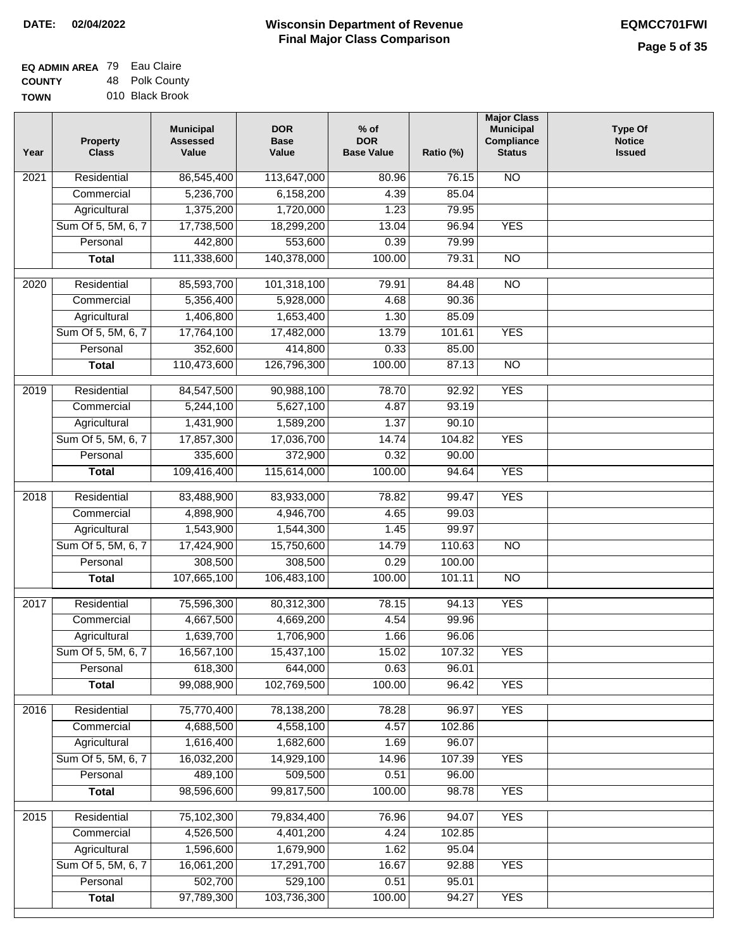| <b>EQ ADMIN AREA 79 Eau Claire</b> |                 |
|------------------------------------|-----------------|
| <b>COUNTY</b>                      | 48 Polk County  |
| <b>TOWN</b>                        | 010 Black Brook |

| Year              | <b>Property</b><br><b>Class</b>    | <b>Municipal</b><br><b>Assessed</b><br>Value | <b>DOR</b><br><b>Base</b><br>Value | $%$ of<br><b>DOR</b><br><b>Base Value</b> | Ratio (%)       | <b>Major Class</b><br><b>Municipal</b><br>Compliance<br><b>Status</b> | <b>Type Of</b><br><b>Notice</b><br><b>Issued</b> |
|-------------------|------------------------------------|----------------------------------------------|------------------------------------|-------------------------------------------|-----------------|-----------------------------------------------------------------------|--------------------------------------------------|
| 2021              | Residential                        | 86,545,400                                   | 113,647,000                        | 80.96                                     | 76.15           | <b>NO</b>                                                             |                                                  |
|                   | Commercial                         | 5,236,700                                    | 6,158,200                          | 4.39                                      | 85.04           |                                                                       |                                                  |
|                   | Agricultural                       | 1,375,200                                    | 1,720,000                          | 1.23                                      | 79.95           |                                                                       |                                                  |
|                   | Sum Of 5, 5M, 6, 7                 | 17,738,500                                   | 18,299,200                         | 13.04                                     | 96.94           | <b>YES</b>                                                            |                                                  |
|                   | Personal                           | 442,800                                      | 553,600                            | 0.39                                      | 79.99           |                                                                       |                                                  |
|                   | <b>Total</b>                       | 111,338,600                                  | 140,378,000                        | 100.00                                    | 79.31           | $\overline{NO}$                                                       |                                                  |
| $\overline{2020}$ | Residential                        | 85,593,700                                   | 101,318,100                        | 79.91                                     | 84.48           | <b>NO</b>                                                             |                                                  |
|                   | Commercial                         | 5,356,400                                    | 5,928,000                          | 4.68                                      | 90.36           |                                                                       |                                                  |
|                   | Agricultural                       | 1,406,800                                    | 1,653,400                          | 1.30                                      | 85.09           |                                                                       |                                                  |
|                   | Sum Of 5, 5M, 6, 7                 | 17,764,100                                   | 17,482,000                         | 13.79                                     | 101.61          | <b>YES</b>                                                            |                                                  |
|                   | Personal                           | 352,600                                      | 414,800                            | 0.33                                      | 85.00           |                                                                       |                                                  |
|                   | <b>Total</b>                       | 110,473,600                                  | 126,796,300                        | 100.00                                    | 87.13           | $\overline{NO}$                                                       |                                                  |
|                   |                                    |                                              |                                    |                                           |                 |                                                                       |                                                  |
| 2019              | Residential                        | 84,547,500                                   | 90,988,100                         | 78.70                                     | 92.92           | <b>YES</b>                                                            |                                                  |
|                   | Commercial                         | 5,244,100                                    | 5,627,100                          | 4.87                                      | 93.19           |                                                                       |                                                  |
|                   | Agricultural                       | 1,431,900                                    | 1,589,200                          | 1.37                                      | 90.10           |                                                                       |                                                  |
|                   | Sum Of 5, 5M, 6, 7                 | 17,857,300                                   | 17,036,700                         | 14.74                                     | 104.82          | <b>YES</b>                                                            |                                                  |
|                   | Personal                           | 335,600                                      | 372,900                            | 0.32                                      | 90.00           |                                                                       |                                                  |
|                   | <b>Total</b>                       | 109,416,400                                  | 115,614,000                        | 100.00                                    | 94.64           | <b>YES</b>                                                            |                                                  |
| 2018              | Residential                        | 83,488,900                                   | 83,933,000                         | 78.82                                     | 99.47           | <b>YES</b>                                                            |                                                  |
|                   | Commercial                         | 4,898,900                                    | 4,946,700                          | 4.65                                      | 99.03           |                                                                       |                                                  |
|                   | Agricultural                       | 1,543,900                                    | 1,544,300                          | 1.45                                      | 99.97           |                                                                       |                                                  |
|                   | Sum Of 5, 5M, 6, 7                 | 17,424,900                                   | 15,750,600                         | 14.79                                     | 110.63          | $\overline{10}$                                                       |                                                  |
|                   | Personal                           | 308,500                                      | 308,500                            | 0.29                                      | 100.00          |                                                                       |                                                  |
|                   | <b>Total</b>                       | 107,665,100                                  | 106,483,100                        | 100.00                                    | 101.11          | $\overline{NO}$                                                       |                                                  |
| 2017              | Residential                        | 75,596,300                                   | 80,312,300                         | 78.15                                     | 94.13           | <b>YES</b>                                                            |                                                  |
|                   | Commercial                         | 4,667,500                                    | 4,669,200                          | 4.54                                      | 99.96           |                                                                       |                                                  |
|                   | Agricultural                       | 1,639,700                                    | 1,706,900                          | 1.66                                      | 96.06           |                                                                       |                                                  |
|                   | Sum Of 5, 5M, 6, 7                 | 16,567,100                                   | 15,437,100                         | 15.02                                     | 107.32          | <b>YES</b>                                                            |                                                  |
|                   | Personal                           | 618,300                                      | 644,000                            | 0.63                                      | 96.01           |                                                                       |                                                  |
|                   | <b>Total</b>                       | 99,088,900                                   | 102,769,500                        | 100.00                                    | 96.42           | <b>YES</b>                                                            |                                                  |
|                   |                                    |                                              |                                    |                                           |                 |                                                                       |                                                  |
| 2016              | Residential                        | 75,770,400                                   | 78,138,200                         | 78.28                                     | 96.97           | <b>YES</b>                                                            |                                                  |
|                   | Commercial                         | 4,688,500<br>1,616,400                       | 4,558,100<br>1,682,600             | 4.57<br>1.69                              | 102.86<br>96.07 |                                                                       |                                                  |
|                   | Agricultural<br>Sum Of 5, 5M, 6, 7 | 16,032,200                                   | 14,929,100                         | 14.96                                     | 107.39          | <b>YES</b>                                                            |                                                  |
|                   | Personal                           | 489,100                                      | 509,500                            | 0.51                                      | 96.00           |                                                                       |                                                  |
|                   | <b>Total</b>                       | 98,596,600                                   | 99,817,500                         | 100.00                                    | 98.78           | <b>YES</b>                                                            |                                                  |
|                   |                                    |                                              |                                    |                                           |                 |                                                                       |                                                  |
| 2015              | Residential                        | 75,102,300                                   | 79,834,400                         | 76.96                                     | 94.07           | <b>YES</b>                                                            |                                                  |
|                   | Commercial                         | 4,526,500                                    | 4,401,200                          | 4.24                                      | 102.85          |                                                                       |                                                  |
|                   | Agricultural                       | 1,596,600                                    | 1,679,900                          | 1.62                                      | 95.04           |                                                                       |                                                  |
|                   | Sum Of 5, 5M, 6, 7                 | 16,061,200                                   | 17,291,700                         | 16.67                                     | 92.88           | <b>YES</b>                                                            |                                                  |
|                   | Personal                           | 502,700                                      | 529,100                            | 0.51                                      | 95.01           |                                                                       |                                                  |
|                   | <b>Total</b>                       | 97,789,300                                   | 103,736,300                        | 100.00                                    | 94.27           | <b>YES</b>                                                            |                                                  |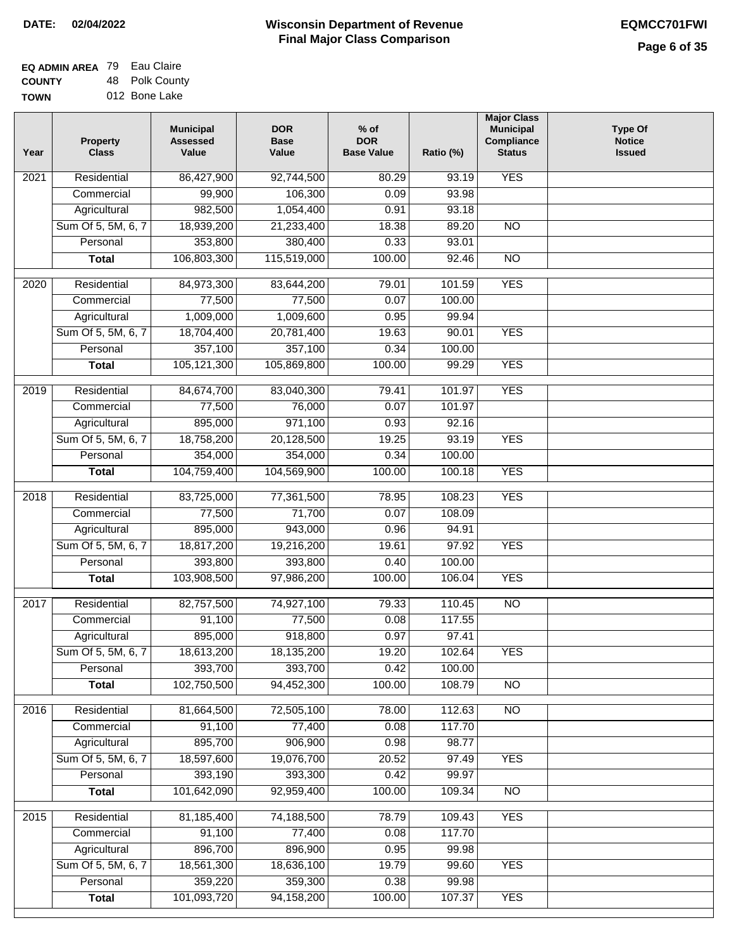| <b>EQ ADMIN AREA 79 Eau Claire</b> |                |
|------------------------------------|----------------|
| <b>COUNTY</b>                      | 48 Polk County |
| <b>TOWN</b>                        | 012 Bone Lake  |

| <b>YES</b><br>Residential<br>$\overline{202}1$<br>86,427,900<br>92,744,500<br>80.29<br>93.19<br>99,900<br>106,300<br>0.09<br>93.98<br>Commercial<br>982,500<br>Agricultural<br>1,054,400<br>0.91<br>93.18<br>Sum Of 5, 5M, 6, 7<br>18,939,200<br>21,233,400<br>18.38<br>89.20<br>$\overline{NO}$<br>353,800<br>380,400<br>0.33<br>93.01<br>Personal<br>106,803,300<br>115,519,000<br>100.00<br>92.46<br>$\overline{NO}$<br><b>Total</b><br><b>YES</b><br>$\overline{2020}$<br>Residential<br>84,973,300<br>83,644,200<br>79.01<br>101.59<br>Commercial<br>77,500<br>77,500<br>0.07<br>100.00<br>1,009,000<br>1,009,600<br>0.95<br>99.94<br>Agricultural<br>Sum Of 5, 5M, 6, 7<br>18,704,400<br>20,781,400<br>19.63<br>90.01<br><b>YES</b><br>357,100<br>357,100<br>Personal<br>0.34<br>100.00<br>105,121,300<br><b>YES</b><br>105,869,800<br>100.00<br><b>Total</b><br>99.29<br><b>YES</b><br>Residential<br>84,674,700<br>83,040,300<br>79.41<br>101.97<br>2019<br>76,000<br>0.07<br>101.97<br>Commercial<br>77,500<br>895,000<br>971,100<br>0.93<br>92.16<br>Agricultural<br><b>YES</b><br>Sum Of 5, 5M, 6, 7<br>18,758,200<br>20,128,500<br>19.25<br>93.19<br>354,000<br>354,000<br>0.34<br>100.00<br>Personal<br>104,759,400<br>100.00<br><b>YES</b><br><b>Total</b><br>104,569,900<br>100.18<br>Residential<br>83,725,000<br>108.23<br><b>YES</b><br>2018<br>77,361,500<br>78.95<br>71,700<br>Commercial<br>77,500<br>0.07<br>108.09<br>895,000<br>943,000<br>Agricultural<br>0.96<br>94.91<br>Sum Of 5, 5M, 6, 7<br>18,817,200<br>19,216,200<br>97.92<br><b>YES</b><br>19.61<br>Personal<br>393,800<br>393,800<br>0.40<br>100.00<br>103,908,500<br>97,986,200<br>100.00<br>106.04<br><b>YES</b><br><b>Total</b><br>2017<br>Residential<br>$\overline{NO}$<br>82,757,500<br>74,927,100<br>79.33<br>110.45<br>Commercial<br>91,100<br>77,500<br>0.08<br>117.55<br>895,000<br>918,800<br>0.97<br>97.41<br>Agricultural<br>18,613,200<br>19.20<br>Sum Of 5, 5M, 6, 7<br>18,135,200<br>102.64<br><b>YES</b><br>393,700<br>0.42<br>Personal<br>393,700<br>100.00<br>102,750,500<br>94,452,300<br>100.00<br>108.79<br><b>Total</b><br><b>NO</b><br>Residential<br>81,664,500<br>72,505,100<br>112.63<br>$\overline{NO}$<br>2016<br>78.00<br>91,100<br>77,400<br>0.08<br>117.70<br>Commercial<br>895,700<br>906,900<br>Agricultural<br>0.98<br>98.77<br>Sum Of 5, 5M, 6, 7<br>18,597,600<br>19,076,700<br>20.52<br><b>YES</b><br>97.49 | Year | <b>Property</b><br><b>Class</b> | <b>Municipal</b><br><b>Assessed</b><br>Value | <b>DOR</b><br><b>Base</b><br>Value | $%$ of<br><b>DOR</b><br><b>Base Value</b> | Ratio (%) | <b>Major Class</b><br><b>Municipal</b><br>Compliance<br><b>Status</b> | <b>Type Of</b><br><b>Notice</b><br><b>Issued</b> |
|--------------------------------------------------------------------------------------------------------------------------------------------------------------------------------------------------------------------------------------------------------------------------------------------------------------------------------------------------------------------------------------------------------------------------------------------------------------------------------------------------------------------------------------------------------------------------------------------------------------------------------------------------------------------------------------------------------------------------------------------------------------------------------------------------------------------------------------------------------------------------------------------------------------------------------------------------------------------------------------------------------------------------------------------------------------------------------------------------------------------------------------------------------------------------------------------------------------------------------------------------------------------------------------------------------------------------------------------------------------------------------------------------------------------------------------------------------------------------------------------------------------------------------------------------------------------------------------------------------------------------------------------------------------------------------------------------------------------------------------------------------------------------------------------------------------------------------------------------------------------------------------------------------------------------------------------------------------------------------------------------------------------------------------------------------------------------------------------------------------------------------------------------------------------------------------------------------------------------------------------------------------------------------------------------------------------------------------------------------------------------------------------------------------------------------------|------|---------------------------------|----------------------------------------------|------------------------------------|-------------------------------------------|-----------|-----------------------------------------------------------------------|--------------------------------------------------|
|                                                                                                                                                                                                                                                                                                                                                                                                                                                                                                                                                                                                                                                                                                                                                                                                                                                                                                                                                                                                                                                                                                                                                                                                                                                                                                                                                                                                                                                                                                                                                                                                                                                                                                                                                                                                                                                                                                                                                                                                                                                                                                                                                                                                                                                                                                                                                                                                                                      |      |                                 |                                              |                                    |                                           |           |                                                                       |                                                  |
|                                                                                                                                                                                                                                                                                                                                                                                                                                                                                                                                                                                                                                                                                                                                                                                                                                                                                                                                                                                                                                                                                                                                                                                                                                                                                                                                                                                                                                                                                                                                                                                                                                                                                                                                                                                                                                                                                                                                                                                                                                                                                                                                                                                                                                                                                                                                                                                                                                      |      |                                 |                                              |                                    |                                           |           |                                                                       |                                                  |
|                                                                                                                                                                                                                                                                                                                                                                                                                                                                                                                                                                                                                                                                                                                                                                                                                                                                                                                                                                                                                                                                                                                                                                                                                                                                                                                                                                                                                                                                                                                                                                                                                                                                                                                                                                                                                                                                                                                                                                                                                                                                                                                                                                                                                                                                                                                                                                                                                                      |      |                                 |                                              |                                    |                                           |           |                                                                       |                                                  |
|                                                                                                                                                                                                                                                                                                                                                                                                                                                                                                                                                                                                                                                                                                                                                                                                                                                                                                                                                                                                                                                                                                                                                                                                                                                                                                                                                                                                                                                                                                                                                                                                                                                                                                                                                                                                                                                                                                                                                                                                                                                                                                                                                                                                                                                                                                                                                                                                                                      |      |                                 |                                              |                                    |                                           |           |                                                                       |                                                  |
|                                                                                                                                                                                                                                                                                                                                                                                                                                                                                                                                                                                                                                                                                                                                                                                                                                                                                                                                                                                                                                                                                                                                                                                                                                                                                                                                                                                                                                                                                                                                                                                                                                                                                                                                                                                                                                                                                                                                                                                                                                                                                                                                                                                                                                                                                                                                                                                                                                      |      |                                 |                                              |                                    |                                           |           |                                                                       |                                                  |
|                                                                                                                                                                                                                                                                                                                                                                                                                                                                                                                                                                                                                                                                                                                                                                                                                                                                                                                                                                                                                                                                                                                                                                                                                                                                                                                                                                                                                                                                                                                                                                                                                                                                                                                                                                                                                                                                                                                                                                                                                                                                                                                                                                                                                                                                                                                                                                                                                                      |      |                                 |                                              |                                    |                                           |           |                                                                       |                                                  |
|                                                                                                                                                                                                                                                                                                                                                                                                                                                                                                                                                                                                                                                                                                                                                                                                                                                                                                                                                                                                                                                                                                                                                                                                                                                                                                                                                                                                                                                                                                                                                                                                                                                                                                                                                                                                                                                                                                                                                                                                                                                                                                                                                                                                                                                                                                                                                                                                                                      |      |                                 |                                              |                                    |                                           |           |                                                                       |                                                  |
|                                                                                                                                                                                                                                                                                                                                                                                                                                                                                                                                                                                                                                                                                                                                                                                                                                                                                                                                                                                                                                                                                                                                                                                                                                                                                                                                                                                                                                                                                                                                                                                                                                                                                                                                                                                                                                                                                                                                                                                                                                                                                                                                                                                                                                                                                                                                                                                                                                      |      |                                 |                                              |                                    |                                           |           |                                                                       |                                                  |
|                                                                                                                                                                                                                                                                                                                                                                                                                                                                                                                                                                                                                                                                                                                                                                                                                                                                                                                                                                                                                                                                                                                                                                                                                                                                                                                                                                                                                                                                                                                                                                                                                                                                                                                                                                                                                                                                                                                                                                                                                                                                                                                                                                                                                                                                                                                                                                                                                                      |      |                                 |                                              |                                    |                                           |           |                                                                       |                                                  |
|                                                                                                                                                                                                                                                                                                                                                                                                                                                                                                                                                                                                                                                                                                                                                                                                                                                                                                                                                                                                                                                                                                                                                                                                                                                                                                                                                                                                                                                                                                                                                                                                                                                                                                                                                                                                                                                                                                                                                                                                                                                                                                                                                                                                                                                                                                                                                                                                                                      |      |                                 |                                              |                                    |                                           |           |                                                                       |                                                  |
|                                                                                                                                                                                                                                                                                                                                                                                                                                                                                                                                                                                                                                                                                                                                                                                                                                                                                                                                                                                                                                                                                                                                                                                                                                                                                                                                                                                                                                                                                                                                                                                                                                                                                                                                                                                                                                                                                                                                                                                                                                                                                                                                                                                                                                                                                                                                                                                                                                      |      |                                 |                                              |                                    |                                           |           |                                                                       |                                                  |
|                                                                                                                                                                                                                                                                                                                                                                                                                                                                                                                                                                                                                                                                                                                                                                                                                                                                                                                                                                                                                                                                                                                                                                                                                                                                                                                                                                                                                                                                                                                                                                                                                                                                                                                                                                                                                                                                                                                                                                                                                                                                                                                                                                                                                                                                                                                                                                                                                                      |      |                                 |                                              |                                    |                                           |           |                                                                       |                                                  |
|                                                                                                                                                                                                                                                                                                                                                                                                                                                                                                                                                                                                                                                                                                                                                                                                                                                                                                                                                                                                                                                                                                                                                                                                                                                                                                                                                                                                                                                                                                                                                                                                                                                                                                                                                                                                                                                                                                                                                                                                                                                                                                                                                                                                                                                                                                                                                                                                                                      |      |                                 |                                              |                                    |                                           |           |                                                                       |                                                  |
|                                                                                                                                                                                                                                                                                                                                                                                                                                                                                                                                                                                                                                                                                                                                                                                                                                                                                                                                                                                                                                                                                                                                                                                                                                                                                                                                                                                                                                                                                                                                                                                                                                                                                                                                                                                                                                                                                                                                                                                                                                                                                                                                                                                                                                                                                                                                                                                                                                      |      |                                 |                                              |                                    |                                           |           |                                                                       |                                                  |
|                                                                                                                                                                                                                                                                                                                                                                                                                                                                                                                                                                                                                                                                                                                                                                                                                                                                                                                                                                                                                                                                                                                                                                                                                                                                                                                                                                                                                                                                                                                                                                                                                                                                                                                                                                                                                                                                                                                                                                                                                                                                                                                                                                                                                                                                                                                                                                                                                                      |      |                                 |                                              |                                    |                                           |           |                                                                       |                                                  |
|                                                                                                                                                                                                                                                                                                                                                                                                                                                                                                                                                                                                                                                                                                                                                                                                                                                                                                                                                                                                                                                                                                                                                                                                                                                                                                                                                                                                                                                                                                                                                                                                                                                                                                                                                                                                                                                                                                                                                                                                                                                                                                                                                                                                                                                                                                                                                                                                                                      |      |                                 |                                              |                                    |                                           |           |                                                                       |                                                  |
|                                                                                                                                                                                                                                                                                                                                                                                                                                                                                                                                                                                                                                                                                                                                                                                                                                                                                                                                                                                                                                                                                                                                                                                                                                                                                                                                                                                                                                                                                                                                                                                                                                                                                                                                                                                                                                                                                                                                                                                                                                                                                                                                                                                                                                                                                                                                                                                                                                      |      |                                 |                                              |                                    |                                           |           |                                                                       |                                                  |
|                                                                                                                                                                                                                                                                                                                                                                                                                                                                                                                                                                                                                                                                                                                                                                                                                                                                                                                                                                                                                                                                                                                                                                                                                                                                                                                                                                                                                                                                                                                                                                                                                                                                                                                                                                                                                                                                                                                                                                                                                                                                                                                                                                                                                                                                                                                                                                                                                                      |      |                                 |                                              |                                    |                                           |           |                                                                       |                                                  |
|                                                                                                                                                                                                                                                                                                                                                                                                                                                                                                                                                                                                                                                                                                                                                                                                                                                                                                                                                                                                                                                                                                                                                                                                                                                                                                                                                                                                                                                                                                                                                                                                                                                                                                                                                                                                                                                                                                                                                                                                                                                                                                                                                                                                                                                                                                                                                                                                                                      |      |                                 |                                              |                                    |                                           |           |                                                                       |                                                  |
|                                                                                                                                                                                                                                                                                                                                                                                                                                                                                                                                                                                                                                                                                                                                                                                                                                                                                                                                                                                                                                                                                                                                                                                                                                                                                                                                                                                                                                                                                                                                                                                                                                                                                                                                                                                                                                                                                                                                                                                                                                                                                                                                                                                                                                                                                                                                                                                                                                      |      |                                 |                                              |                                    |                                           |           |                                                                       |                                                  |
|                                                                                                                                                                                                                                                                                                                                                                                                                                                                                                                                                                                                                                                                                                                                                                                                                                                                                                                                                                                                                                                                                                                                                                                                                                                                                                                                                                                                                                                                                                                                                                                                                                                                                                                                                                                                                                                                                                                                                                                                                                                                                                                                                                                                                                                                                                                                                                                                                                      |      |                                 |                                              |                                    |                                           |           |                                                                       |                                                  |
|                                                                                                                                                                                                                                                                                                                                                                                                                                                                                                                                                                                                                                                                                                                                                                                                                                                                                                                                                                                                                                                                                                                                                                                                                                                                                                                                                                                                                                                                                                                                                                                                                                                                                                                                                                                                                                                                                                                                                                                                                                                                                                                                                                                                                                                                                                                                                                                                                                      |      |                                 |                                              |                                    |                                           |           |                                                                       |                                                  |
|                                                                                                                                                                                                                                                                                                                                                                                                                                                                                                                                                                                                                                                                                                                                                                                                                                                                                                                                                                                                                                                                                                                                                                                                                                                                                                                                                                                                                                                                                                                                                                                                                                                                                                                                                                                                                                                                                                                                                                                                                                                                                                                                                                                                                                                                                                                                                                                                                                      |      |                                 |                                              |                                    |                                           |           |                                                                       |                                                  |
|                                                                                                                                                                                                                                                                                                                                                                                                                                                                                                                                                                                                                                                                                                                                                                                                                                                                                                                                                                                                                                                                                                                                                                                                                                                                                                                                                                                                                                                                                                                                                                                                                                                                                                                                                                                                                                                                                                                                                                                                                                                                                                                                                                                                                                                                                                                                                                                                                                      |      |                                 |                                              |                                    |                                           |           |                                                                       |                                                  |
|                                                                                                                                                                                                                                                                                                                                                                                                                                                                                                                                                                                                                                                                                                                                                                                                                                                                                                                                                                                                                                                                                                                                                                                                                                                                                                                                                                                                                                                                                                                                                                                                                                                                                                                                                                                                                                                                                                                                                                                                                                                                                                                                                                                                                                                                                                                                                                                                                                      |      |                                 |                                              |                                    |                                           |           |                                                                       |                                                  |
|                                                                                                                                                                                                                                                                                                                                                                                                                                                                                                                                                                                                                                                                                                                                                                                                                                                                                                                                                                                                                                                                                                                                                                                                                                                                                                                                                                                                                                                                                                                                                                                                                                                                                                                                                                                                                                                                                                                                                                                                                                                                                                                                                                                                                                                                                                                                                                                                                                      |      |                                 |                                              |                                    |                                           |           |                                                                       |                                                  |
|                                                                                                                                                                                                                                                                                                                                                                                                                                                                                                                                                                                                                                                                                                                                                                                                                                                                                                                                                                                                                                                                                                                                                                                                                                                                                                                                                                                                                                                                                                                                                                                                                                                                                                                                                                                                                                                                                                                                                                                                                                                                                                                                                                                                                                                                                                                                                                                                                                      |      |                                 |                                              |                                    |                                           |           |                                                                       |                                                  |
|                                                                                                                                                                                                                                                                                                                                                                                                                                                                                                                                                                                                                                                                                                                                                                                                                                                                                                                                                                                                                                                                                                                                                                                                                                                                                                                                                                                                                                                                                                                                                                                                                                                                                                                                                                                                                                                                                                                                                                                                                                                                                                                                                                                                                                                                                                                                                                                                                                      |      |                                 |                                              |                                    |                                           |           |                                                                       |                                                  |
|                                                                                                                                                                                                                                                                                                                                                                                                                                                                                                                                                                                                                                                                                                                                                                                                                                                                                                                                                                                                                                                                                                                                                                                                                                                                                                                                                                                                                                                                                                                                                                                                                                                                                                                                                                                                                                                                                                                                                                                                                                                                                                                                                                                                                                                                                                                                                                                                                                      |      |                                 |                                              |                                    |                                           |           |                                                                       |                                                  |
|                                                                                                                                                                                                                                                                                                                                                                                                                                                                                                                                                                                                                                                                                                                                                                                                                                                                                                                                                                                                                                                                                                                                                                                                                                                                                                                                                                                                                                                                                                                                                                                                                                                                                                                                                                                                                                                                                                                                                                                                                                                                                                                                                                                                                                                                                                                                                                                                                                      |      |                                 |                                              |                                    |                                           |           |                                                                       |                                                  |
|                                                                                                                                                                                                                                                                                                                                                                                                                                                                                                                                                                                                                                                                                                                                                                                                                                                                                                                                                                                                                                                                                                                                                                                                                                                                                                                                                                                                                                                                                                                                                                                                                                                                                                                                                                                                                                                                                                                                                                                                                                                                                                                                                                                                                                                                                                                                                                                                                                      |      |                                 |                                              |                                    |                                           |           |                                                                       |                                                  |
|                                                                                                                                                                                                                                                                                                                                                                                                                                                                                                                                                                                                                                                                                                                                                                                                                                                                                                                                                                                                                                                                                                                                                                                                                                                                                                                                                                                                                                                                                                                                                                                                                                                                                                                                                                                                                                                                                                                                                                                                                                                                                                                                                                                                                                                                                                                                                                                                                                      |      |                                 |                                              |                                    |                                           |           |                                                                       |                                                  |
|                                                                                                                                                                                                                                                                                                                                                                                                                                                                                                                                                                                                                                                                                                                                                                                                                                                                                                                                                                                                                                                                                                                                                                                                                                                                                                                                                                                                                                                                                                                                                                                                                                                                                                                                                                                                                                                                                                                                                                                                                                                                                                                                                                                                                                                                                                                                                                                                                                      |      |                                 |                                              |                                    |                                           |           |                                                                       |                                                  |
|                                                                                                                                                                                                                                                                                                                                                                                                                                                                                                                                                                                                                                                                                                                                                                                                                                                                                                                                                                                                                                                                                                                                                                                                                                                                                                                                                                                                                                                                                                                                                                                                                                                                                                                                                                                                                                                                                                                                                                                                                                                                                                                                                                                                                                                                                                                                                                                                                                      |      |                                 |                                              |                                    |                                           |           |                                                                       |                                                  |
|                                                                                                                                                                                                                                                                                                                                                                                                                                                                                                                                                                                                                                                                                                                                                                                                                                                                                                                                                                                                                                                                                                                                                                                                                                                                                                                                                                                                                                                                                                                                                                                                                                                                                                                                                                                                                                                                                                                                                                                                                                                                                                                                                                                                                                                                                                                                                                                                                                      |      | Personal                        | 393,190                                      | 393,300                            | 0.42                                      | 99.97     |                                                                       |                                                  |
| 101,642,090<br>92,959,400<br>100.00<br>$\overline{NO}$<br><b>Total</b><br>109.34                                                                                                                                                                                                                                                                                                                                                                                                                                                                                                                                                                                                                                                                                                                                                                                                                                                                                                                                                                                                                                                                                                                                                                                                                                                                                                                                                                                                                                                                                                                                                                                                                                                                                                                                                                                                                                                                                                                                                                                                                                                                                                                                                                                                                                                                                                                                                     |      |                                 |                                              |                                    |                                           |           |                                                                       |                                                  |
| Residential<br><b>YES</b><br>81,185,400<br>74,188,500<br>78.79<br>109.43<br>2015                                                                                                                                                                                                                                                                                                                                                                                                                                                                                                                                                                                                                                                                                                                                                                                                                                                                                                                                                                                                                                                                                                                                                                                                                                                                                                                                                                                                                                                                                                                                                                                                                                                                                                                                                                                                                                                                                                                                                                                                                                                                                                                                                                                                                                                                                                                                                     |      |                                 |                                              |                                    |                                           |           |                                                                       |                                                  |
| 91,100<br>77,400<br>0.08<br>117.70<br>Commercial                                                                                                                                                                                                                                                                                                                                                                                                                                                                                                                                                                                                                                                                                                                                                                                                                                                                                                                                                                                                                                                                                                                                                                                                                                                                                                                                                                                                                                                                                                                                                                                                                                                                                                                                                                                                                                                                                                                                                                                                                                                                                                                                                                                                                                                                                                                                                                                     |      |                                 |                                              |                                    |                                           |           |                                                                       |                                                  |
| 896,700<br>896,900<br>0.95<br>99.98<br>Agricultural                                                                                                                                                                                                                                                                                                                                                                                                                                                                                                                                                                                                                                                                                                                                                                                                                                                                                                                                                                                                                                                                                                                                                                                                                                                                                                                                                                                                                                                                                                                                                                                                                                                                                                                                                                                                                                                                                                                                                                                                                                                                                                                                                                                                                                                                                                                                                                                  |      |                                 |                                              |                                    |                                           |           |                                                                       |                                                  |
| Sum Of 5, 5M, 6, 7<br>18,561,300<br>18,636,100<br>19.79<br>99.60<br><b>YES</b>                                                                                                                                                                                                                                                                                                                                                                                                                                                                                                                                                                                                                                                                                                                                                                                                                                                                                                                                                                                                                                                                                                                                                                                                                                                                                                                                                                                                                                                                                                                                                                                                                                                                                                                                                                                                                                                                                                                                                                                                                                                                                                                                                                                                                                                                                                                                                       |      |                                 |                                              |                                    |                                           |           |                                                                       |                                                  |
| 359,220<br>359,300<br>Personal<br>0.38<br>99.98                                                                                                                                                                                                                                                                                                                                                                                                                                                                                                                                                                                                                                                                                                                                                                                                                                                                                                                                                                                                                                                                                                                                                                                                                                                                                                                                                                                                                                                                                                                                                                                                                                                                                                                                                                                                                                                                                                                                                                                                                                                                                                                                                                                                                                                                                                                                                                                      |      |                                 |                                              |                                    |                                           |           |                                                                       |                                                  |
| 101,093,720<br>94, 158, 200<br>100.00<br><b>YES</b><br><b>Total</b><br>107.37                                                                                                                                                                                                                                                                                                                                                                                                                                                                                                                                                                                                                                                                                                                                                                                                                                                                                                                                                                                                                                                                                                                                                                                                                                                                                                                                                                                                                                                                                                                                                                                                                                                                                                                                                                                                                                                                                                                                                                                                                                                                                                                                                                                                                                                                                                                                                        |      |                                 |                                              |                                    |                                           |           |                                                                       |                                                  |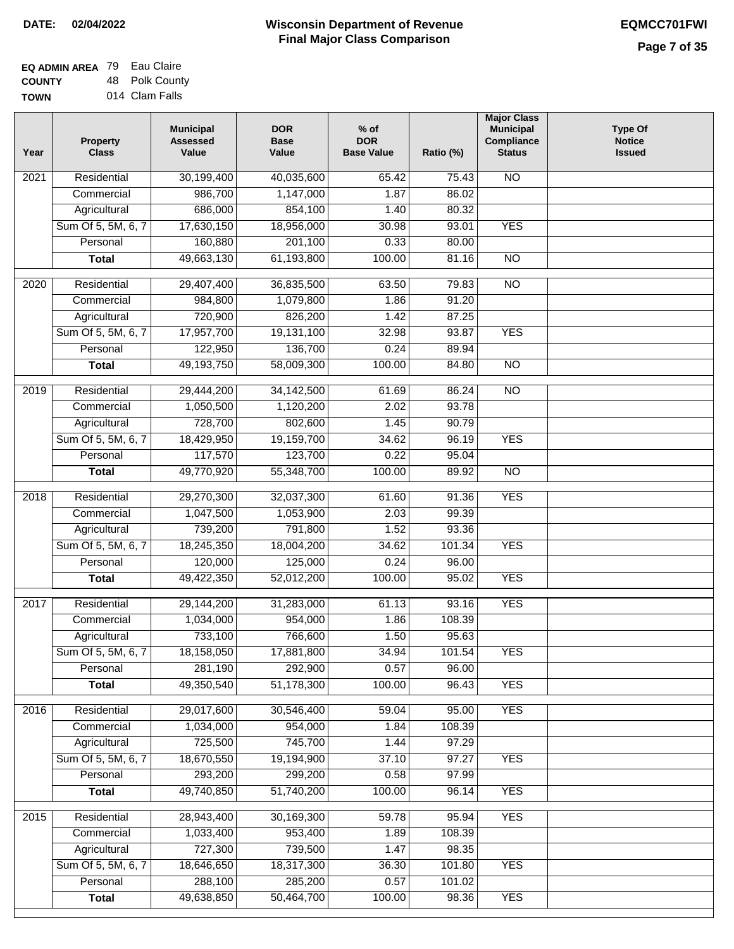| <b>EQ ADMIN AREA 79 Eau Claire</b> |                |
|------------------------------------|----------------|
| <b>COUNTY</b>                      | 48 Polk County |
| <b>TOWN</b>                        | 014 Clam Falls |

| Year | <b>Property</b><br><b>Class</b> | <b>Municipal</b><br><b>Assessed</b><br>Value | <b>DOR</b><br><b>Base</b><br>Value | $%$ of<br><b>DOR</b><br><b>Base Value</b> | Ratio (%) | <b>Major Class</b><br><b>Municipal</b><br>Compliance<br><b>Status</b> | <b>Type Of</b><br><b>Notice</b><br><b>Issued</b> |
|------|---------------------------------|----------------------------------------------|------------------------------------|-------------------------------------------|-----------|-----------------------------------------------------------------------|--------------------------------------------------|
| 2021 | Residential                     | 30,199,400                                   | 40,035,600                         | 65.42                                     | 75.43     | <b>NO</b>                                                             |                                                  |
|      | Commercial                      | 986,700                                      | 1,147,000                          | 1.87                                      | 86.02     |                                                                       |                                                  |
|      | Agricultural                    | 686,000                                      | 854,100                            | 1.40                                      | 80.32     |                                                                       |                                                  |
|      | Sum Of 5, 5M, 6, 7              | 17,630,150                                   | 18,956,000                         | 30.98                                     | 93.01     | <b>YES</b>                                                            |                                                  |
|      | Personal                        | 160,880                                      | 201,100                            | 0.33                                      | 80.00     |                                                                       |                                                  |
|      | <b>Total</b>                    | 49,663,130                                   | 61,193,800                         | 100.00                                    | 81.16     | $\overline{NO}$                                                       |                                                  |
| 2020 | Residential                     | 29,407,400                                   | 36,835,500                         | 63.50                                     | 79.83     | $\overline{NO}$                                                       |                                                  |
|      | Commercial                      | 984,800                                      | 1,079,800                          | 1.86                                      | 91.20     |                                                                       |                                                  |
|      | Agricultural                    | 720,900                                      | 826,200                            | 1.42                                      | 87.25     |                                                                       |                                                  |
|      | Sum Of 5, 5M, 6, 7              | 17,957,700                                   | 19,131,100                         | 32.98                                     | 93.87     | <b>YES</b>                                                            |                                                  |
|      | Personal                        | 122,950                                      | 136,700                            | 0.24                                      | 89.94     |                                                                       |                                                  |
|      | <b>Total</b>                    | 49,193,750                                   | 58,009,300                         | 100.00                                    | 84.80     | $\overline{NO}$                                                       |                                                  |
| 2019 | Residential                     | 29,444,200                                   | 34,142,500                         | 61.69                                     | 86.24     | $\overline{NO}$                                                       |                                                  |
|      | Commercial                      | 1,050,500                                    | 1,120,200                          | 2.02                                      | 93.78     |                                                                       |                                                  |
|      | Agricultural                    | 728,700                                      | 802,600                            | 1.45                                      | 90.79     |                                                                       |                                                  |
|      | Sum Of 5, 5M, 6, 7              | 18,429,950                                   | 19,159,700                         | 34.62                                     | 96.19     | <b>YES</b>                                                            |                                                  |
|      | Personal                        | 117,570                                      | 123,700                            | 0.22                                      | 95.04     |                                                                       |                                                  |
|      | <b>Total</b>                    | 49,770,920                                   | 55,348,700                         | 100.00                                    | 89.92     | $\overline{NO}$                                                       |                                                  |
| 2018 | Residential                     | 29,270,300                                   | 32,037,300                         | 61.60                                     | 91.36     | <b>YES</b>                                                            |                                                  |
|      | Commercial                      | 1,047,500                                    | 1,053,900                          | 2.03                                      | 99.39     |                                                                       |                                                  |
|      | Agricultural                    | 739,200                                      | 791,800                            | 1.52                                      | 93.36     |                                                                       |                                                  |
|      | Sum Of 5, 5M, 6, 7              | 18,245,350                                   | 18,004,200                         | 34.62                                     | 101.34    | <b>YES</b>                                                            |                                                  |
|      | Personal                        | 120,000                                      | 125,000                            | 0.24                                      | 96.00     |                                                                       |                                                  |
|      | <b>Total</b>                    | 49,422,350                                   | 52,012,200                         | 100.00                                    | 95.02     | <b>YES</b>                                                            |                                                  |
| 2017 | Residential                     | 29,144,200                                   | 31,283,000                         | 61.13                                     | 93.16     | <b>YES</b>                                                            |                                                  |
|      | Commercial                      | 1,034,000                                    | 954,000                            | 1.86                                      | 108.39    |                                                                       |                                                  |
|      | Agricultural                    | 733,100                                      | 766,600                            | 1.50                                      | 95.63     |                                                                       |                                                  |
|      | Sum Of 5, 5M, 6, 7              | 18,158,050                                   | 17,881,800                         | 34.94                                     | 101.54    | <b>YES</b>                                                            |                                                  |
|      | Personal                        | 281,190                                      | 292,900                            | 0.57                                      | 96.00     |                                                                       |                                                  |
|      | <b>Total</b>                    | 49,350,540                                   | 51,178,300                         | 100.00                                    | 96.43     | <b>YES</b>                                                            |                                                  |
| 2016 | Residential                     | 29,017,600                                   | 30,546,400                         | 59.04                                     | 95.00     | <b>YES</b>                                                            |                                                  |
|      | Commercial                      | 1,034,000                                    | 954,000                            | 1.84                                      | 108.39    |                                                                       |                                                  |
|      | Agricultural                    | 725,500                                      | 745,700                            | 1.44                                      | 97.29     |                                                                       |                                                  |
|      | Sum Of 5, 5M, 6, 7              | 18,670,550                                   | 19,194,900                         | 37.10                                     | 97.27     | <b>YES</b>                                                            |                                                  |
|      | Personal                        | 293,200                                      | 299,200                            | 0.58                                      | 97.99     |                                                                       |                                                  |
|      | <b>Total</b>                    | 49,740,850                                   | 51,740,200                         | 100.00                                    | 96.14     | <b>YES</b>                                                            |                                                  |
| 2015 | Residential                     | 28,943,400                                   | 30,169,300                         | 59.78                                     | 95.94     | <b>YES</b>                                                            |                                                  |
|      | Commercial                      | 1,033,400                                    | 953,400                            | 1.89                                      | 108.39    |                                                                       |                                                  |
|      | Agricultural                    | 727,300                                      | 739,500                            | 1.47                                      | 98.35     |                                                                       |                                                  |
|      | Sum Of 5, 5M, 6, 7              | 18,646,650                                   | 18,317,300                         | 36.30                                     | 101.80    | <b>YES</b>                                                            |                                                  |
|      | Personal                        | 288,100                                      | 285,200                            | 0.57                                      | 101.02    |                                                                       |                                                  |
|      | <b>Total</b>                    | 49,638,850                                   | 50,464,700                         | 100.00                                    | 98.36     | <b>YES</b>                                                            |                                                  |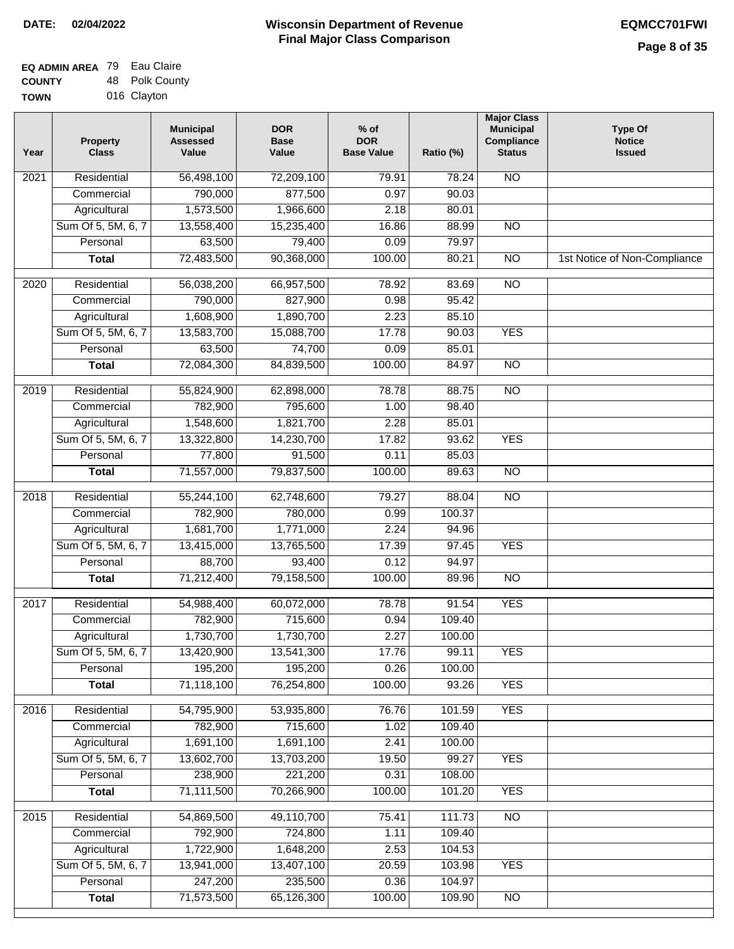| <b>EQ ADMIN AREA 79 Eau Claire</b> |                |
|------------------------------------|----------------|
| <b>COUNTY</b>                      | 48 Polk County |
| <b>TOWN</b>                        | 016 Clayton    |

| Year              | <b>Property</b><br><b>Class</b> | <b>Municipal</b><br><b>Assessed</b><br>Value | <b>DOR</b><br><b>Base</b><br>Value | $%$ of<br><b>DOR</b><br><b>Base Value</b> | Ratio (%) | <b>Major Class</b><br><b>Municipal</b><br>Compliance<br><b>Status</b> | <b>Type Of</b><br><b>Notice</b><br><b>Issued</b> |
|-------------------|---------------------------------|----------------------------------------------|------------------------------------|-------------------------------------------|-----------|-----------------------------------------------------------------------|--------------------------------------------------|
| $\overline{202}1$ | Residential                     | 56,498,100                                   | 72,209,100                         | 79.91                                     | 78.24     | <b>NO</b>                                                             |                                                  |
|                   | Commercial                      | 790,000                                      | 877,500                            | 0.97                                      | 90.03     |                                                                       |                                                  |
|                   | Agricultural                    | 1,573,500                                    | 1,966,600                          | 2.18                                      | 80.01     |                                                                       |                                                  |
|                   | Sum Of 5, 5M, 6, 7              | 13,558,400                                   | 15,235,400                         | 16.86                                     | 88.99     | $\overline{NO}$                                                       |                                                  |
|                   | Personal                        | 63,500                                       | 79,400                             | 0.09                                      | 79.97     |                                                                       |                                                  |
|                   | <b>Total</b>                    | 72,483,500                                   | 90,368,000                         | 100.00                                    | 80.21     | $\overline{NO}$                                                       | 1st Notice of Non-Compliance                     |
| $\overline{2020}$ | Residential                     | 56,038,200                                   | 66,957,500                         | 78.92                                     | 83.69     | $\overline{10}$                                                       |                                                  |
|                   | Commercial                      | 790,000                                      | 827,900                            | 0.98                                      | 95.42     |                                                                       |                                                  |
|                   | Agricultural                    | 1,608,900                                    | 1,890,700                          | 2.23                                      | 85.10     |                                                                       |                                                  |
|                   | Sum Of 5, 5M, 6, 7              | 13,583,700                                   | 15,088,700                         | 17.78                                     | 90.03     | <b>YES</b>                                                            |                                                  |
|                   | Personal                        | 63,500                                       | 74,700                             | 0.09                                      | 85.01     |                                                                       |                                                  |
|                   | <b>Total</b>                    | 72,084,300                                   | 84,839,500                         | 100.00                                    | 84.97     | $\overline{NO}$                                                       |                                                  |
| 2019              | Residential                     | 55,824,900                                   | 62,898,000                         | 78.78                                     | 88.75     | $\overline{10}$                                                       |                                                  |
|                   | Commercial                      | 782,900                                      | 795,600                            | 1.00                                      | 98.40     |                                                                       |                                                  |
|                   | Agricultural                    | 1,548,600                                    | 1,821,700                          | 2.28                                      | 85.01     |                                                                       |                                                  |
|                   | Sum Of 5, 5M, 6, 7              | 13,322,800                                   | 14,230,700                         | 17.82                                     | 93.62     | <b>YES</b>                                                            |                                                  |
|                   | Personal                        | 77,800                                       | 91,500                             | 0.11                                      | 85.03     |                                                                       |                                                  |
|                   | <b>Total</b>                    | 71,557,000                                   | 79,837,500                         | 100.00                                    | 89.63     | $\overline{NO}$                                                       |                                                  |
| 2018              | Residential                     | 55,244,100                                   | 62,748,600                         | 79.27                                     | 88.04     | $\overline{10}$                                                       |                                                  |
|                   | Commercial                      | 782,900                                      | 780,000                            | 0.99                                      | 100.37    |                                                                       |                                                  |
|                   | Agricultural                    | 1,681,700                                    | 1,771,000                          | 2.24                                      | 94.96     |                                                                       |                                                  |
|                   | Sum Of 5, 5M, 6, 7              | 13,415,000                                   | 13,765,500                         | 17.39                                     | 97.45     | <b>YES</b>                                                            |                                                  |
|                   | Personal                        | 88,700                                       | 93,400                             | 0.12                                      | 94.97     |                                                                       |                                                  |
|                   | <b>Total</b>                    | 71,212,400                                   | 79,158,500                         | 100.00                                    | 89.96     | <b>NO</b>                                                             |                                                  |
| 2017              | Residential                     | 54,988,400                                   | 60,072,000                         | 78.78                                     | 91.54     | <b>YES</b>                                                            |                                                  |
|                   | Commercial                      | 782,900                                      | 715,600                            | 0.94                                      | 109.40    |                                                                       |                                                  |
|                   | Agricultural                    | 1,730,700                                    | 1,730,700                          | 2.27                                      | 100.00    |                                                                       |                                                  |
|                   | Sum Of 5, 5M, 6, 7              | 13,420,900                                   | 13,541,300                         | 17.76                                     | 99.11     | <b>YES</b>                                                            |                                                  |
|                   | Personal                        | 195,200                                      | 195,200                            | 0.26                                      | 100.00    |                                                                       |                                                  |
|                   | <b>Total</b>                    | 71,118,100                                   | 76,254,800                         | 100.00                                    | 93.26     | <b>YES</b>                                                            |                                                  |
| 2016              | Residential                     | 54,795,900                                   | 53,935,800                         | 76.76                                     | 101.59    | <b>YES</b>                                                            |                                                  |
|                   | Commercial                      | 782,900                                      | 715,600                            | 1.02                                      | 109.40    |                                                                       |                                                  |
|                   | Agricultural                    | 1,691,100                                    | 1,691,100                          | 2.41                                      | 100.00    |                                                                       |                                                  |
|                   | Sum Of 5, 5M, 6, 7              | 13,602,700                                   | 13,703,200                         | 19.50                                     | 99.27     | <b>YES</b>                                                            |                                                  |
|                   | Personal                        | 238,900                                      | 221,200                            | 0.31                                      | 108.00    |                                                                       |                                                  |
|                   | <b>Total</b>                    | 71,111,500                                   | 70,266,900                         | 100.00                                    | 101.20    | <b>YES</b>                                                            |                                                  |
| 2015              | Residential                     | 54,869,500                                   | 49,110,700                         | 75.41                                     | 111.73    | N <sub>O</sub>                                                        |                                                  |
|                   | Commercial                      | 792,900                                      | 724,800                            | 1.11                                      | 109.40    |                                                                       |                                                  |
|                   | Agricultural                    | 1,722,900                                    | 1,648,200                          | 2.53                                      | 104.53    |                                                                       |                                                  |
|                   | Sum Of 5, 5M, 6, 7              | 13,941,000                                   | 13,407,100                         | 20.59                                     | 103.98    | <b>YES</b>                                                            |                                                  |
|                   | Personal                        | 247,200                                      | 235,500                            | 0.36                                      | 104.97    |                                                                       |                                                  |
|                   | <b>Total</b>                    | 71,573,500                                   | 65,126,300                         | 100.00                                    | 109.90    | NO                                                                    |                                                  |
|                   |                                 |                                              |                                    |                                           |           |                                                                       |                                                  |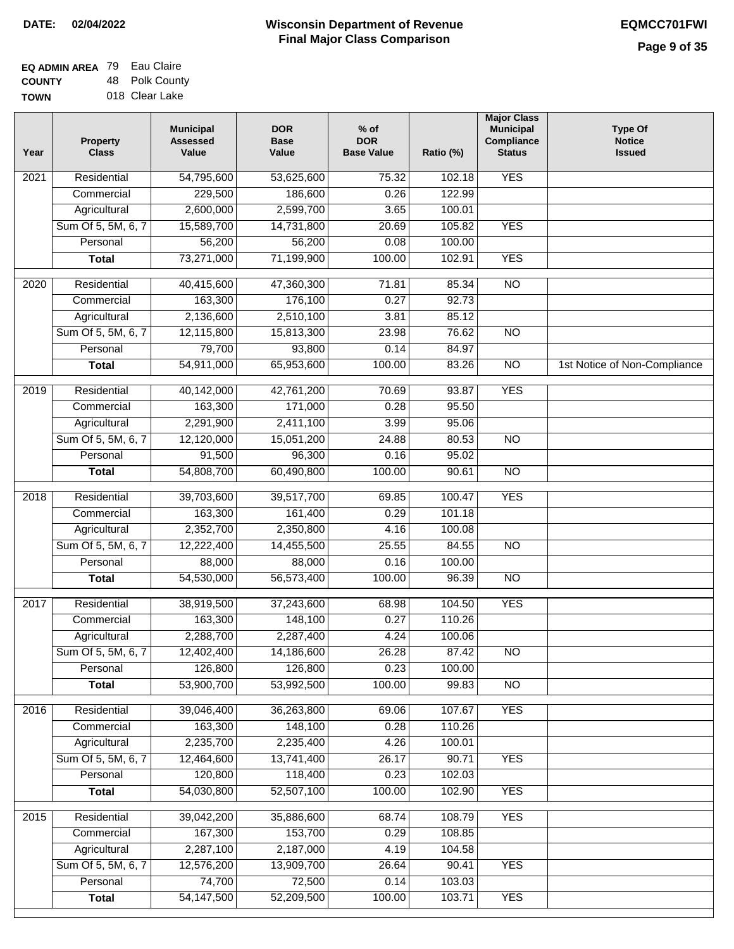| <b>EQ ADMIN AREA 79 Eau Claire</b> |                |
|------------------------------------|----------------|
| <b>COUNTY</b>                      | 48 Polk County |
| <b>TOWN</b>                        | 018 Clear Lake |

| <b>YES</b><br>Residential<br>$\overline{202}1$<br>54,795,600<br>53,625,600<br>75.32<br>102.18<br>229,500<br>186,600<br>0.26<br>122.99<br>Commercial<br>2,600,000<br>Agricultural<br>2,599,700<br>3.65<br>100.01<br>Sum Of 5, 5M, 6, 7<br>15,589,700<br>14,731,800<br>20.69<br>105.82<br><b>YES</b><br>56,200<br>56,200<br>Personal<br>0.08<br>100.00<br>73,271,000<br>71,199,900<br>100.00<br>102.91<br><b>YES</b><br><b>Total</b><br>$\overline{NO}$<br>$\overline{2020}$<br>Residential<br>40,415,600<br>47,360,300<br>71.81<br>85.34<br>163,300<br>92.73<br>Commercial<br>176,100<br>0.27<br>85.12<br>2,136,600<br>2,510,100<br>3.81<br>Agricultural<br>Sum Of 5, 5M, 6, 7<br>12,115,800<br>15,813,300<br>23.98<br>76.62<br>$\overline{NO}$<br>79,700<br>0.14<br>84.97<br>Personal<br>93,800<br>54,911,000<br>65,953,600<br>100.00<br>$\overline{NO}$<br>1st Notice of Non-Compliance<br><b>Total</b><br>83.26<br><b>YES</b><br>2019<br>Residential<br>40,142,000<br>42,761,200<br>70.69<br>93.87<br>163,300<br>171,000<br>0.28<br>95.50<br>Commercial<br>2,291,900<br>95.06<br>2,411,100<br>3.99<br>Agricultural<br>Sum Of 5, 5M, 6, 7<br>12,120,000<br>15,051,200<br>24.88<br>80.53<br>$\overline{NO}$<br>91,500<br>Personal<br>96,300<br>0.16<br>95.02<br>54,808,700<br>100.00<br>$\overline{NO}$<br><b>Total</b><br>60,490,800<br>90.61<br>Residential<br>39,703,600<br>39,517,700<br>100.47<br><b>YES</b><br>2018<br>69.85<br>163,300<br>Commercial<br>161,400<br>0.29<br>101.18<br>2,352,700<br>2,350,800<br>Agricultural<br>4.16<br>100.08<br>Sum Of 5, 5M, 6, 7<br>12,222,400<br>14,455,500<br>25.55<br>84.55<br>$\overline{10}$<br>Personal<br>88,000<br>88,000<br>0.16<br>100.00<br>54,530,000<br>56,573,400<br>100.00<br>96.39<br><b>NO</b><br><b>Total</b><br>2017<br>Residential<br>38,919,500<br>37,243,600<br>104.50<br><b>YES</b><br>68.98<br>Commercial<br>163,300<br>148,100<br>0.27<br>110.26<br>2,288,700<br>2,287,400<br>4.24<br>100.06<br>Agricultural<br>26.28<br>Sum Of 5, 5M, 6, 7<br>12,402,400<br>14,186,600<br>87.42<br><b>NO</b><br>126,800<br>Personal<br>126,800<br>0.23<br>100.00<br>53,900,700<br>53,992,500<br>100.00<br>99.83<br><b>Total</b><br><b>NO</b><br>39,046,400<br><b>YES</b><br>Residential<br>36,263,800<br>107.67<br>2016<br>69.06<br>163,300<br>148,100<br>0.28<br>Commercial<br>110.26<br>2,235,700<br>2,235,400<br>4.26<br>Agricultural<br>100.01<br>Sum Of 5, 5M, 6, 7<br>12,464,600<br>13,741,400<br>26.17<br><b>YES</b><br>90.71<br>120,800<br>118,400<br>102.03<br>Personal<br>0.23<br>54,030,800<br>52,507,100<br>100.00<br>102.90<br><b>YES</b><br><b>Total</b><br>Residential<br><b>YES</b><br>39,042,200<br>35,886,600<br>68.74<br>108.79<br>2015<br>167,300<br>153,700<br>0.29<br>108.85<br>Commercial<br>2,287,100<br>2,187,000<br>4.19<br>104.58<br>Agricultural<br>Sum Of 5, 5M, 6, 7<br>12,576,200<br>13,909,700<br>26.64<br><b>YES</b><br>90.41<br>74,700<br>72,500<br>Personal<br>0.14<br>103.03 | Year | <b>Property</b><br><b>Class</b> | <b>Municipal</b><br><b>Assessed</b><br>Value | <b>DOR</b><br><b>Base</b><br>Value | $%$ of<br><b>DOR</b><br><b>Base Value</b> | Ratio (%) | <b>Major Class</b><br><b>Municipal</b><br>Compliance<br><b>Status</b> | <b>Type Of</b><br><b>Notice</b><br><b>Issued</b> |
|----------------------------------------------------------------------------------------------------------------------------------------------------------------------------------------------------------------------------------------------------------------------------------------------------------------------------------------------------------------------------------------------------------------------------------------------------------------------------------------------------------------------------------------------------------------------------------------------------------------------------------------------------------------------------------------------------------------------------------------------------------------------------------------------------------------------------------------------------------------------------------------------------------------------------------------------------------------------------------------------------------------------------------------------------------------------------------------------------------------------------------------------------------------------------------------------------------------------------------------------------------------------------------------------------------------------------------------------------------------------------------------------------------------------------------------------------------------------------------------------------------------------------------------------------------------------------------------------------------------------------------------------------------------------------------------------------------------------------------------------------------------------------------------------------------------------------------------------------------------------------------------------------------------------------------------------------------------------------------------------------------------------------------------------------------------------------------------------------------------------------------------------------------------------------------------------------------------------------------------------------------------------------------------------------------------------------------------------------------------------------------------------------------------------------------------------------------------------------------------------------------------------------------------------------------------------------------------------------------------------------------------------------------------------------------------------------------------------------------------------------------------------------------------------------------------------------------------------------------------------------------------------------------------------------------------------------------------------|------|---------------------------------|----------------------------------------------|------------------------------------|-------------------------------------------|-----------|-----------------------------------------------------------------------|--------------------------------------------------|
|                                                                                                                                                                                                                                                                                                                                                                                                                                                                                                                                                                                                                                                                                                                                                                                                                                                                                                                                                                                                                                                                                                                                                                                                                                                                                                                                                                                                                                                                                                                                                                                                                                                                                                                                                                                                                                                                                                                                                                                                                                                                                                                                                                                                                                                                                                                                                                                                                                                                                                                                                                                                                                                                                                                                                                                                                                                                                                                                                                      |      |                                 |                                              |                                    |                                           |           |                                                                       |                                                  |
|                                                                                                                                                                                                                                                                                                                                                                                                                                                                                                                                                                                                                                                                                                                                                                                                                                                                                                                                                                                                                                                                                                                                                                                                                                                                                                                                                                                                                                                                                                                                                                                                                                                                                                                                                                                                                                                                                                                                                                                                                                                                                                                                                                                                                                                                                                                                                                                                                                                                                                                                                                                                                                                                                                                                                                                                                                                                                                                                                                      |      |                                 |                                              |                                    |                                           |           |                                                                       |                                                  |
|                                                                                                                                                                                                                                                                                                                                                                                                                                                                                                                                                                                                                                                                                                                                                                                                                                                                                                                                                                                                                                                                                                                                                                                                                                                                                                                                                                                                                                                                                                                                                                                                                                                                                                                                                                                                                                                                                                                                                                                                                                                                                                                                                                                                                                                                                                                                                                                                                                                                                                                                                                                                                                                                                                                                                                                                                                                                                                                                                                      |      |                                 |                                              |                                    |                                           |           |                                                                       |                                                  |
|                                                                                                                                                                                                                                                                                                                                                                                                                                                                                                                                                                                                                                                                                                                                                                                                                                                                                                                                                                                                                                                                                                                                                                                                                                                                                                                                                                                                                                                                                                                                                                                                                                                                                                                                                                                                                                                                                                                                                                                                                                                                                                                                                                                                                                                                                                                                                                                                                                                                                                                                                                                                                                                                                                                                                                                                                                                                                                                                                                      |      |                                 |                                              |                                    |                                           |           |                                                                       |                                                  |
|                                                                                                                                                                                                                                                                                                                                                                                                                                                                                                                                                                                                                                                                                                                                                                                                                                                                                                                                                                                                                                                                                                                                                                                                                                                                                                                                                                                                                                                                                                                                                                                                                                                                                                                                                                                                                                                                                                                                                                                                                                                                                                                                                                                                                                                                                                                                                                                                                                                                                                                                                                                                                                                                                                                                                                                                                                                                                                                                                                      |      |                                 |                                              |                                    |                                           |           |                                                                       |                                                  |
|                                                                                                                                                                                                                                                                                                                                                                                                                                                                                                                                                                                                                                                                                                                                                                                                                                                                                                                                                                                                                                                                                                                                                                                                                                                                                                                                                                                                                                                                                                                                                                                                                                                                                                                                                                                                                                                                                                                                                                                                                                                                                                                                                                                                                                                                                                                                                                                                                                                                                                                                                                                                                                                                                                                                                                                                                                                                                                                                                                      |      |                                 |                                              |                                    |                                           |           |                                                                       |                                                  |
|                                                                                                                                                                                                                                                                                                                                                                                                                                                                                                                                                                                                                                                                                                                                                                                                                                                                                                                                                                                                                                                                                                                                                                                                                                                                                                                                                                                                                                                                                                                                                                                                                                                                                                                                                                                                                                                                                                                                                                                                                                                                                                                                                                                                                                                                                                                                                                                                                                                                                                                                                                                                                                                                                                                                                                                                                                                                                                                                                                      |      |                                 |                                              |                                    |                                           |           |                                                                       |                                                  |
|                                                                                                                                                                                                                                                                                                                                                                                                                                                                                                                                                                                                                                                                                                                                                                                                                                                                                                                                                                                                                                                                                                                                                                                                                                                                                                                                                                                                                                                                                                                                                                                                                                                                                                                                                                                                                                                                                                                                                                                                                                                                                                                                                                                                                                                                                                                                                                                                                                                                                                                                                                                                                                                                                                                                                                                                                                                                                                                                                                      |      |                                 |                                              |                                    |                                           |           |                                                                       |                                                  |
|                                                                                                                                                                                                                                                                                                                                                                                                                                                                                                                                                                                                                                                                                                                                                                                                                                                                                                                                                                                                                                                                                                                                                                                                                                                                                                                                                                                                                                                                                                                                                                                                                                                                                                                                                                                                                                                                                                                                                                                                                                                                                                                                                                                                                                                                                                                                                                                                                                                                                                                                                                                                                                                                                                                                                                                                                                                                                                                                                                      |      |                                 |                                              |                                    |                                           |           |                                                                       |                                                  |
|                                                                                                                                                                                                                                                                                                                                                                                                                                                                                                                                                                                                                                                                                                                                                                                                                                                                                                                                                                                                                                                                                                                                                                                                                                                                                                                                                                                                                                                                                                                                                                                                                                                                                                                                                                                                                                                                                                                                                                                                                                                                                                                                                                                                                                                                                                                                                                                                                                                                                                                                                                                                                                                                                                                                                                                                                                                                                                                                                                      |      |                                 |                                              |                                    |                                           |           |                                                                       |                                                  |
|                                                                                                                                                                                                                                                                                                                                                                                                                                                                                                                                                                                                                                                                                                                                                                                                                                                                                                                                                                                                                                                                                                                                                                                                                                                                                                                                                                                                                                                                                                                                                                                                                                                                                                                                                                                                                                                                                                                                                                                                                                                                                                                                                                                                                                                                                                                                                                                                                                                                                                                                                                                                                                                                                                                                                                                                                                                                                                                                                                      |      |                                 |                                              |                                    |                                           |           |                                                                       |                                                  |
|                                                                                                                                                                                                                                                                                                                                                                                                                                                                                                                                                                                                                                                                                                                                                                                                                                                                                                                                                                                                                                                                                                                                                                                                                                                                                                                                                                                                                                                                                                                                                                                                                                                                                                                                                                                                                                                                                                                                                                                                                                                                                                                                                                                                                                                                                                                                                                                                                                                                                                                                                                                                                                                                                                                                                                                                                                                                                                                                                                      |      |                                 |                                              |                                    |                                           |           |                                                                       |                                                  |
|                                                                                                                                                                                                                                                                                                                                                                                                                                                                                                                                                                                                                                                                                                                                                                                                                                                                                                                                                                                                                                                                                                                                                                                                                                                                                                                                                                                                                                                                                                                                                                                                                                                                                                                                                                                                                                                                                                                                                                                                                                                                                                                                                                                                                                                                                                                                                                                                                                                                                                                                                                                                                                                                                                                                                                                                                                                                                                                                                                      |      |                                 |                                              |                                    |                                           |           |                                                                       |                                                  |
|                                                                                                                                                                                                                                                                                                                                                                                                                                                                                                                                                                                                                                                                                                                                                                                                                                                                                                                                                                                                                                                                                                                                                                                                                                                                                                                                                                                                                                                                                                                                                                                                                                                                                                                                                                                                                                                                                                                                                                                                                                                                                                                                                                                                                                                                                                                                                                                                                                                                                                                                                                                                                                                                                                                                                                                                                                                                                                                                                                      |      |                                 |                                              |                                    |                                           |           |                                                                       |                                                  |
|                                                                                                                                                                                                                                                                                                                                                                                                                                                                                                                                                                                                                                                                                                                                                                                                                                                                                                                                                                                                                                                                                                                                                                                                                                                                                                                                                                                                                                                                                                                                                                                                                                                                                                                                                                                                                                                                                                                                                                                                                                                                                                                                                                                                                                                                                                                                                                                                                                                                                                                                                                                                                                                                                                                                                                                                                                                                                                                                                                      |      |                                 |                                              |                                    |                                           |           |                                                                       |                                                  |
|                                                                                                                                                                                                                                                                                                                                                                                                                                                                                                                                                                                                                                                                                                                                                                                                                                                                                                                                                                                                                                                                                                                                                                                                                                                                                                                                                                                                                                                                                                                                                                                                                                                                                                                                                                                                                                                                                                                                                                                                                                                                                                                                                                                                                                                                                                                                                                                                                                                                                                                                                                                                                                                                                                                                                                                                                                                                                                                                                                      |      |                                 |                                              |                                    |                                           |           |                                                                       |                                                  |
|                                                                                                                                                                                                                                                                                                                                                                                                                                                                                                                                                                                                                                                                                                                                                                                                                                                                                                                                                                                                                                                                                                                                                                                                                                                                                                                                                                                                                                                                                                                                                                                                                                                                                                                                                                                                                                                                                                                                                                                                                                                                                                                                                                                                                                                                                                                                                                                                                                                                                                                                                                                                                                                                                                                                                                                                                                                                                                                                                                      |      |                                 |                                              |                                    |                                           |           |                                                                       |                                                  |
|                                                                                                                                                                                                                                                                                                                                                                                                                                                                                                                                                                                                                                                                                                                                                                                                                                                                                                                                                                                                                                                                                                                                                                                                                                                                                                                                                                                                                                                                                                                                                                                                                                                                                                                                                                                                                                                                                                                                                                                                                                                                                                                                                                                                                                                                                                                                                                                                                                                                                                                                                                                                                                                                                                                                                                                                                                                                                                                                                                      |      |                                 |                                              |                                    |                                           |           |                                                                       |                                                  |
|                                                                                                                                                                                                                                                                                                                                                                                                                                                                                                                                                                                                                                                                                                                                                                                                                                                                                                                                                                                                                                                                                                                                                                                                                                                                                                                                                                                                                                                                                                                                                                                                                                                                                                                                                                                                                                                                                                                                                                                                                                                                                                                                                                                                                                                                                                                                                                                                                                                                                                                                                                                                                                                                                                                                                                                                                                                                                                                                                                      |      |                                 |                                              |                                    |                                           |           |                                                                       |                                                  |
|                                                                                                                                                                                                                                                                                                                                                                                                                                                                                                                                                                                                                                                                                                                                                                                                                                                                                                                                                                                                                                                                                                                                                                                                                                                                                                                                                                                                                                                                                                                                                                                                                                                                                                                                                                                                                                                                                                                                                                                                                                                                                                                                                                                                                                                                                                                                                                                                                                                                                                                                                                                                                                                                                                                                                                                                                                                                                                                                                                      |      |                                 |                                              |                                    |                                           |           |                                                                       |                                                  |
|                                                                                                                                                                                                                                                                                                                                                                                                                                                                                                                                                                                                                                                                                                                                                                                                                                                                                                                                                                                                                                                                                                                                                                                                                                                                                                                                                                                                                                                                                                                                                                                                                                                                                                                                                                                                                                                                                                                                                                                                                                                                                                                                                                                                                                                                                                                                                                                                                                                                                                                                                                                                                                                                                                                                                                                                                                                                                                                                                                      |      |                                 |                                              |                                    |                                           |           |                                                                       |                                                  |
|                                                                                                                                                                                                                                                                                                                                                                                                                                                                                                                                                                                                                                                                                                                                                                                                                                                                                                                                                                                                                                                                                                                                                                                                                                                                                                                                                                                                                                                                                                                                                                                                                                                                                                                                                                                                                                                                                                                                                                                                                                                                                                                                                                                                                                                                                                                                                                                                                                                                                                                                                                                                                                                                                                                                                                                                                                                                                                                                                                      |      |                                 |                                              |                                    |                                           |           |                                                                       |                                                  |
|                                                                                                                                                                                                                                                                                                                                                                                                                                                                                                                                                                                                                                                                                                                                                                                                                                                                                                                                                                                                                                                                                                                                                                                                                                                                                                                                                                                                                                                                                                                                                                                                                                                                                                                                                                                                                                                                                                                                                                                                                                                                                                                                                                                                                                                                                                                                                                                                                                                                                                                                                                                                                                                                                                                                                                                                                                                                                                                                                                      |      |                                 |                                              |                                    |                                           |           |                                                                       |                                                  |
|                                                                                                                                                                                                                                                                                                                                                                                                                                                                                                                                                                                                                                                                                                                                                                                                                                                                                                                                                                                                                                                                                                                                                                                                                                                                                                                                                                                                                                                                                                                                                                                                                                                                                                                                                                                                                                                                                                                                                                                                                                                                                                                                                                                                                                                                                                                                                                                                                                                                                                                                                                                                                                                                                                                                                                                                                                                                                                                                                                      |      |                                 |                                              |                                    |                                           |           |                                                                       |                                                  |
|                                                                                                                                                                                                                                                                                                                                                                                                                                                                                                                                                                                                                                                                                                                                                                                                                                                                                                                                                                                                                                                                                                                                                                                                                                                                                                                                                                                                                                                                                                                                                                                                                                                                                                                                                                                                                                                                                                                                                                                                                                                                                                                                                                                                                                                                                                                                                                                                                                                                                                                                                                                                                                                                                                                                                                                                                                                                                                                                                                      |      |                                 |                                              |                                    |                                           |           |                                                                       |                                                  |
|                                                                                                                                                                                                                                                                                                                                                                                                                                                                                                                                                                                                                                                                                                                                                                                                                                                                                                                                                                                                                                                                                                                                                                                                                                                                                                                                                                                                                                                                                                                                                                                                                                                                                                                                                                                                                                                                                                                                                                                                                                                                                                                                                                                                                                                                                                                                                                                                                                                                                                                                                                                                                                                                                                                                                                                                                                                                                                                                                                      |      |                                 |                                              |                                    |                                           |           |                                                                       |                                                  |
|                                                                                                                                                                                                                                                                                                                                                                                                                                                                                                                                                                                                                                                                                                                                                                                                                                                                                                                                                                                                                                                                                                                                                                                                                                                                                                                                                                                                                                                                                                                                                                                                                                                                                                                                                                                                                                                                                                                                                                                                                                                                                                                                                                                                                                                                                                                                                                                                                                                                                                                                                                                                                                                                                                                                                                                                                                                                                                                                                                      |      |                                 |                                              |                                    |                                           |           |                                                                       |                                                  |
|                                                                                                                                                                                                                                                                                                                                                                                                                                                                                                                                                                                                                                                                                                                                                                                                                                                                                                                                                                                                                                                                                                                                                                                                                                                                                                                                                                                                                                                                                                                                                                                                                                                                                                                                                                                                                                                                                                                                                                                                                                                                                                                                                                                                                                                                                                                                                                                                                                                                                                                                                                                                                                                                                                                                                                                                                                                                                                                                                                      |      |                                 |                                              |                                    |                                           |           |                                                                       |                                                  |
|                                                                                                                                                                                                                                                                                                                                                                                                                                                                                                                                                                                                                                                                                                                                                                                                                                                                                                                                                                                                                                                                                                                                                                                                                                                                                                                                                                                                                                                                                                                                                                                                                                                                                                                                                                                                                                                                                                                                                                                                                                                                                                                                                                                                                                                                                                                                                                                                                                                                                                                                                                                                                                                                                                                                                                                                                                                                                                                                                                      |      |                                 |                                              |                                    |                                           |           |                                                                       |                                                  |
|                                                                                                                                                                                                                                                                                                                                                                                                                                                                                                                                                                                                                                                                                                                                                                                                                                                                                                                                                                                                                                                                                                                                                                                                                                                                                                                                                                                                                                                                                                                                                                                                                                                                                                                                                                                                                                                                                                                                                                                                                                                                                                                                                                                                                                                                                                                                                                                                                                                                                                                                                                                                                                                                                                                                                                                                                                                                                                                                                                      |      |                                 |                                              |                                    |                                           |           |                                                                       |                                                  |
|                                                                                                                                                                                                                                                                                                                                                                                                                                                                                                                                                                                                                                                                                                                                                                                                                                                                                                                                                                                                                                                                                                                                                                                                                                                                                                                                                                                                                                                                                                                                                                                                                                                                                                                                                                                                                                                                                                                                                                                                                                                                                                                                                                                                                                                                                                                                                                                                                                                                                                                                                                                                                                                                                                                                                                                                                                                                                                                                                                      |      |                                 |                                              |                                    |                                           |           |                                                                       |                                                  |
|                                                                                                                                                                                                                                                                                                                                                                                                                                                                                                                                                                                                                                                                                                                                                                                                                                                                                                                                                                                                                                                                                                                                                                                                                                                                                                                                                                                                                                                                                                                                                                                                                                                                                                                                                                                                                                                                                                                                                                                                                                                                                                                                                                                                                                                                                                                                                                                                                                                                                                                                                                                                                                                                                                                                                                                                                                                                                                                                                                      |      |                                 |                                              |                                    |                                           |           |                                                                       |                                                  |
|                                                                                                                                                                                                                                                                                                                                                                                                                                                                                                                                                                                                                                                                                                                                                                                                                                                                                                                                                                                                                                                                                                                                                                                                                                                                                                                                                                                                                                                                                                                                                                                                                                                                                                                                                                                                                                                                                                                                                                                                                                                                                                                                                                                                                                                                                                                                                                                                                                                                                                                                                                                                                                                                                                                                                                                                                                                                                                                                                                      |      |                                 |                                              |                                    |                                           |           |                                                                       |                                                  |
|                                                                                                                                                                                                                                                                                                                                                                                                                                                                                                                                                                                                                                                                                                                                                                                                                                                                                                                                                                                                                                                                                                                                                                                                                                                                                                                                                                                                                                                                                                                                                                                                                                                                                                                                                                                                                                                                                                                                                                                                                                                                                                                                                                                                                                                                                                                                                                                                                                                                                                                                                                                                                                                                                                                                                                                                                                                                                                                                                                      |      |                                 |                                              |                                    |                                           |           |                                                                       |                                                  |
|                                                                                                                                                                                                                                                                                                                                                                                                                                                                                                                                                                                                                                                                                                                                                                                                                                                                                                                                                                                                                                                                                                                                                                                                                                                                                                                                                                                                                                                                                                                                                                                                                                                                                                                                                                                                                                                                                                                                                                                                                                                                                                                                                                                                                                                                                                                                                                                                                                                                                                                                                                                                                                                                                                                                                                                                                                                                                                                                                                      |      |                                 |                                              |                                    |                                           |           |                                                                       |                                                  |
|                                                                                                                                                                                                                                                                                                                                                                                                                                                                                                                                                                                                                                                                                                                                                                                                                                                                                                                                                                                                                                                                                                                                                                                                                                                                                                                                                                                                                                                                                                                                                                                                                                                                                                                                                                                                                                                                                                                                                                                                                                                                                                                                                                                                                                                                                                                                                                                                                                                                                                                                                                                                                                                                                                                                                                                                                                                                                                                                                                      |      |                                 |                                              |                                    |                                           |           |                                                                       |                                                  |
|                                                                                                                                                                                                                                                                                                                                                                                                                                                                                                                                                                                                                                                                                                                                                                                                                                                                                                                                                                                                                                                                                                                                                                                                                                                                                                                                                                                                                                                                                                                                                                                                                                                                                                                                                                                                                                                                                                                                                                                                                                                                                                                                                                                                                                                                                                                                                                                                                                                                                                                                                                                                                                                                                                                                                                                                                                                                                                                                                                      |      |                                 |                                              |                                    |                                           |           |                                                                       |                                                  |
|                                                                                                                                                                                                                                                                                                                                                                                                                                                                                                                                                                                                                                                                                                                                                                                                                                                                                                                                                                                                                                                                                                                                                                                                                                                                                                                                                                                                                                                                                                                                                                                                                                                                                                                                                                                                                                                                                                                                                                                                                                                                                                                                                                                                                                                                                                                                                                                                                                                                                                                                                                                                                                                                                                                                                                                                                                                                                                                                                                      |      |                                 |                                              |                                    |                                           |           |                                                                       |                                                  |
|                                                                                                                                                                                                                                                                                                                                                                                                                                                                                                                                                                                                                                                                                                                                                                                                                                                                                                                                                                                                                                                                                                                                                                                                                                                                                                                                                                                                                                                                                                                                                                                                                                                                                                                                                                                                                                                                                                                                                                                                                                                                                                                                                                                                                                                                                                                                                                                                                                                                                                                                                                                                                                                                                                                                                                                                                                                                                                                                                                      |      |                                 |                                              |                                    |                                           |           |                                                                       |                                                  |
|                                                                                                                                                                                                                                                                                                                                                                                                                                                                                                                                                                                                                                                                                                                                                                                                                                                                                                                                                                                                                                                                                                                                                                                                                                                                                                                                                                                                                                                                                                                                                                                                                                                                                                                                                                                                                                                                                                                                                                                                                                                                                                                                                                                                                                                                                                                                                                                                                                                                                                                                                                                                                                                                                                                                                                                                                                                                                                                                                                      |      |                                 |                                              |                                    |                                           |           |                                                                       |                                                  |
|                                                                                                                                                                                                                                                                                                                                                                                                                                                                                                                                                                                                                                                                                                                                                                                                                                                                                                                                                                                                                                                                                                                                                                                                                                                                                                                                                                                                                                                                                                                                                                                                                                                                                                                                                                                                                                                                                                                                                                                                                                                                                                                                                                                                                                                                                                                                                                                                                                                                                                                                                                                                                                                                                                                                                                                                                                                                                                                                                                      |      |                                 |                                              |                                    |                                           |           |                                                                       |                                                  |
|                                                                                                                                                                                                                                                                                                                                                                                                                                                                                                                                                                                                                                                                                                                                                                                                                                                                                                                                                                                                                                                                                                                                                                                                                                                                                                                                                                                                                                                                                                                                                                                                                                                                                                                                                                                                                                                                                                                                                                                                                                                                                                                                                                                                                                                                                                                                                                                                                                                                                                                                                                                                                                                                                                                                                                                                                                                                                                                                                                      |      | <b>Total</b>                    | 54, 147, 500                                 | 52,209,500                         | 100.00                                    | 103.71    | <b>YES</b>                                                            |                                                  |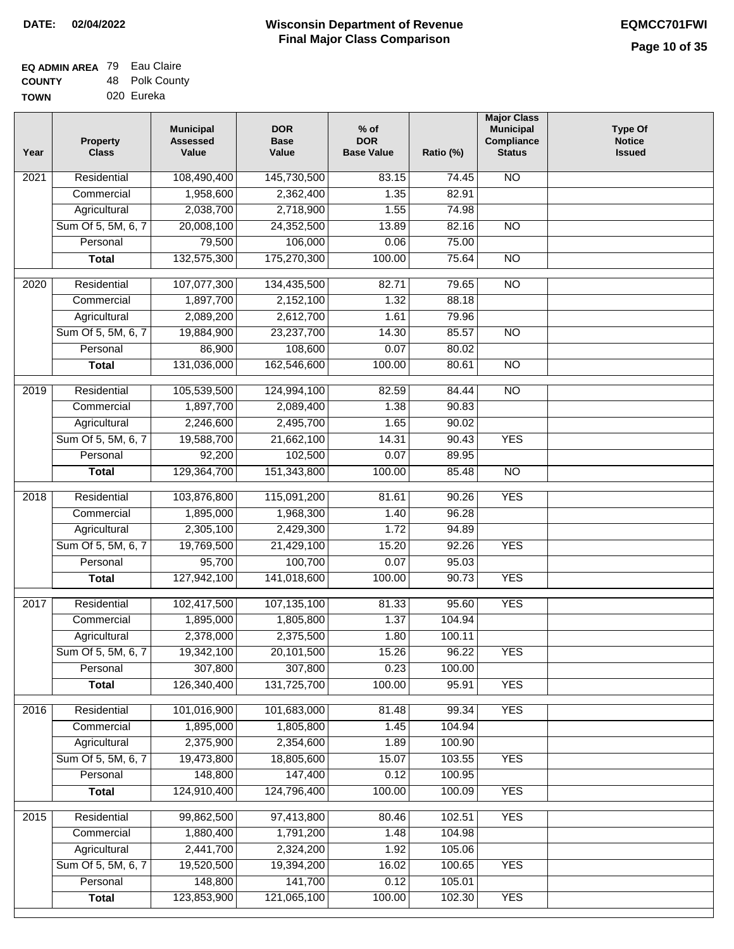| <b>EQ ADMIN AREA 79 Eau Claire</b> |                |
|------------------------------------|----------------|
| <b>COUNTY</b>                      | 48 Polk County |
| <b>TOWN</b>                        | 020 Eureka     |

| Year | Property<br><b>Class</b> | <b>Municipal</b><br><b>Assessed</b><br>Value | <b>DOR</b><br><b>Base</b><br>Value | $%$ of<br><b>DOR</b><br><b>Base Value</b> | Ratio (%) | <b>Major Class</b><br><b>Municipal</b><br>Compliance<br><b>Status</b> | <b>Type Of</b><br><b>Notice</b><br><b>Issued</b> |
|------|--------------------------|----------------------------------------------|------------------------------------|-------------------------------------------|-----------|-----------------------------------------------------------------------|--------------------------------------------------|
| 2021 | Residential              | 108,490,400                                  | 145,730,500                        | 83.15                                     | 74.45     | $\overline{NO}$                                                       |                                                  |
|      | Commercial               | 1,958,600                                    | 2,362,400                          | 1.35                                      | 82.91     |                                                                       |                                                  |
|      | Agricultural             | 2,038,700                                    | 2,718,900                          | 1.55                                      | 74.98     |                                                                       |                                                  |
|      | Sum Of 5, 5M, 6, 7       | 20,008,100                                   | 24,352,500                         | 13.89                                     | 82.16     | $\overline{NO}$                                                       |                                                  |
|      | Personal                 | 79,500                                       | 106,000                            | 0.06                                      | 75.00     |                                                                       |                                                  |
|      | <b>Total</b>             | 132,575,300                                  | 175,270,300                        | 100.00                                    | 75.64     | $\overline{NO}$                                                       |                                                  |
| 2020 | Residential              | 107,077,300                                  | 134,435,500                        | 82.71                                     | 79.65     | $\overline{NO}$                                                       |                                                  |
|      | Commercial               | 1,897,700                                    | 2,152,100                          | 1.32                                      | 88.18     |                                                                       |                                                  |
|      | Agricultural             | 2,089,200                                    | 2,612,700                          | 1.61                                      | 79.96     |                                                                       |                                                  |
|      | Sum Of 5, 5M, 6, 7       | 19,884,900                                   | 23,237,700                         | 14.30                                     | 85.57     | $\overline{NO}$                                                       |                                                  |
|      | Personal                 | 86,900                                       | 108,600                            | 0.07                                      | 80.02     |                                                                       |                                                  |
|      | <b>Total</b>             | 131,036,000                                  | 162,546,600                        | 100.00                                    | 80.61     | $\overline{NO}$                                                       |                                                  |
|      |                          |                                              |                                    |                                           |           |                                                                       |                                                  |
| 2019 | Residential              | 105,539,500                                  | 124,994,100                        | 82.59                                     | 84.44     | <b>NO</b>                                                             |                                                  |
|      | Commercial               | 1,897,700                                    | 2,089,400                          | 1.38                                      | 90.83     |                                                                       |                                                  |
|      | Agricultural             | 2,246,600                                    | 2,495,700                          | 1.65                                      | 90.02     |                                                                       |                                                  |
|      | Sum Of 5, 5M, 6, 7       | 19,588,700                                   | 21,662,100                         | 14.31                                     | 90.43     | <b>YES</b>                                                            |                                                  |
|      | Personal                 | 92,200                                       | 102,500                            | 0.07                                      | 89.95     |                                                                       |                                                  |
|      | <b>Total</b>             | 129,364,700                                  | 151,343,800                        | 100.00                                    | 85.48     | <b>NO</b>                                                             |                                                  |
| 2018 | Residential              | 103,876,800                                  | 115,091,200                        | 81.61                                     | 90.26     | <b>YES</b>                                                            |                                                  |
|      | Commercial               | 1,895,000                                    | 1,968,300                          | 1.40                                      | 96.28     |                                                                       |                                                  |
|      | Agricultural             | 2,305,100                                    | 2,429,300                          | 1.72                                      | 94.89     |                                                                       |                                                  |
|      | Sum Of 5, 5M, 6, 7       | 19,769,500                                   | 21,429,100                         | 15.20                                     | 92.26     | <b>YES</b>                                                            |                                                  |
|      | Personal                 | 95,700                                       | 100,700                            | 0.07                                      | 95.03     |                                                                       |                                                  |
|      | <b>Total</b>             | 127,942,100                                  | 141,018,600                        | 100.00                                    | 90.73     | <b>YES</b>                                                            |                                                  |
| 2017 | Residential              | 102,417,500                                  | 107,135,100                        | 81.33                                     | 95.60     | <b>YES</b>                                                            |                                                  |
|      | Commercial               | 1,895,000                                    | 1,805,800                          | 1.37                                      | 104.94    |                                                                       |                                                  |
|      | Agricultural             | 2,378,000                                    | 2,375,500                          | 1.80                                      | 100.11    |                                                                       |                                                  |
|      | Sum Of 5, 5M, 6, 7       | 19,342,100                                   | 20,101,500                         | 15.26                                     | 96.22     | <b>YES</b>                                                            |                                                  |
|      | Personal                 | 307,800                                      | 307,800                            | 0.23                                      | 100.00    |                                                                       |                                                  |
|      | <b>Total</b>             | 126,340,400                                  | 131,725,700                        | 100.00                                    | 95.91     | <b>YES</b>                                                            |                                                  |
| 2016 | Residential              | 101,016,900                                  | 101,683,000                        | 81.48                                     | 99.34     | <b>YES</b>                                                            |                                                  |
|      | Commercial               | 1,895,000                                    | 1,805,800                          | 1.45                                      | 104.94    |                                                                       |                                                  |
|      | Agricultural             | 2,375,900                                    | 2,354,600                          | 1.89                                      | 100.90    |                                                                       |                                                  |
|      | Sum Of 5, 5M, 6, 7       | 19,473,800                                   | 18,805,600                         | 15.07                                     | 103.55    | <b>YES</b>                                                            |                                                  |
|      | Personal                 | 148,800                                      | 147,400                            | 0.12                                      | 100.95    |                                                                       |                                                  |
|      | <b>Total</b>             | 124,910,400                                  | 124,796,400                        | 100.00                                    | 100.09    | <b>YES</b>                                                            |                                                  |
|      |                          |                                              |                                    |                                           |           |                                                                       |                                                  |
| 2015 | Residential              | 99,862,500                                   | 97,413,800                         | 80.46                                     | 102.51    | <b>YES</b>                                                            |                                                  |
|      | Commercial               | 1,880,400                                    | 1,791,200                          | 1.48                                      | 104.98    |                                                                       |                                                  |
|      | Agricultural             | 2,441,700                                    | 2,324,200                          | 1.92                                      | 105.06    |                                                                       |                                                  |
|      | Sum Of 5, 5M, 6, 7       | 19,520,500                                   | 19,394,200                         | 16.02                                     | 100.65    | <b>YES</b>                                                            |                                                  |
|      | Personal                 | 148,800                                      | 141,700                            | 0.12                                      | 105.01    |                                                                       |                                                  |
|      | <b>Total</b>             | 123,853,900                                  | 121,065,100                        | 100.00                                    | 102.30    | <b>YES</b>                                                            |                                                  |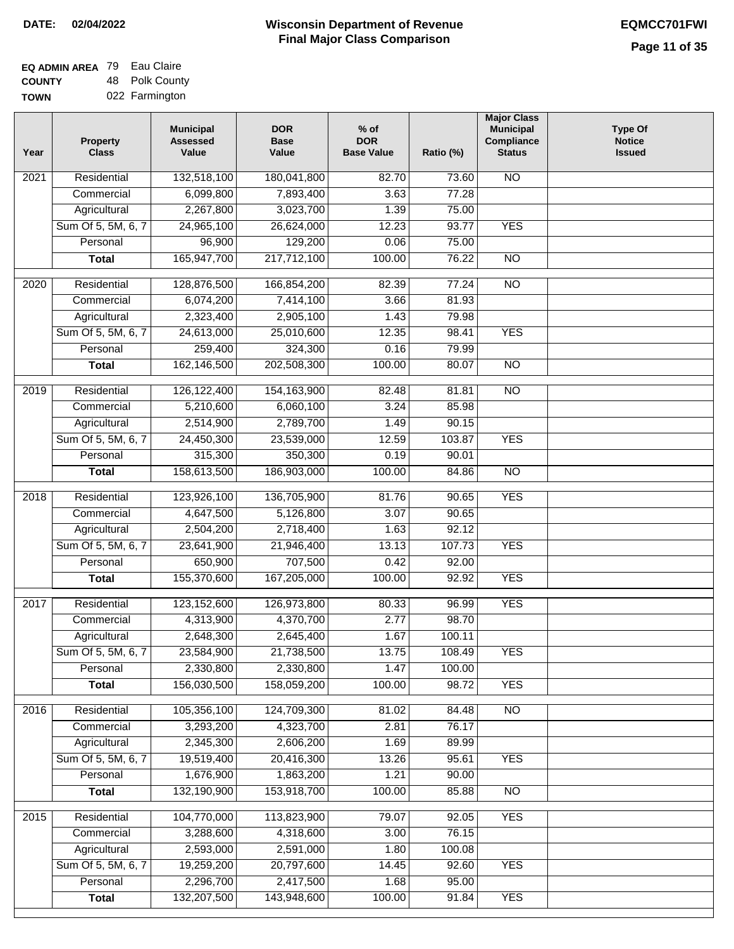| EQ ADMIN AREA 79 Eau Claire |                |
|-----------------------------|----------------|
| <b>COUNTY</b>               | 48 Polk County |
| <b>TOWN</b>                 | 022 Farmington |

| Year              | <b>Property</b><br><b>Class</b> | <b>Municipal</b><br><b>Assessed</b><br>Value | <b>DOR</b><br><b>Base</b><br>Value | $%$ of<br><b>DOR</b><br><b>Base Value</b> | Ratio (%) | <b>Major Class</b><br><b>Municipal</b><br>Compliance<br><b>Status</b> | <b>Type Of</b><br><b>Notice</b><br><b>Issued</b> |
|-------------------|---------------------------------|----------------------------------------------|------------------------------------|-------------------------------------------|-----------|-----------------------------------------------------------------------|--------------------------------------------------|
| 2021              | Residential                     | 132,518,100                                  | 180,041,800                        | 82.70                                     | 73.60     | <b>NO</b>                                                             |                                                  |
|                   | Commercial                      | 6,099,800                                    | 7,893,400                          | 3.63                                      | 77.28     |                                                                       |                                                  |
|                   | Agricultural                    | 2,267,800                                    | 3,023,700                          | 1.39                                      | 75.00     |                                                                       |                                                  |
|                   | Sum Of 5, 5M, 6, 7              | 24,965,100                                   | 26,624,000                         | 12.23                                     | 93.77     | <b>YES</b>                                                            |                                                  |
|                   | Personal                        | 96,900                                       | 129,200                            | 0.06                                      | 75.00     |                                                                       |                                                  |
|                   | <b>Total</b>                    | 165,947,700                                  | 217,712,100                        | 100.00                                    | 76.22     | $\overline{NO}$                                                       |                                                  |
| $\overline{2020}$ | Residential                     | 128,876,500                                  | 166,854,200                        | 82.39                                     | 77.24     | $\overline{NO}$                                                       |                                                  |
|                   | Commercial                      | 6,074,200                                    | 7,414,100                          | 3.66                                      | 81.93     |                                                                       |                                                  |
|                   | Agricultural                    | 2,323,400                                    | 2,905,100                          | 1.43                                      | 79.98     |                                                                       |                                                  |
|                   | Sum Of 5, 5M, 6, 7              | 24,613,000                                   | 25,010,600                         | 12.35                                     | 98.41     | <b>YES</b>                                                            |                                                  |
|                   | Personal                        | 259,400                                      | 324,300                            | 0.16                                      | 79.99     |                                                                       |                                                  |
|                   | <b>Total</b>                    | 162,146,500                                  | 202,508,300                        | 100.00                                    | 80.07     | $\overline{NO}$                                                       |                                                  |
|                   |                                 |                                              |                                    |                                           |           |                                                                       |                                                  |
| 2019              | Residential                     | 126, 122, 400                                | 154, 163, 900                      | 82.48                                     | 81.81     | NO                                                                    |                                                  |
|                   | Commercial                      | 5,210,600                                    | 6,060,100                          | 3.24                                      | 85.98     |                                                                       |                                                  |
|                   | Agricultural                    | 2,514,900                                    | 2,789,700                          | 1.49                                      | 90.15     |                                                                       |                                                  |
|                   | Sum Of 5, 5M, 6, 7              | 24,450,300                                   | 23,539,000                         | 12.59                                     | 103.87    | <b>YES</b>                                                            |                                                  |
|                   | Personal                        | 315,300                                      | 350,300                            | 0.19                                      | 90.01     |                                                                       |                                                  |
|                   | <b>Total</b>                    | 158,613,500                                  | 186,903,000                        | 100.00                                    | 84.86     | $\overline{NO}$                                                       |                                                  |
| 2018              | Residential                     | 123,926,100                                  | 136,705,900                        | 81.76                                     | 90.65     | <b>YES</b>                                                            |                                                  |
|                   | Commercial                      | 4,647,500                                    | 5,126,800                          | 3.07                                      | 90.65     |                                                                       |                                                  |
|                   | Agricultural                    | 2,504,200                                    | 2,718,400                          | 1.63                                      | 92.12     |                                                                       |                                                  |
|                   | Sum Of 5, 5M, 6, 7              | 23,641,900                                   | 21,946,400                         | 13.13                                     | 107.73    | <b>YES</b>                                                            |                                                  |
|                   | Personal                        | 650,900                                      | 707,500                            | 0.42                                      | 92.00     |                                                                       |                                                  |
|                   | <b>Total</b>                    | 155,370,600                                  | 167,205,000                        | 100.00                                    | 92.92     | <b>YES</b>                                                            |                                                  |
| 2017              | Residential                     | 123,152,600                                  | 126,973,800                        | 80.33                                     | 96.99     | <b>YES</b>                                                            |                                                  |
|                   | Commercial                      | 4,313,900                                    | 4,370,700                          | 2.77                                      | 98.70     |                                                                       |                                                  |
|                   | Agricultural                    | 2,648,300                                    | 2,645,400                          | 1.67                                      | 100.11    |                                                                       |                                                  |
|                   | Sum Of 5, 5M, 6, 7              | 23,584,900                                   | 21,738,500                         | 13.75                                     | 108.49    | <b>YES</b>                                                            |                                                  |
|                   | Personal                        | 2,330,800                                    | 2,330,800                          | 1.47                                      | 100.00    |                                                                       |                                                  |
|                   | <b>Total</b>                    | 156,030,500                                  | 158,059,200                        | 100.00                                    | 98.72     | <b>YES</b>                                                            |                                                  |
|                   |                                 |                                              |                                    |                                           |           |                                                                       |                                                  |
| 2016              | Residential                     | 105,356,100                                  | 124,709,300                        | 81.02                                     | 84.48     | $\overline{NO}$                                                       |                                                  |
|                   | Commercial                      | 3,293,200                                    | 4,323,700                          | 2.81                                      | 76.17     |                                                                       |                                                  |
|                   | Agricultural                    | 2,345,300                                    | 2,606,200                          | 1.69                                      | 89.99     |                                                                       |                                                  |
|                   | Sum Of 5, 5M, 6, 7              | 19,519,400                                   | 20,416,300                         | 13.26                                     | 95.61     | <b>YES</b>                                                            |                                                  |
|                   | Personal                        | 1,676,900                                    | 1,863,200                          | 1.21                                      | 90.00     |                                                                       |                                                  |
|                   | <b>Total</b>                    | 132,190,900                                  | 153,918,700                        | 100.00                                    | 85.88     | N <sub>O</sub>                                                        |                                                  |
| 2015              | Residential                     | 104,770,000                                  | 113,823,900                        | 79.07                                     | 92.05     | <b>YES</b>                                                            |                                                  |
|                   | Commercial                      | 3,288,600                                    | 4,318,600                          | 3.00                                      | 76.15     |                                                                       |                                                  |
|                   | Agricultural                    | 2,593,000                                    | 2,591,000                          | 1.80                                      | 100.08    |                                                                       |                                                  |
|                   | Sum Of 5, 5M, 6, 7              | 19,259,200                                   | 20,797,600                         | 14.45                                     | 92.60     | <b>YES</b>                                                            |                                                  |
|                   | Personal                        | 2,296,700                                    | 2,417,500                          | 1.68                                      | 95.00     |                                                                       |                                                  |
|                   | <b>Total</b>                    | 132,207,500                                  | 143,948,600                        | 100.00                                    | 91.84     | <b>YES</b>                                                            |                                                  |
|                   |                                 |                                              |                                    |                                           |           |                                                                       |                                                  |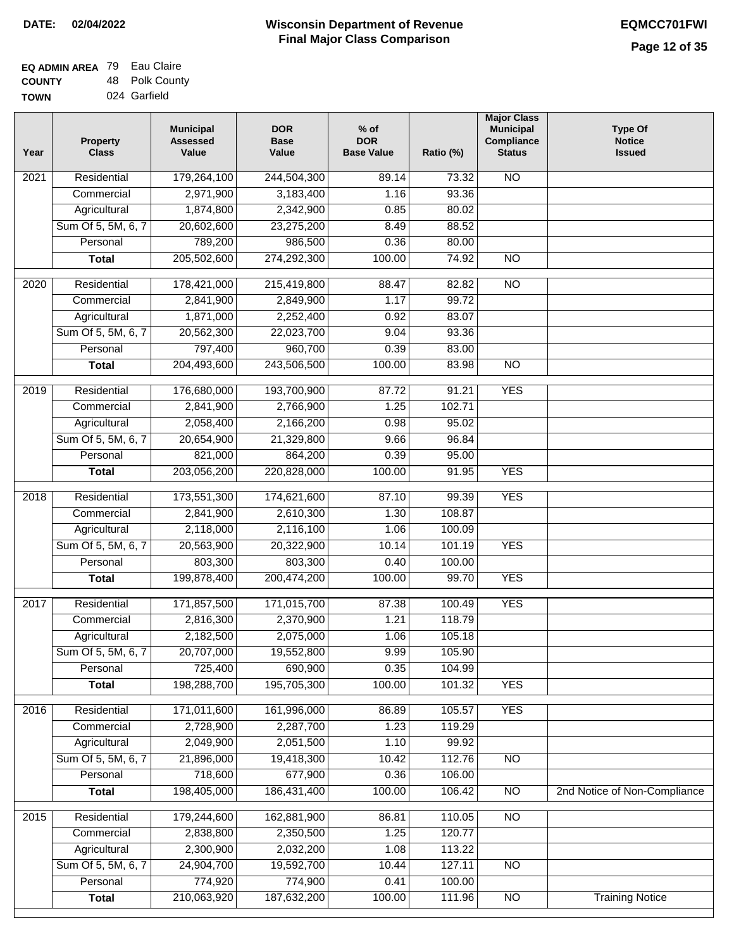| <b>EQ ADMIN AREA 79 Eau Claire</b> |                |
|------------------------------------|----------------|
| <b>COUNTY</b>                      | 48 Polk County |
| <b>TOWN</b>                        | 024 Garfield   |

| Year              | <b>Property</b><br><b>Class</b> | <b>Municipal</b><br><b>Assessed</b><br>Value | <b>DOR</b><br><b>Base</b><br>Value | $%$ of<br><b>DOR</b><br><b>Base Value</b> | Ratio (%) | <b>Major Class</b><br><b>Municipal</b><br>Compliance<br><b>Status</b> | Type Of<br><b>Notice</b><br><b>Issued</b> |
|-------------------|---------------------------------|----------------------------------------------|------------------------------------|-------------------------------------------|-----------|-----------------------------------------------------------------------|-------------------------------------------|
| 2021              | Residential                     | 179,264,100                                  | 244,504,300                        | 89.14                                     | 73.32     | <b>NO</b>                                                             |                                           |
|                   | Commercial                      | 2,971,900                                    | 3,183,400                          | 1.16                                      | 93.36     |                                                                       |                                           |
|                   | Agricultural                    | 1,874,800                                    | 2,342,900                          | 0.85                                      | 80.02     |                                                                       |                                           |
|                   | Sum Of 5, 5M, 6, 7              | 20,602,600                                   | 23,275,200                         | 8.49                                      | 88.52     |                                                                       |                                           |
|                   | Personal                        | 789,200                                      | 986,500                            | 0.36                                      | 80.00     |                                                                       |                                           |
|                   | <b>Total</b>                    | 205,502,600                                  | 274,292,300                        | 100.00                                    | 74.92     | $\overline{NO}$                                                       |                                           |
| $\overline{2020}$ | Residential                     | 178,421,000                                  | 215,419,800                        | 88.47                                     | 82.82     | $\overline{NO}$                                                       |                                           |
|                   | Commercial                      | 2,841,900                                    | 2,849,900                          | 1.17                                      | 99.72     |                                                                       |                                           |
|                   | Agricultural                    | 1,871,000                                    | 2,252,400                          | 0.92                                      | 83.07     |                                                                       |                                           |
|                   | Sum Of 5, 5M, 6, 7              | 20,562,300                                   | 22,023,700                         | 9.04                                      | 93.36     |                                                                       |                                           |
|                   | Personal                        | 797,400                                      | 960,700                            | 0.39                                      | 83.00     |                                                                       |                                           |
|                   | <b>Total</b>                    | 204,493,600                                  | 243,506,500                        | 100.00                                    | 83.98     | $\overline{NO}$                                                       |                                           |
|                   |                                 |                                              |                                    |                                           |           |                                                                       |                                           |
| 2019              | Residential                     | 176,680,000                                  | 193,700,900                        | 87.72                                     | 91.21     | <b>YES</b>                                                            |                                           |
|                   | Commercial                      | 2,841,900                                    | 2,766,900                          | 1.25                                      | 102.71    |                                                                       |                                           |
|                   | Agricultural                    | 2,058,400                                    | 2,166,200                          | 0.98                                      | 95.02     |                                                                       |                                           |
|                   | Sum Of 5, 5M, 6, 7              | 20,654,900                                   | 21,329,800                         | 9.66                                      | 96.84     |                                                                       |                                           |
|                   | Personal                        | 821,000                                      | 864,200                            | 0.39                                      | 95.00     |                                                                       |                                           |
|                   | <b>Total</b>                    | 203,056,200                                  | 220,828,000                        | 100.00                                    | 91.95     | <b>YES</b>                                                            |                                           |
| 2018              | Residential                     | 173,551,300                                  | 174,621,600                        | 87.10                                     | 99.39     | <b>YES</b>                                                            |                                           |
|                   | Commercial                      | 2,841,900                                    | 2,610,300                          | 1.30                                      | 108.87    |                                                                       |                                           |
|                   | Agricultural                    | 2,118,000                                    | 2,116,100                          | 1.06                                      | 100.09    |                                                                       |                                           |
|                   | Sum Of 5, 5M, 6, 7              | 20,563,900                                   | 20,322,900                         | 10.14                                     | 101.19    | <b>YES</b>                                                            |                                           |
|                   | Personal                        | 803,300                                      | 803,300                            | 0.40                                      | 100.00    |                                                                       |                                           |
|                   | <b>Total</b>                    | 199,878,400                                  | 200,474,200                        | 100.00                                    | 99.70     | <b>YES</b>                                                            |                                           |
|                   |                                 |                                              |                                    |                                           |           |                                                                       |                                           |
| $\overline{2017}$ | Residential                     | 171,857,500                                  | 171,015,700                        | 87.38                                     | 100.49    | <b>YES</b>                                                            |                                           |
|                   | Commercial                      | 2,816,300                                    | 2,370,900                          | 1.21                                      | 118.79    |                                                                       |                                           |
|                   | Agricultural                    | 2,182,500                                    | 2,075,000                          | 1.06                                      | 105.18    |                                                                       |                                           |
|                   | Sum Of 5, 5M, 6, 7              | 20,707,000                                   | 19,552,800                         | 9.99                                      | 105.90    |                                                                       |                                           |
|                   | Personal                        | 725,400                                      | 690,900                            | 0.35                                      | 104.99    |                                                                       |                                           |
|                   | <b>Total</b>                    | 198,288,700                                  | 195,705,300                        | 100.00                                    | 101.32    | <b>YES</b>                                                            |                                           |
| 2016              | Residential                     | 171,011,600                                  | 161,996,000                        | 86.89                                     | 105.57    | <b>YES</b>                                                            |                                           |
|                   | Commercial                      | 2,728,900                                    | 2,287,700                          | 1.23                                      | 119.29    |                                                                       |                                           |
|                   | Agricultural                    | 2,049,900                                    | 2,051,500                          | 1.10                                      | 99.92     |                                                                       |                                           |
|                   | Sum Of 5, 5M, 6, 7              | 21,896,000                                   | 19,418,300                         | 10.42                                     | 112.76    | N <sub>O</sub>                                                        |                                           |
|                   | Personal                        | 718,600                                      | 677,900                            | 0.36                                      | 106.00    |                                                                       |                                           |
|                   | <b>Total</b>                    | 198,405,000                                  | 186,431,400                        | 100.00                                    | 106.42    | $\overline{NO}$                                                       | 2nd Notice of Non-Compliance              |
| 2015              | Residential                     | 179,244,600                                  | 162,881,900                        | 86.81                                     | 110.05    | $\overline{NO}$                                                       |                                           |
|                   | Commercial                      | 2,838,800                                    | 2,350,500                          | 1.25                                      | 120.77    |                                                                       |                                           |
|                   | Agricultural                    | 2,300,900                                    | 2,032,200                          | 1.08                                      | 113.22    |                                                                       |                                           |
|                   | Sum Of 5, 5M, 6, 7              | 24,904,700                                   | 19,592,700                         | 10.44                                     | 127.11    | <b>NO</b>                                                             |                                           |
|                   | Personal                        | 774,920                                      | 774,900                            | 0.41                                      | 100.00    |                                                                       |                                           |
|                   | <b>Total</b>                    | 210,063,920                                  | 187,632,200                        | 100.00                                    | 111.96    | NO                                                                    | <b>Training Notice</b>                    |
|                   |                                 |                                              |                                    |                                           |           |                                                                       |                                           |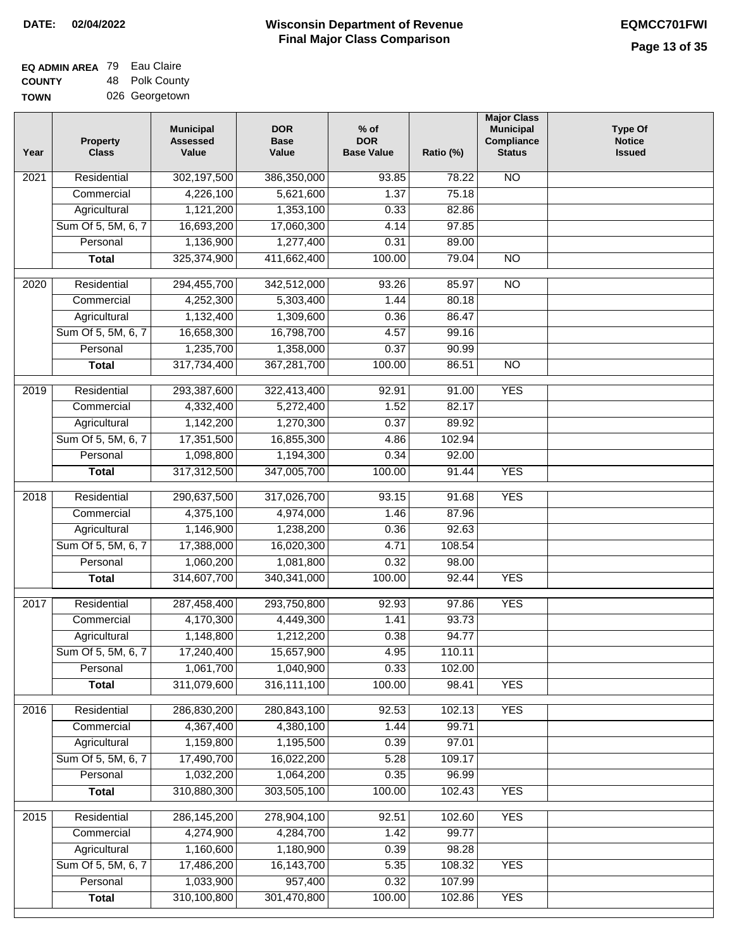| <b>EQ ADMIN AREA</b> 79 Eau Claire |                |
|------------------------------------|----------------|
| <b>COUNTY</b>                      | 48 Polk County |
| <b>TOWN</b>                        | 026 Georgetown |

| Year | <b>Property</b><br><b>Class</b> | <b>Municipal</b><br><b>Assessed</b><br>Value | <b>DOR</b><br><b>Base</b><br>Value | $%$ of<br><b>DOR</b><br><b>Base Value</b> | Ratio (%) | <b>Major Class</b><br><b>Municipal</b><br>Compliance<br><b>Status</b> | <b>Type Of</b><br><b>Notice</b><br><b>Issued</b> |
|------|---------------------------------|----------------------------------------------|------------------------------------|-------------------------------------------|-----------|-----------------------------------------------------------------------|--------------------------------------------------|
| 2021 | Residential                     | 302,197,500                                  | 386,350,000                        | 93.85                                     | 78.22     | <b>NO</b>                                                             |                                                  |
|      | Commercial                      | 4,226,100                                    | 5,621,600                          | 1.37                                      | 75.18     |                                                                       |                                                  |
|      | Agricultural                    | 1,121,200                                    | 1,353,100                          | 0.33                                      | 82.86     |                                                                       |                                                  |
|      | Sum Of 5, 5M, 6, 7              | 16,693,200                                   | 17,060,300                         | 4.14                                      | 97.85     |                                                                       |                                                  |
|      | Personal                        | 1,136,900                                    | 1,277,400                          | 0.31                                      | 89.00     |                                                                       |                                                  |
|      | <b>Total</b>                    | 325,374,900                                  | 411,662,400                        | 100.00                                    | 79.04     | $\overline{NO}$                                                       |                                                  |
| 2020 | Residential                     | 294,455,700                                  | 342,512,000                        | 93.26                                     | 85.97     | $\overline{NO}$                                                       |                                                  |
|      | Commercial                      | 4,252,300                                    | 5,303,400                          | 1.44                                      | 80.18     |                                                                       |                                                  |
|      | Agricultural                    | 1,132,400                                    | 1,309,600                          | 0.36                                      | 86.47     |                                                                       |                                                  |
|      | Sum Of 5, 5M, 6, 7              | 16,658,300                                   | 16,798,700                         | 4.57                                      | 99.16     |                                                                       |                                                  |
|      | Personal                        | 1,235,700                                    | 1,358,000                          | 0.37                                      | 90.99     |                                                                       |                                                  |
|      | <b>Total</b>                    | 317,734,400                                  | 367,281,700                        | 100.00                                    | 86.51     | $\overline{NO}$                                                       |                                                  |
| 2019 | Residential                     | 293,387,600                                  | 322,413,400                        | 92.91                                     | 91.00     | <b>YES</b>                                                            |                                                  |
|      | Commercial                      | 4,332,400                                    | 5,272,400                          | 1.52                                      | 82.17     |                                                                       |                                                  |
|      | Agricultural                    | 1,142,200                                    | 1,270,300                          | 0.37                                      | 89.92     |                                                                       |                                                  |
|      | Sum Of 5, 5M, 6, 7              | 17,351,500                                   | 16,855,300                         | 4.86                                      | 102.94    |                                                                       |                                                  |
|      | Personal                        | 1,098,800                                    | 1,194,300                          | 0.34                                      | 92.00     |                                                                       |                                                  |
|      | <b>Total</b>                    | 317,312,500                                  | 347,005,700                        | 100.00                                    | 91.44     | <b>YES</b>                                                            |                                                  |
| 2018 | Residential                     | 290,637,500                                  | 317,026,700                        | 93.15                                     | 91.68     | <b>YES</b>                                                            |                                                  |
|      | Commercial                      | 4,375,100                                    | 4,974,000                          | 1.46                                      | 87.96     |                                                                       |                                                  |
|      | Agricultural                    | 1,146,900                                    | 1,238,200                          | 0.36                                      | 92.63     |                                                                       |                                                  |
|      | Sum Of 5, 5M, 6, 7              | 17,388,000                                   | 16,020,300                         | 4.71                                      | 108.54    |                                                                       |                                                  |
|      | Personal                        | 1,060,200                                    | 1,081,800                          | 0.32                                      | 98.00     |                                                                       |                                                  |
|      | <b>Total</b>                    | 314,607,700                                  | 340, 341, 000                      | 100.00                                    | 92.44     | <b>YES</b>                                                            |                                                  |
| 2017 | Residential                     | 287,458,400                                  | 293,750,800                        | 92.93                                     | 97.86     | <b>YES</b>                                                            |                                                  |
|      | Commercial                      | 4,170,300                                    | 4,449,300                          | 1.41                                      | 93.73     |                                                                       |                                                  |
|      | Agricultural                    | 1,148,800                                    | 1,212,200                          | 0.38                                      | 94.77     |                                                                       |                                                  |
|      | Sum Of 5, 5M, 6, 7              | 17,240,400                                   | 15,657,900                         | 4.95                                      | 110.11    |                                                                       |                                                  |
|      | Personal                        | 1,061,700                                    | 1,040,900                          | 0.33                                      | 102.00    |                                                                       |                                                  |
|      | <b>Total</b>                    | 311,079,600                                  | 316,111,100                        | 100.00                                    | 98.41     | <b>YES</b>                                                            |                                                  |
| 2016 | Residential                     | 286,830,200                                  | 280,843,100                        | 92.53                                     | 102.13    | <b>YES</b>                                                            |                                                  |
|      | Commercial                      | 4,367,400                                    | 4,380,100                          | 1.44                                      | 99.71     |                                                                       |                                                  |
|      | Agricultural                    | 1,159,800                                    | 1,195,500                          | 0.39                                      | 97.01     |                                                                       |                                                  |
|      | Sum Of 5, 5M, 6, 7              | 17,490,700                                   | 16,022,200                         | 5.28                                      | 109.17    |                                                                       |                                                  |
|      | Personal                        | 1,032,200                                    | 1,064,200                          | 0.35                                      | 96.99     |                                                                       |                                                  |
|      | <b>Total</b>                    | 310,880,300                                  | 303,505,100                        | 100.00                                    | 102.43    | <b>YES</b>                                                            |                                                  |
| 2015 | Residential                     | 286, 145, 200                                | 278,904,100                        | 92.51                                     | 102.60    | <b>YES</b>                                                            |                                                  |
|      | Commercial                      | 4,274,900                                    | 4,284,700                          | 1.42                                      | 99.77     |                                                                       |                                                  |
|      | Agricultural                    | 1,160,600                                    | 1,180,900                          | 0.39                                      | 98.28     |                                                                       |                                                  |
|      | Sum Of 5, 5M, 6, 7              | 17,486,200                                   | 16, 143, 700                       | 5.35                                      | 108.32    | <b>YES</b>                                                            |                                                  |
|      | Personal                        | 1,033,900                                    | 957,400                            | 0.32                                      | 107.99    |                                                                       |                                                  |
|      | <b>Total</b>                    | 310,100,800                                  | 301,470,800                        | 100.00                                    | 102.86    | <b>YES</b>                                                            |                                                  |
|      |                                 |                                              |                                    |                                           |           |                                                                       |                                                  |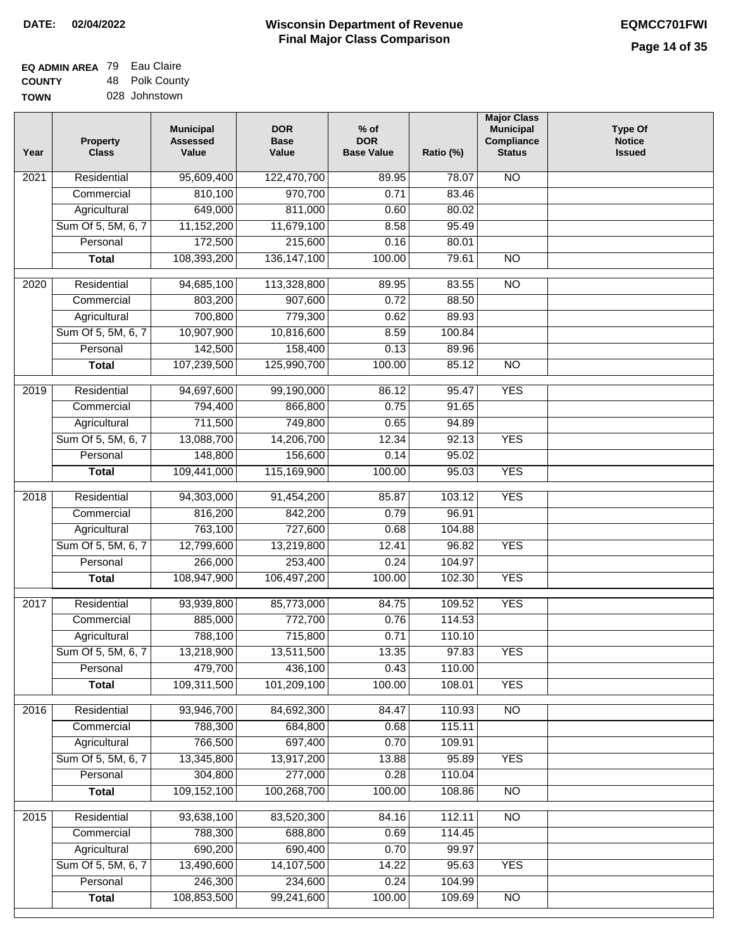| <b>EQ ADMIN AREA 79 Eau Claire</b> |                |
|------------------------------------|----------------|
| <b>COUNTY</b>                      | 48 Polk County |
| <b>TOWN</b>                        | 028 Johnstown  |

| Year              | <b>Property</b><br><b>Class</b> | <b>Municipal</b><br><b>Assessed</b><br>Value | <b>DOR</b><br><b>Base</b><br>Value | $%$ of<br><b>DOR</b><br><b>Base Value</b> | Ratio (%) | <b>Major Class</b><br><b>Municipal</b><br>Compliance<br><b>Status</b> | <b>Type Of</b><br><b>Notice</b><br><b>Issued</b> |
|-------------------|---------------------------------|----------------------------------------------|------------------------------------|-------------------------------------------|-----------|-----------------------------------------------------------------------|--------------------------------------------------|
| 2021              | Residential                     | 95,609,400                                   | 122,470,700                        | 89.95                                     | 78.07     | <b>NO</b>                                                             |                                                  |
|                   | Commercial                      | 810,100                                      | 970,700                            | 0.71                                      | 83.46     |                                                                       |                                                  |
|                   | Agricultural                    | 649,000                                      | 811,000                            | 0.60                                      | 80.02     |                                                                       |                                                  |
|                   | Sum Of 5, 5M, 6, 7              | 11,152,200                                   | 11,679,100                         | 8.58                                      | 95.49     |                                                                       |                                                  |
|                   | Personal                        | 172,500                                      | 215,600                            | 0.16                                      | 80.01     |                                                                       |                                                  |
|                   | <b>Total</b>                    | 108,393,200                                  | 136, 147, 100                      | 100.00                                    | 79.61     | $\overline{NO}$                                                       |                                                  |
| $\overline{2020}$ | Residential                     | 94,685,100                                   | 113,328,800                        | 89.95                                     | 83.55     | $\overline{NO}$                                                       |                                                  |
|                   | Commercial                      | 803,200                                      | 907,600                            | 0.72                                      | 88.50     |                                                                       |                                                  |
|                   | Agricultural                    | 700,800                                      | 779,300                            | 0.62                                      | 89.93     |                                                                       |                                                  |
|                   | Sum Of 5, 5M, 6, 7              | 10,907,900                                   | 10,816,600                         | 8.59                                      | 100.84    |                                                                       |                                                  |
|                   | Personal                        | 142,500                                      | 158,400                            | 0.13                                      | 89.96     |                                                                       |                                                  |
|                   | <b>Total</b>                    | 107,239,500                                  | 125,990,700                        | 100.00                                    | 85.12     | $\overline{NO}$                                                       |                                                  |
| 2019              | Residential                     | 94,697,600                                   | 99,190,000                         | 86.12                                     | 95.47     | <b>YES</b>                                                            |                                                  |
|                   | Commercial                      | 794,400                                      | 866,800                            | 0.75                                      | 91.65     |                                                                       |                                                  |
|                   | Agricultural                    | 711,500                                      | 749,800                            | 0.65                                      | 94.89     |                                                                       |                                                  |
|                   | Sum Of 5, 5M, 6, 7              | 13,088,700                                   | 14,206,700                         | 12.34                                     | 92.13     | <b>YES</b>                                                            |                                                  |
|                   | Personal                        | 148,800                                      | 156,600                            | 0.14                                      | 95.02     |                                                                       |                                                  |
|                   | <b>Total</b>                    | 109,441,000                                  | 115,169,900                        | 100.00                                    | 95.03     | <b>YES</b>                                                            |                                                  |
|                   |                                 |                                              |                                    |                                           |           |                                                                       |                                                  |
| 2018              | Residential                     | 94,303,000                                   | 91,454,200                         | 85.87                                     | 103.12    | <b>YES</b>                                                            |                                                  |
|                   | Commercial                      | 816,200                                      | 842,200                            | 0.79                                      | 96.91     |                                                                       |                                                  |
|                   | Agricultural                    | 763,100                                      | 727,600                            | 0.68                                      | 104.88    |                                                                       |                                                  |
|                   | Sum Of 5, 5M, 6, 7              | 12,799,600                                   | 13,219,800                         | 12.41                                     | 96.82     | <b>YES</b>                                                            |                                                  |
|                   | Personal                        | 266,000                                      | 253,400                            | 0.24                                      | 104.97    |                                                                       |                                                  |
|                   | <b>Total</b>                    | 108,947,900                                  | 106,497,200                        | 100.00                                    | 102.30    | <b>YES</b>                                                            |                                                  |
| 2017              | Residential                     | 93,939,800                                   | 85,773,000                         | 84.75                                     | 109.52    | <b>YES</b>                                                            |                                                  |
|                   | Commercial                      | 885,000                                      | 772,700                            | 0.76                                      | 114.53    |                                                                       |                                                  |
|                   | Agricultural                    | 788,100                                      | 715,800                            | 0.71                                      | 110.10    |                                                                       |                                                  |
|                   | Sum Of 5, 5M, 6, 7              | 13,218,900                                   | 13,511,500                         | 13.35                                     | 97.83     | <b>YES</b>                                                            |                                                  |
|                   | Personal                        | 479,700                                      | 436,100                            | 0.43                                      | 110.00    |                                                                       |                                                  |
|                   | <b>Total</b>                    | 109,311,500                                  | 101,209,100                        | 100.00                                    | 108.01    | <b>YES</b>                                                            |                                                  |
| 2016              | Residential                     | 93,946,700                                   | 84,692,300                         | 84.47                                     | 110.93    | $\overline{NO}$                                                       |                                                  |
|                   | Commercial                      | 788,300                                      | 684,800                            | 0.68                                      | 115.11    |                                                                       |                                                  |
|                   | Agricultural                    | 766,500                                      | 697,400                            | 0.70                                      | 109.91    |                                                                       |                                                  |
|                   | Sum Of 5, 5M, 6, 7              | 13,345,800                                   | 13,917,200                         | 13.88                                     | 95.89     | <b>YES</b>                                                            |                                                  |
|                   | Personal                        | 304,800                                      | 277,000                            | 0.28                                      | 110.04    |                                                                       |                                                  |
|                   | <b>Total</b>                    | 109,152,100                                  | 100,268,700                        | 100.00                                    | 108.86    | N <sub>O</sub>                                                        |                                                  |
| 2015              | Residential                     | 93,638,100                                   | 83,520,300                         | 84.16                                     | 112.11    | N <sub>O</sub>                                                        |                                                  |
|                   | Commercial                      | 788,300                                      | 688,800                            | 0.69                                      | 114.45    |                                                                       |                                                  |
|                   | Agricultural                    | 690,200                                      | 690,400                            | 0.70                                      | 99.97     |                                                                       |                                                  |
|                   | Sum Of 5, 5M, 6, 7              | 13,490,600                                   | 14,107,500                         | 14.22                                     | 95.63     | <b>YES</b>                                                            |                                                  |
|                   | Personal                        | 246,300                                      | 234,600                            | 0.24                                      | 104.99    |                                                                       |                                                  |
|                   | <b>Total</b>                    | 108,853,500                                  | 99,241,600                         | 100.00                                    | 109.69    | NO                                                                    |                                                  |
|                   |                                 |                                              |                                    |                                           |           |                                                                       |                                                  |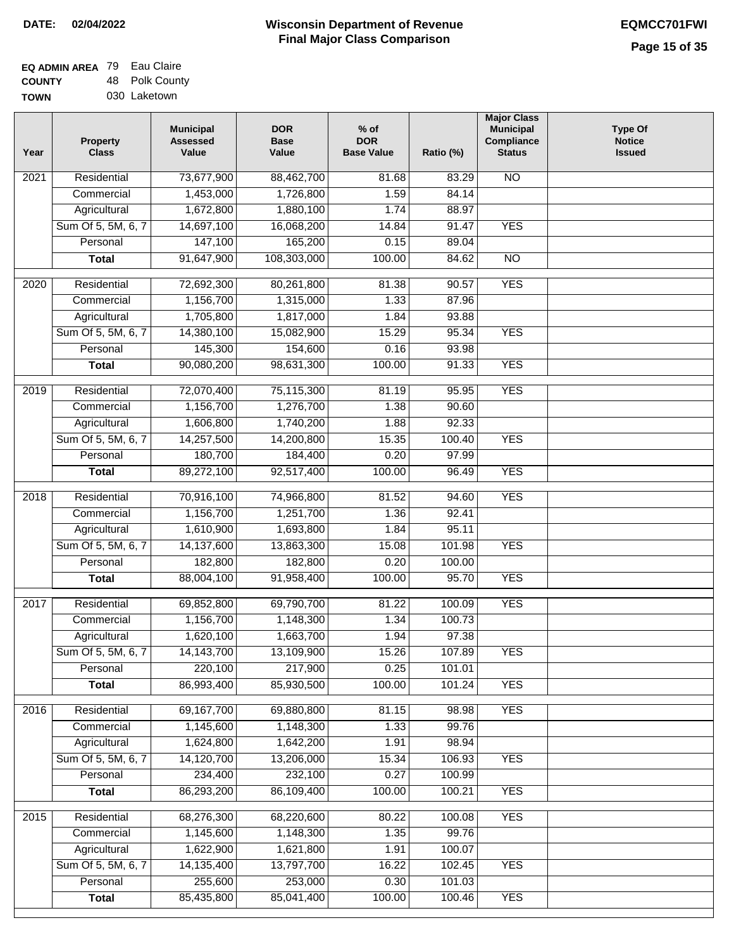| EQ ADMIN AREA 79 | Eau Claire     |
|------------------|----------------|
| <b>COUNTY</b>    | 48 Polk County |
| <b>TOWN</b>      | 030 Laketown   |

| Year              | <b>Property</b><br><b>Class</b> | <b>Municipal</b><br><b>Assessed</b><br>Value | <b>DOR</b><br><b>Base</b><br>Value | $%$ of<br><b>DOR</b><br><b>Base Value</b> | Ratio (%)       | <b>Major Class</b><br><b>Municipal</b><br>Compliance<br><b>Status</b> | <b>Type Of</b><br><b>Notice</b><br><b>Issued</b> |
|-------------------|---------------------------------|----------------------------------------------|------------------------------------|-------------------------------------------|-----------------|-----------------------------------------------------------------------|--------------------------------------------------|
| 2021              | Residential                     | 73,677,900                                   | 88,462,700                         | 81.68                                     | 83.29           | <b>NO</b>                                                             |                                                  |
|                   | Commercial                      | 1,453,000                                    | 1,726,800                          | 1.59                                      | 84.14           |                                                                       |                                                  |
|                   | Agricultural                    | 1,672,800                                    | 1,880,100                          | 1.74                                      | 88.97           |                                                                       |                                                  |
|                   | Sum Of 5, 5M, 6, 7              | 14,697,100                                   | 16,068,200                         | 14.84                                     | 91.47           | <b>YES</b>                                                            |                                                  |
|                   | Personal                        | 147,100                                      | 165,200                            | 0.15                                      | 89.04           |                                                                       |                                                  |
|                   | <b>Total</b>                    | 91,647,900                                   | 108,303,000                        | 100.00                                    | 84.62           | $\overline{NO}$                                                       |                                                  |
| 2020              | Residential                     | 72,692,300                                   | 80,261,800                         | 81.38                                     | 90.57           | <b>YES</b>                                                            |                                                  |
|                   | Commercial                      | 1,156,700                                    | 1,315,000                          | 1.33                                      | 87.96           |                                                                       |                                                  |
|                   | Agricultural                    | 1,705,800                                    | 1,817,000                          | 1.84                                      | 93.88           |                                                                       |                                                  |
|                   | Sum Of 5, 5M, 6, 7              | 14,380,100                                   | 15,082,900                         | 15.29                                     | 95.34           | <b>YES</b>                                                            |                                                  |
|                   | Personal                        | 145,300                                      | 154,600                            | 0.16                                      | 93.98           |                                                                       |                                                  |
|                   | <b>Total</b>                    | 90,080,200                                   | 98,631,300                         | 100.00                                    | 91.33           | <b>YES</b>                                                            |                                                  |
| $\frac{1}{2019}$  | Residential                     | 72,070,400                                   | 75,115,300                         | 81.19                                     | 95.95           | <b>YES</b>                                                            |                                                  |
|                   | Commercial                      | 1,156,700                                    | 1,276,700                          | 1.38                                      | 90.60           |                                                                       |                                                  |
|                   | Agricultural                    | 1,606,800                                    | 1,740,200                          | 1.88                                      | 92.33           |                                                                       |                                                  |
|                   | Sum Of 5, 5M, 6, 7              | 14,257,500                                   | 14,200,800                         | 15.35                                     | 100.40          | <b>YES</b>                                                            |                                                  |
|                   | Personal                        | 180,700                                      | 184,400                            | 0.20                                      | 97.99           |                                                                       |                                                  |
|                   | <b>Total</b>                    | 89,272,100                                   | 92,517,400                         | 100.00                                    | 96.49           | <b>YES</b>                                                            |                                                  |
|                   |                                 |                                              |                                    |                                           |                 |                                                                       |                                                  |
| 2018              | Residential                     | 70,916,100                                   | 74,966,800                         | 81.52                                     | 94.60           | <b>YES</b>                                                            |                                                  |
|                   | Commercial                      | 1,156,700                                    | 1,251,700                          | 1.36                                      | 92.41           |                                                                       |                                                  |
|                   | Agricultural                    | 1,610,900                                    | 1,693,800                          | 1.84                                      | 95.11           |                                                                       |                                                  |
|                   | Sum Of 5, 5M, 6, 7              | 14,137,600                                   | 13,863,300                         | 15.08                                     | 101.98          | <b>YES</b>                                                            |                                                  |
|                   | Personal                        | 182,800                                      | 182,800                            | 0.20                                      | 100.00          |                                                                       |                                                  |
|                   | <b>Total</b>                    | 88,004,100                                   | 91,958,400                         | 100.00                                    | 95.70           | <b>YES</b>                                                            |                                                  |
| $\overline{2017}$ | Residential                     | 69,852,800                                   | 69,790,700                         | 81.22                                     | 100.09          | <b>YES</b>                                                            |                                                  |
|                   | Commercial                      | 1,156,700                                    | 1,148,300                          | 1.34                                      | 100.73          |                                                                       |                                                  |
|                   | Agricultural                    | 1,620,100                                    | 1,663,700                          | 1.94                                      | 97.38           |                                                                       |                                                  |
|                   | Sum Of 5, 5M, 6, 7              | 14,143,700                                   | 13,109,900                         | 15.26                                     | 107.89          | <b>YES</b>                                                            |                                                  |
|                   | Personal                        | 220,100                                      | 217,900                            | 0.25                                      | 101.01          |                                                                       |                                                  |
|                   | <b>Total</b>                    | 86,993,400                                   | 85,930,500                         | 100.00                                    | 101.24          | <b>YES</b>                                                            |                                                  |
| 2016              | Residential                     | 69,167,700                                   | 69,880,800                         | 81.15                                     | 98.98           | <b>YES</b>                                                            |                                                  |
|                   | Commercial                      | 1,145,600                                    | 1,148,300                          | 1.33                                      | 99.76           |                                                                       |                                                  |
|                   | Agricultural                    | 1,624,800                                    | 1,642,200                          | 1.91                                      | 98.94           |                                                                       |                                                  |
|                   | Sum Of 5, 5M, 6, 7              | 14,120,700                                   | 13,206,000                         | 15.34                                     | 106.93          | <b>YES</b>                                                            |                                                  |
|                   | Personal                        | 234,400                                      | 232,100                            | 0.27                                      | 100.99          |                                                                       |                                                  |
|                   | <b>Total</b>                    | 86,293,200                                   | 86,109,400                         | 100.00                                    | 100.21          | <b>YES</b>                                                            |                                                  |
|                   |                                 |                                              |                                    |                                           |                 | <b>YES</b>                                                            |                                                  |
| 2015              | Residential<br>Commercial       | 68,276,300<br>1,145,600                      | 68,220,600<br>1,148,300            | 80.22<br>1.35                             | 100.08<br>99.76 |                                                                       |                                                  |
|                   | Agricultural                    | 1,622,900                                    | 1,621,800                          | 1.91                                      | 100.07          |                                                                       |                                                  |
|                   | Sum Of 5, 5M, 6, 7              | 14,135,400                                   | 13,797,700                         | 16.22                                     | 102.45          | <b>YES</b>                                                            |                                                  |
|                   | Personal                        | 255,600                                      | 253,000                            | 0.30                                      | 101.03          |                                                                       |                                                  |
|                   | <b>Total</b>                    | 85,435,800                                   | 85,041,400                         | 100.00                                    | 100.46          | <b>YES</b>                                                            |                                                  |
|                   |                                 |                                              |                                    |                                           |                 |                                                                       |                                                  |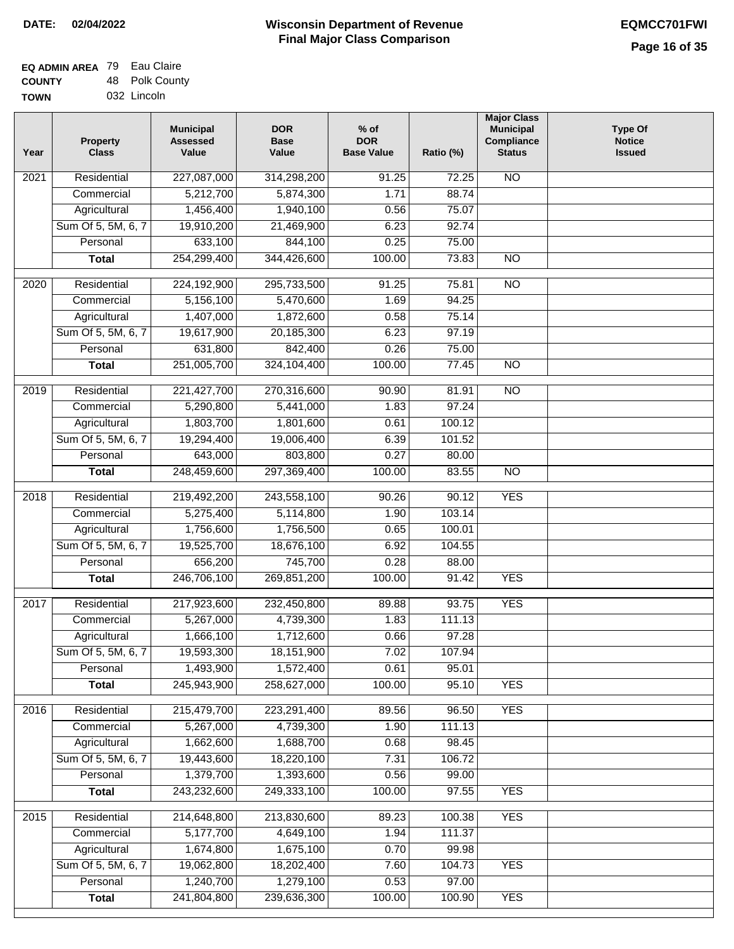| <b>EQ ADMIN AREA 79 Eau Claire</b> |                |
|------------------------------------|----------------|
| <b>COUNTY</b>                      | 48 Polk County |
| <b>TOWN</b>                        | 032 Lincoln    |

| Year | Property<br><b>Class</b> | <b>Municipal</b><br><b>Assessed</b><br>Value | <b>DOR</b><br><b>Base</b><br>Value | $%$ of<br><b>DOR</b><br><b>Base Value</b> | Ratio (%) | <b>Major Class</b><br><b>Municipal</b><br>Compliance<br><b>Status</b> | <b>Type Of</b><br><b>Notice</b><br><b>Issued</b> |
|------|--------------------------|----------------------------------------------|------------------------------------|-------------------------------------------|-----------|-----------------------------------------------------------------------|--------------------------------------------------|
| 2021 | Residential              | 227,087,000                                  | 314,298,200                        | 91.25                                     | 72.25     | $\overline{NO}$                                                       |                                                  |
|      | Commercial               | 5,212,700                                    | 5,874,300                          | 1.71                                      | 88.74     |                                                                       |                                                  |
|      | Agricultural             | 1,456,400                                    | 1,940,100                          | 0.56                                      | 75.07     |                                                                       |                                                  |
|      | Sum Of 5, 5M, 6, 7       | 19,910,200                                   | 21,469,900                         | 6.23                                      | 92.74     |                                                                       |                                                  |
|      | Personal                 | 633,100                                      | 844,100                            | 0.25                                      | 75.00     |                                                                       |                                                  |
|      | <b>Total</b>             | 254,299,400                                  | 344,426,600                        | 100.00                                    | 73.83     | $\overline{NO}$                                                       |                                                  |
| 2020 | Residential              | 224,192,900                                  | 295,733,500                        | 91.25                                     | 75.81     | $\overline{NO}$                                                       |                                                  |
|      | Commercial               | 5,156,100                                    | 5,470,600                          | 1.69                                      | 94.25     |                                                                       |                                                  |
|      | Agricultural             | 1,407,000                                    | 1,872,600                          | 0.58                                      | 75.14     |                                                                       |                                                  |
|      | Sum Of 5, 5M, 6, 7       | 19,617,900                                   | 20,185,300                         | 6.23                                      | 97.19     |                                                                       |                                                  |
|      | Personal                 | 631,800                                      | 842,400                            | 0.26                                      | 75.00     |                                                                       |                                                  |
|      | <b>Total</b>             | 251,005,700                                  | 324,104,400                        | 100.00                                    | 77.45     | $\overline{NO}$                                                       |                                                  |
|      |                          |                                              |                                    |                                           |           |                                                                       |                                                  |
| 2019 | Residential              | 221,427,700                                  | 270,316,600                        | 90.90                                     | 81.91     | <b>NO</b>                                                             |                                                  |
|      | Commercial               | 5,290,800                                    | 5,441,000                          | 1.83                                      | 97.24     |                                                                       |                                                  |
|      | Agricultural             | 1,803,700                                    | 1,801,600                          | 0.61                                      | 100.12    |                                                                       |                                                  |
|      | Sum Of 5, 5M, 6, 7       | 19,294,400                                   | 19,006,400                         | 6.39                                      | 101.52    |                                                                       |                                                  |
|      | Personal                 | 643,000                                      | 803,800                            | 0.27                                      | 80.00     |                                                                       |                                                  |
|      | <b>Total</b>             | 248,459,600                                  | 297,369,400                        | 100.00                                    | 83.55     | <b>NO</b>                                                             |                                                  |
| 2018 | Residential              | 219,492,200                                  | 243,558,100                        | 90.26                                     | 90.12     | <b>YES</b>                                                            |                                                  |
|      | Commercial               | 5,275,400                                    | 5,114,800                          | 1.90                                      | 103.14    |                                                                       |                                                  |
|      | Agricultural             | 1,756,600                                    | 1,756,500                          | 0.65                                      | 100.01    |                                                                       |                                                  |
|      | Sum Of 5, 5M, 6, 7       | 19,525,700                                   | 18,676,100                         | 6.92                                      | 104.55    |                                                                       |                                                  |
|      | Personal                 | 656,200                                      | 745,700                            | 0.28                                      | 88.00     |                                                                       |                                                  |
|      | <b>Total</b>             | 246,706,100                                  | 269,851,200                        | 100.00                                    | 91.42     | <b>YES</b>                                                            |                                                  |
| 2017 | Residential              | 217,923,600                                  | 232,450,800                        | 89.88                                     | 93.75     | <b>YES</b>                                                            |                                                  |
|      | Commercial               | 5,267,000                                    | 4,739,300                          | 1.83                                      | 111.13    |                                                                       |                                                  |
|      | Agricultural             | 1,666,100                                    | 1,712,600                          | 0.66                                      | 97.28     |                                                                       |                                                  |
|      | Sum Of 5, 5M, 6, 7       | 19,593,300                                   | 18,151,900                         | 7.02                                      | 107.94    |                                                                       |                                                  |
|      | Personal                 | 1,493,900                                    | 1,572,400                          | 0.61                                      | 95.01     |                                                                       |                                                  |
|      | <b>Total</b>             | 245,943,900                                  | 258,627,000                        | 100.00                                    | 95.10     | <b>YES</b>                                                            |                                                  |
| 2016 | Residential              | 215,479,700                                  | 223,291,400                        | 89.56                                     | 96.50     | <b>YES</b>                                                            |                                                  |
|      | Commercial               | 5,267,000                                    | 4,739,300                          | 1.90                                      | 111.13    |                                                                       |                                                  |
|      | Agricultural             | 1,662,600                                    | 1,688,700                          | 0.68                                      | 98.45     |                                                                       |                                                  |
|      | Sum Of 5, 5M, 6, 7       | 19,443,600                                   | 18,220,100                         | 7.31                                      | 106.72    |                                                                       |                                                  |
|      | Personal                 | 1,379,700                                    | 1,393,600                          | 0.56                                      | 99.00     |                                                                       |                                                  |
|      | <b>Total</b>             | 243,232,600                                  | 249,333,100                        | 100.00                                    | 97.55     | <b>YES</b>                                                            |                                                  |
|      |                          |                                              |                                    |                                           |           |                                                                       |                                                  |
| 2015 | Residential              | 214,648,800                                  | 213,830,600                        | 89.23                                     | 100.38    | <b>YES</b>                                                            |                                                  |
|      | Commercial               | 5,177,700                                    | 4,649,100                          | 1.94                                      | 111.37    |                                                                       |                                                  |
|      | Agricultural             | 1,674,800                                    | 1,675,100                          | 0.70                                      | 99.98     |                                                                       |                                                  |
|      | Sum Of 5, 5M, 6, 7       | 19,062,800                                   | 18,202,400                         | 7.60                                      | 104.73    | <b>YES</b>                                                            |                                                  |
|      | Personal                 | 1,240,700                                    | 1,279,100                          | 0.53                                      | 97.00     |                                                                       |                                                  |
|      | <b>Total</b>             | 241,804,800                                  | 239,636,300                        | 100.00                                    | 100.90    | <b>YES</b>                                                            |                                                  |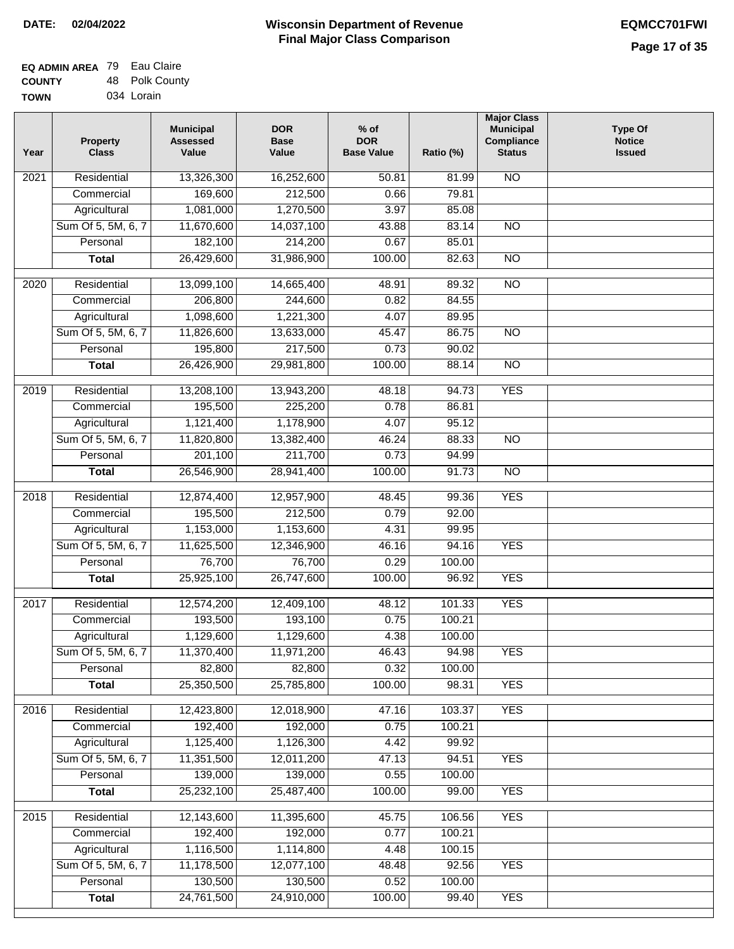| <b>EQ ADMIN AREA</b> 79 Eau Claire |                |
|------------------------------------|----------------|
| <b>COUNTY</b>                      | 48 Polk County |
| <b>TOWN</b>                        | 034 Lorain     |

| Year              | <b>Property</b><br><b>Class</b> | <b>Municipal</b><br><b>Assessed</b><br>Value | <b>DOR</b><br><b>Base</b><br>Value | $%$ of<br><b>DOR</b><br><b>Base Value</b> | Ratio (%)        | <b>Major Class</b><br><b>Municipal</b><br>Compliance<br><b>Status</b> | <b>Type Of</b><br><b>Notice</b><br><b>Issued</b> |
|-------------------|---------------------------------|----------------------------------------------|------------------------------------|-------------------------------------------|------------------|-----------------------------------------------------------------------|--------------------------------------------------|
| 2021              | Residential                     | 13,326,300                                   | 16,252,600                         | 50.81                                     | 81.99            | <b>NO</b>                                                             |                                                  |
|                   | Commercial                      | 169,600                                      | 212,500                            | 0.66                                      | 79.81            |                                                                       |                                                  |
|                   | Agricultural                    | 1,081,000                                    | 1,270,500                          | 3.97                                      | 85.08            |                                                                       |                                                  |
|                   | Sum Of 5, 5M, 6, 7              | 11,670,600                                   | 14,037,100                         | 43.88                                     | 83.14            | $\overline{NO}$                                                       |                                                  |
|                   | Personal                        | 182,100                                      | 214,200                            | 0.67                                      | 85.01            |                                                                       |                                                  |
|                   | <b>Total</b>                    | 26,429,600                                   | 31,986,900                         | 100.00                                    | 82.63            | $\overline{NO}$                                                       |                                                  |
| $\overline{2020}$ | Residential                     | 13,099,100                                   | 14,665,400                         | 48.91                                     | 89.32            | $\overline{NO}$                                                       |                                                  |
|                   | Commercial                      | 206,800                                      | 244,600                            | 0.82                                      | 84.55            |                                                                       |                                                  |
|                   | Agricultural                    | 1,098,600                                    | 1,221,300                          | 4.07                                      | 89.95            |                                                                       |                                                  |
|                   | Sum Of 5, 5M, 6, 7              | 11,826,600                                   | 13,633,000                         | 45.47                                     | 86.75            | <b>NO</b>                                                             |                                                  |
|                   | Personal                        | 195,800                                      | 217,500                            | 0.73                                      | 90.02            |                                                                       |                                                  |
|                   | <b>Total</b>                    | 26,426,900                                   | 29,981,800                         | 100.00                                    | 88.14            | $\overline{NO}$                                                       |                                                  |
| 2019              | Residential                     | 13,208,100                                   | 13,943,200                         | 48.18                                     | 94.73            | <b>YES</b>                                                            |                                                  |
|                   | Commercial                      | 195,500                                      | 225,200                            | 0.78                                      | 86.81            |                                                                       |                                                  |
|                   | Agricultural                    | 1,121,400                                    | 1,178,900                          | 4.07                                      | 95.12            |                                                                       |                                                  |
|                   | Sum Of 5, 5M, 6, 7              | 11,820,800                                   | 13,382,400                         | 46.24                                     | 88.33            | $\overline{NO}$                                                       |                                                  |
|                   | Personal                        | 201,100                                      | 211,700                            | 0.73                                      | 94.99            |                                                                       |                                                  |
|                   | <b>Total</b>                    | 26,546,900                                   | 28,941,400                         | 100.00                                    | 91.73            | $\overline{NO}$                                                       |                                                  |
|                   |                                 |                                              |                                    |                                           |                  |                                                                       |                                                  |
| 2018              | Residential                     | 12,874,400                                   | 12,957,900                         | 48.45                                     | 99.36            | <b>YES</b>                                                            |                                                  |
|                   | Commercial                      | 195,500                                      | 212,500                            | 0.79                                      | 92.00            |                                                                       |                                                  |
|                   | Agricultural                    | 1,153,000                                    | 1,153,600                          | 4.31                                      | 99.95            |                                                                       |                                                  |
|                   | Sum Of 5, 5M, 6, 7              | 11,625,500                                   | 12,346,900                         | 46.16                                     | 94.16            | <b>YES</b>                                                            |                                                  |
|                   | Personal                        | 76,700                                       | 76,700                             | 0.29                                      | 100.00           |                                                                       |                                                  |
|                   | <b>Total</b>                    | 25,925,100                                   | 26,747,600                         | 100.00                                    | 96.92            | <b>YES</b>                                                            |                                                  |
| 2017              | Residential                     | 12,574,200                                   | 12,409,100                         | 48.12                                     | 101.33           | <b>YES</b>                                                            |                                                  |
|                   | Commercial                      | 193,500                                      | 193,100                            | 0.75                                      | 100.21           |                                                                       |                                                  |
|                   | Agricultural                    | 1,129,600                                    | 1,129,600                          | 4.38                                      | 100.00           |                                                                       |                                                  |
|                   | Sum Of 5, 5M, 6, 7              | 11,370,400                                   | 11,971,200                         | 46.43                                     | 94.98            | <b>YES</b>                                                            |                                                  |
|                   | Personal                        | 82,800                                       | 82,800                             | 0.32                                      | 100.00           |                                                                       |                                                  |
|                   | <b>Total</b>                    | 25,350,500                                   | 25,785,800                         | 100.00                                    | 98.31            | <b>YES</b>                                                            |                                                  |
| 2016              | Residential                     | 12,423,800                                   | 12,018,900                         | 47.16                                     | 103.37           | <b>YES</b>                                                            |                                                  |
|                   | Commercial                      | 192,400                                      | 192,000                            | 0.75                                      | 100.21           |                                                                       |                                                  |
|                   | Agricultural                    | 1,125,400                                    | 1,126,300                          | 4.42                                      | 99.92            |                                                                       |                                                  |
|                   | Sum Of 5, 5M, 6, 7              | 11,351,500                                   | 12,011,200                         | 47.13                                     | 94.51            | <b>YES</b>                                                            |                                                  |
|                   | Personal                        | 139,000                                      | 139,000                            | 0.55                                      | 100.00           |                                                                       |                                                  |
|                   | <b>Total</b>                    | 25,232,100                                   | 25,487,400                         | 100.00                                    | 99.00            | <b>YES</b>                                                            |                                                  |
|                   |                                 |                                              |                                    |                                           |                  |                                                                       |                                                  |
| 2015              | Residential<br>Commercial       | 12,143,600<br>192,400                        | 11,395,600<br>192,000              | 45.75<br>0.77                             | 106.56<br>100.21 | <b>YES</b>                                                            |                                                  |
|                   | Agricultural                    | 1,116,500                                    | 1,114,800                          | 4.48                                      | 100.15           |                                                                       |                                                  |
|                   | Sum Of 5, 5M, 6, 7              | 11,178,500                                   | 12,077,100                         | 48.48                                     | 92.56            | <b>YES</b>                                                            |                                                  |
|                   | Personal                        | 130,500                                      | 130,500                            | 0.52                                      | 100.00           |                                                                       |                                                  |
|                   | <b>Total</b>                    | 24,761,500                                   | 24,910,000                         | 100.00                                    | 99.40            | <b>YES</b>                                                            |                                                  |
|                   |                                 |                                              |                                    |                                           |                  |                                                                       |                                                  |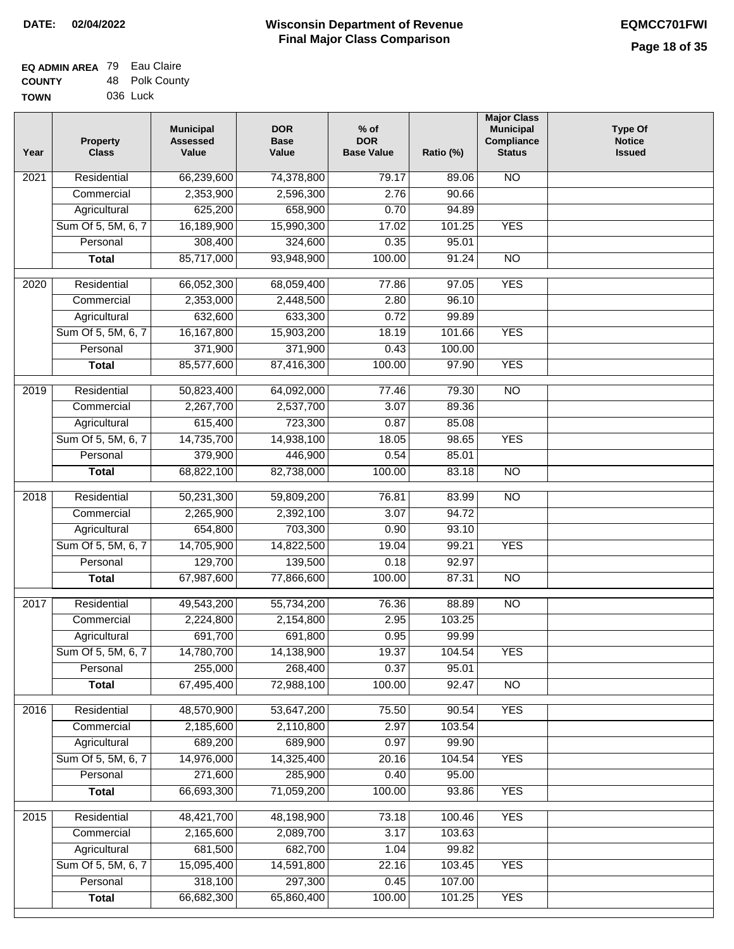| <b>EQ ADMIN AREA 79 Eau Claire</b> |                |
|------------------------------------|----------------|
| <b>COUNTY</b>                      | 48 Polk County |
| <b>TOWN</b>                        | 036 Luck       |

| Residential<br><b>NO</b><br>66,239,600<br>74,378,800<br>79.17<br>2021<br>89.06<br>2,353,900<br>2,596,300<br>2.76<br>90.66<br>Commercial<br>625,200<br>Agricultural<br>658,900<br>0.70<br>94.89<br>Sum Of 5, 5M, 6, 7<br>16,189,900<br><b>YES</b><br>15,990,300<br>17.02<br>101.25<br>308,400<br>95.01<br>324,600<br>0.35<br>Personal<br>85,717,000<br>93,948,900<br>100.00<br>91.24<br>$\overline{NO}$<br><b>Total</b><br><b>YES</b><br>$\overline{2020}$<br>Residential<br>66,052,300<br>68,059,400<br>77.86<br>97.05<br>2,353,000<br>96.10<br>Commercial<br>2,448,500<br>2.80<br>Agricultural<br>632,600<br>633,300<br>0.72<br>99.89<br>Sum Of 5, 5M, 6, 7<br>16, 167, 800<br>15,903,200<br>18.19<br>101.66<br><b>YES</b><br>371,900<br>371,900<br>100.00<br>Personal<br>0.43<br>85,577,600<br>87,416,300<br><b>YES</b><br>100.00<br>97.90<br><b>Total</b><br>2019<br>Residential<br>50,823,400<br>64,092,000<br>77.46<br>79.30<br>$\overline{NO}$<br>2,267,700<br>2,537,700<br>3.07<br>89.36<br>Commercial<br>615,400<br>85.08<br>723,300<br>0.87<br>Agricultural<br>14,735,700<br><b>YES</b><br>Sum Of 5, 5M, 6, 7<br>14,938,100<br>18.05<br>98.65<br>379,900<br>446,900<br>85.01<br>Personal<br>0.54<br>68,822,100<br>100.00<br>83.18<br>$\overline{NO}$<br>82,738,000<br><b>Total</b><br>Residential<br>50,231,300<br>59,809,200<br>76.81<br>83.99<br><b>NO</b><br>2018<br>Commercial<br>2,265,900<br>2,392,100<br>3.07<br>94.72<br>654,800<br>703,300<br>Agricultural<br>0.90<br>93.10<br>14,705,900<br>Sum Of 5, 5M, 6, 7<br>14,822,500<br>19.04<br>99.21<br><b>YES</b><br>129,700<br>Personal<br>139,500<br>0.18<br>92.97<br>67,987,600<br>77,866,600<br>100.00<br><b>NO</b><br>87.31<br><b>Total</b><br>2017<br>Residential<br>49,543,200<br>88.89<br><b>NO</b><br>55,734,200<br>76.36<br>Commercial<br>2,224,800<br>2,154,800<br>2.95<br>103.25<br>691,700<br>691,800<br>0.95<br>99.99<br>Agricultural<br>14,780,700<br>14,138,900<br>19.37<br>Sum Of 5, 5M, 6, 7<br>104.54<br><b>YES</b><br>255,000<br>0.37<br>Personal<br>268,400<br>95.01<br>67,495,400<br>72,988,100<br>100.00<br>92.47<br><b>Total</b><br><b>NO</b><br><b>YES</b><br>Residential<br>48,570,900<br>53,647,200<br>75.50<br>2016<br>90.54<br>2,185,600<br>2,110,800<br>2.97<br>103.54<br>Commercial<br>689,200<br>689,900<br>Agricultural<br>0.97<br>99.90<br>Sum Of 5, 5M, 6, 7<br>14,976,000<br>14,325,400<br>20.16<br><b>YES</b><br>104.54<br>271,600<br>285,900<br>95.00<br>Personal<br>0.40<br><b>YES</b><br>66,693,300<br>71,059,200<br>100.00<br>93.86<br><b>Total</b><br><b>YES</b><br>Residential<br>48,421,700<br>48,198,900<br>73.18<br>100.46<br>2015<br>2,165,600<br>2,089,700<br>3.17<br>103.63<br>Commercial<br>681,500<br>682,700<br>1.04<br>99.82<br>Agricultural<br>Sum Of 5, 5M, 6, 7<br>15,095,400<br>14,591,800<br>22.16<br>103.45<br><b>YES</b><br>318,100<br>297,300<br>107.00<br>Personal<br>0.45<br>66,682,300<br>65,860,400<br>100.00<br><b>YES</b><br><b>Total</b><br>101.25 | Year | <b>Property</b><br><b>Class</b> | <b>Municipal</b><br><b>Assessed</b><br>Value | <b>DOR</b><br><b>Base</b><br>Value | $%$ of<br><b>DOR</b><br><b>Base Value</b> | Ratio (%) | <b>Major Class</b><br><b>Municipal</b><br>Compliance<br><b>Status</b> | <b>Type Of</b><br><b>Notice</b><br><b>Issued</b> |
|--------------------------------------------------------------------------------------------------------------------------------------------------------------------------------------------------------------------------------------------------------------------------------------------------------------------------------------------------------------------------------------------------------------------------------------------------------------------------------------------------------------------------------------------------------------------------------------------------------------------------------------------------------------------------------------------------------------------------------------------------------------------------------------------------------------------------------------------------------------------------------------------------------------------------------------------------------------------------------------------------------------------------------------------------------------------------------------------------------------------------------------------------------------------------------------------------------------------------------------------------------------------------------------------------------------------------------------------------------------------------------------------------------------------------------------------------------------------------------------------------------------------------------------------------------------------------------------------------------------------------------------------------------------------------------------------------------------------------------------------------------------------------------------------------------------------------------------------------------------------------------------------------------------------------------------------------------------------------------------------------------------------------------------------------------------------------------------------------------------------------------------------------------------------------------------------------------------------------------------------------------------------------------------------------------------------------------------------------------------------------------------------------------------------------------------------------------------------------------------------------------------------------------------------------------------------------------------------------------------------------------------------------------------------------------------------------------------------------------------------------------------------------------------------------------------------------------------------------------------------------------------------------------------------------------------------------------------------------------------|------|---------------------------------|----------------------------------------------|------------------------------------|-------------------------------------------|-----------|-----------------------------------------------------------------------|--------------------------------------------------|
|                                                                                                                                                                                                                                                                                                                                                                                                                                                                                                                                                                                                                                                                                                                                                                                                                                                                                                                                                                                                                                                                                                                                                                                                                                                                                                                                                                                                                                                                                                                                                                                                                                                                                                                                                                                                                                                                                                                                                                                                                                                                                                                                                                                                                                                                                                                                                                                                                                                                                                                                                                                                                                                                                                                                                                                                                                                                                                                                                                                      |      |                                 |                                              |                                    |                                           |           |                                                                       |                                                  |
|                                                                                                                                                                                                                                                                                                                                                                                                                                                                                                                                                                                                                                                                                                                                                                                                                                                                                                                                                                                                                                                                                                                                                                                                                                                                                                                                                                                                                                                                                                                                                                                                                                                                                                                                                                                                                                                                                                                                                                                                                                                                                                                                                                                                                                                                                                                                                                                                                                                                                                                                                                                                                                                                                                                                                                                                                                                                                                                                                                                      |      |                                 |                                              |                                    |                                           |           |                                                                       |                                                  |
|                                                                                                                                                                                                                                                                                                                                                                                                                                                                                                                                                                                                                                                                                                                                                                                                                                                                                                                                                                                                                                                                                                                                                                                                                                                                                                                                                                                                                                                                                                                                                                                                                                                                                                                                                                                                                                                                                                                                                                                                                                                                                                                                                                                                                                                                                                                                                                                                                                                                                                                                                                                                                                                                                                                                                                                                                                                                                                                                                                                      |      |                                 |                                              |                                    |                                           |           |                                                                       |                                                  |
|                                                                                                                                                                                                                                                                                                                                                                                                                                                                                                                                                                                                                                                                                                                                                                                                                                                                                                                                                                                                                                                                                                                                                                                                                                                                                                                                                                                                                                                                                                                                                                                                                                                                                                                                                                                                                                                                                                                                                                                                                                                                                                                                                                                                                                                                                                                                                                                                                                                                                                                                                                                                                                                                                                                                                                                                                                                                                                                                                                                      |      |                                 |                                              |                                    |                                           |           |                                                                       |                                                  |
|                                                                                                                                                                                                                                                                                                                                                                                                                                                                                                                                                                                                                                                                                                                                                                                                                                                                                                                                                                                                                                                                                                                                                                                                                                                                                                                                                                                                                                                                                                                                                                                                                                                                                                                                                                                                                                                                                                                                                                                                                                                                                                                                                                                                                                                                                                                                                                                                                                                                                                                                                                                                                                                                                                                                                                                                                                                                                                                                                                                      |      |                                 |                                              |                                    |                                           |           |                                                                       |                                                  |
|                                                                                                                                                                                                                                                                                                                                                                                                                                                                                                                                                                                                                                                                                                                                                                                                                                                                                                                                                                                                                                                                                                                                                                                                                                                                                                                                                                                                                                                                                                                                                                                                                                                                                                                                                                                                                                                                                                                                                                                                                                                                                                                                                                                                                                                                                                                                                                                                                                                                                                                                                                                                                                                                                                                                                                                                                                                                                                                                                                                      |      |                                 |                                              |                                    |                                           |           |                                                                       |                                                  |
|                                                                                                                                                                                                                                                                                                                                                                                                                                                                                                                                                                                                                                                                                                                                                                                                                                                                                                                                                                                                                                                                                                                                                                                                                                                                                                                                                                                                                                                                                                                                                                                                                                                                                                                                                                                                                                                                                                                                                                                                                                                                                                                                                                                                                                                                                                                                                                                                                                                                                                                                                                                                                                                                                                                                                                                                                                                                                                                                                                                      |      |                                 |                                              |                                    |                                           |           |                                                                       |                                                  |
|                                                                                                                                                                                                                                                                                                                                                                                                                                                                                                                                                                                                                                                                                                                                                                                                                                                                                                                                                                                                                                                                                                                                                                                                                                                                                                                                                                                                                                                                                                                                                                                                                                                                                                                                                                                                                                                                                                                                                                                                                                                                                                                                                                                                                                                                                                                                                                                                                                                                                                                                                                                                                                                                                                                                                                                                                                                                                                                                                                                      |      |                                 |                                              |                                    |                                           |           |                                                                       |                                                  |
|                                                                                                                                                                                                                                                                                                                                                                                                                                                                                                                                                                                                                                                                                                                                                                                                                                                                                                                                                                                                                                                                                                                                                                                                                                                                                                                                                                                                                                                                                                                                                                                                                                                                                                                                                                                                                                                                                                                                                                                                                                                                                                                                                                                                                                                                                                                                                                                                                                                                                                                                                                                                                                                                                                                                                                                                                                                                                                                                                                                      |      |                                 |                                              |                                    |                                           |           |                                                                       |                                                  |
|                                                                                                                                                                                                                                                                                                                                                                                                                                                                                                                                                                                                                                                                                                                                                                                                                                                                                                                                                                                                                                                                                                                                                                                                                                                                                                                                                                                                                                                                                                                                                                                                                                                                                                                                                                                                                                                                                                                                                                                                                                                                                                                                                                                                                                                                                                                                                                                                                                                                                                                                                                                                                                                                                                                                                                                                                                                                                                                                                                                      |      |                                 |                                              |                                    |                                           |           |                                                                       |                                                  |
|                                                                                                                                                                                                                                                                                                                                                                                                                                                                                                                                                                                                                                                                                                                                                                                                                                                                                                                                                                                                                                                                                                                                                                                                                                                                                                                                                                                                                                                                                                                                                                                                                                                                                                                                                                                                                                                                                                                                                                                                                                                                                                                                                                                                                                                                                                                                                                                                                                                                                                                                                                                                                                                                                                                                                                                                                                                                                                                                                                                      |      |                                 |                                              |                                    |                                           |           |                                                                       |                                                  |
|                                                                                                                                                                                                                                                                                                                                                                                                                                                                                                                                                                                                                                                                                                                                                                                                                                                                                                                                                                                                                                                                                                                                                                                                                                                                                                                                                                                                                                                                                                                                                                                                                                                                                                                                                                                                                                                                                                                                                                                                                                                                                                                                                                                                                                                                                                                                                                                                                                                                                                                                                                                                                                                                                                                                                                                                                                                                                                                                                                                      |      |                                 |                                              |                                    |                                           |           |                                                                       |                                                  |
|                                                                                                                                                                                                                                                                                                                                                                                                                                                                                                                                                                                                                                                                                                                                                                                                                                                                                                                                                                                                                                                                                                                                                                                                                                                                                                                                                                                                                                                                                                                                                                                                                                                                                                                                                                                                                                                                                                                                                                                                                                                                                                                                                                                                                                                                                                                                                                                                                                                                                                                                                                                                                                                                                                                                                                                                                                                                                                                                                                                      |      |                                 |                                              |                                    |                                           |           |                                                                       |                                                  |
|                                                                                                                                                                                                                                                                                                                                                                                                                                                                                                                                                                                                                                                                                                                                                                                                                                                                                                                                                                                                                                                                                                                                                                                                                                                                                                                                                                                                                                                                                                                                                                                                                                                                                                                                                                                                                                                                                                                                                                                                                                                                                                                                                                                                                                                                                                                                                                                                                                                                                                                                                                                                                                                                                                                                                                                                                                                                                                                                                                                      |      |                                 |                                              |                                    |                                           |           |                                                                       |                                                  |
|                                                                                                                                                                                                                                                                                                                                                                                                                                                                                                                                                                                                                                                                                                                                                                                                                                                                                                                                                                                                                                                                                                                                                                                                                                                                                                                                                                                                                                                                                                                                                                                                                                                                                                                                                                                                                                                                                                                                                                                                                                                                                                                                                                                                                                                                                                                                                                                                                                                                                                                                                                                                                                                                                                                                                                                                                                                                                                                                                                                      |      |                                 |                                              |                                    |                                           |           |                                                                       |                                                  |
|                                                                                                                                                                                                                                                                                                                                                                                                                                                                                                                                                                                                                                                                                                                                                                                                                                                                                                                                                                                                                                                                                                                                                                                                                                                                                                                                                                                                                                                                                                                                                                                                                                                                                                                                                                                                                                                                                                                                                                                                                                                                                                                                                                                                                                                                                                                                                                                                                                                                                                                                                                                                                                                                                                                                                                                                                                                                                                                                                                                      |      |                                 |                                              |                                    |                                           |           |                                                                       |                                                  |
|                                                                                                                                                                                                                                                                                                                                                                                                                                                                                                                                                                                                                                                                                                                                                                                                                                                                                                                                                                                                                                                                                                                                                                                                                                                                                                                                                                                                                                                                                                                                                                                                                                                                                                                                                                                                                                                                                                                                                                                                                                                                                                                                                                                                                                                                                                                                                                                                                                                                                                                                                                                                                                                                                                                                                                                                                                                                                                                                                                                      |      |                                 |                                              |                                    |                                           |           |                                                                       |                                                  |
|                                                                                                                                                                                                                                                                                                                                                                                                                                                                                                                                                                                                                                                                                                                                                                                                                                                                                                                                                                                                                                                                                                                                                                                                                                                                                                                                                                                                                                                                                                                                                                                                                                                                                                                                                                                                                                                                                                                                                                                                                                                                                                                                                                                                                                                                                                                                                                                                                                                                                                                                                                                                                                                                                                                                                                                                                                                                                                                                                                                      |      |                                 |                                              |                                    |                                           |           |                                                                       |                                                  |
|                                                                                                                                                                                                                                                                                                                                                                                                                                                                                                                                                                                                                                                                                                                                                                                                                                                                                                                                                                                                                                                                                                                                                                                                                                                                                                                                                                                                                                                                                                                                                                                                                                                                                                                                                                                                                                                                                                                                                                                                                                                                                                                                                                                                                                                                                                                                                                                                                                                                                                                                                                                                                                                                                                                                                                                                                                                                                                                                                                                      |      |                                 |                                              |                                    |                                           |           |                                                                       |                                                  |
|                                                                                                                                                                                                                                                                                                                                                                                                                                                                                                                                                                                                                                                                                                                                                                                                                                                                                                                                                                                                                                                                                                                                                                                                                                                                                                                                                                                                                                                                                                                                                                                                                                                                                                                                                                                                                                                                                                                                                                                                                                                                                                                                                                                                                                                                                                                                                                                                                                                                                                                                                                                                                                                                                                                                                                                                                                                                                                                                                                                      |      |                                 |                                              |                                    |                                           |           |                                                                       |                                                  |
|                                                                                                                                                                                                                                                                                                                                                                                                                                                                                                                                                                                                                                                                                                                                                                                                                                                                                                                                                                                                                                                                                                                                                                                                                                                                                                                                                                                                                                                                                                                                                                                                                                                                                                                                                                                                                                                                                                                                                                                                                                                                                                                                                                                                                                                                                                                                                                                                                                                                                                                                                                                                                                                                                                                                                                                                                                                                                                                                                                                      |      |                                 |                                              |                                    |                                           |           |                                                                       |                                                  |
|                                                                                                                                                                                                                                                                                                                                                                                                                                                                                                                                                                                                                                                                                                                                                                                                                                                                                                                                                                                                                                                                                                                                                                                                                                                                                                                                                                                                                                                                                                                                                                                                                                                                                                                                                                                                                                                                                                                                                                                                                                                                                                                                                                                                                                                                                                                                                                                                                                                                                                                                                                                                                                                                                                                                                                                                                                                                                                                                                                                      |      |                                 |                                              |                                    |                                           |           |                                                                       |                                                  |
|                                                                                                                                                                                                                                                                                                                                                                                                                                                                                                                                                                                                                                                                                                                                                                                                                                                                                                                                                                                                                                                                                                                                                                                                                                                                                                                                                                                                                                                                                                                                                                                                                                                                                                                                                                                                                                                                                                                                                                                                                                                                                                                                                                                                                                                                                                                                                                                                                                                                                                                                                                                                                                                                                                                                                                                                                                                                                                                                                                                      |      |                                 |                                              |                                    |                                           |           |                                                                       |                                                  |
|                                                                                                                                                                                                                                                                                                                                                                                                                                                                                                                                                                                                                                                                                                                                                                                                                                                                                                                                                                                                                                                                                                                                                                                                                                                                                                                                                                                                                                                                                                                                                                                                                                                                                                                                                                                                                                                                                                                                                                                                                                                                                                                                                                                                                                                                                                                                                                                                                                                                                                                                                                                                                                                                                                                                                                                                                                                                                                                                                                                      |      |                                 |                                              |                                    |                                           |           |                                                                       |                                                  |
|                                                                                                                                                                                                                                                                                                                                                                                                                                                                                                                                                                                                                                                                                                                                                                                                                                                                                                                                                                                                                                                                                                                                                                                                                                                                                                                                                                                                                                                                                                                                                                                                                                                                                                                                                                                                                                                                                                                                                                                                                                                                                                                                                                                                                                                                                                                                                                                                                                                                                                                                                                                                                                                                                                                                                                                                                                                                                                                                                                                      |      |                                 |                                              |                                    |                                           |           |                                                                       |                                                  |
|                                                                                                                                                                                                                                                                                                                                                                                                                                                                                                                                                                                                                                                                                                                                                                                                                                                                                                                                                                                                                                                                                                                                                                                                                                                                                                                                                                                                                                                                                                                                                                                                                                                                                                                                                                                                                                                                                                                                                                                                                                                                                                                                                                                                                                                                                                                                                                                                                                                                                                                                                                                                                                                                                                                                                                                                                                                                                                                                                                                      |      |                                 |                                              |                                    |                                           |           |                                                                       |                                                  |
|                                                                                                                                                                                                                                                                                                                                                                                                                                                                                                                                                                                                                                                                                                                                                                                                                                                                                                                                                                                                                                                                                                                                                                                                                                                                                                                                                                                                                                                                                                                                                                                                                                                                                                                                                                                                                                                                                                                                                                                                                                                                                                                                                                                                                                                                                                                                                                                                                                                                                                                                                                                                                                                                                                                                                                                                                                                                                                                                                                                      |      |                                 |                                              |                                    |                                           |           |                                                                       |                                                  |
|                                                                                                                                                                                                                                                                                                                                                                                                                                                                                                                                                                                                                                                                                                                                                                                                                                                                                                                                                                                                                                                                                                                                                                                                                                                                                                                                                                                                                                                                                                                                                                                                                                                                                                                                                                                                                                                                                                                                                                                                                                                                                                                                                                                                                                                                                                                                                                                                                                                                                                                                                                                                                                                                                                                                                                                                                                                                                                                                                                                      |      |                                 |                                              |                                    |                                           |           |                                                                       |                                                  |
|                                                                                                                                                                                                                                                                                                                                                                                                                                                                                                                                                                                                                                                                                                                                                                                                                                                                                                                                                                                                                                                                                                                                                                                                                                                                                                                                                                                                                                                                                                                                                                                                                                                                                                                                                                                                                                                                                                                                                                                                                                                                                                                                                                                                                                                                                                                                                                                                                                                                                                                                                                                                                                                                                                                                                                                                                                                                                                                                                                                      |      |                                 |                                              |                                    |                                           |           |                                                                       |                                                  |
|                                                                                                                                                                                                                                                                                                                                                                                                                                                                                                                                                                                                                                                                                                                                                                                                                                                                                                                                                                                                                                                                                                                                                                                                                                                                                                                                                                                                                                                                                                                                                                                                                                                                                                                                                                                                                                                                                                                                                                                                                                                                                                                                                                                                                                                                                                                                                                                                                                                                                                                                                                                                                                                                                                                                                                                                                                                                                                                                                                                      |      |                                 |                                              |                                    |                                           |           |                                                                       |                                                  |
|                                                                                                                                                                                                                                                                                                                                                                                                                                                                                                                                                                                                                                                                                                                                                                                                                                                                                                                                                                                                                                                                                                                                                                                                                                                                                                                                                                                                                                                                                                                                                                                                                                                                                                                                                                                                                                                                                                                                                                                                                                                                                                                                                                                                                                                                                                                                                                                                                                                                                                                                                                                                                                                                                                                                                                                                                                                                                                                                                                                      |      |                                 |                                              |                                    |                                           |           |                                                                       |                                                  |
|                                                                                                                                                                                                                                                                                                                                                                                                                                                                                                                                                                                                                                                                                                                                                                                                                                                                                                                                                                                                                                                                                                                                                                                                                                                                                                                                                                                                                                                                                                                                                                                                                                                                                                                                                                                                                                                                                                                                                                                                                                                                                                                                                                                                                                                                                                                                                                                                                                                                                                                                                                                                                                                                                                                                                                                                                                                                                                                                                                                      |      |                                 |                                              |                                    |                                           |           |                                                                       |                                                  |
|                                                                                                                                                                                                                                                                                                                                                                                                                                                                                                                                                                                                                                                                                                                                                                                                                                                                                                                                                                                                                                                                                                                                                                                                                                                                                                                                                                                                                                                                                                                                                                                                                                                                                                                                                                                                                                                                                                                                                                                                                                                                                                                                                                                                                                                                                                                                                                                                                                                                                                                                                                                                                                                                                                                                                                                                                                                                                                                                                                                      |      |                                 |                                              |                                    |                                           |           |                                                                       |                                                  |
|                                                                                                                                                                                                                                                                                                                                                                                                                                                                                                                                                                                                                                                                                                                                                                                                                                                                                                                                                                                                                                                                                                                                                                                                                                                                                                                                                                                                                                                                                                                                                                                                                                                                                                                                                                                                                                                                                                                                                                                                                                                                                                                                                                                                                                                                                                                                                                                                                                                                                                                                                                                                                                                                                                                                                                                                                                                                                                                                                                                      |      |                                 |                                              |                                    |                                           |           |                                                                       |                                                  |
|                                                                                                                                                                                                                                                                                                                                                                                                                                                                                                                                                                                                                                                                                                                                                                                                                                                                                                                                                                                                                                                                                                                                                                                                                                                                                                                                                                                                                                                                                                                                                                                                                                                                                                                                                                                                                                                                                                                                                                                                                                                                                                                                                                                                                                                                                                                                                                                                                                                                                                                                                                                                                                                                                                                                                                                                                                                                                                                                                                                      |      |                                 |                                              |                                    |                                           |           |                                                                       |                                                  |
|                                                                                                                                                                                                                                                                                                                                                                                                                                                                                                                                                                                                                                                                                                                                                                                                                                                                                                                                                                                                                                                                                                                                                                                                                                                                                                                                                                                                                                                                                                                                                                                                                                                                                                                                                                                                                                                                                                                                                                                                                                                                                                                                                                                                                                                                                                                                                                                                                                                                                                                                                                                                                                                                                                                                                                                                                                                                                                                                                                                      |      |                                 |                                              |                                    |                                           |           |                                                                       |                                                  |
|                                                                                                                                                                                                                                                                                                                                                                                                                                                                                                                                                                                                                                                                                                                                                                                                                                                                                                                                                                                                                                                                                                                                                                                                                                                                                                                                                                                                                                                                                                                                                                                                                                                                                                                                                                                                                                                                                                                                                                                                                                                                                                                                                                                                                                                                                                                                                                                                                                                                                                                                                                                                                                                                                                                                                                                                                                                                                                                                                                                      |      |                                 |                                              |                                    |                                           |           |                                                                       |                                                  |
|                                                                                                                                                                                                                                                                                                                                                                                                                                                                                                                                                                                                                                                                                                                                                                                                                                                                                                                                                                                                                                                                                                                                                                                                                                                                                                                                                                                                                                                                                                                                                                                                                                                                                                                                                                                                                                                                                                                                                                                                                                                                                                                                                                                                                                                                                                                                                                                                                                                                                                                                                                                                                                                                                                                                                                                                                                                                                                                                                                                      |      |                                 |                                              |                                    |                                           |           |                                                                       |                                                  |
|                                                                                                                                                                                                                                                                                                                                                                                                                                                                                                                                                                                                                                                                                                                                                                                                                                                                                                                                                                                                                                                                                                                                                                                                                                                                                                                                                                                                                                                                                                                                                                                                                                                                                                                                                                                                                                                                                                                                                                                                                                                                                                                                                                                                                                                                                                                                                                                                                                                                                                                                                                                                                                                                                                                                                                                                                                                                                                                                                                                      |      |                                 |                                              |                                    |                                           |           |                                                                       |                                                  |
|                                                                                                                                                                                                                                                                                                                                                                                                                                                                                                                                                                                                                                                                                                                                                                                                                                                                                                                                                                                                                                                                                                                                                                                                                                                                                                                                                                                                                                                                                                                                                                                                                                                                                                                                                                                                                                                                                                                                                                                                                                                                                                                                                                                                                                                                                                                                                                                                                                                                                                                                                                                                                                                                                                                                                                                                                                                                                                                                                                                      |      |                                 |                                              |                                    |                                           |           |                                                                       |                                                  |
|                                                                                                                                                                                                                                                                                                                                                                                                                                                                                                                                                                                                                                                                                                                                                                                                                                                                                                                                                                                                                                                                                                                                                                                                                                                                                                                                                                                                                                                                                                                                                                                                                                                                                                                                                                                                                                                                                                                                                                                                                                                                                                                                                                                                                                                                                                                                                                                                                                                                                                                                                                                                                                                                                                                                                                                                                                                                                                                                                                                      |      |                                 |                                              |                                    |                                           |           |                                                                       |                                                  |
|                                                                                                                                                                                                                                                                                                                                                                                                                                                                                                                                                                                                                                                                                                                                                                                                                                                                                                                                                                                                                                                                                                                                                                                                                                                                                                                                                                                                                                                                                                                                                                                                                                                                                                                                                                                                                                                                                                                                                                                                                                                                                                                                                                                                                                                                                                                                                                                                                                                                                                                                                                                                                                                                                                                                                                                                                                                                                                                                                                                      |      |                                 |                                              |                                    |                                           |           |                                                                       |                                                  |
|                                                                                                                                                                                                                                                                                                                                                                                                                                                                                                                                                                                                                                                                                                                                                                                                                                                                                                                                                                                                                                                                                                                                                                                                                                                                                                                                                                                                                                                                                                                                                                                                                                                                                                                                                                                                                                                                                                                                                                                                                                                                                                                                                                                                                                                                                                                                                                                                                                                                                                                                                                                                                                                                                                                                                                                                                                                                                                                                                                                      |      |                                 |                                              |                                    |                                           |           |                                                                       |                                                  |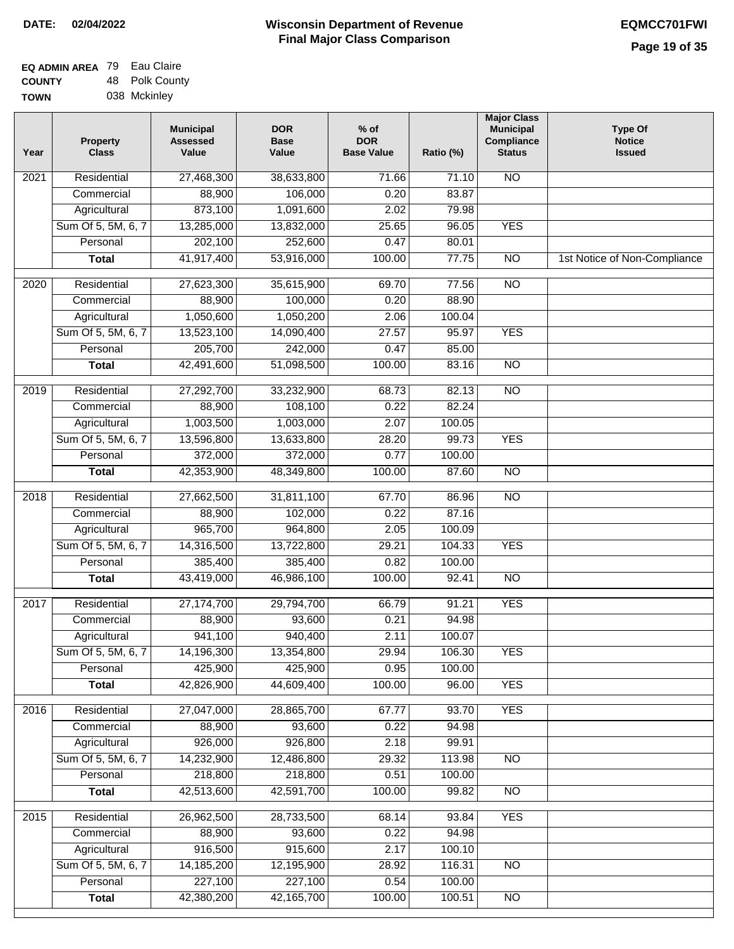| <b>EQ ADMIN AREA 79 Eau Claire</b> |                |
|------------------------------------|----------------|
| <b>COUNTY</b>                      | 48 Polk County |
| <b>TOWN</b>                        | 038 Mckinley   |

| Year              | <b>Property</b><br><b>Class</b> | <b>Municipal</b><br><b>Assessed</b><br>Value | <b>DOR</b><br><b>Base</b><br>Value | $%$ of<br><b>DOR</b><br><b>Base Value</b> | Ratio (%) | <b>Major Class</b><br><b>Municipal</b><br>Compliance<br><b>Status</b> | <b>Type Of</b><br><b>Notice</b><br><b>Issued</b> |
|-------------------|---------------------------------|----------------------------------------------|------------------------------------|-------------------------------------------|-----------|-----------------------------------------------------------------------|--------------------------------------------------|
| $\overline{202}1$ | Residential                     | 27,468,300                                   | 38,633,800                         | 71.66                                     | 71.10     | <b>NO</b>                                                             |                                                  |
|                   | Commercial                      | 88,900                                       | 106,000                            | 0.20                                      | 83.87     |                                                                       |                                                  |
|                   | Agricultural                    | 873,100                                      | 1,091,600                          | 2.02                                      | 79.98     |                                                                       |                                                  |
|                   | Sum Of 5, 5M, 6, 7              | 13,285,000                                   | 13,832,000                         | 25.65                                     | 96.05     | <b>YES</b>                                                            |                                                  |
|                   | Personal                        | 202,100                                      | 252,600                            | 0.47                                      | 80.01     |                                                                       |                                                  |
|                   | <b>Total</b>                    | 41,917,400                                   | 53,916,000                         | 100.00                                    | 77.75     | $\overline{NO}$                                                       | 1st Notice of Non-Compliance                     |
| $\overline{2020}$ | Residential                     | 27,623,300                                   | 35,615,900                         | 69.70                                     | 77.56     | <b>NO</b>                                                             |                                                  |
|                   | Commercial                      | 88,900                                       | 100,000                            | 0.20                                      | 88.90     |                                                                       |                                                  |
|                   | Agricultural                    | 1,050,600                                    | 1,050,200                          | 2.06                                      | 100.04    |                                                                       |                                                  |
|                   | Sum Of 5, 5M, 6, 7              | 13,523,100                                   | 14,090,400                         | 27.57                                     | 95.97     | <b>YES</b>                                                            |                                                  |
|                   | Personal                        | 205,700                                      | 242,000                            | 0.47                                      | 85.00     |                                                                       |                                                  |
|                   | <b>Total</b>                    | 42,491,600                                   | 51,098,500                         | 100.00                                    | 83.16     | $\overline{NO}$                                                       |                                                  |
| 2019              | Residential                     | 27,292,700                                   | 33,232,900                         | 68.73                                     | 82.13     | $\overline{10}$                                                       |                                                  |
|                   | Commercial                      | 88,900                                       | 108,100                            | 0.22                                      | 82.24     |                                                                       |                                                  |
|                   | Agricultural                    | 1,003,500                                    | 1,003,000                          | 2.07                                      | 100.05    |                                                                       |                                                  |
|                   | Sum Of 5, 5M, 6, 7              | 13,596,800                                   | 13,633,800                         | 28.20                                     | 99.73     | <b>YES</b>                                                            |                                                  |
|                   | Personal                        | 372,000                                      | 372,000                            | 0.77                                      | 100.00    |                                                                       |                                                  |
|                   | <b>Total</b>                    | 42,353,900                                   | 48,349,800                         | 100.00                                    | 87.60     | $\overline{NO}$                                                       |                                                  |
| 2018              | Residential                     | 27,662,500                                   | 31,811,100                         | 67.70                                     | 86.96     | $\overline{NO}$                                                       |                                                  |
|                   | Commercial                      | 88,900                                       | 102,000                            | 0.22                                      | 87.16     |                                                                       |                                                  |
|                   | Agricultural                    | 965,700                                      | 964,800                            | 2.05                                      | 100.09    |                                                                       |                                                  |
|                   | Sum Of 5, 5M, 6, 7              | 14,316,500                                   | 13,722,800                         | 29.21                                     | 104.33    | <b>YES</b>                                                            |                                                  |
|                   | Personal                        | 385,400                                      | 385,400                            | 0.82                                      | 100.00    |                                                                       |                                                  |
|                   | <b>Total</b>                    | 43,419,000                                   | 46,986,100                         | 100.00                                    | 92.41     | $\overline{NO}$                                                       |                                                  |
| 2017              | Residential                     | 27, 174, 700                                 | 29,794,700                         | 66.79                                     | 91.21     | <b>YES</b>                                                            |                                                  |
|                   | Commercial                      | 88,900                                       | 93,600                             | 0.21                                      | 94.98     |                                                                       |                                                  |
|                   | Agricultural                    | 941,100                                      | 940,400                            | 2.11                                      | 100.07    |                                                                       |                                                  |
|                   | Sum Of 5, 5M, 6, 7              | 14,196,300                                   | 13,354,800                         | 29.94                                     | 106.30    | <b>YES</b>                                                            |                                                  |
|                   | Personal                        | 425,900                                      | 425,900                            | 0.95                                      | 100.00    |                                                                       |                                                  |
|                   | <b>Total</b>                    | 42,826,900                                   | 44,609,400                         | 100.00                                    | 96.00     | <b>YES</b>                                                            |                                                  |
| 2016              | Residential                     | 27,047,000                                   | 28,865,700                         | 67.77                                     | 93.70     | <b>YES</b>                                                            |                                                  |
|                   | Commercial                      | 88,900                                       | 93,600                             | 0.22                                      | 94.98     |                                                                       |                                                  |
|                   | Agricultural                    | 926,000                                      | 926,800                            | 2.18                                      | 99.91     |                                                                       |                                                  |
|                   | Sum Of 5, 5M, 6, 7              | 14,232,900                                   | 12,486,800                         | 29.32                                     | 113.98    | $\overline{NO}$                                                       |                                                  |
|                   | Personal                        | 218,800                                      | 218,800                            | 0.51                                      | 100.00    |                                                                       |                                                  |
|                   | <b>Total</b>                    | 42,513,600                                   | 42,591,700                         | 100.00                                    | 99.82     | N <sub>O</sub>                                                        |                                                  |
| 2015              | Residential                     | 26,962,500                                   | 28,733,500                         | 68.14                                     | 93.84     | <b>YES</b>                                                            |                                                  |
|                   | Commercial                      | 88,900                                       | 93,600                             | 0.22                                      | 94.98     |                                                                       |                                                  |
|                   | Agricultural                    | 916,500                                      | 915,600                            | 2.17                                      | 100.10    |                                                                       |                                                  |
|                   | Sum Of 5, 5M, 6, 7              | 14, 185, 200                                 | 12,195,900                         | 28.92                                     | 116.31    | <b>NO</b>                                                             |                                                  |
|                   | Personal                        | 227,100                                      | 227,100                            | 0.54                                      | 100.00    |                                                                       |                                                  |
|                   | <b>Total</b>                    | 42,380,200                                   | 42,165,700                         | 100.00                                    | 100.51    | NO                                                                    |                                                  |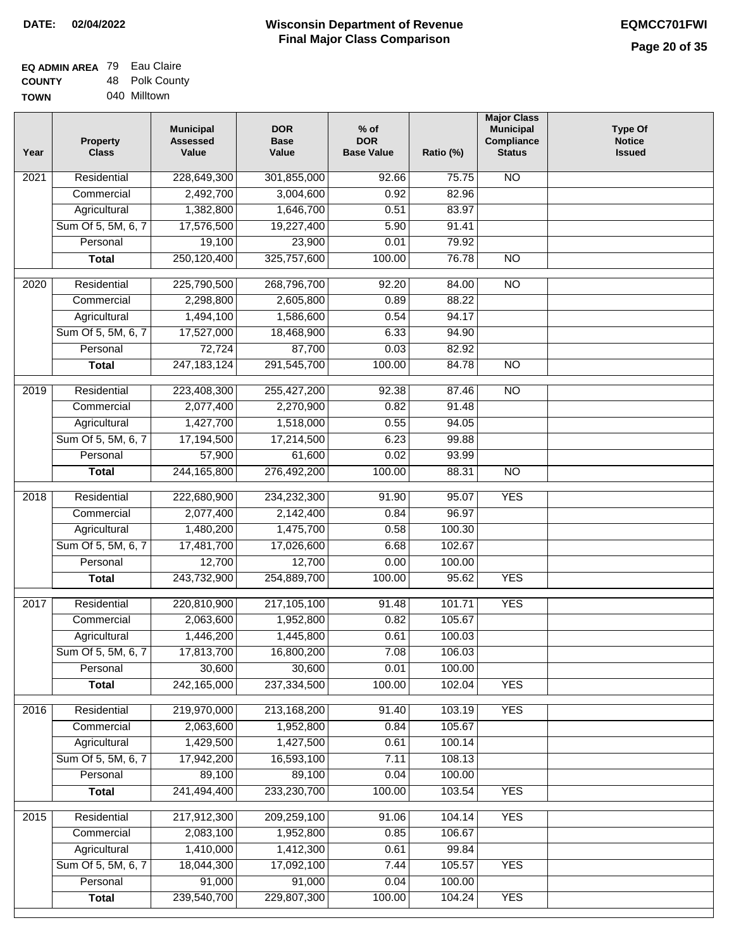| <b>EQ ADMIN AREA 79 Eau Claire</b> |                |
|------------------------------------|----------------|
| <b>COUNTY</b>                      | 48 Polk County |
| <b>TOWN</b>                        | 040 Milltown   |

| Year              | <b>Property</b><br><b>Class</b> | <b>Municipal</b><br><b>Assessed</b><br>Value | <b>DOR</b><br><b>Base</b><br>Value | $%$ of<br><b>DOR</b><br><b>Base Value</b> | Ratio (%) | <b>Major Class</b><br><b>Municipal</b><br>Compliance<br><b>Status</b> | <b>Type Of</b><br><b>Notice</b><br><b>Issued</b> |
|-------------------|---------------------------------|----------------------------------------------|------------------------------------|-------------------------------------------|-----------|-----------------------------------------------------------------------|--------------------------------------------------|
| $\overline{202}1$ | Residential                     | 228,649,300                                  | 301,855,000                        | 92.66                                     | 75.75     | <b>NO</b>                                                             |                                                  |
|                   | Commercial                      | 2,492,700                                    | 3,004,600                          | 0.92                                      | 82.96     |                                                                       |                                                  |
|                   | Agricultural                    | 1,382,800                                    | 1,646,700                          | 0.51                                      | 83.97     |                                                                       |                                                  |
|                   | Sum Of 5, 5M, 6, 7              | 17,576,500                                   | 19,227,400                         | 5.90                                      | 91.41     |                                                                       |                                                  |
|                   | Personal                        | 19,100                                       | 23,900                             | 0.01                                      | 79.92     |                                                                       |                                                  |
|                   | <b>Total</b>                    | 250,120,400                                  | 325,757,600                        | 100.00                                    | 76.78     | <b>NO</b>                                                             |                                                  |
| $\overline{2020}$ | Residential                     | 225,790,500                                  | 268,796,700                        | 92.20                                     | 84.00     | <b>NO</b>                                                             |                                                  |
|                   | Commercial                      | 2,298,800                                    | 2,605,800                          | 0.89                                      | 88.22     |                                                                       |                                                  |
|                   | Agricultural                    | 1,494,100                                    | 1,586,600                          | 0.54                                      | 94.17     |                                                                       |                                                  |
|                   | Sum Of 5, 5M, 6, 7              | 17,527,000                                   | 18,468,900                         | 6.33                                      | 94.90     |                                                                       |                                                  |
|                   | Personal                        | 72,724                                       | 87,700                             | 0.03                                      | 82.92     |                                                                       |                                                  |
|                   | <b>Total</b>                    | 247, 183, 124                                | 291,545,700                        | 100.00                                    | 84.78     | $\overline{NO}$                                                       |                                                  |
| 2019              | Residential                     | 223,408,300                                  | 255,427,200                        | 92.38                                     | 87.46     | $\overline{10}$                                                       |                                                  |
|                   | Commercial                      | 2,077,400                                    | 2,270,900                          | 0.82                                      | 91.48     |                                                                       |                                                  |
|                   | Agricultural                    | 1,427,700                                    | 1,518,000                          | 0.55                                      | 94.05     |                                                                       |                                                  |
|                   | Sum Of 5, 5M, 6, 7              | 17,194,500                                   | 17,214,500                         | 6.23                                      | 99.88     |                                                                       |                                                  |
|                   | Personal                        | 57,900                                       | 61,600                             | 0.02                                      | 93.99     |                                                                       |                                                  |
|                   | <b>Total</b>                    | 244, 165, 800                                | 276,492,200                        | 100.00                                    | 88.31     | $\overline{NO}$                                                       |                                                  |
| 2018              | Residential                     | 222,680,900                                  | 234,232,300                        | 91.90                                     | 95.07     | <b>YES</b>                                                            |                                                  |
|                   | Commercial                      | 2,077,400                                    | 2,142,400                          | 0.84                                      | 96.97     |                                                                       |                                                  |
|                   | Agricultural                    | 1,480,200                                    | 1,475,700                          | 0.58                                      | 100.30    |                                                                       |                                                  |
|                   | Sum Of 5, 5M, 6, 7              | 17,481,700                                   | 17,026,600                         | 6.68                                      | 102.67    |                                                                       |                                                  |
|                   | Personal                        | 12,700                                       | 12,700                             | 0.00                                      | 100.00    |                                                                       |                                                  |
|                   | <b>Total</b>                    | 243,732,900                                  | 254,889,700                        | 100.00                                    | 95.62     | <b>YES</b>                                                            |                                                  |
| 2017              | Residential                     | 220,810,900                                  | 217,105,100                        | 91.48                                     | 101.71    | <b>YES</b>                                                            |                                                  |
|                   | Commercial                      | 2,063,600                                    | 1,952,800                          | 0.82                                      | 105.67    |                                                                       |                                                  |
|                   | Agricultural                    | 1,446,200                                    | 1,445,800                          | 0.61                                      | 100.03    |                                                                       |                                                  |
|                   | Sum Of 5, 5M, 6, 7              | 17,813,700                                   | 16,800,200                         | 7.08                                      | 106.03    |                                                                       |                                                  |
|                   | Personal                        | 30,600                                       | 30,600                             | 0.01                                      | 100.00    |                                                                       |                                                  |
|                   | <b>Total</b>                    | 242,165,000                                  | 237,334,500                        | 100.00                                    | 102.04    | <b>YES</b>                                                            |                                                  |
| 2016              | Residential                     | 219,970,000                                  | 213,168,200                        | 91.40                                     | 103.19    | <b>YES</b>                                                            |                                                  |
|                   | Commercial                      | 2,063,600                                    | 1,952,800                          | 0.84                                      | 105.67    |                                                                       |                                                  |
|                   | Agricultural                    | 1,429,500                                    | 1,427,500                          | 0.61                                      | 100.14    |                                                                       |                                                  |
|                   | Sum Of 5, 5M, 6, 7              | 17,942,200                                   | 16,593,100                         | 7.11                                      | 108.13    |                                                                       |                                                  |
|                   | Personal                        | 89,100                                       | 89,100                             | 0.04                                      | 100.00    |                                                                       |                                                  |
|                   | <b>Total</b>                    | 241,494,400                                  | 233,230,700                        | 100.00                                    | 103.54    | <b>YES</b>                                                            |                                                  |
| 2015              | Residential                     | 217,912,300                                  | 209,259,100                        | 91.06                                     | 104.14    | <b>YES</b>                                                            |                                                  |
|                   | Commercial                      | 2,083,100                                    | 1,952,800                          | 0.85                                      | 106.67    |                                                                       |                                                  |
|                   | Agricultural                    | 1,410,000                                    | 1,412,300                          | 0.61                                      | 99.84     |                                                                       |                                                  |
|                   | Sum Of 5, 5M, 6, 7              | 18,044,300                                   | 17,092,100                         | 7.44                                      | 105.57    | <b>YES</b>                                                            |                                                  |
|                   | Personal                        | 91,000                                       | 91,000                             | 0.04                                      | 100.00    |                                                                       |                                                  |
|                   | <b>Total</b>                    | 239,540,700                                  | 229,807,300                        | 100.00                                    | 104.24    | <b>YES</b>                                                            |                                                  |
|                   |                                 |                                              |                                    |                                           |           |                                                                       |                                                  |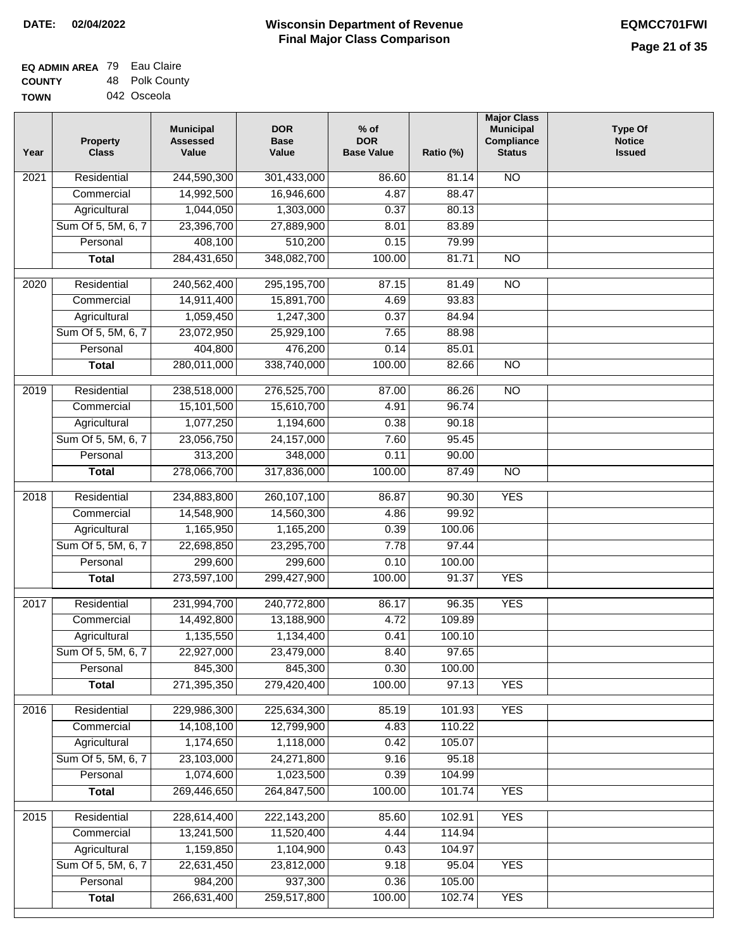| <b>EQ ADMIN AREA 79 Eau Claire</b> |                |
|------------------------------------|----------------|
| <b>COUNTY</b>                      | 48 Polk County |
| <b>TOWN</b>                        | 042 Osceola    |

| <b>NO</b><br>$\overline{202}1$<br>Residential<br>244,590,300<br>301,433,000<br>86.60<br>81.14<br>14,992,500<br>4.87<br>88.47<br>Commercial<br>16,946,600<br>Agricultural<br>1,044,050<br>1,303,000<br>0.37<br>80.13<br>Sum Of 5, 5M, 6, 7<br>23,396,700<br>27,889,900<br>8.01<br>83.89<br>510,200<br>Personal<br>408,100<br>0.15<br>79.99<br>284,431,650<br>348,082,700<br>100.00<br>81.71<br>$\overline{NO}$<br><b>Total</b><br>295,195,700<br>$\overline{NO}$<br>2020<br>Residential<br>240,562,400<br>87.15<br>81.49<br>Commercial<br>14,911,400<br>15,891,700<br>4.69<br>93.83<br>Agricultural<br>1,059,450<br>1,247,300<br>0.37<br>84.94<br>Sum Of 5, 5M, 6, 7<br>23,072,950<br>25,929,100<br>7.65<br>88.98<br>404,800<br>476,200<br>0.14<br>85.01<br>Personal<br>280,011,000<br>338,740,000<br>100.00<br>$\overline{NO}$<br><b>Total</b><br>82.66<br>2019<br>Residential<br>238,518,000<br>276,525,700<br>87.00<br>86.26<br>$\overline{10}$<br>15,101,500<br>15,610,700<br>4.91<br>96.74<br>Commercial<br>1,077,250<br>1,194,600<br>0.38<br>90.18<br>Agricultural<br>95.45<br>Sum Of 5, 5M, 6, 7<br>23,056,750<br>24, 157, 000<br>7.60<br>313,200<br>Personal<br>348,000<br>0.11<br>90.00<br>278,066,700<br>100.00<br>87.49<br>317,836,000<br>$\overline{NO}$<br><b>Total</b><br><b>YES</b><br>Residential<br>234,883,800<br>260, 107, 100<br>2018<br>86.87<br>90.30<br>Commercial<br>14,548,900<br>14,560,300<br>4.86<br>99.92<br>Agricultural<br>1,165,950<br>1,165,200<br>0.39<br>100.06<br>Sum Of 5, 5M, 6, 7<br>22,698,850<br>23,295,700<br>7.78<br>97.44<br>299,600<br>Personal<br>299,600<br>0.10<br>100.00<br>273,597,100<br>299,427,900<br>100.00<br><b>YES</b><br><b>Total</b><br>91.37<br>$\overline{2017}$<br>Residential<br>231,994,700<br>240,772,800<br>96.35<br><b>YES</b><br>86.17<br>Commercial<br>13,188,900<br>4.72<br>109.89<br>14,492,800<br>Agricultural<br>1,135,550<br>1,134,400<br>0.41<br>100.10<br>97.65<br>Sum Of 5, 5M, 6, 7<br>22,927,000<br>23,479,000<br>8.40<br>0.30<br>Personal<br>845,300<br>845,300<br>100.00<br>271,395,350<br>279,420,400<br>100.00<br>97.13<br><b>YES</b><br><b>Total</b><br>Residential<br>229,986,300<br>225,634,300<br><b>YES</b><br>2016<br>85.19<br>101.93<br>14,108,100<br>12,799,900<br>4.83<br>Commercial<br>110.22<br>1,174,650<br>Agricultural<br>1,118,000<br>105.07<br>0.42<br>Sum Of 5, 5M, 6, 7<br>23,103,000<br>24,271,800<br>9.16<br>95.18<br>1,074,600<br>Personal<br>1,023,500<br>0.39<br>104.99<br><b>YES</b><br>269,446,650<br>264,847,500<br>100.00<br>101.74<br><b>Total</b><br><b>YES</b><br>2015<br>Residential<br>228,614,400<br>222,143,200<br>85.60<br>102.91<br>13,241,500<br>11,520,400<br>Commercial<br>4.44<br>114.94<br>1,159,850<br>1,104,900<br>0.43<br>104.97<br>Agricultural<br>Sum Of 5, 5M, 6, 7<br>22,631,450<br>23,812,000<br>9.18<br>95.04<br><b>YES</b><br>984,200<br>937,300<br>Personal<br>0.36<br>105.00<br>266,631,400<br>259,517,800<br>100.00<br>102.74<br><b>YES</b><br><b>Total</b> | Year | <b>Property</b><br><b>Class</b> | <b>Municipal</b><br><b>Assessed</b><br>Value | <b>DOR</b><br><b>Base</b><br>Value | $%$ of<br><b>DOR</b><br><b>Base Value</b> | Ratio (%) | <b>Major Class</b><br><b>Municipal</b><br>Compliance<br><b>Status</b> | <b>Type Of</b><br><b>Notice</b><br><b>Issued</b> |
|-----------------------------------------------------------------------------------------------------------------------------------------------------------------------------------------------------------------------------------------------------------------------------------------------------------------------------------------------------------------------------------------------------------------------------------------------------------------------------------------------------------------------------------------------------------------------------------------------------------------------------------------------------------------------------------------------------------------------------------------------------------------------------------------------------------------------------------------------------------------------------------------------------------------------------------------------------------------------------------------------------------------------------------------------------------------------------------------------------------------------------------------------------------------------------------------------------------------------------------------------------------------------------------------------------------------------------------------------------------------------------------------------------------------------------------------------------------------------------------------------------------------------------------------------------------------------------------------------------------------------------------------------------------------------------------------------------------------------------------------------------------------------------------------------------------------------------------------------------------------------------------------------------------------------------------------------------------------------------------------------------------------------------------------------------------------------------------------------------------------------------------------------------------------------------------------------------------------------------------------------------------------------------------------------------------------------------------------------------------------------------------------------------------------------------------------------------------------------------------------------------------------------------------------------------------------------------------------------------------------------------------------------------------------------------------------------------------------------------------------------------------------------------------------------------------------------------------------------------------------------------------------------------------------------------------------------------------------------------------------------------|------|---------------------------------|----------------------------------------------|------------------------------------|-------------------------------------------|-----------|-----------------------------------------------------------------------|--------------------------------------------------|
|                                                                                                                                                                                                                                                                                                                                                                                                                                                                                                                                                                                                                                                                                                                                                                                                                                                                                                                                                                                                                                                                                                                                                                                                                                                                                                                                                                                                                                                                                                                                                                                                                                                                                                                                                                                                                                                                                                                                                                                                                                                                                                                                                                                                                                                                                                                                                                                                                                                                                                                                                                                                                                                                                                                                                                                                                                                                                                                                                                                                     |      |                                 |                                              |                                    |                                           |           |                                                                       |                                                  |
|                                                                                                                                                                                                                                                                                                                                                                                                                                                                                                                                                                                                                                                                                                                                                                                                                                                                                                                                                                                                                                                                                                                                                                                                                                                                                                                                                                                                                                                                                                                                                                                                                                                                                                                                                                                                                                                                                                                                                                                                                                                                                                                                                                                                                                                                                                                                                                                                                                                                                                                                                                                                                                                                                                                                                                                                                                                                                                                                                                                                     |      |                                 |                                              |                                    |                                           |           |                                                                       |                                                  |
|                                                                                                                                                                                                                                                                                                                                                                                                                                                                                                                                                                                                                                                                                                                                                                                                                                                                                                                                                                                                                                                                                                                                                                                                                                                                                                                                                                                                                                                                                                                                                                                                                                                                                                                                                                                                                                                                                                                                                                                                                                                                                                                                                                                                                                                                                                                                                                                                                                                                                                                                                                                                                                                                                                                                                                                                                                                                                                                                                                                                     |      |                                 |                                              |                                    |                                           |           |                                                                       |                                                  |
|                                                                                                                                                                                                                                                                                                                                                                                                                                                                                                                                                                                                                                                                                                                                                                                                                                                                                                                                                                                                                                                                                                                                                                                                                                                                                                                                                                                                                                                                                                                                                                                                                                                                                                                                                                                                                                                                                                                                                                                                                                                                                                                                                                                                                                                                                                                                                                                                                                                                                                                                                                                                                                                                                                                                                                                                                                                                                                                                                                                                     |      |                                 |                                              |                                    |                                           |           |                                                                       |                                                  |
|                                                                                                                                                                                                                                                                                                                                                                                                                                                                                                                                                                                                                                                                                                                                                                                                                                                                                                                                                                                                                                                                                                                                                                                                                                                                                                                                                                                                                                                                                                                                                                                                                                                                                                                                                                                                                                                                                                                                                                                                                                                                                                                                                                                                                                                                                                                                                                                                                                                                                                                                                                                                                                                                                                                                                                                                                                                                                                                                                                                                     |      |                                 |                                              |                                    |                                           |           |                                                                       |                                                  |
|                                                                                                                                                                                                                                                                                                                                                                                                                                                                                                                                                                                                                                                                                                                                                                                                                                                                                                                                                                                                                                                                                                                                                                                                                                                                                                                                                                                                                                                                                                                                                                                                                                                                                                                                                                                                                                                                                                                                                                                                                                                                                                                                                                                                                                                                                                                                                                                                                                                                                                                                                                                                                                                                                                                                                                                                                                                                                                                                                                                                     |      |                                 |                                              |                                    |                                           |           |                                                                       |                                                  |
|                                                                                                                                                                                                                                                                                                                                                                                                                                                                                                                                                                                                                                                                                                                                                                                                                                                                                                                                                                                                                                                                                                                                                                                                                                                                                                                                                                                                                                                                                                                                                                                                                                                                                                                                                                                                                                                                                                                                                                                                                                                                                                                                                                                                                                                                                                                                                                                                                                                                                                                                                                                                                                                                                                                                                                                                                                                                                                                                                                                                     |      |                                 |                                              |                                    |                                           |           |                                                                       |                                                  |
|                                                                                                                                                                                                                                                                                                                                                                                                                                                                                                                                                                                                                                                                                                                                                                                                                                                                                                                                                                                                                                                                                                                                                                                                                                                                                                                                                                                                                                                                                                                                                                                                                                                                                                                                                                                                                                                                                                                                                                                                                                                                                                                                                                                                                                                                                                                                                                                                                                                                                                                                                                                                                                                                                                                                                                                                                                                                                                                                                                                                     |      |                                 |                                              |                                    |                                           |           |                                                                       |                                                  |
|                                                                                                                                                                                                                                                                                                                                                                                                                                                                                                                                                                                                                                                                                                                                                                                                                                                                                                                                                                                                                                                                                                                                                                                                                                                                                                                                                                                                                                                                                                                                                                                                                                                                                                                                                                                                                                                                                                                                                                                                                                                                                                                                                                                                                                                                                                                                                                                                                                                                                                                                                                                                                                                                                                                                                                                                                                                                                                                                                                                                     |      |                                 |                                              |                                    |                                           |           |                                                                       |                                                  |
|                                                                                                                                                                                                                                                                                                                                                                                                                                                                                                                                                                                                                                                                                                                                                                                                                                                                                                                                                                                                                                                                                                                                                                                                                                                                                                                                                                                                                                                                                                                                                                                                                                                                                                                                                                                                                                                                                                                                                                                                                                                                                                                                                                                                                                                                                                                                                                                                                                                                                                                                                                                                                                                                                                                                                                                                                                                                                                                                                                                                     |      |                                 |                                              |                                    |                                           |           |                                                                       |                                                  |
|                                                                                                                                                                                                                                                                                                                                                                                                                                                                                                                                                                                                                                                                                                                                                                                                                                                                                                                                                                                                                                                                                                                                                                                                                                                                                                                                                                                                                                                                                                                                                                                                                                                                                                                                                                                                                                                                                                                                                                                                                                                                                                                                                                                                                                                                                                                                                                                                                                                                                                                                                                                                                                                                                                                                                                                                                                                                                                                                                                                                     |      |                                 |                                              |                                    |                                           |           |                                                                       |                                                  |
|                                                                                                                                                                                                                                                                                                                                                                                                                                                                                                                                                                                                                                                                                                                                                                                                                                                                                                                                                                                                                                                                                                                                                                                                                                                                                                                                                                                                                                                                                                                                                                                                                                                                                                                                                                                                                                                                                                                                                                                                                                                                                                                                                                                                                                                                                                                                                                                                                                                                                                                                                                                                                                                                                                                                                                                                                                                                                                                                                                                                     |      |                                 |                                              |                                    |                                           |           |                                                                       |                                                  |
|                                                                                                                                                                                                                                                                                                                                                                                                                                                                                                                                                                                                                                                                                                                                                                                                                                                                                                                                                                                                                                                                                                                                                                                                                                                                                                                                                                                                                                                                                                                                                                                                                                                                                                                                                                                                                                                                                                                                                                                                                                                                                                                                                                                                                                                                                                                                                                                                                                                                                                                                                                                                                                                                                                                                                                                                                                                                                                                                                                                                     |      |                                 |                                              |                                    |                                           |           |                                                                       |                                                  |
|                                                                                                                                                                                                                                                                                                                                                                                                                                                                                                                                                                                                                                                                                                                                                                                                                                                                                                                                                                                                                                                                                                                                                                                                                                                                                                                                                                                                                                                                                                                                                                                                                                                                                                                                                                                                                                                                                                                                                                                                                                                                                                                                                                                                                                                                                                                                                                                                                                                                                                                                                                                                                                                                                                                                                                                                                                                                                                                                                                                                     |      |                                 |                                              |                                    |                                           |           |                                                                       |                                                  |
|                                                                                                                                                                                                                                                                                                                                                                                                                                                                                                                                                                                                                                                                                                                                                                                                                                                                                                                                                                                                                                                                                                                                                                                                                                                                                                                                                                                                                                                                                                                                                                                                                                                                                                                                                                                                                                                                                                                                                                                                                                                                                                                                                                                                                                                                                                                                                                                                                                                                                                                                                                                                                                                                                                                                                                                                                                                                                                                                                                                                     |      |                                 |                                              |                                    |                                           |           |                                                                       |                                                  |
|                                                                                                                                                                                                                                                                                                                                                                                                                                                                                                                                                                                                                                                                                                                                                                                                                                                                                                                                                                                                                                                                                                                                                                                                                                                                                                                                                                                                                                                                                                                                                                                                                                                                                                                                                                                                                                                                                                                                                                                                                                                                                                                                                                                                                                                                                                                                                                                                                                                                                                                                                                                                                                                                                                                                                                                                                                                                                                                                                                                                     |      |                                 |                                              |                                    |                                           |           |                                                                       |                                                  |
|                                                                                                                                                                                                                                                                                                                                                                                                                                                                                                                                                                                                                                                                                                                                                                                                                                                                                                                                                                                                                                                                                                                                                                                                                                                                                                                                                                                                                                                                                                                                                                                                                                                                                                                                                                                                                                                                                                                                                                                                                                                                                                                                                                                                                                                                                                                                                                                                                                                                                                                                                                                                                                                                                                                                                                                                                                                                                                                                                                                                     |      |                                 |                                              |                                    |                                           |           |                                                                       |                                                  |
|                                                                                                                                                                                                                                                                                                                                                                                                                                                                                                                                                                                                                                                                                                                                                                                                                                                                                                                                                                                                                                                                                                                                                                                                                                                                                                                                                                                                                                                                                                                                                                                                                                                                                                                                                                                                                                                                                                                                                                                                                                                                                                                                                                                                                                                                                                                                                                                                                                                                                                                                                                                                                                                                                                                                                                                                                                                                                                                                                                                                     |      |                                 |                                              |                                    |                                           |           |                                                                       |                                                  |
|                                                                                                                                                                                                                                                                                                                                                                                                                                                                                                                                                                                                                                                                                                                                                                                                                                                                                                                                                                                                                                                                                                                                                                                                                                                                                                                                                                                                                                                                                                                                                                                                                                                                                                                                                                                                                                                                                                                                                                                                                                                                                                                                                                                                                                                                                                                                                                                                                                                                                                                                                                                                                                                                                                                                                                                                                                                                                                                                                                                                     |      |                                 |                                              |                                    |                                           |           |                                                                       |                                                  |
|                                                                                                                                                                                                                                                                                                                                                                                                                                                                                                                                                                                                                                                                                                                                                                                                                                                                                                                                                                                                                                                                                                                                                                                                                                                                                                                                                                                                                                                                                                                                                                                                                                                                                                                                                                                                                                                                                                                                                                                                                                                                                                                                                                                                                                                                                                                                                                                                                                                                                                                                                                                                                                                                                                                                                                                                                                                                                                                                                                                                     |      |                                 |                                              |                                    |                                           |           |                                                                       |                                                  |
|                                                                                                                                                                                                                                                                                                                                                                                                                                                                                                                                                                                                                                                                                                                                                                                                                                                                                                                                                                                                                                                                                                                                                                                                                                                                                                                                                                                                                                                                                                                                                                                                                                                                                                                                                                                                                                                                                                                                                                                                                                                                                                                                                                                                                                                                                                                                                                                                                                                                                                                                                                                                                                                                                                                                                                                                                                                                                                                                                                                                     |      |                                 |                                              |                                    |                                           |           |                                                                       |                                                  |
|                                                                                                                                                                                                                                                                                                                                                                                                                                                                                                                                                                                                                                                                                                                                                                                                                                                                                                                                                                                                                                                                                                                                                                                                                                                                                                                                                                                                                                                                                                                                                                                                                                                                                                                                                                                                                                                                                                                                                                                                                                                                                                                                                                                                                                                                                                                                                                                                                                                                                                                                                                                                                                                                                                                                                                                                                                                                                                                                                                                                     |      |                                 |                                              |                                    |                                           |           |                                                                       |                                                  |
|                                                                                                                                                                                                                                                                                                                                                                                                                                                                                                                                                                                                                                                                                                                                                                                                                                                                                                                                                                                                                                                                                                                                                                                                                                                                                                                                                                                                                                                                                                                                                                                                                                                                                                                                                                                                                                                                                                                                                                                                                                                                                                                                                                                                                                                                                                                                                                                                                                                                                                                                                                                                                                                                                                                                                                                                                                                                                                                                                                                                     |      |                                 |                                              |                                    |                                           |           |                                                                       |                                                  |
|                                                                                                                                                                                                                                                                                                                                                                                                                                                                                                                                                                                                                                                                                                                                                                                                                                                                                                                                                                                                                                                                                                                                                                                                                                                                                                                                                                                                                                                                                                                                                                                                                                                                                                                                                                                                                                                                                                                                                                                                                                                                                                                                                                                                                                                                                                                                                                                                                                                                                                                                                                                                                                                                                                                                                                                                                                                                                                                                                                                                     |      |                                 |                                              |                                    |                                           |           |                                                                       |                                                  |
|                                                                                                                                                                                                                                                                                                                                                                                                                                                                                                                                                                                                                                                                                                                                                                                                                                                                                                                                                                                                                                                                                                                                                                                                                                                                                                                                                                                                                                                                                                                                                                                                                                                                                                                                                                                                                                                                                                                                                                                                                                                                                                                                                                                                                                                                                                                                                                                                                                                                                                                                                                                                                                                                                                                                                                                                                                                                                                                                                                                                     |      |                                 |                                              |                                    |                                           |           |                                                                       |                                                  |
|                                                                                                                                                                                                                                                                                                                                                                                                                                                                                                                                                                                                                                                                                                                                                                                                                                                                                                                                                                                                                                                                                                                                                                                                                                                                                                                                                                                                                                                                                                                                                                                                                                                                                                                                                                                                                                                                                                                                                                                                                                                                                                                                                                                                                                                                                                                                                                                                                                                                                                                                                                                                                                                                                                                                                                                                                                                                                                                                                                                                     |      |                                 |                                              |                                    |                                           |           |                                                                       |                                                  |
|                                                                                                                                                                                                                                                                                                                                                                                                                                                                                                                                                                                                                                                                                                                                                                                                                                                                                                                                                                                                                                                                                                                                                                                                                                                                                                                                                                                                                                                                                                                                                                                                                                                                                                                                                                                                                                                                                                                                                                                                                                                                                                                                                                                                                                                                                                                                                                                                                                                                                                                                                                                                                                                                                                                                                                                                                                                                                                                                                                                                     |      |                                 |                                              |                                    |                                           |           |                                                                       |                                                  |
|                                                                                                                                                                                                                                                                                                                                                                                                                                                                                                                                                                                                                                                                                                                                                                                                                                                                                                                                                                                                                                                                                                                                                                                                                                                                                                                                                                                                                                                                                                                                                                                                                                                                                                                                                                                                                                                                                                                                                                                                                                                                                                                                                                                                                                                                                                                                                                                                                                                                                                                                                                                                                                                                                                                                                                                                                                                                                                                                                                                                     |      |                                 |                                              |                                    |                                           |           |                                                                       |                                                  |
|                                                                                                                                                                                                                                                                                                                                                                                                                                                                                                                                                                                                                                                                                                                                                                                                                                                                                                                                                                                                                                                                                                                                                                                                                                                                                                                                                                                                                                                                                                                                                                                                                                                                                                                                                                                                                                                                                                                                                                                                                                                                                                                                                                                                                                                                                                                                                                                                                                                                                                                                                                                                                                                                                                                                                                                                                                                                                                                                                                                                     |      |                                 |                                              |                                    |                                           |           |                                                                       |                                                  |
|                                                                                                                                                                                                                                                                                                                                                                                                                                                                                                                                                                                                                                                                                                                                                                                                                                                                                                                                                                                                                                                                                                                                                                                                                                                                                                                                                                                                                                                                                                                                                                                                                                                                                                                                                                                                                                                                                                                                                                                                                                                                                                                                                                                                                                                                                                                                                                                                                                                                                                                                                                                                                                                                                                                                                                                                                                                                                                                                                                                                     |      |                                 |                                              |                                    |                                           |           |                                                                       |                                                  |
|                                                                                                                                                                                                                                                                                                                                                                                                                                                                                                                                                                                                                                                                                                                                                                                                                                                                                                                                                                                                                                                                                                                                                                                                                                                                                                                                                                                                                                                                                                                                                                                                                                                                                                                                                                                                                                                                                                                                                                                                                                                                                                                                                                                                                                                                                                                                                                                                                                                                                                                                                                                                                                                                                                                                                                                                                                                                                                                                                                                                     |      |                                 |                                              |                                    |                                           |           |                                                                       |                                                  |
|                                                                                                                                                                                                                                                                                                                                                                                                                                                                                                                                                                                                                                                                                                                                                                                                                                                                                                                                                                                                                                                                                                                                                                                                                                                                                                                                                                                                                                                                                                                                                                                                                                                                                                                                                                                                                                                                                                                                                                                                                                                                                                                                                                                                                                                                                                                                                                                                                                                                                                                                                                                                                                                                                                                                                                                                                                                                                                                                                                                                     |      |                                 |                                              |                                    |                                           |           |                                                                       |                                                  |
|                                                                                                                                                                                                                                                                                                                                                                                                                                                                                                                                                                                                                                                                                                                                                                                                                                                                                                                                                                                                                                                                                                                                                                                                                                                                                                                                                                                                                                                                                                                                                                                                                                                                                                                                                                                                                                                                                                                                                                                                                                                                                                                                                                                                                                                                                                                                                                                                                                                                                                                                                                                                                                                                                                                                                                                                                                                                                                                                                                                                     |      |                                 |                                              |                                    |                                           |           |                                                                       |                                                  |
|                                                                                                                                                                                                                                                                                                                                                                                                                                                                                                                                                                                                                                                                                                                                                                                                                                                                                                                                                                                                                                                                                                                                                                                                                                                                                                                                                                                                                                                                                                                                                                                                                                                                                                                                                                                                                                                                                                                                                                                                                                                                                                                                                                                                                                                                                                                                                                                                                                                                                                                                                                                                                                                                                                                                                                                                                                                                                                                                                                                                     |      |                                 |                                              |                                    |                                           |           |                                                                       |                                                  |
|                                                                                                                                                                                                                                                                                                                                                                                                                                                                                                                                                                                                                                                                                                                                                                                                                                                                                                                                                                                                                                                                                                                                                                                                                                                                                                                                                                                                                                                                                                                                                                                                                                                                                                                                                                                                                                                                                                                                                                                                                                                                                                                                                                                                                                                                                                                                                                                                                                                                                                                                                                                                                                                                                                                                                                                                                                                                                                                                                                                                     |      |                                 |                                              |                                    |                                           |           |                                                                       |                                                  |
|                                                                                                                                                                                                                                                                                                                                                                                                                                                                                                                                                                                                                                                                                                                                                                                                                                                                                                                                                                                                                                                                                                                                                                                                                                                                                                                                                                                                                                                                                                                                                                                                                                                                                                                                                                                                                                                                                                                                                                                                                                                                                                                                                                                                                                                                                                                                                                                                                                                                                                                                                                                                                                                                                                                                                                                                                                                                                                                                                                                                     |      |                                 |                                              |                                    |                                           |           |                                                                       |                                                  |
|                                                                                                                                                                                                                                                                                                                                                                                                                                                                                                                                                                                                                                                                                                                                                                                                                                                                                                                                                                                                                                                                                                                                                                                                                                                                                                                                                                                                                                                                                                                                                                                                                                                                                                                                                                                                                                                                                                                                                                                                                                                                                                                                                                                                                                                                                                                                                                                                                                                                                                                                                                                                                                                                                                                                                                                                                                                                                                                                                                                                     |      |                                 |                                              |                                    |                                           |           |                                                                       |                                                  |
|                                                                                                                                                                                                                                                                                                                                                                                                                                                                                                                                                                                                                                                                                                                                                                                                                                                                                                                                                                                                                                                                                                                                                                                                                                                                                                                                                                                                                                                                                                                                                                                                                                                                                                                                                                                                                                                                                                                                                                                                                                                                                                                                                                                                                                                                                                                                                                                                                                                                                                                                                                                                                                                                                                                                                                                                                                                                                                                                                                                                     |      |                                 |                                              |                                    |                                           |           |                                                                       |                                                  |
|                                                                                                                                                                                                                                                                                                                                                                                                                                                                                                                                                                                                                                                                                                                                                                                                                                                                                                                                                                                                                                                                                                                                                                                                                                                                                                                                                                                                                                                                                                                                                                                                                                                                                                                                                                                                                                                                                                                                                                                                                                                                                                                                                                                                                                                                                                                                                                                                                                                                                                                                                                                                                                                                                                                                                                                                                                                                                                                                                                                                     |      |                                 |                                              |                                    |                                           |           |                                                                       |                                                  |
|                                                                                                                                                                                                                                                                                                                                                                                                                                                                                                                                                                                                                                                                                                                                                                                                                                                                                                                                                                                                                                                                                                                                                                                                                                                                                                                                                                                                                                                                                                                                                                                                                                                                                                                                                                                                                                                                                                                                                                                                                                                                                                                                                                                                                                                                                                                                                                                                                                                                                                                                                                                                                                                                                                                                                                                                                                                                                                                                                                                                     |      |                                 |                                              |                                    |                                           |           |                                                                       |                                                  |
|                                                                                                                                                                                                                                                                                                                                                                                                                                                                                                                                                                                                                                                                                                                                                                                                                                                                                                                                                                                                                                                                                                                                                                                                                                                                                                                                                                                                                                                                                                                                                                                                                                                                                                                                                                                                                                                                                                                                                                                                                                                                                                                                                                                                                                                                                                                                                                                                                                                                                                                                                                                                                                                                                                                                                                                                                                                                                                                                                                                                     |      |                                 |                                              |                                    |                                           |           |                                                                       |                                                  |
|                                                                                                                                                                                                                                                                                                                                                                                                                                                                                                                                                                                                                                                                                                                                                                                                                                                                                                                                                                                                                                                                                                                                                                                                                                                                                                                                                                                                                                                                                                                                                                                                                                                                                                                                                                                                                                                                                                                                                                                                                                                                                                                                                                                                                                                                                                                                                                                                                                                                                                                                                                                                                                                                                                                                                                                                                                                                                                                                                                                                     |      |                                 |                                              |                                    |                                           |           |                                                                       |                                                  |
|                                                                                                                                                                                                                                                                                                                                                                                                                                                                                                                                                                                                                                                                                                                                                                                                                                                                                                                                                                                                                                                                                                                                                                                                                                                                                                                                                                                                                                                                                                                                                                                                                                                                                                                                                                                                                                                                                                                                                                                                                                                                                                                                                                                                                                                                                                                                                                                                                                                                                                                                                                                                                                                                                                                                                                                                                                                                                                                                                                                                     |      |                                 |                                              |                                    |                                           |           |                                                                       |                                                  |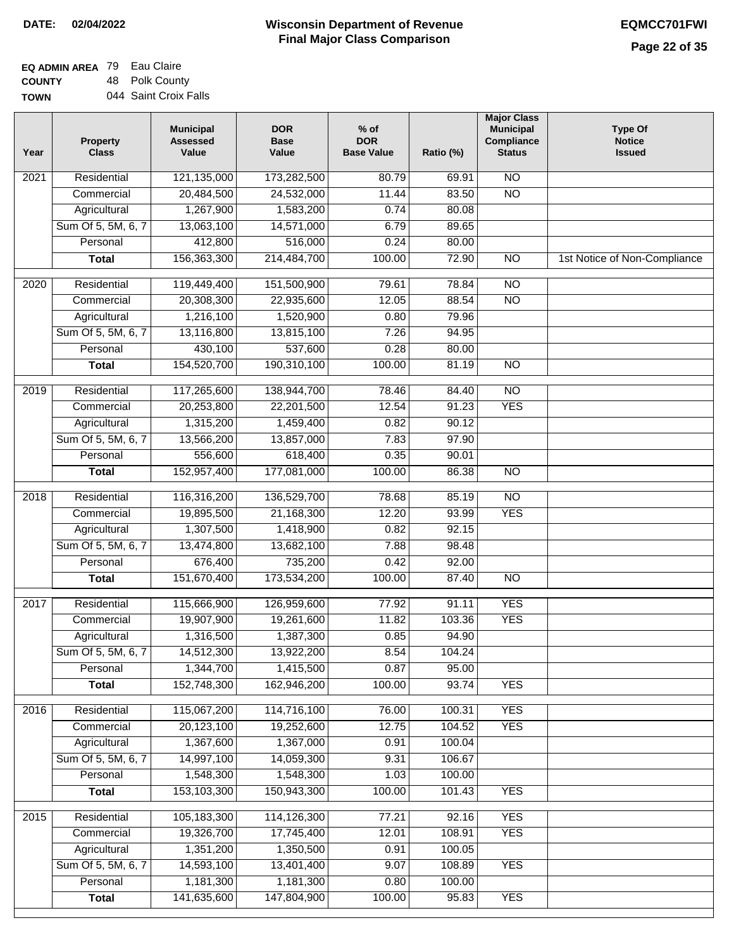# **Wisconsin Department of Revenue DATE: 02/04/2022 EQMCC701FWI Final Major Class Comparison**

| <b>EQ ADMIN AREA 79 Eau Claire</b> |                       |
|------------------------------------|-----------------------|
| <b>COUNTY</b>                      | 48 Polk County        |
| <b>TOWN</b>                        | 044 Saint Croix Falls |

| Residential<br>121,135,000<br>$\overline{NO}$<br>173,282,500<br>80.79<br>2021<br>69.91<br>$\overline{NO}$<br>20,484,500<br>24,532,000<br>11.44<br>83.50<br>Commercial<br>Agricultural<br>1,267,900<br>1,583,200<br>0.74<br>80.08<br>Sum Of 5, 5M, 6, 7<br>13,063,100<br>14,571,000<br>6.79<br>89.65<br>412,800<br>516,000<br>Personal<br>0.24<br>80.00<br>156,363,300<br>214,484,700<br>100.00<br>72.90<br>$\overline{NO}$<br><b>Total</b><br>1st Notice of Non-Compliance<br>$\overline{2020}$<br>Residential<br>119,449,400<br>151,500,900<br>79.61<br>78.84<br>$\overline{NO}$<br>20,308,300<br>$\overline{NO}$<br>Commercial<br>22,935,600<br>12.05<br>88.54<br>1,216,100<br>1,520,900<br>0.80<br>79.96<br>Agricultural<br>Sum Of 5, 5M, 6, 7<br>13,116,800<br>13,815,100<br>7.26<br>94.95<br>430,100<br>537,600<br>0.28<br>80.00<br>Personal<br>154,520,700<br>190,310,100<br>100.00<br>81.19<br>$\overline{NO}$<br><b>Total</b><br>117,265,600<br>2019<br>Residential<br>138,944,700<br>78.46<br>84.40<br>$\overline{NO}$<br><b>YES</b><br>20,253,800<br>22,201,500<br>12.54<br>91.23<br>Commercial<br>1,315,200<br>1,459,400<br>90.12<br>0.82<br>Agricultural<br>Sum Of 5, 5M, 6, 7<br>13,566,200<br>13,857,000<br>7.83<br>97.90<br>556,600<br>618,400<br>Personal<br>0.35<br>90.01<br>152,957,400<br>177,081,000<br>100.00<br>86.38<br>$\overline{NO}$<br><b>Total</b><br>Residential<br>116,316,200<br>136,529,700<br>78.68<br>$\overline{NO}$<br>2018<br>85.19<br>19,895,500<br><b>YES</b><br>Commercial<br>21,168,300<br>12.20<br>93.99<br>1,307,500<br>1,418,900<br>92.15<br>Agricultural<br>0.82<br>Sum Of 5, 5M, 6, 7<br>13,474,800<br>13,682,100<br>7.88<br>98.48<br>Personal<br>676,400<br>735,200<br>0.42<br>92.00<br>151,670,400<br>173,534,200<br>100.00<br>87.40<br>$\overline{NO}$<br><b>Total</b><br>Residential<br>115,666,900<br><b>YES</b><br>2017<br>126,959,600<br>77.92<br>91.11<br>19,907,900<br><b>YES</b><br>Commercial<br>19,261,600<br>11.82<br>103.36<br>1,316,500<br>1,387,300<br>0.85<br>94.90<br>Agricultural<br>14,512,300<br>13,922,200<br>Sum Of 5, 5M, 6, 7<br>8.54<br>104.24<br>1,344,700<br>0.87<br>Personal<br>1,415,500<br>95.00<br>152,748,300<br>162,946,200<br>100.00<br>93.74<br><b>YES</b><br><b>Total</b><br>115,067,200<br><b>YES</b><br>Residential<br>114,716,100<br>76.00<br>2016<br>100.31<br>20,123,100<br>19,252,600<br>12.75<br>104.52<br><b>YES</b><br>Commercial<br>1,367,600<br>1,367,000<br>0.91<br>100.04<br>Agricultural<br>Sum Of 5, 5M, 6, 7<br>14,997,100<br>14,059,300<br>106.67<br>9.31<br>1,548,300<br>Personal<br>1,548,300<br>1.03<br>100.00<br>153,103,300<br>150,943,300<br>100.00<br>101.43<br><b>YES</b><br><b>Total</b><br><b>YES</b><br>Residential<br>105,183,300<br>114,126,300<br>77.21<br>92.16<br>2015<br>19,326,700<br>17,745,400<br>12.01<br>108.91<br><b>YES</b><br>Commercial<br>1,351,200<br>1,350,500<br>0.91<br>100.05<br>Agricultural<br>Sum Of 5, 5M, 6, 7<br>14,593,100<br>13,401,400<br>9.07<br>108.89<br><b>YES</b><br>1,181,300<br>1,181,300<br>100.00<br>Personal<br>0.80<br>141,635,600<br>147,804,900<br>100.00<br>95.83<br><b>YES</b><br><b>Total</b> | Year | <b>Property</b><br><b>Class</b> | <b>Municipal</b><br><b>Assessed</b><br>Value | <b>DOR</b><br><b>Base</b><br>Value | $%$ of<br><b>DOR</b><br><b>Base Value</b> | Ratio (%) | <b>Major Class</b><br><b>Municipal</b><br>Compliance<br><b>Status</b> | <b>Type Of</b><br><b>Notice</b><br><b>Issued</b> |
|------------------------------------------------------------------------------------------------------------------------------------------------------------------------------------------------------------------------------------------------------------------------------------------------------------------------------------------------------------------------------------------------------------------------------------------------------------------------------------------------------------------------------------------------------------------------------------------------------------------------------------------------------------------------------------------------------------------------------------------------------------------------------------------------------------------------------------------------------------------------------------------------------------------------------------------------------------------------------------------------------------------------------------------------------------------------------------------------------------------------------------------------------------------------------------------------------------------------------------------------------------------------------------------------------------------------------------------------------------------------------------------------------------------------------------------------------------------------------------------------------------------------------------------------------------------------------------------------------------------------------------------------------------------------------------------------------------------------------------------------------------------------------------------------------------------------------------------------------------------------------------------------------------------------------------------------------------------------------------------------------------------------------------------------------------------------------------------------------------------------------------------------------------------------------------------------------------------------------------------------------------------------------------------------------------------------------------------------------------------------------------------------------------------------------------------------------------------------------------------------------------------------------------------------------------------------------------------------------------------------------------------------------------------------------------------------------------------------------------------------------------------------------------------------------------------------------------------------------------------------------------------------------------------------------------------------------------------------------------------------------------------------------------------------------------------------------------------------------------------------------------------------------------|------|---------------------------------|----------------------------------------------|------------------------------------|-------------------------------------------|-----------|-----------------------------------------------------------------------|--------------------------------------------------|
|                                                                                                                                                                                                                                                                                                                                                                                                                                                                                                                                                                                                                                                                                                                                                                                                                                                                                                                                                                                                                                                                                                                                                                                                                                                                                                                                                                                                                                                                                                                                                                                                                                                                                                                                                                                                                                                                                                                                                                                                                                                                                                                                                                                                                                                                                                                                                                                                                                                                                                                                                                                                                                                                                                                                                                                                                                                                                                                                                                                                                                                                                                                                                            |      |                                 |                                              |                                    |                                           |           |                                                                       |                                                  |
|                                                                                                                                                                                                                                                                                                                                                                                                                                                                                                                                                                                                                                                                                                                                                                                                                                                                                                                                                                                                                                                                                                                                                                                                                                                                                                                                                                                                                                                                                                                                                                                                                                                                                                                                                                                                                                                                                                                                                                                                                                                                                                                                                                                                                                                                                                                                                                                                                                                                                                                                                                                                                                                                                                                                                                                                                                                                                                                                                                                                                                                                                                                                                            |      |                                 |                                              |                                    |                                           |           |                                                                       |                                                  |
|                                                                                                                                                                                                                                                                                                                                                                                                                                                                                                                                                                                                                                                                                                                                                                                                                                                                                                                                                                                                                                                                                                                                                                                                                                                                                                                                                                                                                                                                                                                                                                                                                                                                                                                                                                                                                                                                                                                                                                                                                                                                                                                                                                                                                                                                                                                                                                                                                                                                                                                                                                                                                                                                                                                                                                                                                                                                                                                                                                                                                                                                                                                                                            |      |                                 |                                              |                                    |                                           |           |                                                                       |                                                  |
|                                                                                                                                                                                                                                                                                                                                                                                                                                                                                                                                                                                                                                                                                                                                                                                                                                                                                                                                                                                                                                                                                                                                                                                                                                                                                                                                                                                                                                                                                                                                                                                                                                                                                                                                                                                                                                                                                                                                                                                                                                                                                                                                                                                                                                                                                                                                                                                                                                                                                                                                                                                                                                                                                                                                                                                                                                                                                                                                                                                                                                                                                                                                                            |      |                                 |                                              |                                    |                                           |           |                                                                       |                                                  |
|                                                                                                                                                                                                                                                                                                                                                                                                                                                                                                                                                                                                                                                                                                                                                                                                                                                                                                                                                                                                                                                                                                                                                                                                                                                                                                                                                                                                                                                                                                                                                                                                                                                                                                                                                                                                                                                                                                                                                                                                                                                                                                                                                                                                                                                                                                                                                                                                                                                                                                                                                                                                                                                                                                                                                                                                                                                                                                                                                                                                                                                                                                                                                            |      |                                 |                                              |                                    |                                           |           |                                                                       |                                                  |
|                                                                                                                                                                                                                                                                                                                                                                                                                                                                                                                                                                                                                                                                                                                                                                                                                                                                                                                                                                                                                                                                                                                                                                                                                                                                                                                                                                                                                                                                                                                                                                                                                                                                                                                                                                                                                                                                                                                                                                                                                                                                                                                                                                                                                                                                                                                                                                                                                                                                                                                                                                                                                                                                                                                                                                                                                                                                                                                                                                                                                                                                                                                                                            |      |                                 |                                              |                                    |                                           |           |                                                                       |                                                  |
|                                                                                                                                                                                                                                                                                                                                                                                                                                                                                                                                                                                                                                                                                                                                                                                                                                                                                                                                                                                                                                                                                                                                                                                                                                                                                                                                                                                                                                                                                                                                                                                                                                                                                                                                                                                                                                                                                                                                                                                                                                                                                                                                                                                                                                                                                                                                                                                                                                                                                                                                                                                                                                                                                                                                                                                                                                                                                                                                                                                                                                                                                                                                                            |      |                                 |                                              |                                    |                                           |           |                                                                       |                                                  |
|                                                                                                                                                                                                                                                                                                                                                                                                                                                                                                                                                                                                                                                                                                                                                                                                                                                                                                                                                                                                                                                                                                                                                                                                                                                                                                                                                                                                                                                                                                                                                                                                                                                                                                                                                                                                                                                                                                                                                                                                                                                                                                                                                                                                                                                                                                                                                                                                                                                                                                                                                                                                                                                                                                                                                                                                                                                                                                                                                                                                                                                                                                                                                            |      |                                 |                                              |                                    |                                           |           |                                                                       |                                                  |
|                                                                                                                                                                                                                                                                                                                                                                                                                                                                                                                                                                                                                                                                                                                                                                                                                                                                                                                                                                                                                                                                                                                                                                                                                                                                                                                                                                                                                                                                                                                                                                                                                                                                                                                                                                                                                                                                                                                                                                                                                                                                                                                                                                                                                                                                                                                                                                                                                                                                                                                                                                                                                                                                                                                                                                                                                                                                                                                                                                                                                                                                                                                                                            |      |                                 |                                              |                                    |                                           |           |                                                                       |                                                  |
|                                                                                                                                                                                                                                                                                                                                                                                                                                                                                                                                                                                                                                                                                                                                                                                                                                                                                                                                                                                                                                                                                                                                                                                                                                                                                                                                                                                                                                                                                                                                                                                                                                                                                                                                                                                                                                                                                                                                                                                                                                                                                                                                                                                                                                                                                                                                                                                                                                                                                                                                                                                                                                                                                                                                                                                                                                                                                                                                                                                                                                                                                                                                                            |      |                                 |                                              |                                    |                                           |           |                                                                       |                                                  |
|                                                                                                                                                                                                                                                                                                                                                                                                                                                                                                                                                                                                                                                                                                                                                                                                                                                                                                                                                                                                                                                                                                                                                                                                                                                                                                                                                                                                                                                                                                                                                                                                                                                                                                                                                                                                                                                                                                                                                                                                                                                                                                                                                                                                                                                                                                                                                                                                                                                                                                                                                                                                                                                                                                                                                                                                                                                                                                                                                                                                                                                                                                                                                            |      |                                 |                                              |                                    |                                           |           |                                                                       |                                                  |
|                                                                                                                                                                                                                                                                                                                                                                                                                                                                                                                                                                                                                                                                                                                                                                                                                                                                                                                                                                                                                                                                                                                                                                                                                                                                                                                                                                                                                                                                                                                                                                                                                                                                                                                                                                                                                                                                                                                                                                                                                                                                                                                                                                                                                                                                                                                                                                                                                                                                                                                                                                                                                                                                                                                                                                                                                                                                                                                                                                                                                                                                                                                                                            |      |                                 |                                              |                                    |                                           |           |                                                                       |                                                  |
|                                                                                                                                                                                                                                                                                                                                                                                                                                                                                                                                                                                                                                                                                                                                                                                                                                                                                                                                                                                                                                                                                                                                                                                                                                                                                                                                                                                                                                                                                                                                                                                                                                                                                                                                                                                                                                                                                                                                                                                                                                                                                                                                                                                                                                                                                                                                                                                                                                                                                                                                                                                                                                                                                                                                                                                                                                                                                                                                                                                                                                                                                                                                                            |      |                                 |                                              |                                    |                                           |           |                                                                       |                                                  |
|                                                                                                                                                                                                                                                                                                                                                                                                                                                                                                                                                                                                                                                                                                                                                                                                                                                                                                                                                                                                                                                                                                                                                                                                                                                                                                                                                                                                                                                                                                                                                                                                                                                                                                                                                                                                                                                                                                                                                                                                                                                                                                                                                                                                                                                                                                                                                                                                                                                                                                                                                                                                                                                                                                                                                                                                                                                                                                                                                                                                                                                                                                                                                            |      |                                 |                                              |                                    |                                           |           |                                                                       |                                                  |
|                                                                                                                                                                                                                                                                                                                                                                                                                                                                                                                                                                                                                                                                                                                                                                                                                                                                                                                                                                                                                                                                                                                                                                                                                                                                                                                                                                                                                                                                                                                                                                                                                                                                                                                                                                                                                                                                                                                                                                                                                                                                                                                                                                                                                                                                                                                                                                                                                                                                                                                                                                                                                                                                                                                                                                                                                                                                                                                                                                                                                                                                                                                                                            |      |                                 |                                              |                                    |                                           |           |                                                                       |                                                  |
|                                                                                                                                                                                                                                                                                                                                                                                                                                                                                                                                                                                                                                                                                                                                                                                                                                                                                                                                                                                                                                                                                                                                                                                                                                                                                                                                                                                                                                                                                                                                                                                                                                                                                                                                                                                                                                                                                                                                                                                                                                                                                                                                                                                                                                                                                                                                                                                                                                                                                                                                                                                                                                                                                                                                                                                                                                                                                                                                                                                                                                                                                                                                                            |      |                                 |                                              |                                    |                                           |           |                                                                       |                                                  |
|                                                                                                                                                                                                                                                                                                                                                                                                                                                                                                                                                                                                                                                                                                                                                                                                                                                                                                                                                                                                                                                                                                                                                                                                                                                                                                                                                                                                                                                                                                                                                                                                                                                                                                                                                                                                                                                                                                                                                                                                                                                                                                                                                                                                                                                                                                                                                                                                                                                                                                                                                                                                                                                                                                                                                                                                                                                                                                                                                                                                                                                                                                                                                            |      |                                 |                                              |                                    |                                           |           |                                                                       |                                                  |
|                                                                                                                                                                                                                                                                                                                                                                                                                                                                                                                                                                                                                                                                                                                                                                                                                                                                                                                                                                                                                                                                                                                                                                                                                                                                                                                                                                                                                                                                                                                                                                                                                                                                                                                                                                                                                                                                                                                                                                                                                                                                                                                                                                                                                                                                                                                                                                                                                                                                                                                                                                                                                                                                                                                                                                                                                                                                                                                                                                                                                                                                                                                                                            |      |                                 |                                              |                                    |                                           |           |                                                                       |                                                  |
|                                                                                                                                                                                                                                                                                                                                                                                                                                                                                                                                                                                                                                                                                                                                                                                                                                                                                                                                                                                                                                                                                                                                                                                                                                                                                                                                                                                                                                                                                                                                                                                                                                                                                                                                                                                                                                                                                                                                                                                                                                                                                                                                                                                                                                                                                                                                                                                                                                                                                                                                                                                                                                                                                                                                                                                                                                                                                                                                                                                                                                                                                                                                                            |      |                                 |                                              |                                    |                                           |           |                                                                       |                                                  |
|                                                                                                                                                                                                                                                                                                                                                                                                                                                                                                                                                                                                                                                                                                                                                                                                                                                                                                                                                                                                                                                                                                                                                                                                                                                                                                                                                                                                                                                                                                                                                                                                                                                                                                                                                                                                                                                                                                                                                                                                                                                                                                                                                                                                                                                                                                                                                                                                                                                                                                                                                                                                                                                                                                                                                                                                                                                                                                                                                                                                                                                                                                                                                            |      |                                 |                                              |                                    |                                           |           |                                                                       |                                                  |
|                                                                                                                                                                                                                                                                                                                                                                                                                                                                                                                                                                                                                                                                                                                                                                                                                                                                                                                                                                                                                                                                                                                                                                                                                                                                                                                                                                                                                                                                                                                                                                                                                                                                                                                                                                                                                                                                                                                                                                                                                                                                                                                                                                                                                                                                                                                                                                                                                                                                                                                                                                                                                                                                                                                                                                                                                                                                                                                                                                                                                                                                                                                                                            |      |                                 |                                              |                                    |                                           |           |                                                                       |                                                  |
|                                                                                                                                                                                                                                                                                                                                                                                                                                                                                                                                                                                                                                                                                                                                                                                                                                                                                                                                                                                                                                                                                                                                                                                                                                                                                                                                                                                                                                                                                                                                                                                                                                                                                                                                                                                                                                                                                                                                                                                                                                                                                                                                                                                                                                                                                                                                                                                                                                                                                                                                                                                                                                                                                                                                                                                                                                                                                                                                                                                                                                                                                                                                                            |      |                                 |                                              |                                    |                                           |           |                                                                       |                                                  |
|                                                                                                                                                                                                                                                                                                                                                                                                                                                                                                                                                                                                                                                                                                                                                                                                                                                                                                                                                                                                                                                                                                                                                                                                                                                                                                                                                                                                                                                                                                                                                                                                                                                                                                                                                                                                                                                                                                                                                                                                                                                                                                                                                                                                                                                                                                                                                                                                                                                                                                                                                                                                                                                                                                                                                                                                                                                                                                                                                                                                                                                                                                                                                            |      |                                 |                                              |                                    |                                           |           |                                                                       |                                                  |
|                                                                                                                                                                                                                                                                                                                                                                                                                                                                                                                                                                                                                                                                                                                                                                                                                                                                                                                                                                                                                                                                                                                                                                                                                                                                                                                                                                                                                                                                                                                                                                                                                                                                                                                                                                                                                                                                                                                                                                                                                                                                                                                                                                                                                                                                                                                                                                                                                                                                                                                                                                                                                                                                                                                                                                                                                                                                                                                                                                                                                                                                                                                                                            |      |                                 |                                              |                                    |                                           |           |                                                                       |                                                  |
|                                                                                                                                                                                                                                                                                                                                                                                                                                                                                                                                                                                                                                                                                                                                                                                                                                                                                                                                                                                                                                                                                                                                                                                                                                                                                                                                                                                                                                                                                                                                                                                                                                                                                                                                                                                                                                                                                                                                                                                                                                                                                                                                                                                                                                                                                                                                                                                                                                                                                                                                                                                                                                                                                                                                                                                                                                                                                                                                                                                                                                                                                                                                                            |      |                                 |                                              |                                    |                                           |           |                                                                       |                                                  |
|                                                                                                                                                                                                                                                                                                                                                                                                                                                                                                                                                                                                                                                                                                                                                                                                                                                                                                                                                                                                                                                                                                                                                                                                                                                                                                                                                                                                                                                                                                                                                                                                                                                                                                                                                                                                                                                                                                                                                                                                                                                                                                                                                                                                                                                                                                                                                                                                                                                                                                                                                                                                                                                                                                                                                                                                                                                                                                                                                                                                                                                                                                                                                            |      |                                 |                                              |                                    |                                           |           |                                                                       |                                                  |
|                                                                                                                                                                                                                                                                                                                                                                                                                                                                                                                                                                                                                                                                                                                                                                                                                                                                                                                                                                                                                                                                                                                                                                                                                                                                                                                                                                                                                                                                                                                                                                                                                                                                                                                                                                                                                                                                                                                                                                                                                                                                                                                                                                                                                                                                                                                                                                                                                                                                                                                                                                                                                                                                                                                                                                                                                                                                                                                                                                                                                                                                                                                                                            |      |                                 |                                              |                                    |                                           |           |                                                                       |                                                  |
|                                                                                                                                                                                                                                                                                                                                                                                                                                                                                                                                                                                                                                                                                                                                                                                                                                                                                                                                                                                                                                                                                                                                                                                                                                                                                                                                                                                                                                                                                                                                                                                                                                                                                                                                                                                                                                                                                                                                                                                                                                                                                                                                                                                                                                                                                                                                                                                                                                                                                                                                                                                                                                                                                                                                                                                                                                                                                                                                                                                                                                                                                                                                                            |      |                                 |                                              |                                    |                                           |           |                                                                       |                                                  |
|                                                                                                                                                                                                                                                                                                                                                                                                                                                                                                                                                                                                                                                                                                                                                                                                                                                                                                                                                                                                                                                                                                                                                                                                                                                                                                                                                                                                                                                                                                                                                                                                                                                                                                                                                                                                                                                                                                                                                                                                                                                                                                                                                                                                                                                                                                                                                                                                                                                                                                                                                                                                                                                                                                                                                                                                                                                                                                                                                                                                                                                                                                                                                            |      |                                 |                                              |                                    |                                           |           |                                                                       |                                                  |
|                                                                                                                                                                                                                                                                                                                                                                                                                                                                                                                                                                                                                                                                                                                                                                                                                                                                                                                                                                                                                                                                                                                                                                                                                                                                                                                                                                                                                                                                                                                                                                                                                                                                                                                                                                                                                                                                                                                                                                                                                                                                                                                                                                                                                                                                                                                                                                                                                                                                                                                                                                                                                                                                                                                                                                                                                                                                                                                                                                                                                                                                                                                                                            |      |                                 |                                              |                                    |                                           |           |                                                                       |                                                  |
|                                                                                                                                                                                                                                                                                                                                                                                                                                                                                                                                                                                                                                                                                                                                                                                                                                                                                                                                                                                                                                                                                                                                                                                                                                                                                                                                                                                                                                                                                                                                                                                                                                                                                                                                                                                                                                                                                                                                                                                                                                                                                                                                                                                                                                                                                                                                                                                                                                                                                                                                                                                                                                                                                                                                                                                                                                                                                                                                                                                                                                                                                                                                                            |      |                                 |                                              |                                    |                                           |           |                                                                       |                                                  |
|                                                                                                                                                                                                                                                                                                                                                                                                                                                                                                                                                                                                                                                                                                                                                                                                                                                                                                                                                                                                                                                                                                                                                                                                                                                                                                                                                                                                                                                                                                                                                                                                                                                                                                                                                                                                                                                                                                                                                                                                                                                                                                                                                                                                                                                                                                                                                                                                                                                                                                                                                                                                                                                                                                                                                                                                                                                                                                                                                                                                                                                                                                                                                            |      |                                 |                                              |                                    |                                           |           |                                                                       |                                                  |
|                                                                                                                                                                                                                                                                                                                                                                                                                                                                                                                                                                                                                                                                                                                                                                                                                                                                                                                                                                                                                                                                                                                                                                                                                                                                                                                                                                                                                                                                                                                                                                                                                                                                                                                                                                                                                                                                                                                                                                                                                                                                                                                                                                                                                                                                                                                                                                                                                                                                                                                                                                                                                                                                                                                                                                                                                                                                                                                                                                                                                                                                                                                                                            |      |                                 |                                              |                                    |                                           |           |                                                                       |                                                  |
|                                                                                                                                                                                                                                                                                                                                                                                                                                                                                                                                                                                                                                                                                                                                                                                                                                                                                                                                                                                                                                                                                                                                                                                                                                                                                                                                                                                                                                                                                                                                                                                                                                                                                                                                                                                                                                                                                                                                                                                                                                                                                                                                                                                                                                                                                                                                                                                                                                                                                                                                                                                                                                                                                                                                                                                                                                                                                                                                                                                                                                                                                                                                                            |      |                                 |                                              |                                    |                                           |           |                                                                       |                                                  |
|                                                                                                                                                                                                                                                                                                                                                                                                                                                                                                                                                                                                                                                                                                                                                                                                                                                                                                                                                                                                                                                                                                                                                                                                                                                                                                                                                                                                                                                                                                                                                                                                                                                                                                                                                                                                                                                                                                                                                                                                                                                                                                                                                                                                                                                                                                                                                                                                                                                                                                                                                                                                                                                                                                                                                                                                                                                                                                                                                                                                                                                                                                                                                            |      |                                 |                                              |                                    |                                           |           |                                                                       |                                                  |
|                                                                                                                                                                                                                                                                                                                                                                                                                                                                                                                                                                                                                                                                                                                                                                                                                                                                                                                                                                                                                                                                                                                                                                                                                                                                                                                                                                                                                                                                                                                                                                                                                                                                                                                                                                                                                                                                                                                                                                                                                                                                                                                                                                                                                                                                                                                                                                                                                                                                                                                                                                                                                                                                                                                                                                                                                                                                                                                                                                                                                                                                                                                                                            |      |                                 |                                              |                                    |                                           |           |                                                                       |                                                  |
|                                                                                                                                                                                                                                                                                                                                                                                                                                                                                                                                                                                                                                                                                                                                                                                                                                                                                                                                                                                                                                                                                                                                                                                                                                                                                                                                                                                                                                                                                                                                                                                                                                                                                                                                                                                                                                                                                                                                                                                                                                                                                                                                                                                                                                                                                                                                                                                                                                                                                                                                                                                                                                                                                                                                                                                                                                                                                                                                                                                                                                                                                                                                                            |      |                                 |                                              |                                    |                                           |           |                                                                       |                                                  |
|                                                                                                                                                                                                                                                                                                                                                                                                                                                                                                                                                                                                                                                                                                                                                                                                                                                                                                                                                                                                                                                                                                                                                                                                                                                                                                                                                                                                                                                                                                                                                                                                                                                                                                                                                                                                                                                                                                                                                                                                                                                                                                                                                                                                                                                                                                                                                                                                                                                                                                                                                                                                                                                                                                                                                                                                                                                                                                                                                                                                                                                                                                                                                            |      |                                 |                                              |                                    |                                           |           |                                                                       |                                                  |
|                                                                                                                                                                                                                                                                                                                                                                                                                                                                                                                                                                                                                                                                                                                                                                                                                                                                                                                                                                                                                                                                                                                                                                                                                                                                                                                                                                                                                                                                                                                                                                                                                                                                                                                                                                                                                                                                                                                                                                                                                                                                                                                                                                                                                                                                                                                                                                                                                                                                                                                                                                                                                                                                                                                                                                                                                                                                                                                                                                                                                                                                                                                                                            |      |                                 |                                              |                                    |                                           |           |                                                                       |                                                  |
|                                                                                                                                                                                                                                                                                                                                                                                                                                                                                                                                                                                                                                                                                                                                                                                                                                                                                                                                                                                                                                                                                                                                                                                                                                                                                                                                                                                                                                                                                                                                                                                                                                                                                                                                                                                                                                                                                                                                                                                                                                                                                                                                                                                                                                                                                                                                                                                                                                                                                                                                                                                                                                                                                                                                                                                                                                                                                                                                                                                                                                                                                                                                                            |      |                                 |                                              |                                    |                                           |           |                                                                       |                                                  |
|                                                                                                                                                                                                                                                                                                                                                                                                                                                                                                                                                                                                                                                                                                                                                                                                                                                                                                                                                                                                                                                                                                                                                                                                                                                                                                                                                                                                                                                                                                                                                                                                                                                                                                                                                                                                                                                                                                                                                                                                                                                                                                                                                                                                                                                                                                                                                                                                                                                                                                                                                                                                                                                                                                                                                                                                                                                                                                                                                                                                                                                                                                                                                            |      |                                 |                                              |                                    |                                           |           |                                                                       |                                                  |
|                                                                                                                                                                                                                                                                                                                                                                                                                                                                                                                                                                                                                                                                                                                                                                                                                                                                                                                                                                                                                                                                                                                                                                                                                                                                                                                                                                                                                                                                                                                                                                                                                                                                                                                                                                                                                                                                                                                                                                                                                                                                                                                                                                                                                                                                                                                                                                                                                                                                                                                                                                                                                                                                                                                                                                                                                                                                                                                                                                                                                                                                                                                                                            |      |                                 |                                              |                                    |                                           |           |                                                                       |                                                  |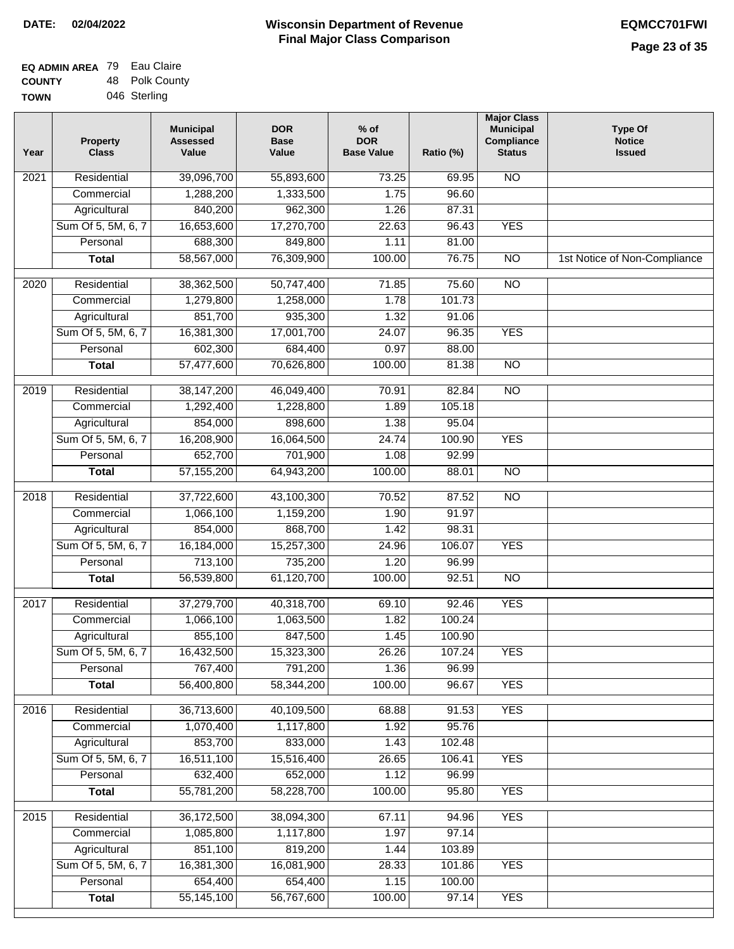| EQ ADMIN AREA 79 Eau Claire |                |
|-----------------------------|----------------|
| <b>COUNTY</b>               | 48 Polk County |
| <b>TOWN</b>                 | 046 Sterling   |

| Year              | <b>Property</b><br><b>Class</b> | <b>Municipal</b><br><b>Assessed</b><br>Value | <b>DOR</b><br><b>Base</b><br>Value | $%$ of<br><b>DOR</b><br><b>Base Value</b> | Ratio (%) | <b>Major Class</b><br><b>Municipal</b><br>Compliance<br><b>Status</b> | <b>Type Of</b><br><b>Notice</b><br><b>Issued</b> |
|-------------------|---------------------------------|----------------------------------------------|------------------------------------|-------------------------------------------|-----------|-----------------------------------------------------------------------|--------------------------------------------------|
| 2021              | Residential                     | 39,096,700                                   | 55,893,600                         | 73.25                                     | 69.95     | <b>NO</b>                                                             |                                                  |
|                   | Commercial                      | 1,288,200                                    | 1,333,500                          | 1.75                                      | 96.60     |                                                                       |                                                  |
|                   | Agricultural                    | 840,200                                      | 962,300                            | 1.26                                      | 87.31     |                                                                       |                                                  |
|                   | Sum Of 5, 5M, 6, 7              | 16,653,600                                   | 17,270,700                         | 22.63                                     | 96.43     | <b>YES</b>                                                            |                                                  |
|                   | Personal                        | 688,300                                      | 849,800                            | 1.11                                      | 81.00     |                                                                       |                                                  |
|                   | <b>Total</b>                    | 58,567,000                                   | 76,309,900                         | 100.00                                    | 76.75     | $\overline{NO}$                                                       | 1st Notice of Non-Compliance                     |
| $\frac{1}{2020}$  | Residential                     | 38,362,500                                   | 50,747,400                         | 71.85                                     | 75.60     | $\overline{NO}$                                                       |                                                  |
|                   | Commercial                      | 1,279,800                                    | 1,258,000                          | 1.78                                      | 101.73    |                                                                       |                                                  |
|                   | Agricultural                    | 851,700                                      | 935,300                            | 1.32                                      | 91.06     |                                                                       |                                                  |
|                   | Sum Of 5, 5M, 6, 7              | 16,381,300                                   | 17,001,700                         | 24.07                                     | 96.35     | <b>YES</b>                                                            |                                                  |
|                   | Personal                        | 602,300                                      | 684,400                            | 0.97                                      | 88.00     |                                                                       |                                                  |
|                   | <b>Total</b>                    | 57,477,600                                   | 70,626,800                         | 100.00                                    | 81.38     | <b>NO</b>                                                             |                                                  |
|                   |                                 |                                              |                                    |                                           |           |                                                                       |                                                  |
| $\frac{1}{2019}$  | Residential                     | 38,147,200                                   | 46,049,400                         | 70.91                                     | 82.84     | $\overline{NO}$                                                       |                                                  |
|                   | Commercial                      | 1,292,400                                    | 1,228,800                          | 1.89                                      | 105.18    |                                                                       |                                                  |
|                   | Agricultural                    | 854,000                                      | 898,600                            | 1.38                                      | 95.04     |                                                                       |                                                  |
|                   | Sum Of 5, 5M, 6, 7              | 16,208,900                                   | 16,064,500                         | 24.74                                     | 100.90    | <b>YES</b>                                                            |                                                  |
|                   | Personal                        | 652,700                                      | 701,900                            | 1.08                                      | 92.99     |                                                                       |                                                  |
|                   | <b>Total</b>                    | 57,155,200                                   | 64,943,200                         | 100.00                                    | 88.01     | $\overline{NO}$                                                       |                                                  |
| $\overline{2018}$ | Residential                     | 37,722,600                                   | 43,100,300                         | 70.52                                     | 87.52     | $\overline{NO}$                                                       |                                                  |
|                   | Commercial                      | 1,066,100                                    | 1,159,200                          | 1.90                                      | 91.97     |                                                                       |                                                  |
|                   | Agricultural                    | 854,000                                      | 868,700                            | 1.42                                      | 98.31     |                                                                       |                                                  |
|                   | Sum Of 5, 5M, 6, 7              | 16,184,000                                   | 15,257,300                         | 24.96                                     | 106.07    | <b>YES</b>                                                            |                                                  |
|                   | Personal                        | 713,100                                      | 735,200                            | 1.20                                      | 96.99     |                                                                       |                                                  |
|                   | <b>Total</b>                    | 56,539,800                                   | 61,120,700                         | 100.00                                    | 92.51     | <b>NO</b>                                                             |                                                  |
| 2017              | Residential                     | 37,279,700                                   | 40,318,700                         | 69.10                                     | 92.46     | <b>YES</b>                                                            |                                                  |
|                   | Commercial                      | 1,066,100                                    | 1,063,500                          | 1.82                                      | 100.24    |                                                                       |                                                  |
|                   | Agricultural                    | 855,100                                      | 847,500                            | 1.45                                      | 100.90    |                                                                       |                                                  |
|                   | Sum Of 5, 5M, 6, 7              | 16,432,500                                   | 15,323,300                         | 26.26                                     | 107.24    | <b>YES</b>                                                            |                                                  |
|                   | Personal                        | 767,400                                      | 791,200                            | 1.36                                      | 96.99     |                                                                       |                                                  |
|                   | <b>Total</b>                    | 56,400,800                                   | 58,344,200                         | 100.00                                    | 96.67     | <b>YES</b>                                                            |                                                  |
| 2016              | Residential                     | 36,713,600                                   | 40,109,500                         | 68.88                                     | 91.53     | <b>YES</b>                                                            |                                                  |
|                   | Commercial                      | 1,070,400                                    | 1,117,800                          | 1.92                                      | 95.76     |                                                                       |                                                  |
|                   | Agricultural                    | 853,700                                      | 833,000                            | 1.43                                      | 102.48    |                                                                       |                                                  |
|                   | Sum Of 5, 5M, 6, 7              | 16,511,100                                   | 15,516,400                         | 26.65                                     | 106.41    | <b>YES</b>                                                            |                                                  |
|                   | Personal                        | 632,400                                      | 652,000                            | 1.12                                      | 96.99     |                                                                       |                                                  |
|                   | <b>Total</b>                    | 55,781,200                                   | 58,228,700                         | 100.00                                    | 95.80     | <b>YES</b>                                                            |                                                  |
| 2015              | Residential                     | 36,172,500                                   | 38,094,300                         | 67.11                                     | 94.96     | <b>YES</b>                                                            |                                                  |
|                   | Commercial                      | 1,085,800                                    | 1,117,800                          | 1.97                                      | 97.14     |                                                                       |                                                  |
|                   | Agricultural                    | 851,100                                      | 819,200                            | 1.44                                      | 103.89    |                                                                       |                                                  |
|                   | Sum Of 5, 5M, 6, 7              | 16,381,300                                   | 16,081,900                         | 28.33                                     | 101.86    | <b>YES</b>                                                            |                                                  |
|                   | Personal                        | 654,400                                      | 654,400                            | 1.15                                      | 100.00    |                                                                       |                                                  |
|                   | <b>Total</b>                    | 55,145,100                                   | 56,767,600                         | 100.00                                    | 97.14     | <b>YES</b>                                                            |                                                  |
|                   |                                 |                                              |                                    |                                           |           |                                                                       |                                                  |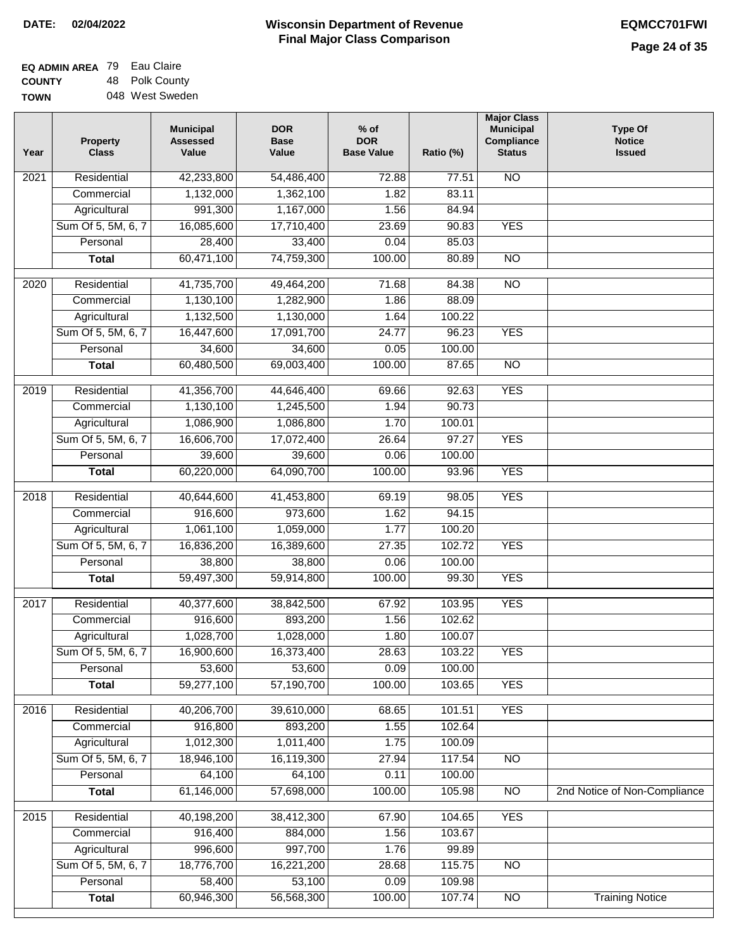| EQ ADMIN AREA 79 | Eau Claire      |
|------------------|-----------------|
| <b>COUNTY</b>    | 48 Polk County  |
| <b>TOWN</b>      | 048 West Sweden |

| Year              | Property<br><b>Class</b> | <b>Municipal</b><br><b>Assessed</b><br>Value | <b>DOR</b><br><b>Base</b><br>Value | $%$ of<br><b>DOR</b><br><b>Base Value</b> | Ratio (%)        | <b>Major Class</b><br><b>Municipal</b><br>Compliance<br><b>Status</b> | <b>Type Of</b><br><b>Notice</b><br><b>Issued</b> |
|-------------------|--------------------------|----------------------------------------------|------------------------------------|-------------------------------------------|------------------|-----------------------------------------------------------------------|--------------------------------------------------|
| 2021              | Residential              | 42,233,800                                   | 54,486,400                         | 72.88                                     | 77.51            | <b>NO</b>                                                             |                                                  |
|                   | Commercial               | 1,132,000                                    | 1,362,100                          | 1.82                                      | 83.11            |                                                                       |                                                  |
|                   | Agricultural             | 991,300                                      | 1,167,000                          | 1.56                                      | 84.94            |                                                                       |                                                  |
|                   | Sum Of 5, 5M, 6, 7       | 16,085,600                                   | 17,710,400                         | 23.69                                     | 90.83            | <b>YES</b>                                                            |                                                  |
|                   | Personal                 | 28,400                                       | 33,400                             | 0.04                                      | 85.03            |                                                                       |                                                  |
|                   | <b>Total</b>             | 60,471,100                                   | 74,759,300                         | 100.00                                    | 80.89            | $\overline{NO}$                                                       |                                                  |
| $\overline{2020}$ | Residential              | 41,735,700                                   | 49,464,200                         | 71.68                                     | 84.38            | $\overline{NO}$                                                       |                                                  |
|                   | Commercial               | 1,130,100                                    | 1,282,900                          | 1.86                                      | 88.09            |                                                                       |                                                  |
|                   | Agricultural             | 1,132,500                                    | 1,130,000                          | 1.64                                      | 100.22           |                                                                       |                                                  |
|                   | Sum Of 5, 5M, 6, 7       | 16,447,600                                   | 17,091,700                         | 24.77                                     | 96.23            | <b>YES</b>                                                            |                                                  |
|                   | Personal                 | 34,600                                       | 34,600                             | 0.05                                      | 100.00           |                                                                       |                                                  |
|                   | <b>Total</b>             | 60,480,500                                   | 69,003,400                         | 100.00                                    | 87.65            | $\overline{NO}$                                                       |                                                  |
|                   |                          |                                              |                                    |                                           |                  |                                                                       |                                                  |
| 2019              | Residential              | 41,356,700                                   | 44,646,400                         | 69.66                                     | 92.63            | <b>YES</b>                                                            |                                                  |
|                   | Commercial               | 1,130,100                                    | 1,245,500                          | 1.94                                      | 90.73            |                                                                       |                                                  |
|                   | Agricultural             | 1,086,900                                    | 1,086,800                          | 1.70                                      | 100.01           |                                                                       |                                                  |
|                   | Sum Of 5, 5M, 6, 7       | 16,606,700                                   | 17,072,400                         | 26.64                                     | 97.27            | <b>YES</b>                                                            |                                                  |
|                   | Personal                 | 39,600                                       | 39,600                             | 0.06                                      | 100.00           |                                                                       |                                                  |
|                   | <b>Total</b>             | 60,220,000                                   | 64,090,700                         | 100.00                                    | 93.96            | <b>YES</b>                                                            |                                                  |
| 2018              | Residential              | 40,644,600                                   | 41,453,800                         | 69.19                                     | 98.05            | <b>YES</b>                                                            |                                                  |
|                   | Commercial               | 916,600                                      | 973,600                            | 1.62                                      | 94.15            |                                                                       |                                                  |
|                   | Agricultural             | 1,061,100                                    | 1,059,000                          | 1.77                                      | 100.20           |                                                                       |                                                  |
|                   | Sum Of 5, 5M, 6, 7       | 16,836,200                                   | 16,389,600                         | 27.35                                     | 102.72           | <b>YES</b>                                                            |                                                  |
|                   | Personal                 | 38,800                                       | 38,800                             | 0.06                                      | 100.00           |                                                                       |                                                  |
|                   | <b>Total</b>             | 59,497,300                                   | 59,914,800                         | 100.00                                    | 99.30            | <b>YES</b>                                                            |                                                  |
|                   |                          |                                              |                                    |                                           |                  |                                                                       |                                                  |
| 2017              | Residential              | 40,377,600                                   | 38,842,500                         | 67.92                                     | 103.95           | <b>YES</b>                                                            |                                                  |
|                   | Commercial               | 916,600                                      | 893,200                            | 1.56                                      | 102.62<br>100.07 |                                                                       |                                                  |
|                   | Agricultural             | 1,028,700<br>16,900,600                      | 1,028,000<br>16,373,400            | 1.80                                      | 103.22           | <b>YES</b>                                                            |                                                  |
|                   | Sum Of 5, 5M, 6, 7       |                                              | 53,600                             | 28.63<br>0.09                             |                  |                                                                       |                                                  |
|                   | Personal<br><b>Total</b> | 53,600<br>59,277,100                         | 57,190,700                         | 100.00                                    | 100.00<br>103.65 | <b>YES</b>                                                            |                                                  |
|                   |                          |                                              |                                    |                                           |                  |                                                                       |                                                  |
| 2016              | Residential              | 40,206,700                                   | 39,610,000                         | 68.65                                     | 101.51           | <b>YES</b>                                                            |                                                  |
|                   | Commercial               | 916,800                                      | 893,200                            | 1.55                                      | 102.64           |                                                                       |                                                  |
|                   | Agricultural             | 1,012,300                                    | 1,011,400                          | 1.75                                      | 100.09           |                                                                       |                                                  |
|                   | Sum Of 5, 5M, 6, 7       | 18,946,100                                   | 16,119,300                         | 27.94                                     | 117.54           | N <sub>O</sub>                                                        |                                                  |
|                   | Personal                 | 64,100                                       | 64,100                             | 0.11                                      | 100.00           |                                                                       |                                                  |
|                   | <b>Total</b>             | 61,146,000                                   | 57,698,000                         | 100.00                                    | 105.98           | $\overline{NO}$                                                       | 2nd Notice of Non-Compliance                     |
| 2015              | Residential              | 40,198,200                                   | 38,412,300                         | 67.90                                     | 104.65           | <b>YES</b>                                                            |                                                  |
|                   | Commercial               | 916,400                                      | 884,000                            | 1.56                                      | 103.67           |                                                                       |                                                  |
|                   | Agricultural             | 996,600                                      | 997,700                            | 1.76                                      | 99.89            |                                                                       |                                                  |
|                   | Sum Of 5, 5M, 6, 7       | 18,776,700                                   | 16,221,200                         | 28.68                                     | 115.75           | <b>NO</b>                                                             |                                                  |
|                   | Personal                 | 58,400                                       | 53,100                             | 0.09                                      | 109.98           |                                                                       |                                                  |
|                   | <b>Total</b>             | 60,946,300                                   | 56,568,300                         | 100.00                                    | 107.74           | $\overline{NO}$                                                       | <b>Training Notice</b>                           |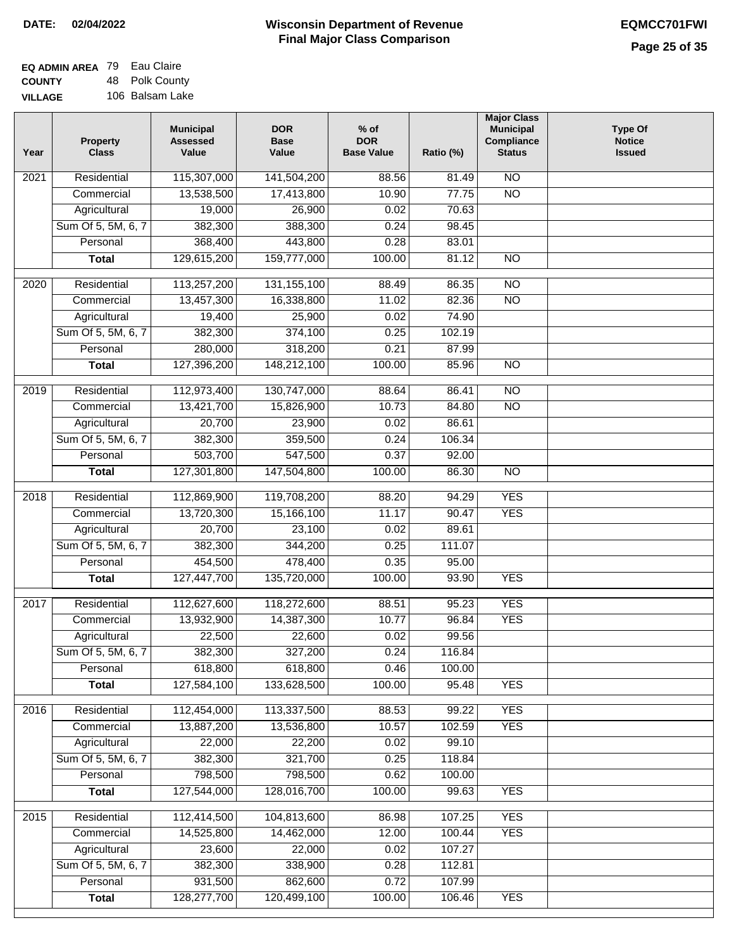| <b>EQ ADMIN AREA</b> 79 Eau Claire |                 |
|------------------------------------|-----------------|
| <b>COUNTY</b>                      | 48 Polk County  |
| <b>VILLAGE</b>                     | 106 Balsam Lake |

| Year              | <b>Property</b><br><b>Class</b> | <b>Municipal</b><br><b>Assessed</b><br>Value | <b>DOR</b><br><b>Base</b><br>Value | $%$ of<br><b>DOR</b><br><b>Base Value</b> | Ratio (%) | <b>Major Class</b><br><b>Municipal</b><br><b>Compliance</b><br><b>Status</b> | <b>Type Of</b><br><b>Notice</b><br><b>Issued</b> |
|-------------------|---------------------------------|----------------------------------------------|------------------------------------|-------------------------------------------|-----------|------------------------------------------------------------------------------|--------------------------------------------------|
| 2021              | Residential                     | 115,307,000                                  | 141,504,200                        | 88.56                                     | 81.49     | $\overline{NO}$                                                              |                                                  |
|                   | Commercial                      | 13,538,500                                   | 17,413,800                         | 10.90                                     | 77.75     | $\overline{NO}$                                                              |                                                  |
|                   | Agricultural                    | 19,000                                       | 26,900                             | 0.02                                      | 70.63     |                                                                              |                                                  |
|                   | Sum Of 5, 5M, 6, 7              | 382,300                                      | 388,300                            | 0.24                                      | 98.45     |                                                                              |                                                  |
|                   | Personal                        | 368,400                                      | 443,800                            | 0.28                                      | 83.01     |                                                                              |                                                  |
|                   | <b>Total</b>                    | 129,615,200                                  | 159,777,000                        | 100.00                                    | 81.12     | $\overline{NO}$                                                              |                                                  |
|                   |                                 |                                              |                                    |                                           |           |                                                                              |                                                  |
| 2020              | Residential                     | 113,257,200                                  | 131, 155, 100                      | 88.49                                     | 86.35     | $\overline{NO}$                                                              |                                                  |
|                   | Commercial                      | 13,457,300                                   | 16,338,800                         | 11.02                                     | 82.36     | $\overline{NO}$                                                              |                                                  |
|                   | Agricultural                    | 19,400                                       | 25,900                             | 0.02                                      | 74.90     |                                                                              |                                                  |
|                   | Sum Of 5, 5M, 6, 7              | 382,300                                      | 374,100                            | 0.25                                      | 102.19    |                                                                              |                                                  |
|                   | Personal                        | 280,000                                      | 318,200                            | 0.21                                      | 87.99     |                                                                              |                                                  |
|                   | <b>Total</b>                    | 127,396,200                                  | 148,212,100                        | 100.00                                    | 85.96     | <b>NO</b>                                                                    |                                                  |
| 2019              | Residential                     | 112,973,400                                  | 130,747,000                        | 88.64                                     | 86.41     | $\overline{NO}$                                                              |                                                  |
|                   | Commercial                      | 13,421,700                                   | 15,826,900                         | 10.73                                     | 84.80     | $\overline{NO}$                                                              |                                                  |
|                   | Agricultural                    | 20,700                                       | 23,900                             | 0.02                                      | 86.61     |                                                                              |                                                  |
|                   | Sum Of 5, 5M, 6, 7              | 382,300                                      | 359,500                            | 0.24                                      | 106.34    |                                                                              |                                                  |
|                   | Personal                        | 503,700                                      | 547,500                            | 0.37                                      | 92.00     |                                                                              |                                                  |
|                   | <b>Total</b>                    | 127,301,800                                  | 147,504,800                        | 100.00                                    | 86.30     | $\overline{NO}$                                                              |                                                  |
| $\overline{2018}$ | Residential                     | 112,869,900                                  | 119,708,200                        | 88.20                                     | 94.29     | <b>YES</b>                                                                   |                                                  |
|                   | Commercial                      | 13,720,300                                   | 15,166,100                         | 11.17                                     | 90.47     | <b>YES</b>                                                                   |                                                  |
|                   | Agricultural                    | 20,700                                       | 23,100                             | 0.02                                      | 89.61     |                                                                              |                                                  |
|                   | Sum Of 5, 5M, 6, 7              | 382,300                                      | 344,200                            | 0.25                                      | 111.07    |                                                                              |                                                  |
|                   | Personal                        | 454,500                                      | 478,400                            | 0.35                                      | 95.00     |                                                                              |                                                  |
|                   | <b>Total</b>                    | 127,447,700                                  | 135,720,000                        | 100.00                                    | 93.90     | <b>YES</b>                                                                   |                                                  |
|                   |                                 |                                              |                                    |                                           |           |                                                                              |                                                  |
| 2017              | Residential                     | 112,627,600                                  | 118,272,600                        | 88.51                                     | 95.23     | <b>YES</b>                                                                   |                                                  |
|                   | Commercial                      | 13,932,900                                   | 14,387,300                         | 10.77                                     | 96.84     | <b>YES</b>                                                                   |                                                  |
|                   | Agricultural                    | 22,500                                       | 22,600                             | 0.02                                      | 99.56     |                                                                              |                                                  |
|                   | Sum Of 5, 5M, 6, 7              | 382,300                                      | 327,200                            | 0.24                                      | 116.84    |                                                                              |                                                  |
|                   | Personal                        | 618,800                                      | 618,800                            | 0.46                                      | 100.00    |                                                                              |                                                  |
|                   | <b>Total</b>                    | 127,584,100                                  | 133,628,500                        | 100.00                                    | 95.48     | <b>YES</b>                                                                   |                                                  |
| 2016              | Residential                     | 112,454,000                                  | 113,337,500                        | 88.53                                     | 99.22     | <b>YES</b>                                                                   |                                                  |
|                   | Commercial                      | 13,887,200                                   | 13,536,800                         | 10.57                                     | 102.59    | <b>YES</b>                                                                   |                                                  |
|                   | Agricultural                    | 22,000                                       | 22,200                             | 0.02                                      | 99.10     |                                                                              |                                                  |
|                   | Sum Of 5, 5M, 6, 7              | 382,300                                      | 321,700                            | 0.25                                      | 118.84    |                                                                              |                                                  |
|                   | Personal                        | 798,500                                      | 798,500                            | 0.62                                      | 100.00    |                                                                              |                                                  |
|                   | <b>Total</b>                    | 127,544,000                                  | 128,016,700                        | 100.00                                    | 99.63     | <b>YES</b>                                                                   |                                                  |
| 2015              | Residential                     | 112,414,500                                  | 104,813,600                        | 86.98                                     | 107.25    | <b>YES</b>                                                                   |                                                  |
|                   | Commercial                      | 14,525,800                                   | 14,462,000                         | 12.00                                     | 100.44    | <b>YES</b>                                                                   |                                                  |
|                   | Agricultural                    | 23,600                                       | 22,000                             | 0.02                                      | 107.27    |                                                                              |                                                  |
|                   | Sum Of 5, 5M, 6, 7              | 382,300                                      | 338,900                            | 0.28                                      | 112.81    |                                                                              |                                                  |
|                   | Personal                        | 931,500                                      | 862,600                            | 0.72                                      | 107.99    |                                                                              |                                                  |
|                   | <b>Total</b>                    | 128,277,700                                  | 120,499,100                        | 100.00                                    | 106.46    | <b>YES</b>                                                                   |                                                  |
|                   |                                 |                                              |                                    |                                           |           |                                                                              |                                                  |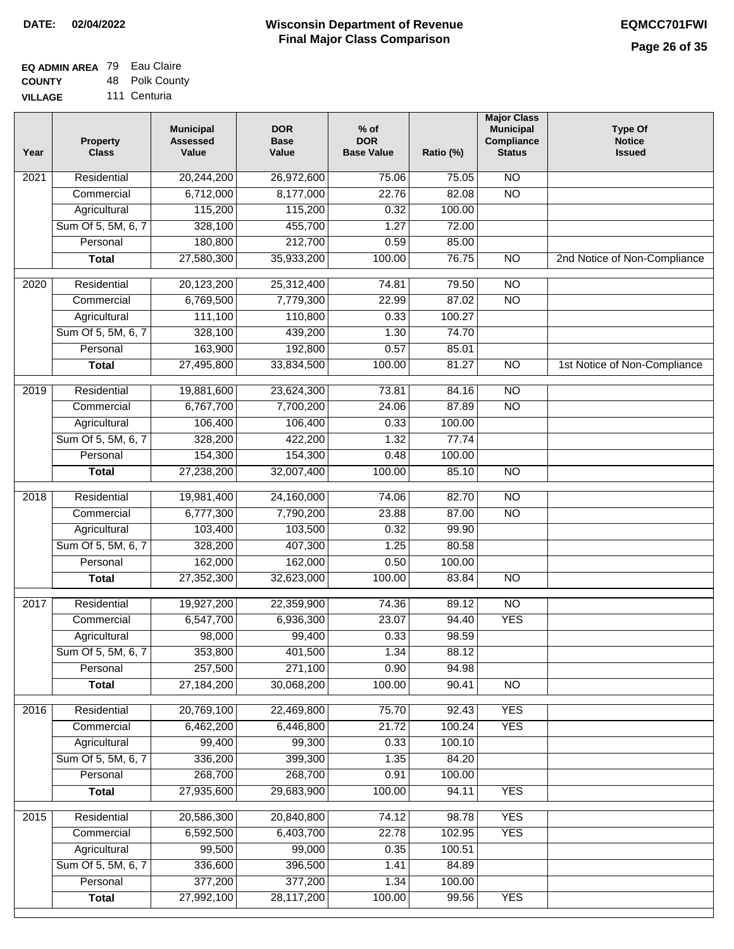| <b>EQ ADMIN AREA 79 Eau Claire</b> |                |
|------------------------------------|----------------|
| <b>COUNTY</b>                      | 48 Polk County |
| <b>VILLAGE</b>                     | 111 Centuria   |

| Year              | <b>Property</b><br><b>Class</b> | <b>Municipal</b><br><b>Assessed</b><br>Value | <b>DOR</b><br><b>Base</b><br>Value | % of<br><b>DOR</b><br><b>Base Value</b> | Ratio (%) | <b>Major Class</b><br><b>Municipal</b><br><b>Compliance</b><br><b>Status</b> | <b>Type Of</b><br><b>Notice</b><br><b>Issued</b> |
|-------------------|---------------------------------|----------------------------------------------|------------------------------------|-----------------------------------------|-----------|------------------------------------------------------------------------------|--------------------------------------------------|
| 2021              | Residential                     | 20,244,200                                   | 26,972,600                         | 75.06                                   | 75.05     | <b>NO</b>                                                                    |                                                  |
|                   | Commercial                      | 6,712,000                                    | 8,177,000                          | 22.76                                   | 82.08     | $\overline{NO}$                                                              |                                                  |
|                   | Agricultural                    | 115,200                                      | 115,200                            | 0.32                                    | 100.00    |                                                                              |                                                  |
|                   | Sum Of 5, 5M, 6, 7              | 328,100                                      | 455,700                            | 1.27                                    | 72.00     |                                                                              |                                                  |
|                   | Personal                        | 180,800                                      | 212,700                            | 0.59                                    | 85.00     |                                                                              |                                                  |
|                   | <b>Total</b>                    | 27,580,300                                   | 35,933,200                         | 100.00                                  | 76.75     | $\overline{NO}$                                                              | 2nd Notice of Non-Compliance                     |
| $\frac{1}{2020}$  | Residential                     | 20,123,200                                   | 25,312,400                         | 74.81                                   | 79.50     | $\overline{NO}$                                                              |                                                  |
|                   | Commercial                      | 6,769,500                                    | 7,779,300                          | 22.99                                   | 87.02     | $\overline{NO}$                                                              |                                                  |
|                   | Agricultural                    | 111,100                                      | 110,800                            | 0.33                                    | 100.27    |                                                                              |                                                  |
|                   | Sum Of 5, 5M, 6, 7              | 328,100                                      | 439,200                            | 1.30                                    | 74.70     |                                                                              |                                                  |
|                   | Personal                        | 163,900                                      | 192,800                            | 0.57                                    | 85.01     |                                                                              |                                                  |
|                   | <b>Total</b>                    | 27,495,800                                   | 33,834,500                         | 100.00                                  | 81.27     | <b>NO</b>                                                                    | 1st Notice of Non-Compliance                     |
|                   |                                 |                                              |                                    |                                         |           |                                                                              |                                                  |
| 2019              | Residential                     | 19,881,600                                   | 23,624,300                         | 73.81                                   | 84.16     | $\overline{NO}$                                                              |                                                  |
|                   | Commercial                      | 6,767,700                                    | 7,700,200                          | 24.06                                   | 87.89     | $\overline{NO}$                                                              |                                                  |
|                   | Agricultural                    | 106,400                                      | 106,400                            | 0.33                                    | 100.00    |                                                                              |                                                  |
|                   | Sum Of 5, 5M, 6, 7              | 328,200                                      | 422,200                            | 1.32                                    | 77.74     |                                                                              |                                                  |
|                   | Personal                        | 154,300                                      | 154,300                            | 0.48                                    | 100.00    |                                                                              |                                                  |
|                   | <b>Total</b>                    | 27,238,200                                   | 32,007,400                         | 100.00                                  | 85.10     | $\overline{NO}$                                                              |                                                  |
| 2018              | Residential                     | 19,981,400                                   | 24,160,000                         | 74.06                                   | 82.70     | $\overline{NO}$                                                              |                                                  |
|                   | Commercial                      | 6,777,300                                    | 7,790,200                          | 23.88                                   | 87.00     | $\overline{NO}$                                                              |                                                  |
|                   | Agricultural                    | 103,400                                      | 103,500                            | 0.32                                    | 99.90     |                                                                              |                                                  |
|                   | Sum Of 5, 5M, 6, 7              | 328,200                                      | 407,300                            | 1.25                                    | 80.58     |                                                                              |                                                  |
|                   | Personal                        | 162,000                                      | 162,000                            | 0.50                                    | 100.00    |                                                                              |                                                  |
|                   | <b>Total</b>                    | 27,352,300                                   | 32,623,000                         | 100.00                                  | 83.84     | $\overline{NO}$                                                              |                                                  |
| $\overline{2017}$ | Residential                     | 19,927,200                                   | 22,359,900                         | 74.36                                   | 89.12     | $\overline{NO}$                                                              |                                                  |
|                   | Commercial                      | 6,547,700                                    | 6,936,300                          | 23.07                                   | 94.40     | <b>YES</b>                                                                   |                                                  |
|                   | Agricultural                    | 98,000                                       | 99,400                             | 0.33                                    | 98.59     |                                                                              |                                                  |
|                   | Sum Of 5, 5M, 6, 7              | 353,800                                      | 401,500                            | 1.34                                    | 88.12     |                                                                              |                                                  |
|                   | Personal                        | 257,500                                      | 271,100                            | 0.90                                    | 94.98     |                                                                              |                                                  |
|                   | <b>Total</b>                    | 27,184,200                                   | 30,068,200                         | 100.00                                  | 90.41     | $\overline{NO}$                                                              |                                                  |
| 2016              | Residential                     | 20,769,100                                   | 22,469,800                         | 75.70                                   | 92.43     | <b>YES</b>                                                                   |                                                  |
|                   | Commercial                      | 6,462,200                                    | 6,446,800                          | 21.72                                   | 100.24    | <b>YES</b>                                                                   |                                                  |
|                   | Agricultural                    | 99,400                                       | 99,300                             | 0.33                                    | 100.10    |                                                                              |                                                  |
|                   | Sum Of 5, 5M, 6, 7              | 336,200                                      | 399,300                            | 1.35                                    | 84.20     |                                                                              |                                                  |
|                   | Personal                        | 268,700                                      | 268,700                            | 0.91                                    | 100.00    |                                                                              |                                                  |
|                   | <b>Total</b>                    | 27,935,600                                   | 29,683,900                         | 100.00                                  | 94.11     | <b>YES</b>                                                                   |                                                  |
| 2015              | Residential                     | 20,586,300                                   | 20,840,800                         | 74.12                                   | 98.78     | <b>YES</b>                                                                   |                                                  |
|                   | Commercial                      | 6,592,500                                    | 6,403,700                          | 22.78                                   | 102.95    | <b>YES</b>                                                                   |                                                  |
|                   | Agricultural                    | 99,500                                       | 99,000                             | 0.35                                    | 100.51    |                                                                              |                                                  |
|                   | Sum Of 5, 5M, 6, 7              | 336,600                                      | 396,500                            | 1.41                                    | 84.89     |                                                                              |                                                  |
|                   | Personal                        | 377,200                                      | 377,200                            | 1.34                                    | 100.00    |                                                                              |                                                  |
|                   | <b>Total</b>                    | 27,992,100                                   | 28,117,200                         | 100.00                                  | 99.56     | <b>YES</b>                                                                   |                                                  |
|                   |                                 |                                              |                                    |                                         |           |                                                                              |                                                  |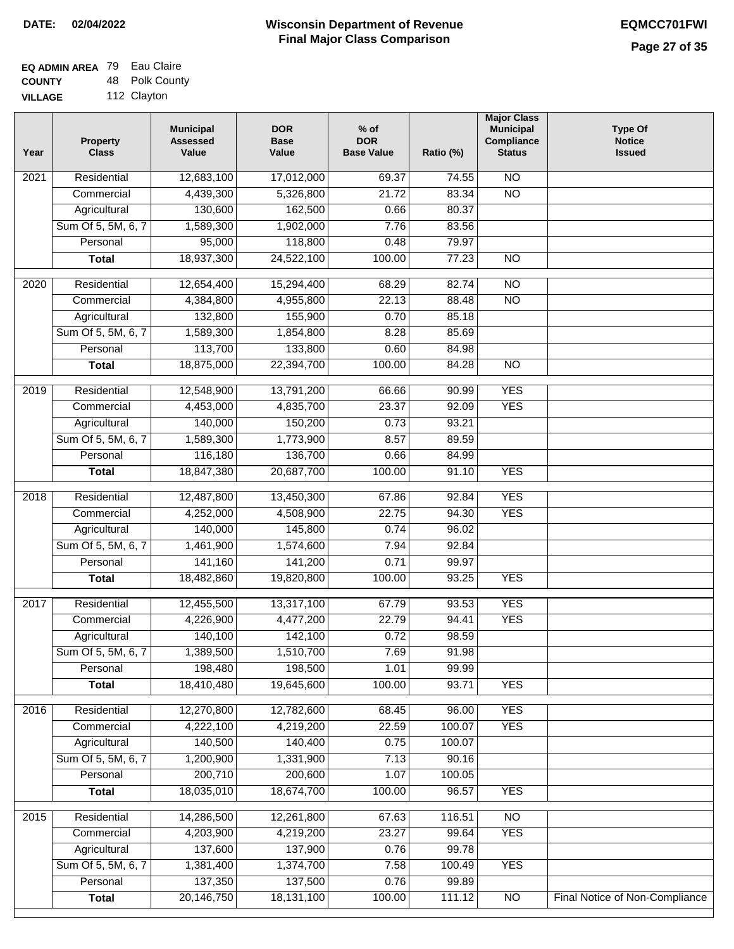$\Box$ 

# **Wisconsin Department of Revenue DATE: 02/04/2022 EQMCC701FWI Final Major Class Comparison**

| <b>EQ ADMIN AREA 79 Eau Claire</b> |                |
|------------------------------------|----------------|
| <b>COUNTY</b>                      | 48 Polk County |
| <b>VILLAGE</b>                     | 112 Clayton    |

| Year | Property<br><b>Class</b> | <b>Municipal</b><br><b>Assessed</b><br>Value | <b>DOR</b><br><b>Base</b><br>Value | $%$ of<br><b>DOR</b><br><b>Base Value</b> | Ratio (%) | <b>Major Class</b><br><b>Municipal</b><br>Compliance<br><b>Status</b> | <b>Type Of</b><br><b>Notice</b><br><b>Issued</b> |
|------|--------------------------|----------------------------------------------|------------------------------------|-------------------------------------------|-----------|-----------------------------------------------------------------------|--------------------------------------------------|
| 2021 | Residential              | 12,683,100                                   | 17,012,000                         | 69.37                                     | 74.55     | <b>NO</b>                                                             |                                                  |
|      | Commercial               | 4,439,300                                    | 5,326,800                          | 21.72                                     | 83.34     | $\overline{NO}$                                                       |                                                  |
|      | Agricultural             | 130,600                                      | 162,500                            | 0.66                                      | 80.37     |                                                                       |                                                  |
|      | Sum Of 5, 5M, 6, 7       | 1,589,300                                    | 1,902,000                          | 7.76                                      | 83.56     |                                                                       |                                                  |
|      | Personal                 | 95,000                                       | 118,800                            | 0.48                                      | 79.97     |                                                                       |                                                  |
|      | <b>Total</b>             | 18,937,300                                   | 24,522,100                         | 100.00                                    | 77.23     | $\overline{NO}$                                                       |                                                  |
| 2020 | Residential              | 12,654,400                                   | 15,294,400                         | 68.29                                     | 82.74     | $\overline{10}$                                                       |                                                  |
|      | Commercial               | 4,384,800                                    | 4,955,800                          | 22.13                                     | 88.48     | $\overline{NO}$                                                       |                                                  |
|      | Agricultural             | 132,800                                      | 155,900                            | 0.70                                      | 85.18     |                                                                       |                                                  |
|      | Sum Of 5, 5M, 6, 7       | 1,589,300                                    | 1,854,800                          | 8.28                                      | 85.69     |                                                                       |                                                  |
|      | Personal                 | 113,700                                      | 133,800                            | 0.60                                      | 84.98     |                                                                       |                                                  |
|      | <b>Total</b>             | 18,875,000                                   | 22,394,700                         | 100.00                                    | 84.28     | $\overline{NO}$                                                       |                                                  |
| 2019 | Residential              | 12,548,900                                   | 13,791,200                         | 66.66                                     | 90.99     | <b>YES</b>                                                            |                                                  |
|      | Commercial               | 4,453,000                                    | 4,835,700                          | 23.37                                     | 92.09     | <b>YES</b>                                                            |                                                  |
|      | Agricultural             | 140,000                                      | 150,200                            | 0.73                                      | 93.21     |                                                                       |                                                  |
|      | Sum Of 5, 5M, 6, 7       | 1,589,300                                    | 1,773,900                          | 8.57                                      | 89.59     |                                                                       |                                                  |
|      | Personal                 | 116,180                                      | 136,700                            | 0.66                                      | 84.99     |                                                                       |                                                  |
|      | <b>Total</b>             | 18,847,380                                   | 20,687,700                         | 100.00                                    | 91.10     | <b>YES</b>                                                            |                                                  |
|      |                          |                                              |                                    |                                           |           |                                                                       |                                                  |
| 2018 | Residential              | 12,487,800                                   | 13,450,300                         | 67.86                                     | 92.84     | <b>YES</b>                                                            |                                                  |
|      | Commercial               | 4,252,000                                    | 4,508,900                          | 22.75                                     | 94.30     | <b>YES</b>                                                            |                                                  |
|      | Agricultural             | 140,000                                      | 145,800                            | 0.74                                      | 96.02     |                                                                       |                                                  |
|      | Sum Of 5, 5M, 6, 7       | 1,461,900                                    | 1,574,600                          | 7.94                                      | 92.84     |                                                                       |                                                  |
|      | Personal                 | 141,160                                      | 141,200                            | 0.71                                      | 99.97     |                                                                       |                                                  |
|      | <b>Total</b>             | 18,482,860                                   | 19,820,800                         | 100.00                                    | 93.25     | <b>YES</b>                                                            |                                                  |
| 2017 | Residential              | 12,455,500                                   | 13,317,100                         | 67.79                                     | 93.53     | <b>YES</b>                                                            |                                                  |
|      | Commercial               | 4,226,900                                    | 4,477,200                          | 22.79                                     | 94.41     | <b>YES</b>                                                            |                                                  |
|      | Agricultural             | 140,100                                      | 142,100                            | 0.72                                      | 98.59     |                                                                       |                                                  |
|      | Sum Of 5, 5M, 6, 7       | 1,389,500                                    | 1,510,700                          | 7.69                                      | 91.98     |                                                                       |                                                  |
|      | Personal                 | 198,480                                      | 198,500                            | 1.01                                      | 99.99     |                                                                       |                                                  |
|      | <b>Total</b>             | 18,410,480                                   | 19,645,600                         | 100.00                                    | 93.71     | <b>YES</b>                                                            |                                                  |
| 2016 | Residential              | 12,270,800                                   | 12,782,600                         | 68.45                                     | 96.00     | <b>YES</b>                                                            |                                                  |
|      | Commercial               | 4,222,100                                    | 4,219,200                          | 22.59                                     | 100.07    | <b>YES</b>                                                            |                                                  |
|      | Agricultural             | 140,500                                      | 140,400                            | 0.75                                      | 100.07    |                                                                       |                                                  |
|      | Sum Of 5, 5M, 6, 7       | 1,200,900                                    | 1,331,900                          | 7.13                                      | 90.16     |                                                                       |                                                  |
|      | Personal                 | 200,710                                      | 200,600                            | 1.07                                      | 100.05    |                                                                       |                                                  |
|      | <b>Total</b>             | 18,035,010                                   | 18,674,700                         | 100.00                                    | 96.57     | <b>YES</b>                                                            |                                                  |
| 2015 | Residential              | 14,286,500                                   | 12,261,800                         | 67.63                                     | 116.51    | $\overline{NO}$                                                       |                                                  |
|      | Commercial               | 4,203,900                                    | 4,219,200                          | 23.27                                     | 99.64     | <b>YES</b>                                                            |                                                  |
|      | Agricultural             | 137,600                                      | 137,900                            | 0.76                                      | 99.78     |                                                                       |                                                  |
|      | Sum Of 5, 5M, 6, 7       | 1,381,400                                    | 1,374,700                          | 7.58                                      | 100.49    | <b>YES</b>                                                            |                                                  |
|      | Personal                 | 137,350                                      | 137,500                            | 0.76                                      | 99.89     |                                                                       |                                                  |
|      | <b>Total</b>             | 20,146,750                                   | 18,131,100                         | 100.00                                    | 111.12    | $\overline{NO}$                                                       | Final Notice of Non-Compliance                   |
|      |                          |                                              |                                    |                                           |           |                                                                       |                                                  |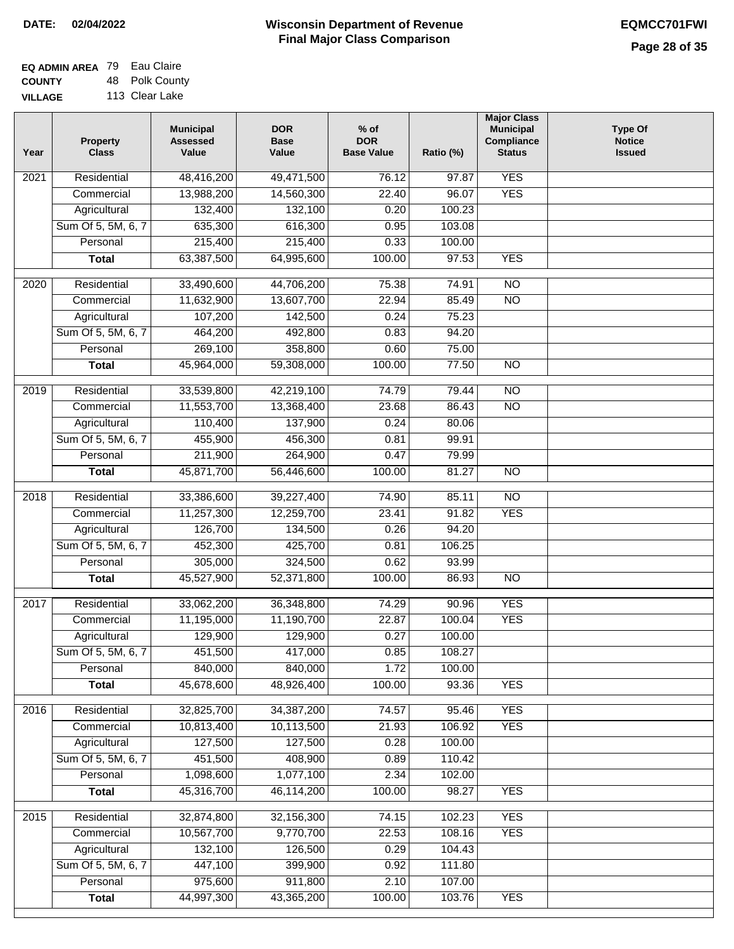**Year**

2021

2020

2019

2018

# **Wisconsin Department of Revenue DATE: 02/04/2022 EQMCC701FWI Final Major Class Comparison**

**Type Of Notice Issued**

| <b>EQ ADMIN AREA 79 Eau Claire</b> |                |
|------------------------------------|----------------|
| <b>COUNTY</b>                      | 48 Polk County |
| <b>VILLAGE</b>                     | 113 Clear Lake |

| Property<br><b>Class</b> | <b>Municipal</b><br><b>Assessed</b><br>Value | <b>DOR</b><br><b>Base</b><br>Value                           | $%$ of<br><b>DOR</b><br><b>Base Value</b> | Ratio (%)            | <b>Major Class</b><br>Municipal<br>Compliance<br><b>Status</b> |  |
|--------------------------|----------------------------------------------|--------------------------------------------------------------|-------------------------------------------|----------------------|----------------------------------------------------------------|--|
| Residential              | 48,416,200                                   | 49,471,500                                                   | 76.12                                     | 97.87                | <b>YES</b>                                                     |  |
| Commercial               | 13,988,200                                   | 14,560,300                                                   | 22.40                                     | 96.07                | <b>YES</b>                                                     |  |
| Agricultural             | 132,400                                      | 132,100                                                      | 0.20                                      | 100.23               |                                                                |  |
| Sum Of 5, 5M, 6, 7       | 635,300                                      | 616,300                                                      | 0.95                                      | 103.08               |                                                                |  |
| Personal                 | 215,400                                      | 215,400                                                      | 0.33                                      | 100.00               |                                                                |  |
| Total                    | 63,387,500                                   | 64,995,600                                                   | 100.00                                    | 97.53                | <b>YES</b>                                                     |  |
| Residential              | 33,490,600                                   | 44,706,200                                                   | 75.38                                     | 74.91                | $\overline{NO}$                                                |  |
| Commercial               | 11,632,900                                   | 13,607,700                                                   | 22.94                                     | 85.49                | $\overline{NO}$                                                |  |
| Agricultural             | 107,200                                      | 142,500                                                      | 0.24                                      | 75.23                |                                                                |  |
| Sum Of 5, 5M, 6, 7       | 464,200                                      | 492,800                                                      | 0.83                                      | 94.20                |                                                                |  |
| Personal                 | 269,100                                      | 358,800                                                      | 0.60                                      | 75.00                |                                                                |  |
| <b>Total</b>             | 45,964,000                                   | 59,308,000                                                   | 100.00                                    | 77.50                | $\overline{NO}$                                                |  |
| Residential              | 33,539,800                                   | 42,219,100                                                   | 74.79                                     | 79.44                | $\overline{NO}$                                                |  |
| Commercial               | 11,553,700                                   | 13,368,400                                                   | 23.68                                     | 86.43                | $\overline{NO}$                                                |  |
| Agricultural             | 110,400                                      | 137,900                                                      | 0.24                                      | 80.06                |                                                                |  |
| Sum Of 5, 5M, 6, 7       | 455,900                                      | 456,300                                                      | 0.81                                      | 99.91                |                                                                |  |
| Personal                 | 211,900                                      | 264,900                                                      | 0.47                                      | 79.99                |                                                                |  |
| Total                    | 45,871,700                                   | 56,446,600                                                   | 100.00                                    | 81.27                | <b>NO</b>                                                      |  |
| Residential              | 33,386,600                                   | 39,227,400                                                   | 74.90                                     | 85.11                | $\overline{NO}$                                                |  |
| Commercial               | 11,257,300                                   | 12,259,700                                                   | 23.41                                     | 91.82                | <b>YES</b>                                                     |  |
| Agricultural             | 126,700                                      | 134,500                                                      | 0.26                                      | 94.20                |                                                                |  |
| Sum Of 5, 5M, 6, 7       | 452,300                                      | 425,700                                                      | 0.81                                      | 106.25               |                                                                |  |
| Personal                 | 305,000                                      | 324,500                                                      | 0.62                                      | 93.99                |                                                                |  |
| <b>Total</b>             | 45,527,900                                   | 52,371,800                                                   | 100.00                                    | 86.93                | <b>NO</b>                                                      |  |
| Residential              | 33,062,200                                   | 36,348,800                                                   | 74.29                                     | 90.96                | <b>YES</b>                                                     |  |
| Commercial               | 11,195,000                                   | 11,190,700                                                   | 22.87                                     | 100.04               | <b>YES</b>                                                     |  |
| Agricultural             | 129,900                                      | 129,900                                                      | 0.27                                      | 100.00               |                                                                |  |
| Sum Of 5, 5M, 6, 7       | 451,500                                      | 417,000                                                      | 0.85                                      | 108.27               |                                                                |  |
| Personal                 | 840,000                                      | 840,000                                                      | 1.72                                      | 100.00               |                                                                |  |
| <b>Total</b>             | 45678600                                     | $\overline{AB}$ Q <sub>26</sub> $\overline{A}$ <sub>00</sub> | 100.00                                    | שג צס $\overline{a}$ | <b>VES</b>                                                     |  |

| Residential<br>Commercial<br>Agricultural<br>Sum Of 5, 5M, 6, 7<br>Personal | 33,062,200<br>11,195,000<br>129,900<br>451,500 | 36,348,800<br>11,190,700<br>129,900<br>417,000 | 74.29<br>22.87<br>0.27                | 90.96<br>100.04<br>100.00 | <b>YES</b><br><b>YES</b>  |                                        |
|-----------------------------------------------------------------------------|------------------------------------------------|------------------------------------------------|---------------------------------------|---------------------------|---------------------------|----------------------------------------|
|                                                                             |                                                |                                                |                                       |                           |                           |                                        |
|                                                                             |                                                |                                                |                                       |                           |                           |                                        |
|                                                                             |                                                |                                                |                                       |                           |                           |                                        |
|                                                                             |                                                |                                                | 0.85                                  | 108.27                    |                           |                                        |
|                                                                             | 840,000                                        | 840,000                                        | 1.72                                  | 100.00                    |                           |                                        |
| <b>Total</b>                                                                | 45,678,600                                     | 48,926,400                                     | 100.00                                | 93.36                     | <b>YES</b>                |                                        |
|                                                                             |                                                |                                                |                                       |                           |                           |                                        |
|                                                                             |                                                |                                                |                                       |                           |                           |                                        |
| Commercial                                                                  | 10,813,400                                     | 10,113,500                                     | 21.93                                 | 106.92                    | <b>YES</b>                |                                        |
| Agricultural                                                                | 127,500                                        | 127,500                                        | 0.28                                  | 100.00                    |                           |                                        |
| Sum Of 5, 5M, 6, 7                                                          | 451,500                                        | 408,900                                        | 0.89                                  | 110.42                    |                           |                                        |
| Personal                                                                    | 1,098,600                                      | 1,077,100                                      | 2.34                                  | 102.00                    |                           |                                        |
| <b>Total</b>                                                                | 45,316,700                                     | 46,114,200                                     | 100.00                                | 98.27                     | <b>YES</b>                |                                        |
|                                                                             |                                                |                                                |                                       |                           |                           |                                        |
|                                                                             |                                                |                                                |                                       |                           |                           |                                        |
|                                                                             |                                                |                                                |                                       |                           |                           |                                        |
| Agricultural                                                                | 132,100                                        | 126,500                                        | 0.29                                  | 104.43                    |                           |                                        |
| Sum Of 5, 5M, 6, 7                                                          | 447,100                                        | 399,900                                        | 0.92                                  | 111.80                    |                           |                                        |
| Personal                                                                    | 975,600                                        | 911,800                                        | 2.10                                  | 107.00                    |                           |                                        |
| <b>Total</b>                                                                | 44,997,300                                     | 43,365,200                                     | 100.00                                | 103.76                    | <b>YES</b>                |                                        |
|                                                                             | Residential<br>Residential<br>Commercial       | 32,825,700<br>32,874,800<br>10,567,700         | 34,387,200<br>32,156,300<br>9,770,700 | 74.57<br>74.15<br>22.53   | 95.46<br>102.23<br>108.16 | <b>YES</b><br><b>YES</b><br><b>YES</b> |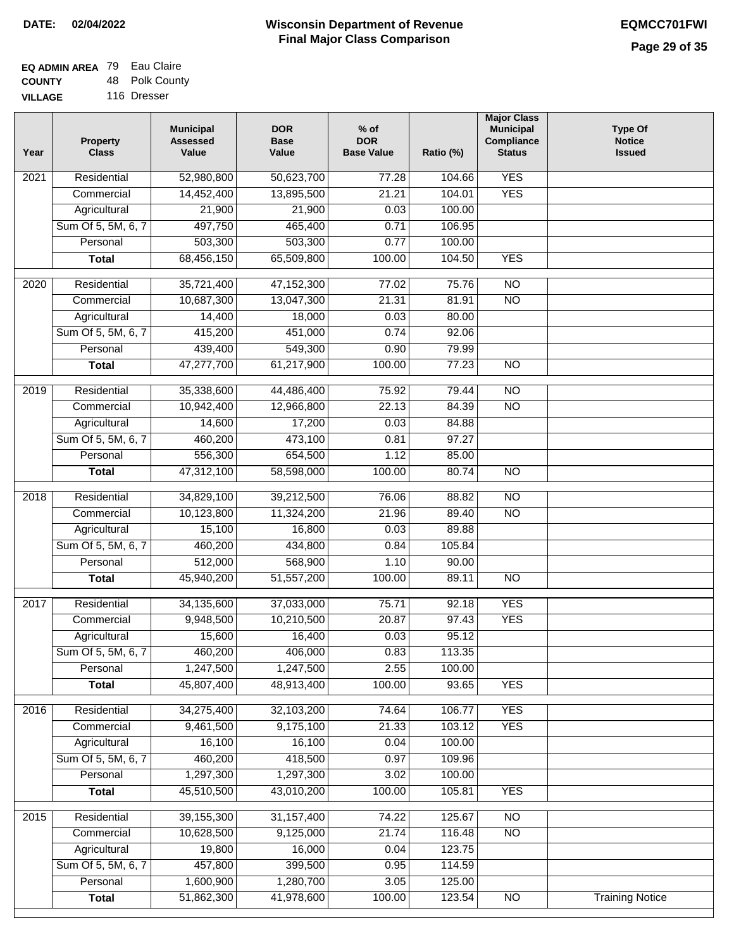| <b>EQ ADMIN AREA 79 Eau Claire</b> |                |
|------------------------------------|----------------|
| <b>COUNTY</b>                      | 48 Polk County |
| <b>VILLAGE</b>                     | 116 Dresser    |

| Year             | <b>Property</b><br><b>Class</b> | <b>Municipal</b><br><b>Assessed</b><br>Value | <b>DOR</b><br><b>Base</b><br>Value | $%$ of<br><b>DOR</b><br><b>Base Value</b> | Ratio (%) | <b>Major Class</b><br><b>Municipal</b><br>Compliance<br><b>Status</b> | <b>Type Of</b><br><b>Notice</b><br><b>Issued</b> |
|------------------|---------------------------------|----------------------------------------------|------------------------------------|-------------------------------------------|-----------|-----------------------------------------------------------------------|--------------------------------------------------|
| 2021             | Residential                     | 52,980,800                                   | 50,623,700                         | 77.28                                     | 104.66    | <b>YES</b>                                                            |                                                  |
|                  | Commercial                      | 14,452,400                                   | 13,895,500                         | 21.21                                     | 104.01    | <b>YES</b>                                                            |                                                  |
|                  | Agricultural                    | 21,900                                       | 21,900                             | 0.03                                      | 100.00    |                                                                       |                                                  |
|                  | Sum Of 5, 5M, 6, 7              | 497,750                                      | 465,400                            | 0.71                                      | 106.95    |                                                                       |                                                  |
|                  | Personal                        | 503,300                                      | 503,300                            | 0.77                                      | 100.00    |                                                                       |                                                  |
|                  | <b>Total</b>                    | 68,456,150                                   | 65,509,800                         | 100.00                                    | 104.50    | <b>YES</b>                                                            |                                                  |
| $\frac{1}{2020}$ | Residential                     | 35,721,400                                   | 47, 152, 300                       | 77.02                                     | 75.76     | $\overline{NO}$                                                       |                                                  |
|                  | Commercial                      | 10,687,300                                   | 13,047,300                         | 21.31                                     | 81.91     | $\overline{NO}$                                                       |                                                  |
|                  | Agricultural                    | 14,400                                       | 18,000                             | 0.03                                      | 80.00     |                                                                       |                                                  |
|                  | Sum Of 5, 5M, 6, 7              | 415,200                                      | 451,000                            | 0.74                                      | 92.06     |                                                                       |                                                  |
|                  | Personal                        | 439,400                                      | 549,300                            | 0.90                                      | 79.99     |                                                                       |                                                  |
|                  | <b>Total</b>                    | 47,277,700                                   | 61,217,900                         | 100.00                                    | 77.23     | <b>NO</b>                                                             |                                                  |
|                  |                                 |                                              |                                    |                                           |           |                                                                       |                                                  |
| $\frac{1}{2019}$ | Residential                     | 35,338,600                                   | 44,486,400                         | 75.92                                     | 79.44     | $\overline{NO}$                                                       |                                                  |
|                  | Commercial                      | 10,942,400                                   | 12,966,800                         | 22.13                                     | 84.39     | $\overline{NO}$                                                       |                                                  |
|                  | Agricultural                    | 14,600                                       | 17,200                             | 0.03                                      | 84.88     |                                                                       |                                                  |
|                  | Sum Of 5, 5M, 6, 7              | 460,200                                      | 473,100                            | 0.81                                      | 97.27     |                                                                       |                                                  |
|                  | Personal                        | 556,300                                      | 654,500                            | 1.12                                      | 85.00     |                                                                       |                                                  |
|                  | <b>Total</b>                    | 47,312,100                                   | 58,598,000                         | 100.00                                    | 80.74     | $\overline{NO}$                                                       |                                                  |
| 2018             | Residential                     | 34,829,100                                   | 39,212,500                         | 76.06                                     | 88.82     | $\overline{NO}$                                                       |                                                  |
|                  | Commercial                      | 10,123,800                                   | 11,324,200                         | 21.96                                     | 89.40     | $\overline{10}$                                                       |                                                  |
|                  | Agricultural                    | 15,100                                       | 16,800                             | 0.03                                      | 89.88     |                                                                       |                                                  |
|                  | Sum Of 5, 5M, 6, 7              | 460,200                                      | 434,800                            | 0.84                                      | 105.84    |                                                                       |                                                  |
|                  | Personal                        | 512,000                                      | 568,900                            | 1.10                                      | 90.00     |                                                                       |                                                  |
|                  | <b>Total</b>                    | 45,940,200                                   | 51,557,200                         | 100.00                                    | 89.11     | $\overline{NO}$                                                       |                                                  |
| 2017             | Residential                     | 34,135,600                                   | 37,033,000                         | 75.71                                     | 92.18     | <b>YES</b>                                                            |                                                  |
|                  | Commercial                      | 9,948,500                                    | 10,210,500                         | 20.87                                     | 97.43     | <b>YES</b>                                                            |                                                  |
|                  | Agricultural                    | 15,600                                       | 16,400                             | 0.03                                      | 95.12     |                                                                       |                                                  |
|                  | Sum Of 5, 5M, 6, 7              | 460,200                                      | 406,000                            | 0.83                                      | 113.35    |                                                                       |                                                  |
|                  | Personal                        | 1,247,500                                    | 1,247,500                          | 2.55                                      | 100.00    |                                                                       |                                                  |
|                  | <b>Total</b>                    | 45,807,400                                   | 48,913,400                         | 100.00                                    | 93.65     | <b>YES</b>                                                            |                                                  |
|                  |                                 |                                              |                                    |                                           |           |                                                                       |                                                  |
| 2016             | Residential                     | 34,275,400                                   | 32,103,200                         | 74.64                                     | 106.77    | <b>YES</b>                                                            |                                                  |
|                  | Commercial                      | 9,461,500                                    | 9,175,100                          | 21.33                                     | 103.12    | <b>YES</b>                                                            |                                                  |
|                  | Agricultural                    | 16,100                                       | 16,100                             | 0.04                                      | 100.00    |                                                                       |                                                  |
|                  | Sum Of 5, 5M, 6, 7              | 460,200                                      | 418,500                            | 0.97                                      | 109.96    |                                                                       |                                                  |
|                  | Personal                        | 1,297,300                                    | 1,297,300                          | 3.02                                      | 100.00    |                                                                       |                                                  |
|                  | <b>Total</b>                    | 45,510,500                                   | 43,010,200                         | 100.00                                    | 105.81    | <b>YES</b>                                                            |                                                  |
| 2015             | Residential                     | 39, 155, 300                                 | 31, 157, 400                       | 74.22                                     | 125.67    | <b>NO</b>                                                             |                                                  |
|                  | Commercial                      | 10,628,500                                   | 9,125,000                          | 21.74                                     | 116.48    | $\overline{NO}$                                                       |                                                  |
|                  | Agricultural                    | 19,800                                       | 16,000                             | 0.04                                      | 123.75    |                                                                       |                                                  |
|                  | Sum Of 5, 5M, 6, 7              | 457,800                                      | 399,500                            | 0.95                                      | 114.59    |                                                                       |                                                  |
|                  | Personal                        | 1,600,900                                    | 1,280,700                          | 3.05                                      | 125.00    |                                                                       |                                                  |
|                  | <b>Total</b>                    | 51,862,300                                   | 41,978,600                         | 100.00                                    | 123.54    | N <sub>O</sub>                                                        | <b>Training Notice</b>                           |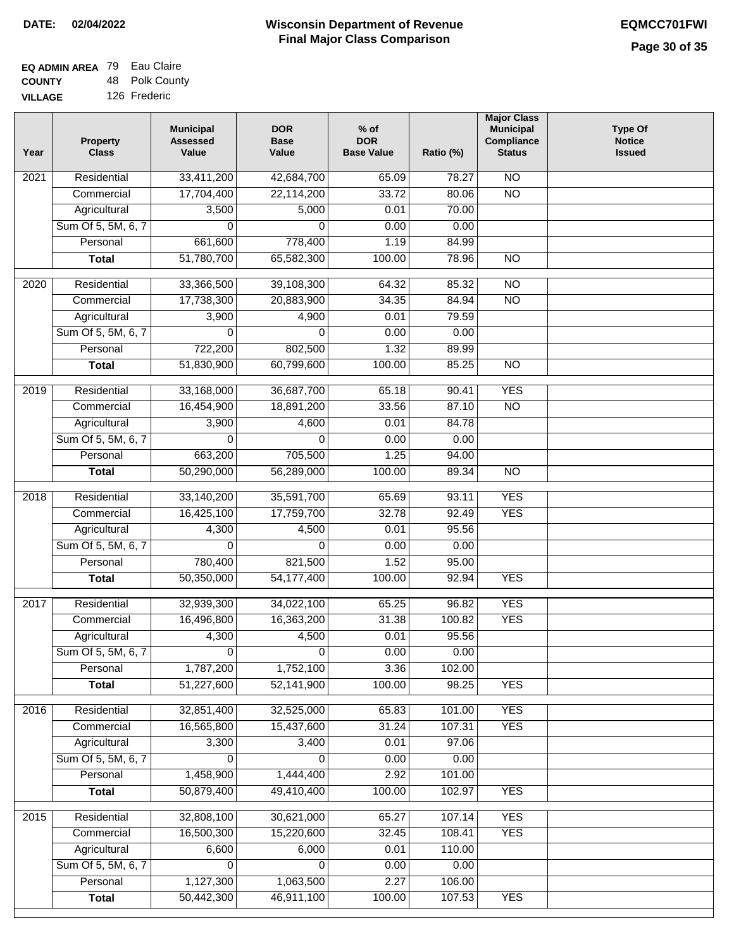| <b>EQ ADMIN AREA 79 Eau Claire</b> |                |
|------------------------------------|----------------|
| <b>COUNTY</b>                      | 48 Polk County |
| <b>VILLAGE</b>                     | 126 Frederic   |

| Year              | <b>Property</b><br><b>Class</b> | <b>Municipal</b><br><b>Assessed</b><br>Value | <b>DOR</b><br><b>Base</b><br>Value | $%$ of<br><b>DOR</b><br><b>Base Value</b> | Ratio (%) | <b>Major Class</b><br><b>Municipal</b><br>Compliance<br><b>Status</b> | <b>Type Of</b><br><b>Notice</b><br><b>Issued</b> |
|-------------------|---------------------------------|----------------------------------------------|------------------------------------|-------------------------------------------|-----------|-----------------------------------------------------------------------|--------------------------------------------------|
| $\overline{202}1$ | Residential                     | 33,411,200                                   | 42,684,700                         | 65.09                                     | 78.27     | $\overline{NO}$                                                       |                                                  |
|                   | Commercial                      | 17,704,400                                   | 22,114,200                         | 33.72                                     | 80.06     | $\overline{NO}$                                                       |                                                  |
|                   | Agricultural                    | 3,500                                        | 5,000                              | 0.01                                      | 70.00     |                                                                       |                                                  |
|                   | Sum Of 5, 5M, 6, 7              | $\Omega$                                     | $\Omega$                           | 0.00                                      | 0.00      |                                                                       |                                                  |
|                   | Personal                        | 661,600                                      | 778,400                            | 1.19                                      | 84.99     |                                                                       |                                                  |
|                   | <b>Total</b>                    | 51,780,700                                   | 65,582,300                         | 100.00                                    | 78.96     | $\overline{NO}$                                                       |                                                  |
| 2020              | Residential                     | 33,366,500                                   | 39,108,300                         | 64.32                                     | 85.32     | $\overline{NO}$                                                       |                                                  |
|                   | Commercial                      | 17,738,300                                   | 20,883,900                         | 34.35                                     | 84.94     | $\overline{NO}$                                                       |                                                  |
|                   | Agricultural                    | 3,900                                        | 4,900                              | 0.01                                      | 79.59     |                                                                       |                                                  |
|                   | Sum Of 5, 5M, 6, 7              | 0                                            | 0                                  | 0.00                                      | 0.00      |                                                                       |                                                  |
|                   | Personal                        | 722,200                                      | 802,500                            | 1.32                                      | 89.99     |                                                                       |                                                  |
|                   | <b>Total</b>                    | 51,830,900                                   | 60,799,600                         | 100.00                                    | 85.25     | $\overline{NO}$                                                       |                                                  |
| 2019              | Residential                     | 33,168,000                                   | 36,687,700                         | 65.18                                     | 90.41     | <b>YES</b>                                                            |                                                  |
|                   | Commercial                      | 16,454,900                                   | 18,891,200                         | 33.56                                     | 87.10     | $\overline{NO}$                                                       |                                                  |
|                   | Agricultural                    | 3,900                                        | 4,600                              | 0.01                                      | 84.78     |                                                                       |                                                  |
|                   | Sum Of 5, 5M, 6, 7              | 0                                            | 0                                  | 0.00                                      | 0.00      |                                                                       |                                                  |
|                   | Personal                        | 663,200                                      | 705,500                            | 1.25                                      | 94.00     |                                                                       |                                                  |
|                   | <b>Total</b>                    | 50,290,000                                   | 56,289,000                         | 100.00                                    | 89.34     | $\overline{NO}$                                                       |                                                  |
| 2018              | Residential                     | 33,140,200                                   | 35,591,700                         | 65.69                                     | 93.11     | <b>YES</b>                                                            |                                                  |
|                   | Commercial                      | 16,425,100                                   | 17,759,700                         | 32.78                                     | 92.49     | <b>YES</b>                                                            |                                                  |
|                   | Agricultural                    | 4,300                                        | 4,500                              | 0.01                                      | 95.56     |                                                                       |                                                  |
|                   | Sum Of 5, 5M, 6, 7              | 0                                            | 0                                  | 0.00                                      | 0.00      |                                                                       |                                                  |
|                   | Personal                        | 780,400                                      | 821,500                            | 1.52                                      | 95.00     |                                                                       |                                                  |
|                   | <b>Total</b>                    | 50,350,000                                   | 54, 177, 400                       | 100.00                                    | 92.94     | <b>YES</b>                                                            |                                                  |
| 2017              | Residential                     | 32,939,300                                   | 34,022,100                         | 65.25                                     | 96.82     | <b>YES</b>                                                            |                                                  |
|                   | Commercial                      | 16,496,800                                   | 16,363,200                         | 31.38                                     | 100.82    | <b>YES</b>                                                            |                                                  |
|                   | Agricultural                    | 4,300                                        | 4,500                              | 0.01                                      | 95.56     |                                                                       |                                                  |
|                   | Sum Of 5, 5M, 6, 7              | $\overline{0}$                               | $\overline{0}$                     | 0.00                                      | 0.00      |                                                                       |                                                  |
|                   | Personal                        | 1,787,200                                    | 1,752,100                          | 3.36                                      | 102.00    |                                                                       |                                                  |
|                   | <b>Total</b>                    | 51,227,600                                   | 52,141,900                         | 100.00                                    | 98.25     | <b>YES</b>                                                            |                                                  |
| 2016              | Residential                     | 32,851,400                                   | 32,525,000                         | 65.83                                     | 101.00    | <b>YES</b>                                                            |                                                  |
|                   | Commercial                      | 16,565,800                                   | 15,437,600                         | 31.24                                     | 107.31    | <b>YES</b>                                                            |                                                  |
|                   | Agricultural                    | 3,300                                        | 3,400                              | 0.01                                      | 97.06     |                                                                       |                                                  |
|                   | Sum Of 5, 5M, 6, 7              | $\Omega$                                     | $\Omega$                           | 0.00                                      | 0.00      |                                                                       |                                                  |
|                   | Personal                        | 1,458,900                                    | 1,444,400                          | 2.92                                      | 101.00    |                                                                       |                                                  |
|                   | <b>Total</b>                    | 50,879,400                                   | 49,410,400                         | 100.00                                    | 102.97    | <b>YES</b>                                                            |                                                  |
| 2015              | Residential                     | 32,808,100                                   | 30,621,000                         | 65.27                                     | 107.14    | <b>YES</b>                                                            |                                                  |
|                   | Commercial                      | 16,500,300                                   | 15,220,600                         | 32.45                                     | 108.41    | <b>YES</b>                                                            |                                                  |
|                   | Agricultural                    | 6,600                                        | 6,000                              | 0.01                                      | 110.00    |                                                                       |                                                  |
|                   | Sum Of 5, 5M, 6, 7              | 0                                            | 0                                  | 0.00                                      | 0.00      |                                                                       |                                                  |
|                   | Personal                        | 1,127,300                                    | 1,063,500                          | 2.27                                      | 106.00    |                                                                       |                                                  |
|                   | <b>Total</b>                    | 50,442,300                                   | 46,911,100                         | 100.00                                    | 107.53    | <b>YES</b>                                                            |                                                  |
|                   |                                 |                                              |                                    |                                           |           |                                                                       |                                                  |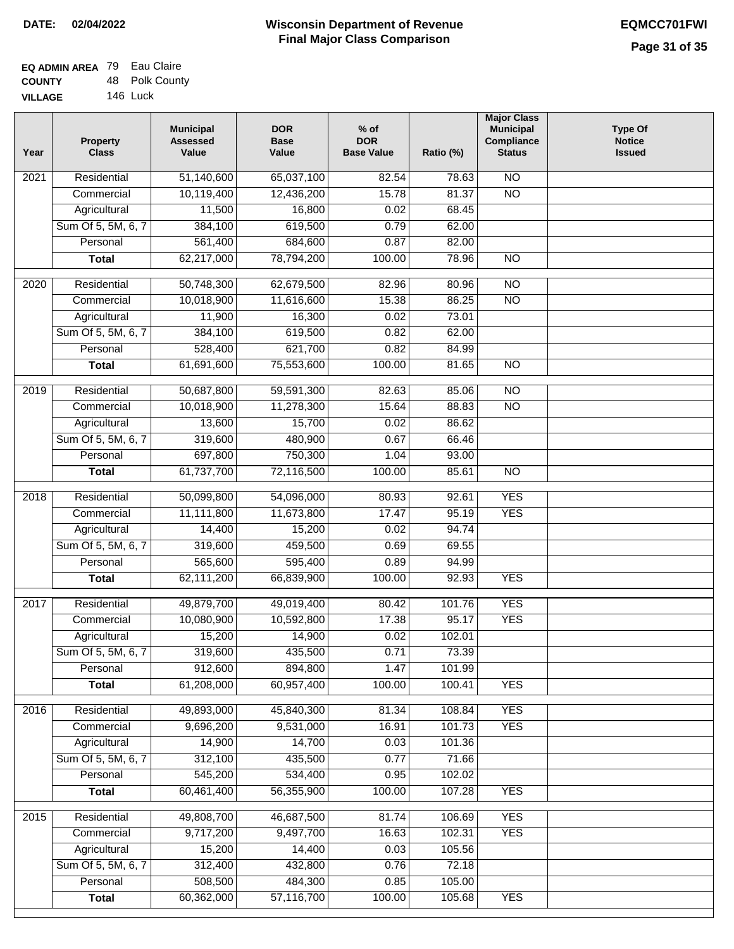## **Wisconsin Department of Revenue Final Major Class Comparison DATE: 02/04/2022 EQMCC701FWI**

٦

| <b>EQ ADMIN AREA 79 Eau Claire</b> |                |
|------------------------------------|----------------|
| <b>COUNTY</b>                      | 48 Polk County |
| <b>VILLAGE</b>                     | 146 Luck       |

| Year | <b>Property</b><br><b>Class</b> | <b>Municipal</b><br><b>Assessed</b><br>Value | <b>DOR</b><br><b>Base</b><br>Value | $%$ of<br><b>DOR</b><br><b>Base Value</b> | Ratio (%) | <b>Major Class</b><br><b>Municipal</b><br>Compliance<br><b>Status</b> | <b>Type Of</b><br><b>Notice</b><br><b>Issued</b> |
|------|---------------------------------|----------------------------------------------|------------------------------------|-------------------------------------------|-----------|-----------------------------------------------------------------------|--------------------------------------------------|
| 2021 | Residential                     | 51,140,600                                   | 65,037,100                         | 82.54                                     | 78.63     | $\overline{NO}$                                                       |                                                  |
|      | Commercial                      | 10,119,400                                   | 12,436,200                         | 15.78                                     | 81.37     | $\overline{NO}$                                                       |                                                  |
|      | Agricultural                    | 11,500                                       | 16,800                             | 0.02                                      | 68.45     |                                                                       |                                                  |
|      | Sum Of 5, 5M, 6, 7              | 384,100                                      | 619,500                            | 0.79                                      | 62.00     |                                                                       |                                                  |
|      | Personal                        | 561,400                                      | 684,600                            | 0.87                                      | 82.00     |                                                                       |                                                  |
|      | <b>Total</b>                    | 62,217,000                                   | 78,794,200                         | 100.00                                    | 78.96     | $\overline{NO}$                                                       |                                                  |
| 2020 | Residential                     | 50,748,300                                   | 62,679,500                         | 82.96                                     | 80.96     | $\overline{NO}$                                                       |                                                  |
|      | Commercial                      | 10,018,900                                   | 11,616,600                         | 15.38                                     | 86.25     | $\overline{NO}$                                                       |                                                  |
|      | Agricultural                    | 11,900                                       | 16,300                             | 0.02                                      | 73.01     |                                                                       |                                                  |
|      | Sum Of 5, 5M, 6, 7              | 384,100                                      | 619,500                            | 0.82                                      | 62.00     |                                                                       |                                                  |
|      | Personal                        | 528,400                                      | 621,700                            | 0.82                                      | 84.99     |                                                                       |                                                  |
|      | <b>Total</b>                    | 61,691,600                                   | 75,553,600                         | 100.00                                    | 81.65     | $\overline{NO}$                                                       |                                                  |
|      |                                 |                                              |                                    |                                           |           |                                                                       |                                                  |
| 2019 | Residential                     | 50,687,800                                   | 59,591,300                         | 82.63                                     | 85.06     | $\overline{NO}$                                                       |                                                  |
|      | Commercial                      | 10,018,900                                   | 11,278,300                         | 15.64                                     | 88.83     | $\overline{NO}$                                                       |                                                  |
|      | Agricultural                    | 13,600                                       | 15,700                             | 0.02                                      | 86.62     |                                                                       |                                                  |
|      | Sum Of 5, 5M, 6, 7              | 319,600                                      | 480,900                            | 0.67                                      | 66.46     |                                                                       |                                                  |
|      | Personal                        | 697,800                                      | 750,300                            | 1.04                                      | 93.00     |                                                                       |                                                  |
|      | <b>Total</b>                    | 61,737,700                                   | 72,116,500                         | 100.00                                    | 85.61     | $\overline{NO}$                                                       |                                                  |
| 2018 | Residential                     | 50,099,800                                   | 54,096,000                         | 80.93                                     | 92.61     | <b>YES</b>                                                            |                                                  |
|      | Commercial                      | 11,111,800                                   | 11,673,800                         | 17.47                                     | 95.19     | <b>YES</b>                                                            |                                                  |
|      | Agricultural                    | 14,400                                       | 15,200                             | 0.02                                      | 94.74     |                                                                       |                                                  |
|      | Sum Of 5, 5M, 6, 7              | 319,600                                      | 459,500                            | 0.69                                      | 69.55     |                                                                       |                                                  |
|      | Personal                        | 565,600                                      | 595,400                            | 0.89                                      | 94.99     |                                                                       |                                                  |
|      | <b>Total</b>                    | 62,111,200                                   | 66,839,900                         | 100.00                                    | 92.93     | <b>YES</b>                                                            |                                                  |
| 2017 | Residential                     | 49,879,700                                   | 49,019,400                         | 80.42                                     | 101.76    | <b>YES</b>                                                            |                                                  |
|      | Commercial                      | 10,080,900                                   | 10,592,800                         | 17.38                                     | 95.17     | <b>YES</b>                                                            |                                                  |
|      | Agricultural                    | 15,200                                       | 14,900                             | 0.02                                      | 102.01    |                                                                       |                                                  |
|      | Sum Of 5, 5M, 6, 7              | 319,600                                      | 435,500                            | 0.71                                      | 73.39     |                                                                       |                                                  |
|      | Personal                        | 912,600                                      | 894,800                            | 1.47                                      | 101.99    |                                                                       |                                                  |
|      | <b>Total</b>                    | 61,208,000                                   | 60,957,400                         | 100.00                                    | 100.41    | <b>YES</b>                                                            |                                                  |
|      |                                 |                                              |                                    |                                           |           |                                                                       |                                                  |
| 2016 | Residential                     | 49,893,000                                   | 45,840,300                         | 81.34                                     | 108.84    | <b>YES</b>                                                            |                                                  |
|      | Commercial                      | 9,696,200                                    | 9,531,000                          | 16.91                                     | 101.73    | <b>YES</b>                                                            |                                                  |
|      | Agricultural                    | 14,900                                       | 14,700                             | 0.03                                      | 101.36    |                                                                       |                                                  |
|      | Sum Of 5, 5M, 6, 7              | 312,100                                      | 435,500                            | 0.77                                      | 71.66     |                                                                       |                                                  |
|      | Personal                        | 545,200                                      | 534,400                            | 0.95                                      | 102.02    |                                                                       |                                                  |
|      | <b>Total</b>                    | 60,461,400                                   | 56,355,900                         | 100.00                                    | 107.28    | <b>YES</b>                                                            |                                                  |
| 2015 | Residential                     | 49,808,700                                   | 46,687,500                         | 81.74                                     | 106.69    | <b>YES</b>                                                            |                                                  |
|      | Commercial                      | 9,717,200                                    | 9,497,700                          | 16.63                                     | 102.31    | <b>YES</b>                                                            |                                                  |
|      | Agricultural                    | 15,200                                       | 14,400                             | 0.03                                      | 105.56    |                                                                       |                                                  |
|      | Sum Of 5, 5M, 6, 7              | 312,400                                      | 432,800                            | 0.76                                      | 72.18     |                                                                       |                                                  |
|      | Personal                        | 508,500                                      | 484,300                            | 0.85                                      | 105.00    |                                                                       |                                                  |
|      | <b>Total</b>                    | 60,362,000                                   | 57,116,700                         | 100.00                                    | 105.68    | <b>YES</b>                                                            |                                                  |
|      |                                 |                                              |                                    |                                           |           |                                                                       |                                                  |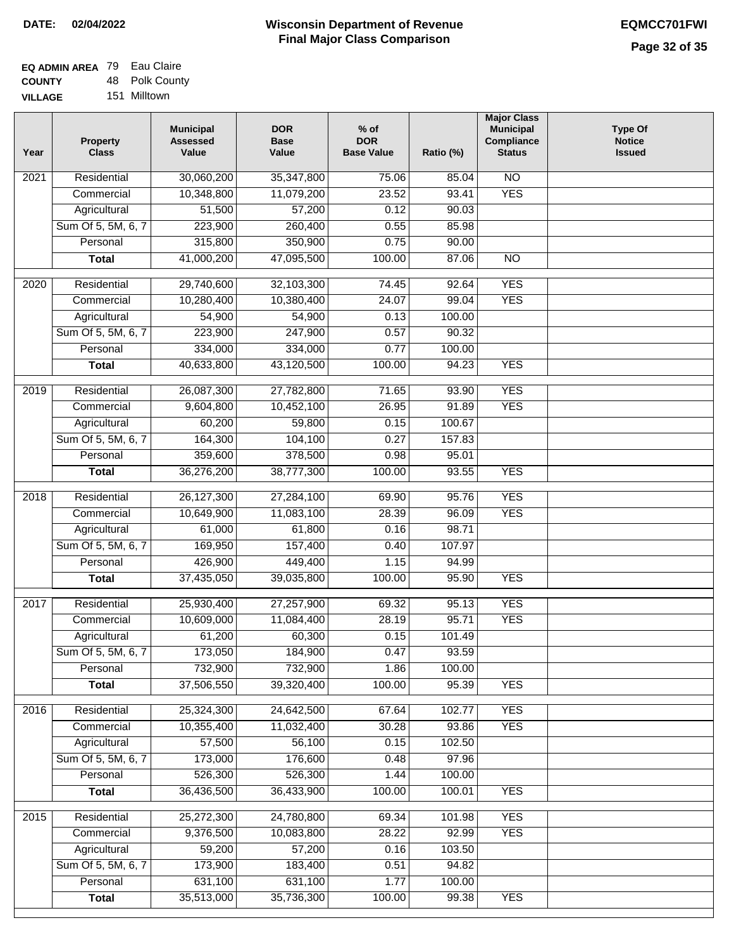| <b>EQ ADMIN AREA 79 Eau Claire</b> |                |
|------------------------------------|----------------|
| <b>COUNTY</b>                      | 48 Polk County |
| <b>VILLAGE</b>                     | 151 Milltown   |

| Year             | <b>Property</b><br><b>Class</b> | <b>Municipal</b><br><b>Assessed</b><br>Value | <b>DOR</b><br><b>Base</b><br>Value | $%$ of<br><b>DOR</b><br><b>Base Value</b> | Ratio (%) | <b>Major Class</b><br><b>Municipal</b><br>Compliance<br><b>Status</b> | <b>Type Of</b><br><b>Notice</b><br><b>Issued</b> |
|------------------|---------------------------------|----------------------------------------------|------------------------------------|-------------------------------------------|-----------|-----------------------------------------------------------------------|--------------------------------------------------|
| 2021             | Residential                     | 30,060,200                                   | 35,347,800                         | 75.06                                     | 85.04     | $\overline{NO}$                                                       |                                                  |
|                  | Commercial                      | 10,348,800                                   | 11,079,200                         | 23.52                                     | 93.41     | <b>YES</b>                                                            |                                                  |
|                  | Agricultural                    | 51,500                                       | 57,200                             | 0.12                                      | 90.03     |                                                                       |                                                  |
|                  | Sum Of 5, 5M, 6, 7              | 223,900                                      | 260,400                            | 0.55                                      | 85.98     |                                                                       |                                                  |
|                  | Personal                        | 315,800                                      | 350,900                            | 0.75                                      | 90.00     |                                                                       |                                                  |
|                  | <b>Total</b>                    | 41,000,200                                   | 47,095,500                         | 100.00                                    | 87.06     | $\overline{NO}$                                                       |                                                  |
| 2020             | Residential                     | 29,740,600                                   | 32,103,300                         | 74.45                                     | 92.64     | <b>YES</b>                                                            |                                                  |
|                  | Commercial                      | 10,280,400                                   | 10,380,400                         | 24.07                                     | 99.04     | <b>YES</b>                                                            |                                                  |
|                  | Agricultural                    | 54,900                                       | 54,900                             | 0.13                                      | 100.00    |                                                                       |                                                  |
|                  | Sum Of 5, 5M, 6, 7              | 223,900                                      | 247,900                            | 0.57                                      | 90.32     |                                                                       |                                                  |
|                  | Personal                        | 334,000                                      | 334,000                            | 0.77                                      | 100.00    |                                                                       |                                                  |
|                  | <b>Total</b>                    | 40,633,800                                   | 43,120,500                         | 100.00                                    | 94.23     | <b>YES</b>                                                            |                                                  |
| $\frac{1}{2019}$ | Residential                     | 26,087,300                                   | 27,782,800                         | 71.65                                     | 93.90     | <b>YES</b>                                                            |                                                  |
|                  | Commercial                      | 9,604,800                                    | 10,452,100                         | 26.95                                     | 91.89     | <b>YES</b>                                                            |                                                  |
|                  | Agricultural                    | 60,200                                       | 59,800                             | 0.15                                      | 100.67    |                                                                       |                                                  |
|                  | Sum Of 5, 5M, 6, 7              | 164,300                                      | 104,100                            | 0.27                                      | 157.83    |                                                                       |                                                  |
|                  | Personal                        | 359,600                                      | 378,500                            | 0.98                                      | 95.01     |                                                                       |                                                  |
|                  | <b>Total</b>                    | 36,276,200                                   | 38,777,300                         | 100.00                                    | 93.55     | <b>YES</b>                                                            |                                                  |
|                  |                                 |                                              |                                    |                                           |           |                                                                       |                                                  |
| 2018             | Residential                     | 26,127,300                                   | 27,284,100                         | 69.90                                     | 95.76     | <b>YES</b>                                                            |                                                  |
|                  | Commercial                      | 10,649,900                                   | 11,083,100                         | 28.39                                     | 96.09     | <b>YES</b>                                                            |                                                  |
|                  | Agricultural                    | 61,000                                       | 61,800                             | 0.16                                      | 98.71     |                                                                       |                                                  |
|                  | Sum Of 5, 5M, 6, 7              | 169,950                                      | 157,400                            | 0.40                                      | 107.97    |                                                                       |                                                  |
|                  | Personal                        | 426,900                                      | 449,400                            | 1.15                                      | 94.99     |                                                                       |                                                  |
|                  | <b>Total</b>                    | 37,435,050                                   | 39,035,800                         | 100.00                                    | 95.90     | <b>YES</b>                                                            |                                                  |
| 2017             | Residential                     | 25,930,400                                   | 27,257,900                         | 69.32                                     | 95.13     | <b>YES</b>                                                            |                                                  |
|                  | Commercial                      | 10,609,000                                   | 11,084,400                         | 28.19                                     | 95.71     | <b>YES</b>                                                            |                                                  |
|                  | Agricultural                    | 61,200                                       | 60,300                             | 0.15                                      | 101.49    |                                                                       |                                                  |
|                  | Sum Of 5, 5M, 6, 7              | 173,050                                      | 184,900                            | 0.47                                      | 93.59     |                                                                       |                                                  |
|                  | Personal                        | 732,900                                      | 732,900                            | 1.86                                      | 100.00    |                                                                       |                                                  |
|                  | <b>Total</b>                    | 37,506,550                                   | 39,320,400                         | 100.00                                    | 95.39     | <b>YES</b>                                                            |                                                  |
| 2016             | Residential                     | 25,324,300                                   | 24,642,500                         | 67.64                                     | 102.77    | <b>YES</b>                                                            |                                                  |
|                  | Commercial                      | 10,355,400                                   | 11,032,400                         | 30.28                                     | 93.86     | <b>YES</b>                                                            |                                                  |
|                  | Agricultural                    | 57,500                                       | 56,100                             | 0.15                                      | 102.50    |                                                                       |                                                  |
|                  | Sum Of 5, 5M, 6, 7              | 173,000                                      | 176,600                            | 0.48                                      | 97.96     |                                                                       |                                                  |
|                  | Personal                        | 526,300                                      | 526,300                            | 1.44                                      | 100.00    |                                                                       |                                                  |
|                  | <b>Total</b>                    | 36,436,500                                   | 36,433,900                         | 100.00                                    | 100.01    | <b>YES</b>                                                            |                                                  |
| 2015             | Residential                     | 25,272,300                                   | 24,780,800                         | 69.34                                     | 101.98    | <b>YES</b>                                                            |                                                  |
|                  | Commercial                      | 9,376,500                                    | 10,083,800                         | 28.22                                     | 92.99     | <b>YES</b>                                                            |                                                  |
|                  | Agricultural                    | 59,200                                       | 57,200                             | 0.16                                      | 103.50    |                                                                       |                                                  |
|                  | Sum Of 5, 5M, 6, 7              | 173,900                                      | 183,400                            | 0.51                                      | 94.82     |                                                                       |                                                  |
|                  | Personal                        | 631,100                                      | 631,100                            | 1.77                                      | 100.00    |                                                                       |                                                  |
|                  | <b>Total</b>                    | 35,513,000                                   | 35,736,300                         | 100.00                                    | 99.38     | <b>YES</b>                                                            |                                                  |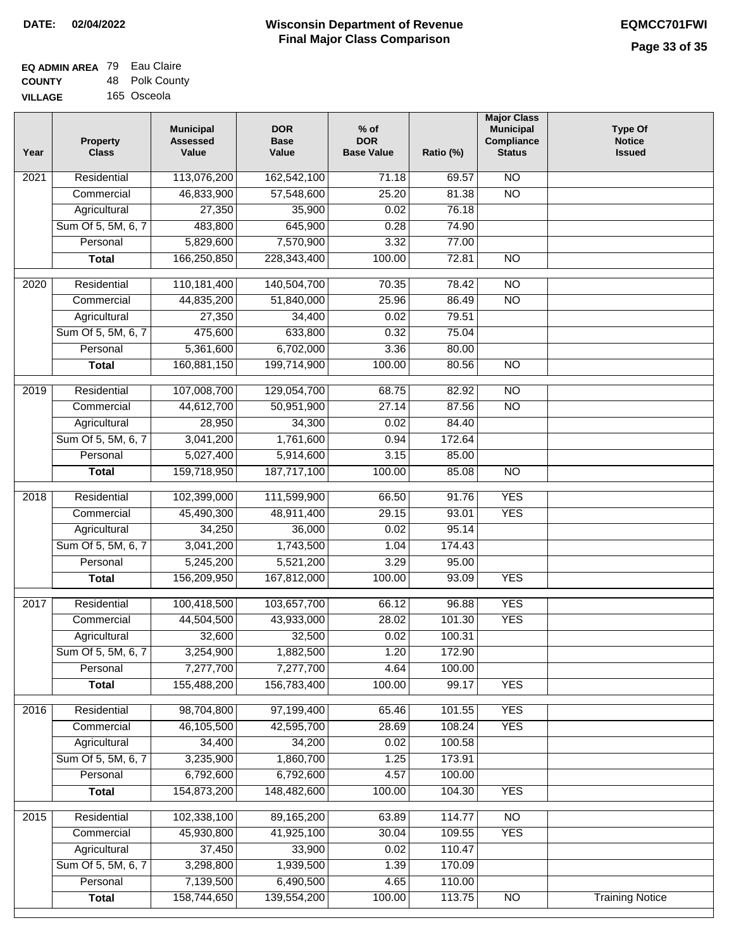| <b>EQ ADMIN AREA 79 Eau Claire</b> |                |
|------------------------------------|----------------|
| <b>COUNTY</b>                      | 48 Polk County |
| <b>VILLAGE</b>                     | 165 Osceola    |

| Year              | <b>Property</b><br><b>Class</b> | <b>Municipal</b><br><b>Assessed</b><br>Value | <b>DOR</b><br><b>Base</b><br>Value | % of<br><b>DOR</b><br><b>Base Value</b> | Ratio (%) | <b>Major Class</b><br><b>Municipal</b><br>Compliance<br><b>Status</b> | <b>Type Of</b><br><b>Notice</b><br><b>Issued</b> |
|-------------------|---------------------------------|----------------------------------------------|------------------------------------|-----------------------------------------|-----------|-----------------------------------------------------------------------|--------------------------------------------------|
| $\overline{202}1$ | Residential                     | 113,076,200                                  | 162,542,100                        | 71.18                                   | 69.57     | N <sub>O</sub>                                                        |                                                  |
|                   | Commercial                      | 46,833,900                                   | 57,548,600                         | 25.20                                   | 81.38     | $\overline{NO}$                                                       |                                                  |
|                   | Agricultural                    | 27,350                                       | 35,900                             | 0.02                                    | 76.18     |                                                                       |                                                  |
|                   | Sum Of 5, 5M, 6, 7              | 483,800                                      | 645,900                            | 0.28                                    | 74.90     |                                                                       |                                                  |
|                   | Personal                        | 5,829,600                                    | 7,570,900                          | 3.32                                    | 77.00     |                                                                       |                                                  |
|                   | <b>Total</b>                    | 166,250,850                                  | 228,343,400                        | 100.00                                  | 72.81     | $\overline{NO}$                                                       |                                                  |
| $\overline{2020}$ | Residential                     | 110,181,400                                  | 140,504,700                        | 70.35                                   | 78.42     | $\overline{NO}$                                                       |                                                  |
|                   | Commercial                      | 44,835,200                                   | 51,840,000                         | 25.96                                   | 86.49     | $\overline{NO}$                                                       |                                                  |
|                   | Agricultural                    | 27,350                                       | 34,400                             | 0.02                                    | 79.51     |                                                                       |                                                  |
|                   | Sum Of 5, 5M, 6, 7              | 475,600                                      | 633,800                            | 0.32                                    | 75.04     |                                                                       |                                                  |
|                   | Personal                        | 5,361,600                                    | 6,702,000                          | 3.36                                    | 80.00     |                                                                       |                                                  |
|                   | <b>Total</b>                    | 160,881,150                                  | 199,714,900                        | 100.00                                  | 80.56     | $\overline{NO}$                                                       |                                                  |
| 2019              | Residential                     | 107,008,700                                  | 129,054,700                        | 68.75                                   | 82.92     | $\overline{10}$                                                       |                                                  |
|                   | Commercial                      | 44,612,700                                   | 50,951,900                         | 27.14                                   | 87.56     | $\overline{NO}$                                                       |                                                  |
|                   | Agricultural                    | 28,950                                       | 34,300                             | 0.02                                    | 84.40     |                                                                       |                                                  |
|                   | Sum Of 5, 5M, 6, 7              | 3,041,200                                    | 1,761,600                          | 0.94                                    | 172.64    |                                                                       |                                                  |
|                   | Personal                        | 5,027,400                                    | 5,914,600                          | 3.15                                    | 85.00     |                                                                       |                                                  |
|                   | <b>Total</b>                    | 159,718,950                                  | 187,717,100                        | 100.00                                  | 85.08     | $\overline{NO}$                                                       |                                                  |
|                   |                                 |                                              |                                    |                                         |           |                                                                       |                                                  |
| 2018              | Residential                     | 102,399,000                                  | 111,599,900                        | 66.50                                   | 91.76     | <b>YES</b>                                                            |                                                  |
|                   | Commercial                      | 45,490,300                                   | 48,911,400                         | 29.15                                   | 93.01     | <b>YES</b>                                                            |                                                  |
|                   | Agricultural                    | 34,250                                       | 36,000                             | 0.02                                    | 95.14     |                                                                       |                                                  |
|                   | Sum Of 5, 5M, 6, 7              | 3,041,200                                    | 1,743,500                          | 1.04                                    | 174.43    |                                                                       |                                                  |
|                   | Personal                        | 5,245,200                                    | 5,521,200                          | 3.29                                    | 95.00     |                                                                       |                                                  |
|                   | <b>Total</b>                    | 156,209,950                                  | 167,812,000                        | 100.00                                  | 93.09     | <b>YES</b>                                                            |                                                  |
| 2017              | Residential                     | 100,418,500                                  | 103,657,700                        | 66.12                                   | 96.88     | <b>YES</b>                                                            |                                                  |
|                   | Commercial                      | 44,504,500                                   | 43,933,000                         | 28.02                                   | 101.30    | <b>YES</b>                                                            |                                                  |
|                   | Agricultural                    | 32,600                                       | 32,500                             | 0.02                                    | 100.31    |                                                                       |                                                  |
|                   | Sum Of 5, 5M, 6, 7              | 3,254,900                                    | 1,882,500                          | 1.20                                    | 172.90    |                                                                       |                                                  |
|                   | Personal                        | 7,277,700                                    | 7,277,700                          | 4.64                                    | 100.00    |                                                                       |                                                  |
|                   | <b>Total</b>                    | 155,488,200                                  | 156,783,400                        | 100.00                                  | 99.17     | <b>YES</b>                                                            |                                                  |
| 2016              | Residential                     | 98,704,800                                   | 97,199,400                         | 65.46                                   | 101.55    | <b>YES</b>                                                            |                                                  |
|                   | Commercial                      | 46,105,500                                   | 42,595,700                         | 28.69                                   | 108.24    | <b>YES</b>                                                            |                                                  |
|                   | Agricultural                    | 34,400                                       | 34,200                             | 0.02                                    | 100.58    |                                                                       |                                                  |
|                   | Sum Of 5, 5M, 6, 7              | 3,235,900                                    | 1,860,700                          | 1.25                                    | 173.91    |                                                                       |                                                  |
|                   | Personal                        | 6,792,600                                    | 6,792,600                          | 4.57                                    | 100.00    |                                                                       |                                                  |
|                   | <b>Total</b>                    | 154,873,200                                  | 148,482,600                        | 100.00                                  | 104.30    | <b>YES</b>                                                            |                                                  |
| 2015              | Residential                     | 102,338,100                                  | 89,165,200                         | 63.89                                   | 114.77    | N <sub>O</sub>                                                        |                                                  |
|                   | Commercial                      | 45,930,800                                   | 41,925,100                         | 30.04                                   | 109.55    | <b>YES</b>                                                            |                                                  |
|                   | Agricultural                    | 37,450                                       | 33,900                             | 0.02                                    | 110.47    |                                                                       |                                                  |
|                   | Sum Of 5, 5M, 6, 7              | 3,298,800                                    | 1,939,500                          | 1.39                                    | 170.09    |                                                                       |                                                  |
|                   | Personal                        | 7,139,500                                    | 6,490,500                          | 4.65                                    | 110.00    |                                                                       |                                                  |
|                   | <b>Total</b>                    | 158,744,650                                  | 139,554,200                        | 100.00                                  | 113.75    | N <sub>O</sub>                                                        | <b>Training Notice</b>                           |
|                   |                                 |                                              |                                    |                                         |           |                                                                       |                                                  |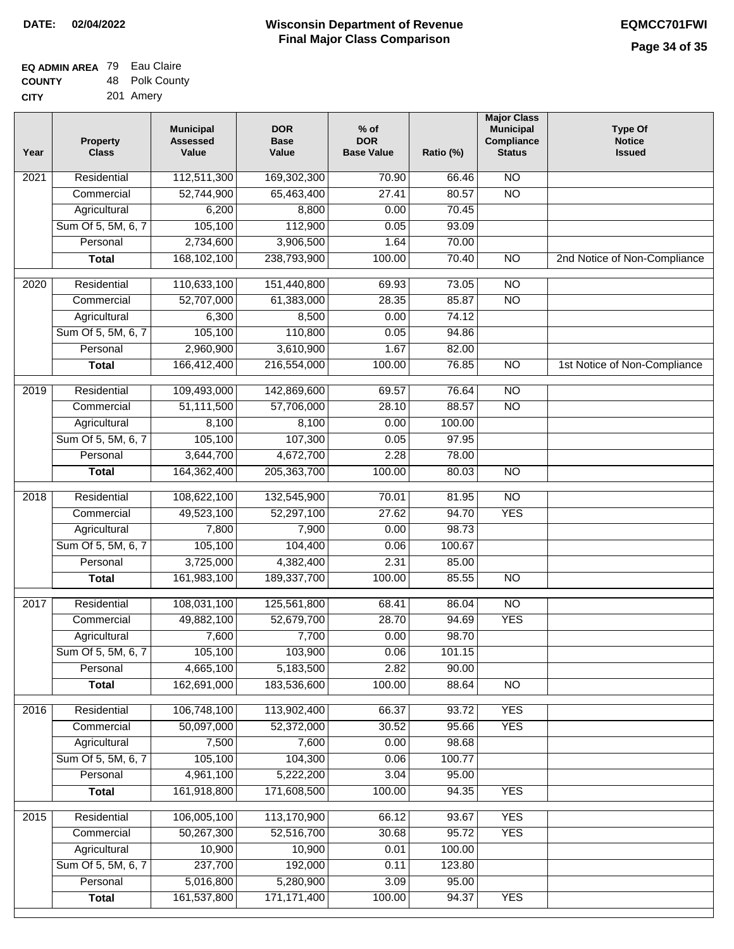| <b>EQ ADMIN AREA 79 Eau Claire</b> |                |
|------------------------------------|----------------|
| <b>COUNTY</b>                      | 48 Polk County |
| <b>CITY</b>                        | 201 Amery      |

| Year | <b>Property</b><br><b>Class</b> | <b>Municipal</b><br><b>Assessed</b><br>Value | <b>DOR</b><br><b>Base</b><br>Value | $%$ of<br><b>DOR</b><br><b>Base Value</b> | Ratio (%)      | <b>Major Class</b><br><b>Municipal</b><br>Compliance<br><b>Status</b> | <b>Type Of</b><br><b>Notice</b><br><b>Issued</b> |
|------|---------------------------------|----------------------------------------------|------------------------------------|-------------------------------------------|----------------|-----------------------------------------------------------------------|--------------------------------------------------|
| 2021 | Residential                     | 112,511,300                                  | 169,302,300                        | 70.90                                     | 66.46          | $\overline{NO}$                                                       |                                                  |
|      | Commercial                      | 52,744,900                                   | 65,463,400                         | 27.41                                     | 80.57          | $\overline{NO}$                                                       |                                                  |
|      | Agricultural                    | 6,200                                        | 8,800                              | 0.00                                      | 70.45          |                                                                       |                                                  |
|      | Sum Of 5, 5M, 6, 7              | 105,100                                      | 112,900                            | 0.05                                      | 93.09          |                                                                       |                                                  |
|      | Personal                        | 2,734,600                                    | 3,906,500                          | 1.64                                      | 70.00          |                                                                       |                                                  |
|      | <b>Total</b>                    | 168,102,100                                  | 238,793,900                        | 100.00                                    | 70.40          | $\overline{NO}$                                                       | 2nd Notice of Non-Compliance                     |
| 2020 | Residential                     | 110,633,100                                  | 151,440,800                        | 69.93                                     | 73.05          | $\overline{NO}$                                                       |                                                  |
|      | Commercial                      | 52,707,000                                   | 61,383,000                         | 28.35                                     | 85.87          | $\overline{NO}$                                                       |                                                  |
|      | Agricultural                    | 6,300                                        | 8,500                              | 0.00                                      | 74.12          |                                                                       |                                                  |
|      | Sum Of 5, 5M, 6, 7              | 105,100                                      | 110,800                            | 0.05                                      | 94.86          |                                                                       |                                                  |
|      | Personal                        | 2,960,900                                    | 3,610,900                          | 1.67                                      | 82.00          |                                                                       |                                                  |
|      | <b>Total</b>                    | 166,412,400                                  | 216,554,000                        | 100.00                                    | 76.85          | $\overline{NO}$                                                       | 1st Notice of Non-Compliance                     |
| 2019 | Residential                     | 109,493,000                                  | 142,869,600                        | 69.57                                     | 76.64          | $\overline{NO}$                                                       |                                                  |
|      | Commercial                      | 51,111,500                                   | 57,706,000                         | 28.10                                     | 88.57          | $\overline{NO}$                                                       |                                                  |
|      | Agricultural                    | 8,100                                        | 8,100                              | 0.00                                      | 100.00         |                                                                       |                                                  |
|      | Sum Of 5, 5M, 6, 7              | 105,100                                      | 107,300                            | 0.05                                      | 97.95          |                                                                       |                                                  |
|      | Personal                        | 3,644,700                                    | 4,672,700                          | 2.28                                      | 78.00          |                                                                       |                                                  |
|      | <b>Total</b>                    | 164,362,400                                  | 205,363,700                        | 100.00                                    | 80.03          | $\overline{NO}$                                                       |                                                  |
| 2018 | Residential                     | 108,622,100                                  | 132,545,900                        | 70.01                                     | 81.95          | $\overline{10}$                                                       |                                                  |
|      | Commercial                      | 49,523,100                                   | 52,297,100                         | 27.62                                     | 94.70          | <b>YES</b>                                                            |                                                  |
|      | Agricultural                    | 7,800                                        | 7,900                              | 0.00                                      | 98.73          |                                                                       |                                                  |
|      | Sum Of 5, 5M, 6, 7              | 105,100                                      | 104,400                            | 0.06                                      | 100.67         |                                                                       |                                                  |
|      | Personal                        | 3,725,000                                    | 4,382,400                          | 2.31                                      | 85.00          |                                                                       |                                                  |
|      | <b>Total</b>                    | 161,983,100                                  | 189,337,700                        | 100.00                                    | 85.55          | <b>NO</b>                                                             |                                                  |
| 2017 | Residential                     | 108,031,100                                  | 125,561,800                        | 68.41                                     | 86.04          | $\overline{NO}$                                                       |                                                  |
|      | Commercial                      | 49,882,100                                   | 52,679,700                         | 28.70                                     | 94.69          | <b>YES</b>                                                            |                                                  |
|      | Agricultural                    | 7,600                                        | 7,700                              | 0.00                                      | 98.70          |                                                                       |                                                  |
|      | Sum Of 5, 5M, 6, 7              | 105,100                                      | 103,900                            | 0.06                                      | 101.15         |                                                                       |                                                  |
|      | Personal                        | 4,665,100                                    | 5,183,500                          | 2.82                                      | 90.00          |                                                                       |                                                  |
|      | <b>Total</b>                    | 162,691,000                                  | 183,536,600                        | 100.00                                    | 88.64          | <b>NO</b>                                                             |                                                  |
| 2016 | Residential                     | 106,748,100                                  | 113,902,400                        | 66.37                                     | 93.72          | <b>YES</b>                                                            |                                                  |
|      | Commercial                      | 50,097,000                                   | 52,372,000                         | 30.52                                     | 95.66          | <b>YES</b>                                                            |                                                  |
|      | Agricultural                    | 7,500                                        | 7,600                              | 0.00                                      | 98.68          |                                                                       |                                                  |
|      | Sum Of 5, 5M, 6, 7              | 105,100                                      | 104,300                            | 0.06                                      | 100.77         |                                                                       |                                                  |
|      | Personal                        | 4,961,100                                    | 5,222,200                          | 3.04                                      | 95.00          |                                                                       |                                                  |
|      | <b>Total</b>                    | 161,918,800                                  | 171,608,500                        | 100.00                                    | 94.35          | <b>YES</b>                                                            |                                                  |
| 2015 | Residential                     | 106,005,100                                  | 113,170,900                        | 66.12                                     | 93.67          | <b>YES</b>                                                            |                                                  |
|      | Commercial                      | 50,267,300                                   | 52,516,700                         | 30.68                                     | 95.72          | <b>YES</b>                                                            |                                                  |
|      | Agricultural                    | 10,900                                       | 10,900                             | 0.01                                      | 100.00         |                                                                       |                                                  |
|      |                                 |                                              |                                    |                                           | 123.80         |                                                                       |                                                  |
|      | Sum Of 5, 5M, 6, 7              | 237,700                                      | 192,000                            | 0.11                                      |                |                                                                       |                                                  |
|      | Personal<br><b>Total</b>        | 5,016,800<br>161,537,800                     | 5,280,900<br>171,171,400           | 3.09<br>100.00                            | 95.00<br>94.37 | <b>YES</b>                                                            |                                                  |